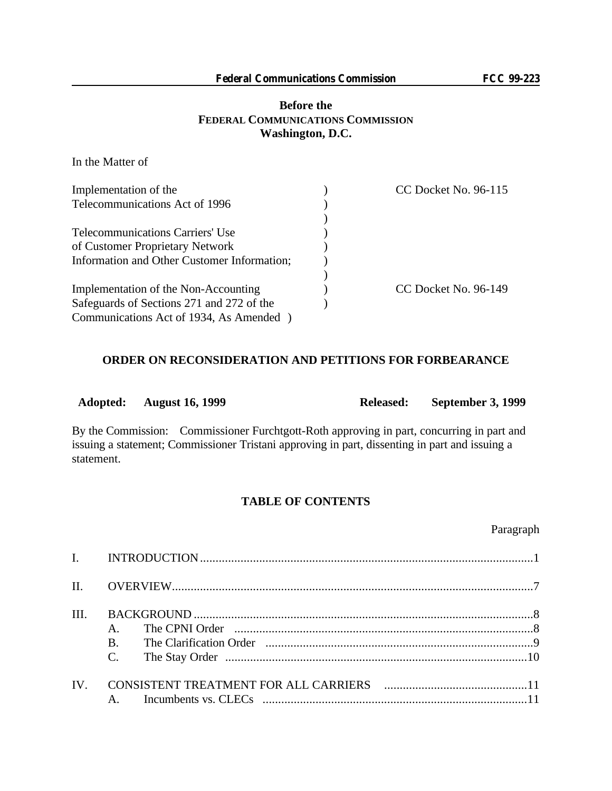# **Before the FEDERAL COMMUNICATIONS COMMISSION Washington, D.C.**

In the Matter of

| Implementation of the                       | CC Docket No. 96-115 |
|---------------------------------------------|----------------------|
| Telecommunications Act of 1996              |                      |
|                                             |                      |
| <b>Telecommunications Carriers' Use</b>     |                      |
| of Customer Proprietary Network             |                      |
| Information and Other Customer Information; |                      |
|                                             |                      |
| Implementation of the Non-Accounting        | CC Docket No. 96-149 |
| Safeguards of Sections 271 and 272 of the   |                      |
| Communications Act of 1934, As Amended      |                      |

### **ORDER ON RECONSIDERATION AND PETITIONS FOR FORBEARANCE**

| Adopted: August 16, 1999 | Released: September 3, 1999 |
|--------------------------|-----------------------------|
|                          |                             |

By the Commission: Commissioner Furchtgott-Roth approving in part, concurring in part and issuing a statement; Commissioner Tristani approving in part, dissenting in part and issuing a statement.

# **TABLE OF CONTENTS**

Paragraph

| III. | <b>B.</b><br>$\mathcal{C}$ . | The CPNI Order municipalization contains and the CPNI Order |  |
|------|------------------------------|-------------------------------------------------------------|--|
| IV.  |                              |                                                             |  |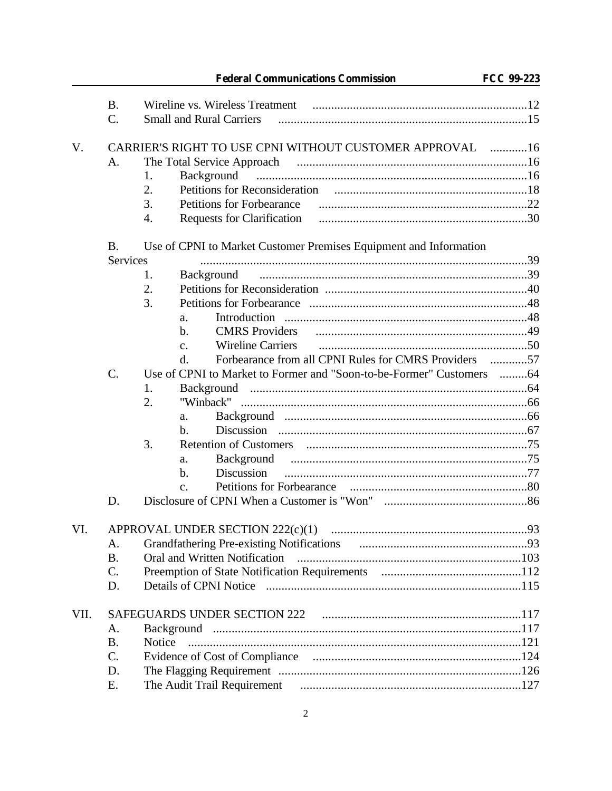|      |                                                                                | <b>Federal Communications Commission</b>                             | <b>FCC 99-223</b> |
|------|--------------------------------------------------------------------------------|----------------------------------------------------------------------|-------------------|
|      | <b>B.</b>                                                                      |                                                                      |                   |
|      | C.                                                                             | <b>Small and Rural Carriers</b>                                      |                   |
| V.   |                                                                                | CARRIER'S RIGHT TO USE CPNI WITHOUT CUSTOMER APPROVAL 16             |                   |
|      | A.                                                                             |                                                                      |                   |
|      |                                                                                | Background<br>1.                                                     |                   |
|      |                                                                                | 2.                                                                   |                   |
|      |                                                                                | 3.                                                                   |                   |
|      |                                                                                | 4.                                                                   |                   |
|      | Use of CPNI to Market Customer Premises Equipment and Information<br><b>B.</b> |                                                                      |                   |
|      | <b>Services</b>                                                                |                                                                      |                   |
|      |                                                                                | 1.<br>Background                                                     |                   |
|      |                                                                                | 2.                                                                   |                   |
|      |                                                                                | 3.                                                                   |                   |
|      |                                                                                | a.                                                                   |                   |
|      |                                                                                | <b>CMRS</b> Providers<br>$\mathbf{b}$ .                              |                   |
|      |                                                                                | <b>Wireline Carriers</b><br>$\mathbf{c}$ .                           |                   |
|      |                                                                                | Forbearance from all CPNI Rules for CMRS Providers<br>d.             | . 57              |
|      | $\mathcal{C}$ .                                                                | Use of CPNI to Market to Former and "Soon-to-be-Former" Customers 64 |                   |
|      |                                                                                | 1.                                                                   |                   |
|      |                                                                                | 2.                                                                   |                   |
|      |                                                                                | a.                                                                   |                   |
|      |                                                                                | b.                                                                   |                   |
|      |                                                                                | 3.                                                                   |                   |
|      |                                                                                | a.                                                                   |                   |
|      |                                                                                | <b>Discussion</b><br>$\mathbf{b}$ .                                  |                   |
|      |                                                                                | c.                                                                   |                   |
|      | D.                                                                             |                                                                      |                   |
| VI.  |                                                                                |                                                                      |                   |
|      | A.                                                                             |                                                                      |                   |
|      | <b>B.</b>                                                                      | Oral and Written Notification                                        |                   |
|      | $C$ .                                                                          |                                                                      |                   |
|      | D.                                                                             |                                                                      |                   |
| VII. |                                                                                |                                                                      |                   |
|      | A.                                                                             |                                                                      |                   |
|      | <b>B.</b>                                                                      | Notice                                                               |                   |
|      | C.                                                                             |                                                                      |                   |
|      | D.                                                                             |                                                                      |                   |
|      | Ε.                                                                             |                                                                      |                   |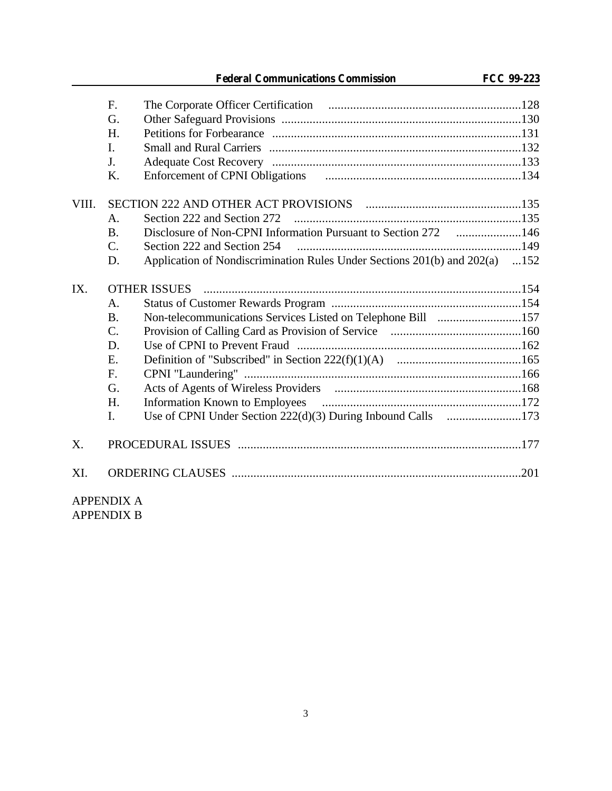**Federal Communications Commission FCC 99-223**

|       | F.              |                                                                             |  |
|-------|-----------------|-----------------------------------------------------------------------------|--|
|       | G.              |                                                                             |  |
|       | H.              |                                                                             |  |
|       | I.              |                                                                             |  |
|       | J.              |                                                                             |  |
|       | K.              |                                                                             |  |
| VIII. |                 |                                                                             |  |
|       | $\mathsf{A}$ .  | Section 222 and Section 272                                                 |  |
|       | <b>B.</b>       | Disclosure of Non-CPNI Information Pursuant to Section 272 146              |  |
|       | $\mathcal{C}$ . |                                                                             |  |
|       | D.              | Application of Nondiscrimination Rules Under Sections 201(b) and 202(a) 152 |  |
| IX.   |                 |                                                                             |  |
|       | $\mathsf{A}$ .  |                                                                             |  |
|       | <b>B.</b>       | Non-telecommunications Services Listed on Telephone Bill 157                |  |
|       | $\mathcal{C}$ . |                                                                             |  |
|       | D.              |                                                                             |  |
|       | Ε.              |                                                                             |  |
|       | F.              |                                                                             |  |
|       | G.              |                                                                             |  |
|       | H.              |                                                                             |  |
|       | I.              | Use of CPNI Under Section 222(d)(3) During Inbound Calls 173                |  |
| X.    |                 |                                                                             |  |
| XI.   |                 |                                                                             |  |

APPENDIX A APPENDIX B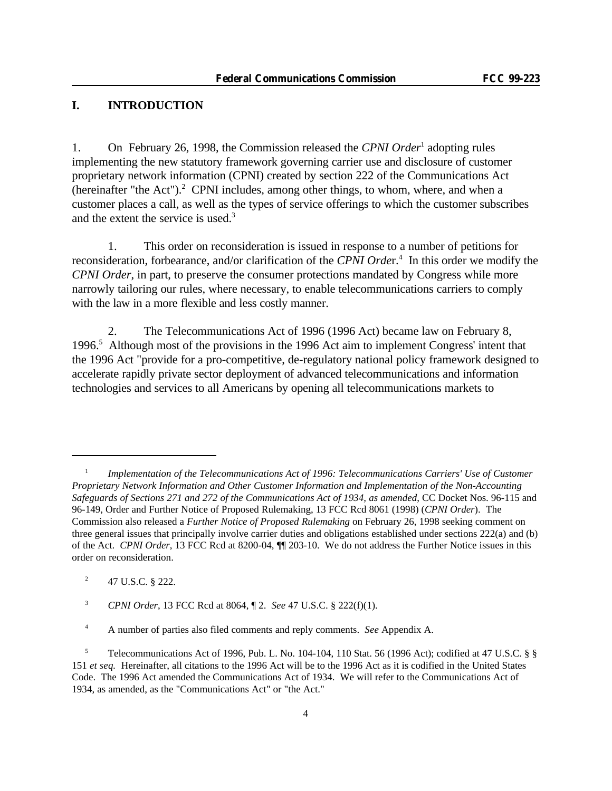# **I. INTRODUCTION**

1. On February 26, 1998, the Commission released the *CPNI Order*<sup>1</sup> adopting rules implementing the new statutory framework governing carrier use and disclosure of customer proprietary network information (CPNI) created by section 222 of the Communications Act (hereinafter "the Act"). $^2$  CPNI includes, among other things, to whom, where, and when a customer places a call, as well as the types of service offerings to which the customer subscribes and the extent the service is used.<sup>3</sup>

1. This order on reconsideration is issued in response to a number of petitions for reconsideration, forbearance, and/or clarification of the *CPNI Order*.<sup>4</sup> In this order we modify the *CPNI Order*, in part, to preserve the consumer protections mandated by Congress while more narrowly tailoring our rules, where necessary, to enable telecommunications carriers to comply with the law in a more flexible and less costly manner.

2. The Telecommunications Act of 1996 (1996 Act) became law on February 8, 1996.<sup>5</sup> Although most of the provisions in the 1996 Act aim to implement Congress' intent that the 1996 Act "provide for a pro-competitive, de-regulatory national policy framework designed to accelerate rapidly private sector deployment of advanced telecommunications and information technologies and services to all Americans by opening all telecommunications markets to

<sup>1</sup> *Implementation of the Telecommunications Act of 1996: Telecommunications Carriers' Use of Customer Proprietary Network Information and Other Customer Information and Implementation of the Non-Accounting Safeguards of Sections 271 and 272 of the Communications Act of 1934, as amended*, CC Docket Nos. 96-115 and 96-149, Order and Further Notice of Proposed Rulemaking, 13 FCC Rcd 8061 (1998) (*CPNI Order*). The Commission also released a *Further Notice of Proposed Rulemaking* on February 26, 1998 seeking comment on three general issues that principally involve carrier duties and obligations established under sections 222(a) and (b) of the Act. *CPNI Order*, 13 FCC Rcd at 8200-04, ¶¶ 203-10. We do not address the Further Notice issues in this order on reconsideration.

<sup>2</sup> 47 U.S.C. § 222.

<sup>3</sup> *CPNI Order*, 13 FCC Rcd at 8064, ¶ 2. *See* 47 U.S.C. § 222(f)(1).

<sup>4</sup> A number of parties also filed comments and reply comments. *See* Appendix A.

<sup>5</sup> Telecommunications Act of 1996, Pub. L. No. 104-104, 110 Stat. 56 (1996 Act); codified at 47 U.S.C. § § 151 *et seq.* Hereinafter, all citations to the 1996 Act will be to the 1996 Act as it is codified in the United States Code. The 1996 Act amended the Communications Act of 1934. We will refer to the Communications Act of 1934, as amended, as the "Communications Act" or "the Act."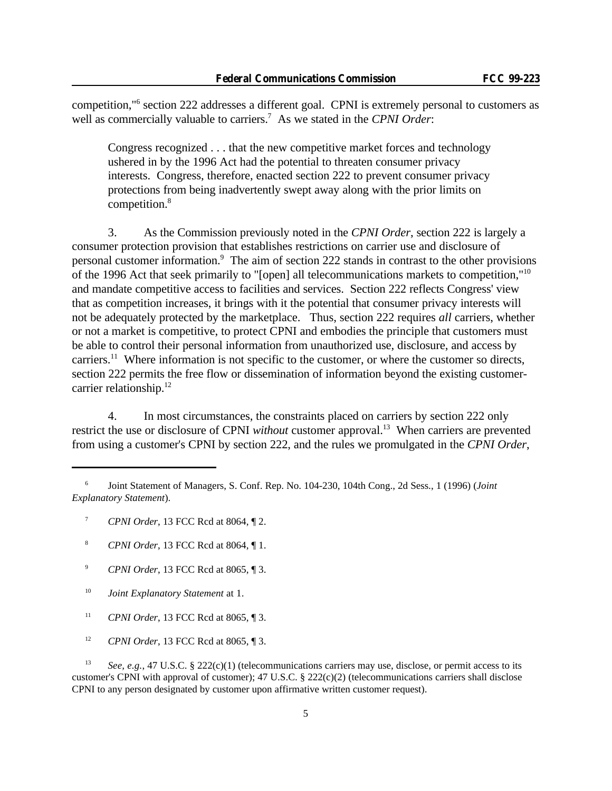competition,"<sup>6</sup> section 222 addresses a different goal. CPNI is extremely personal to customers as well as commercially valuable to carriers.<sup>7</sup> As we stated in the *CPNI Order*:

Congress recognized . . . that the new competitive market forces and technology ushered in by the 1996 Act had the potential to threaten consumer privacy interests. Congress, therefore, enacted section 222 to prevent consumer privacy protections from being inadvertently swept away along with the prior limits on competition.<sup>8</sup>

3. As the Commission previously noted in the *CPNI Order*, section 222 is largely a consumer protection provision that establishes restrictions on carrier use and disclosure of personal customer information.<sup>9</sup> The aim of section 222 stands in contrast to the other provisions of the 1996 Act that seek primarily to "[open] all telecommunications markets to competition,"<sup>10</sup> and mandate competitive access to facilities and services. Section 222 reflects Congress' view that as competition increases, it brings with it the potential that consumer privacy interests will not be adequately protected by the marketplace. Thus, section 222 requires *all* carriers, whether or not a market is competitive, to protect CPNI and embodies the principle that customers must be able to control their personal information from unauthorized use, disclosure, and access by carriers.<sup>11</sup> Where information is not specific to the customer, or where the customer so directs, section 222 permits the free flow or dissemination of information beyond the existing customercarrier relationship.<sup>12</sup>

4. In most circumstances, the constraints placed on carriers by section 222 only restrict the use or disclosure of CPNI *without* customer approval.<sup>13</sup> When carriers are prevented from using a customer's CPNI by section 222, and the rules we promulgated in the *CPNI Order*,

- <sup>7</sup> *CPNI Order*, 13 FCC Rcd at 8064, ¶ 2.
- <sup>8</sup> *CPNI Order*, 13 FCC Rcd at 8064, ¶ 1.
- <sup>9</sup> *CPNI Order*, 13 FCC Rcd at 8065, ¶ 3.
- <sup>10</sup> *Joint Explanatory Statement* at 1.
- <sup>11</sup> *CPNI Order*, 13 FCC Rcd at 8065, ¶ 3.
- <sup>12</sup> *CPNI Order*, 13 FCC Rcd at 8065, ¶ 3.

<sup>13</sup> *See, e.g.*, 47 U.S.C. § 222(c)(1) (telecommunications carriers may use, disclose, or permit access to its customer's CPNI with approval of customer); 47 U.S.C. § 222(c)(2) (telecommunications carriers shall disclose CPNI to any person designated by customer upon affirmative written customer request).

<sup>6</sup> Joint Statement of Managers, S. Conf. Rep. No. 104-230, 104th Cong., 2d Sess., 1 (1996) (*Joint Explanatory Statement*).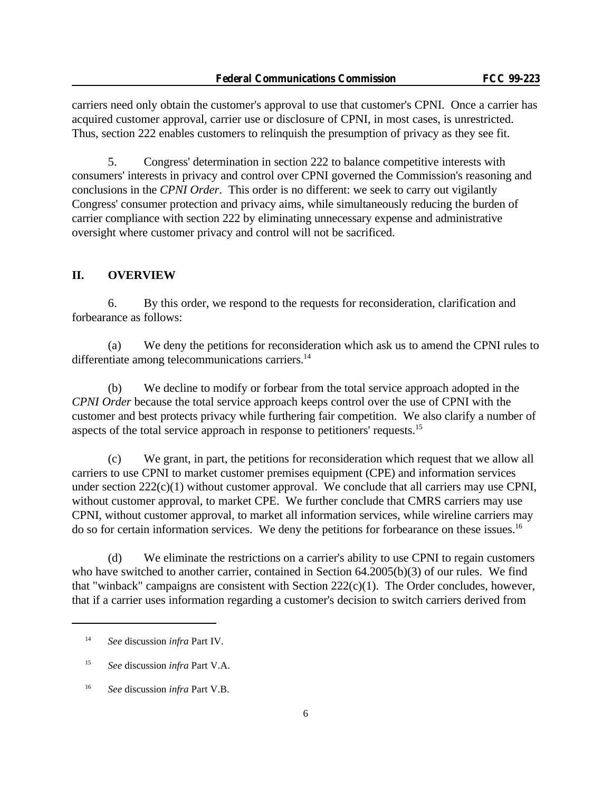carriers need only obtain the customer's approval to use that customer's CPNI. Once a carrier has acquired customer approval, carrier use or disclosure of CPNI, in most cases, is unrestricted. Thus, section 222 enables customers to relinquish the presumption of privacy as they see fit.

5. Congress' determination in section 222 to balance competitive interests with consumers' interests in privacy and control over CPNI governed the Commission's reasoning and conclusions in the *CPNI Order*. This order is no different: we seek to carry out vigilantly Congress' consumer protection and privacy aims, while simultaneously reducing the burden of carrier compliance with section 222 by eliminating unnecessary expense and administrative oversight where customer privacy and control will not be sacrificed.

### **II. OVERVIEW**

6. By this order, we respond to the requests for reconsideration, clarification and forbearance as follows:

(a) We deny the petitions for reconsideration which ask us to amend the CPNI rules to differentiate among telecommunications carriers.<sup>14</sup>

(b) We decline to modify or forbear from the total service approach adopted in the *CPNI Order* because the total service approach keeps control over the use of CPNI with the customer and best protects privacy while furthering fair competition. We also clarify a number of aspects of the total service approach in response to petitioners' requests.<sup>15</sup>

(c) We grant, in part, the petitions for reconsideration which request that we allow all carriers to use CPNI to market customer premises equipment (CPE) and information services under section  $222(c)(1)$  without customer approval. We conclude that all carriers may use CPNI, without customer approval, to market CPE. We further conclude that CMRS carriers may use CPNI, without customer approval, to market all information services, while wireline carriers may do so for certain information services. We deny the petitions for forbearance on these issues.<sup>16</sup>

(d) We eliminate the restrictions on a carrier's ability to use CPNI to regain customers who have switched to another carrier, contained in Section 64.2005(b)(3) of our rules. We find that "winback" campaigns are consistent with Section  $222(c)(1)$ . The Order concludes, however, that if a carrier uses information regarding a customer's decision to switch carriers derived from

<sup>14</sup> *See* discussion *infra* Part IV.

<sup>15</sup> *See* discussion *infra* Part V.A.

<sup>16</sup> *See* discussion *infra* Part V.B.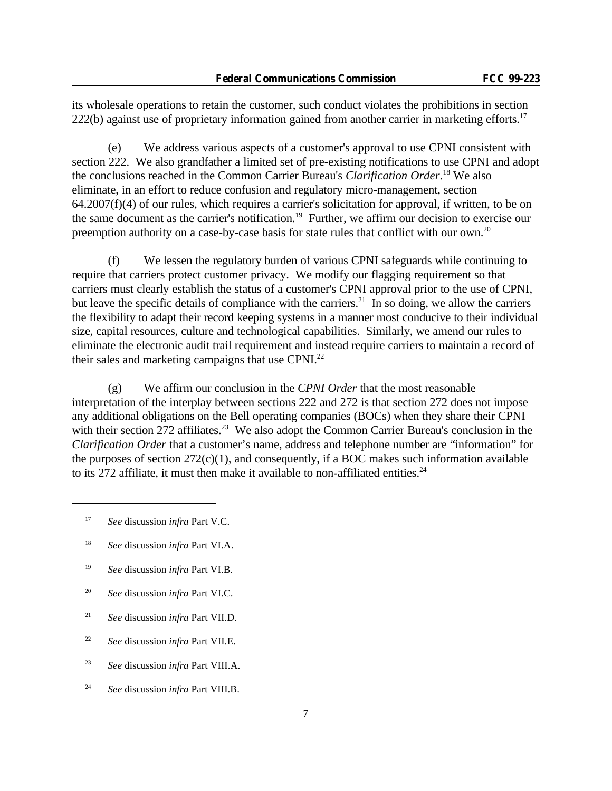its wholesale operations to retain the customer, such conduct violates the prohibitions in section  $222(b)$  against use of proprietary information gained from another carrier in marketing efforts.<sup>17</sup>

(e) We address various aspects of a customer's approval to use CPNI consistent with section 222. We also grandfather a limited set of pre-existing notifications to use CPNI and adopt the conclusions reached in the Common Carrier Bureau's *Clarification Order*. <sup>18</sup> We also eliminate, in an effort to reduce confusion and regulatory micro-management, section  $64.2007(f)(4)$  of our rules, which requires a carrier's solicitation for approval, if written, to be on the same document as the carrier's notification.<sup>19</sup> Further, we affirm our decision to exercise our preemption authority on a case-by-case basis for state rules that conflict with our own.<sup>20</sup>

(f) We lessen the regulatory burden of various CPNI safeguards while continuing to require that carriers protect customer privacy. We modify our flagging requirement so that carriers must clearly establish the status of a customer's CPNI approval prior to the use of CPNI, but leave the specific details of compliance with the carriers.<sup>21</sup> In so doing, we allow the carriers the flexibility to adapt their record keeping systems in a manner most conducive to their individual size, capital resources, culture and technological capabilities. Similarly, we amend our rules to eliminate the electronic audit trail requirement and instead require carriers to maintain a record of their sales and marketing campaigns that use CPNI.<sup>22</sup>

(g) We affirm our conclusion in the *CPNI Order* that the most reasonable interpretation of the interplay between sections 222 and 272 is that section 272 does not impose any additional obligations on the Bell operating companies (BOCs) when they share their CPNI with their section 272 affiliates.<sup>23</sup> We also adopt the Common Carrier Bureau's conclusion in the *Clarification Order* that a customer's name, address and telephone number are "information" for the purposes of section  $272(c)(1)$ , and consequently, if a BOC makes such information available to its 272 affiliate, it must then make it available to non-affiliated entities. $^{24}$ 

- <sup>18</sup> *See* discussion *infra* Part VI.A.
- <sup>19</sup> *See* discussion *infra* Part VI.B.
- <sup>20</sup> *See* discussion *infra* Part VI.C.
- <sup>21</sup> *See* discussion *infra* Part VII.D.
- <sup>22</sup> *See* discussion *infra* Part VII.E.
- <sup>23</sup> *See* discussion *infra* Part VIII.A.
- <sup>24</sup> *See* discussion *infra* Part VIII.B.

<sup>17</sup> *See* discussion *infra* Part V.C.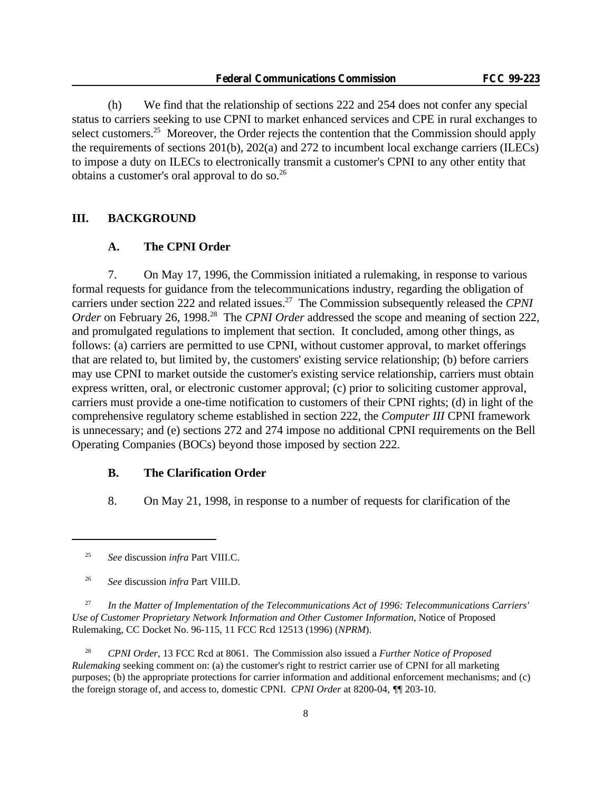(h) We find that the relationship of sections 222 and 254 does not confer any special status to carriers seeking to use CPNI to market enhanced services and CPE in rural exchanges to select customers.<sup>25</sup> Moreover, the Order rejects the contention that the Commission should apply the requirements of sections 201(b), 202(a) and 272 to incumbent local exchange carriers (ILECs) to impose a duty on ILECs to electronically transmit a customer's CPNI to any other entity that obtains a customer's oral approval to do so.<sup>26</sup>

#### **III. BACKGROUND**

#### **A. The CPNI Order**

7. On May 17, 1996, the Commission initiated a rulemaking, in response to various formal requests for guidance from the telecommunications industry, regarding the obligation of carriers under section 222 and related issues.<sup>27</sup> The Commission subsequently released the *CPNI Order* on February 26, 1998<sup>28</sup> The *CPNI Order* addressed the scope and meaning of section 222, and promulgated regulations to implement that section. It concluded, among other things, as follows: (a) carriers are permitted to use CPNI, without customer approval, to market offerings that are related to, but limited by, the customers' existing service relationship; (b) before carriers may use CPNI to market outside the customer's existing service relationship, carriers must obtain express written, oral, or electronic customer approval; (c) prior to soliciting customer approval, carriers must provide a one-time notification to customers of their CPNI rights; (d) in light of the comprehensive regulatory scheme established in section 222, the *Computer III* CPNI framework is unnecessary; and (e) sections 272 and 274 impose no additional CPNI requirements on the Bell Operating Companies (BOCs) beyond those imposed by section 222.

### **B. The Clarification Order**

8. On May 21, 1998, in response to a number of requests for clarification of the

<sup>27</sup> *In the Matter of Implementation of the Telecommunications Act of 1996: Telecommunications Carriers' Use of Customer Proprietary Network Information and Other Customer Information*, Notice of Proposed Rulemaking, CC Docket No. 96-115, 11 FCC Rcd 12513 (1996) (*NPRM*).

<sup>28</sup> *CPNI Order*, 13 FCC Rcd at 8061. The Commission also issued a *Further Notice of Proposed Rulemaking* seeking comment on: (a) the customer's right to restrict carrier use of CPNI for all marketing purposes; (b) the appropriate protections for carrier information and additional enforcement mechanisms; and (c) the foreign storage of, and access to, domestic CPNI. *CPNI Order* at 8200-04, *¶*¶ 203-10.

<sup>25</sup> *See* discussion *infra* Part VIII.C.

<sup>26</sup> *See* discussion *infra* Part VIII.D.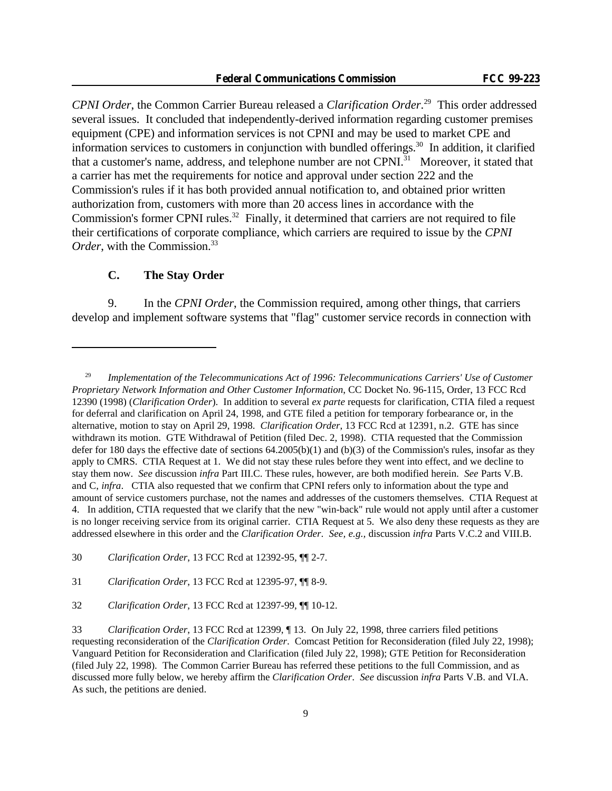*CPNI Order*, the Common Carrier Bureau released a *Clarification Order*. <sup>29</sup> This order addressed several issues. It concluded that independently-derived information regarding customer premises equipment (CPE) and information services is not CPNI and may be used to market CPE and information services to customers in conjunction with bundled offerings.<sup>30</sup> In addition, it clarified that a customer's name, address, and telephone number are not CPNI.<sup>31</sup> Moreover, it stated that a carrier has met the requirements for notice and approval under section 222 and the Commission's rules if it has both provided annual notification to, and obtained prior written authorization from, customers with more than 20 access lines in accordance with the Commission's former CPNI rules.<sup>32</sup> Finally, it determined that carriers are not required to file their certifications of corporate compliance, which carriers are required to issue by the *CPNI Order*, with the Commission.<sup>33</sup>

### **C. The Stay Order**

9. In the *CPNI Order*, the Commission required, among other things, that carriers develop and implement software systems that "flag" customer service records in connection with

<sup>29</sup> *Implementation of the Telecommunications Act of 1996: Telecommunications Carriers' Use of Customer Proprietary Network Information and Other Customer Information*, CC Docket No. 96-115, Order, 13 FCC Rcd 12390 (1998) (*Clarification Order*). In addition to several *ex parte* requests for clarification, CTIA filed a request for deferral and clarification on April 24, 1998, and GTE filed a petition for temporary forbearance or, in the alternative, motion to stay on April 29, 1998. *Clarification Order*, 13 FCC Rcd at 12391, n.2. GTE has since withdrawn its motion. GTE Withdrawal of Petition (filed Dec. 2, 1998). CTIA requested that the Commission defer for 180 days the effective date of sections  $64.2005(b)(1)$  and  $(b)(3)$  of the Commission's rules, insofar as they apply to CMRS. CTIA Request at 1. We did not stay these rules before they went into effect, and we decline to stay them now. *See* discussion *infra* Part III.C. These rules, however, are both modified herein. *See* Parts V.B. and C, *infra*. CTIA also requested that we confirm that CPNI refers only to information about the type and amount of service customers purchase, not the names and addresses of the customers themselves. CTIA Request at 4. In addition, CTIA requested that we clarify that the new "win-back" rule would not apply until after a customer is no longer receiving service from its original carrier. CTIA Request at 5. We also deny these requests as they are addressed elsewhere in this order and the *Clarification Order*. *See, e.g.,* discussion *infra* Parts V.C.2 and VIII.B.

<sup>30</sup> *Clarification Order*, 13 FCC Rcd at 12392-95, ¶¶ 2-7.

<sup>31</sup> *Clarification Order*, 13 FCC Rcd at 12395-97, ¶¶ 8-9.

<sup>32</sup> *Clarification Order*, 13 FCC Rcd at 12397-99, ¶¶ 10-12.

<sup>33</sup> *Clarification Order*, 13 FCC Rcd at 12399, ¶ 13. On July 22, 1998, three carriers filed petitions requesting reconsideration of the *Clarification Order*. Comcast Petition for Reconsideration (filed July 22, 1998); Vanguard Petition for Reconsideration and Clarification (filed July 22, 1998); GTE Petition for Reconsideration (filed July 22, 1998). The Common Carrier Bureau has referred these petitions to the full Commission, and as discussed more fully below, we hereby affirm the *Clarification Order*. *See* discussion *infra* Parts V.B. and VI.A. As such, the petitions are denied.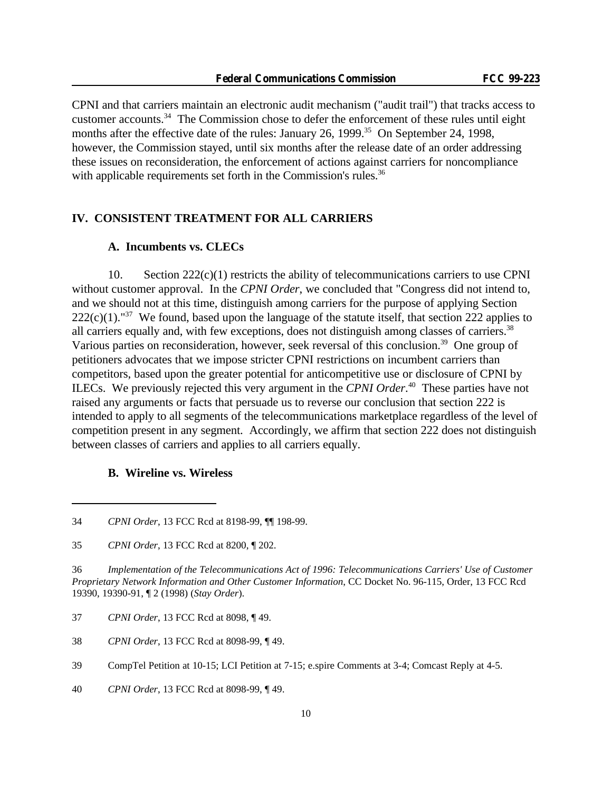CPNI and that carriers maintain an electronic audit mechanism ("audit trail") that tracks access to customer accounts.<sup>34</sup> The Commission chose to defer the enforcement of these rules until eight months after the effective date of the rules: January 26, 1999.<sup>35</sup> On September 24, 1998, however, the Commission stayed, until six months after the release date of an order addressing these issues on reconsideration, the enforcement of actions against carriers for noncompliance with applicable requirements set forth in the Commission's rules.<sup>36</sup>

#### **IV. CONSISTENT TREATMENT FOR ALL CARRIERS**

### **A. Incumbents vs. CLECs**

10. Section 222(c)(1) restricts the ability of telecommunications carriers to use CPNI without customer approval. In the *CPNI Order*, we concluded that "Congress did not intend to, and we should not at this time, distinguish among carriers for the purpose of applying Section  $222(c)(1)$ ."<sup>37</sup> We found, based upon the language of the statute itself, that section 222 applies to all carriers equally and, with few exceptions, does not distinguish among classes of carriers.<sup>38</sup> Various parties on reconsideration, however, seek reversal of this conclusion.<sup>39</sup> One group of petitioners advocates that we impose stricter CPNI restrictions on incumbent carriers than competitors, based upon the greater potential for anticompetitive use or disclosure of CPNI by ILECs. We previously rejected this very argument in the *CPNI Order*. <sup>40</sup> These parties have not raised any arguments or facts that persuade us to reverse our conclusion that section 222 is intended to apply to all segments of the telecommunications marketplace regardless of the level of competition present in any segment. Accordingly, we affirm that section 222 does not distinguish between classes of carriers and applies to all carriers equally.

#### **B. Wireline vs. Wireless**

36 *Implementation of the Telecommunications Act of 1996: Telecommunications Carriers' Use of Customer Proprietary Network Information and Other Customer Information*, CC Docket No. 96-115, Order, 13 FCC Rcd 19390, 19390-91, ¶ 2 (1998) (*Stay Order*).

<sup>34</sup> *CPNI Order*, 13 FCC Rcd at 8198-99, ¶¶ 198-99.

<sup>35</sup> *CPNI Order*, 13 FCC Rcd at 8200, ¶ 202.

<sup>37</sup> *CPNI Order*, 13 FCC Rcd at 8098, ¶ 49.

<sup>38</sup> *CPNI Order*, 13 FCC Rcd at 8098-99, ¶ 49.

<sup>39</sup> CompTel Petition at 10-15; LCI Petition at 7-15; e.spire Comments at 3-4; Comcast Reply at 4-5.

<sup>40</sup> *CPNI Order*, 13 FCC Rcd at 8098-99, ¶ 49.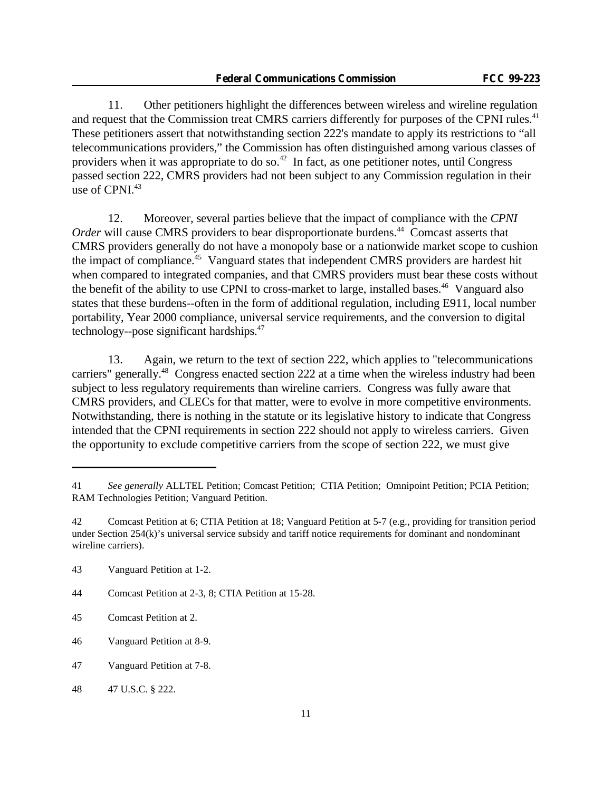11. Other petitioners highlight the differences between wireless and wireline regulation and request that the Commission treat CMRS carriers differently for purposes of the CPNI rules.<sup>41</sup> These petitioners assert that notwithstanding section 222's mandate to apply its restrictions to "all telecommunications providers," the Commission has often distinguished among various classes of providers when it was appropriate to do so.<sup>42</sup> In fact, as one petitioner notes, until Congress passed section 222, CMRS providers had not been subject to any Commission regulation in their use of CPNI.<sup>43</sup>

12. Moreover, several parties believe that the impact of compliance with the *CPNI Order* will cause CMRS providers to bear disproportionate burdens.<sup>44</sup> Comcast asserts that CMRS providers generally do not have a monopoly base or a nationwide market scope to cushion the impact of compliance.<sup>45</sup> Vanguard states that independent CMRS providers are hardest hit when compared to integrated companies, and that CMRS providers must bear these costs without the benefit of the ability to use CPNI to cross-market to large, installed bases.<sup>46</sup> Vanguard also states that these burdens--often in the form of additional regulation, including E911, local number portability, Year 2000 compliance, universal service requirements, and the conversion to digital technology--pose significant hardships.<sup>47</sup>

13. Again, we return to the text of section 222, which applies to "telecommunications carriers" generally.<sup>48</sup> Congress enacted section 222 at a time when the wireless industry had been subject to less regulatory requirements than wireline carriers. Congress was fully aware that CMRS providers, and CLECs for that matter, were to evolve in more competitive environments. Notwithstanding, there is nothing in the statute or its legislative history to indicate that Congress intended that the CPNI requirements in section 222 should not apply to wireless carriers. Given the opportunity to exclude competitive carriers from the scope of section 222, we must give

<sup>41</sup> *See generally* ALLTEL Petition; Comcast Petition; CTIA Petition; Omnipoint Petition; PCIA Petition; RAM Technologies Petition; Vanguard Petition.

<sup>42</sup> Comcast Petition at 6; CTIA Petition at 18; Vanguard Petition at 5-7 (e.g., providing for transition period under Section 254(k)'s universal service subsidy and tariff notice requirements for dominant and nondominant wireline carriers).

<sup>43</sup> Vanguard Petition at 1-2.

<sup>44</sup> Comcast Petition at 2-3, 8; CTIA Petition at 15-28.

<sup>45</sup> Comcast Petition at 2.

<sup>46</sup> Vanguard Petition at 8-9.

<sup>47</sup> Vanguard Petition at 7-8.

<sup>48</sup> 47 U.S.C. § 222.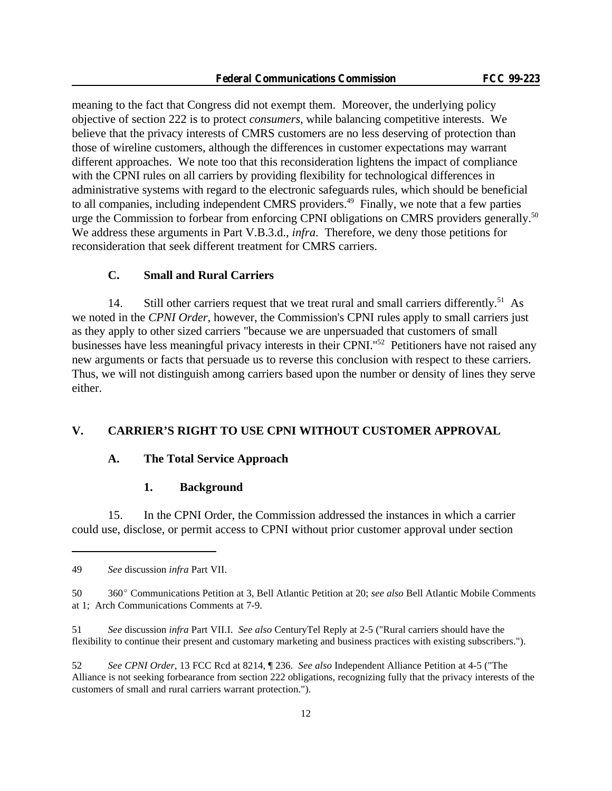meaning to the fact that Congress did not exempt them. Moreover, the underlying policy objective of section 222 is to protect *consumers*, while balancing competitive interests. We believe that the privacy interests of CMRS customers are no less deserving of protection than those of wireline customers, although the differences in customer expectations may warrant different approaches. We note too that this reconsideration lightens the impact of compliance with the CPNI rules on all carriers by providing flexibility for technological differences in administrative systems with regard to the electronic safeguards rules, which should be beneficial to all companies, including independent CMRS providers.<sup>49</sup> Finally, we note that a few parties urge the Commission to forbear from enforcing CPNI obligations on CMRS providers generally.<sup>50</sup> We address these arguments in Part V.B.3.d., *infra*. Therefore, we deny those petitions for reconsideration that seek different treatment for CMRS carriers.

### **C. Small and Rural Carriers**

14. Still other carriers request that we treat rural and small carriers differently.<sup>51</sup> As we noted in the *CPNI Order*, however, the Commission's CPNI rules apply to small carriers just as they apply to other sized carriers "because we are unpersuaded that customers of small businesses have less meaningful privacy interests in their CPNI."<sup>52</sup> Petitioners have not raised any new arguments or facts that persuade us to reverse this conclusion with respect to these carriers. Thus, we will not distinguish among carriers based upon the number or density of lines they serve either.

### **V. CARRIER'S RIGHT TO USE CPNI WITHOUT CUSTOMER APPROVAL**

#### **A. The Total Service Approach**

#### **1. Background**

15. In the CPNI Order, the Commission addressed the instances in which a carrier could use, disclose, or permit access to CPNI without prior customer approval under section

<sup>49</sup> *See* discussion *infra* Part VII.

<sup>50</sup> 360E Communications Petition at 3, Bell Atlantic Petition at 20; *see also* Bell Atlantic Mobile Comments at 1; Arch Communications Comments at 7-9.

<sup>51</sup> *See* discussion *infra* Part VII.I. *See also* CenturyTel Reply at 2-5 ("Rural carriers should have the flexibility to continue their present and customary marketing and business practices with existing subscribers.").

<sup>52</sup> *See CPNI Order*, 13 FCC Rcd at 8214, ¶ 236. *See also* Independent Alliance Petition at 4-5 ("The Alliance is not seeking forbearance from section 222 obligations, recognizing fully that the privacy interests of the customers of small and rural carriers warrant protection.").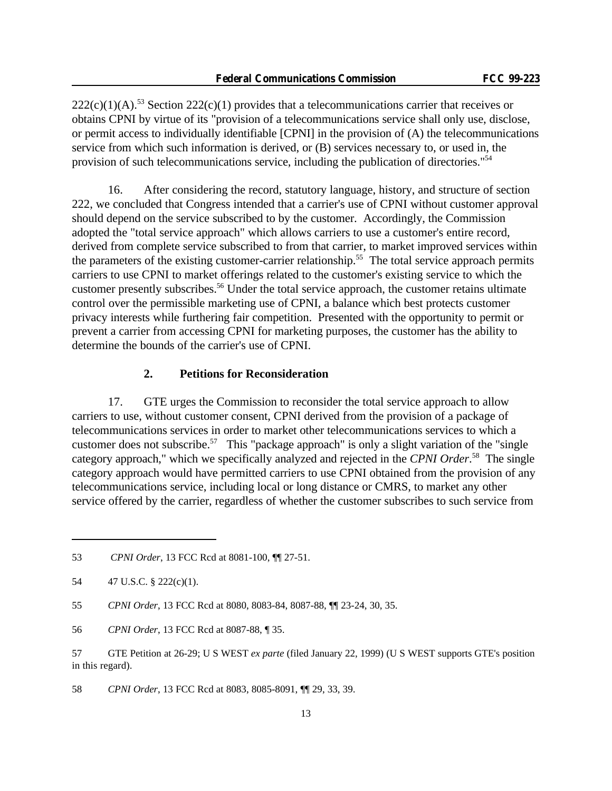$222(c)(1)(A)$ .<sup>53</sup> Section  $222(c)(1)$  provides that a telecommunications carrier that receives or obtains CPNI by virtue of its "provision of a telecommunications service shall only use, disclose, or permit access to individually identifiable [CPNI] in the provision of (A) the telecommunications service from which such information is derived, or (B) services necessary to, or used in, the provision of such telecommunications service, including the publication of directories."<sup>54</sup>

16. After considering the record, statutory language, history, and structure of section 222, we concluded that Congress intended that a carrier's use of CPNI without customer approval should depend on the service subscribed to by the customer. Accordingly, the Commission adopted the "total service approach" which allows carriers to use a customer's entire record, derived from complete service subscribed to from that carrier, to market improved services within the parameters of the existing customer-carrier relationship.<sup>55</sup> The total service approach permits carriers to use CPNI to market offerings related to the customer's existing service to which the customer presently subscribes.<sup>56</sup> Under the total service approach, the customer retains ultimate control over the permissible marketing use of CPNI, a balance which best protects customer privacy interests while furthering fair competition. Presented with the opportunity to permit or prevent a carrier from accessing CPNI for marketing purposes, the customer has the ability to determine the bounds of the carrier's use of CPNI.

### **2. Petitions for Reconsideration**

17. GTE urges the Commission to reconsider the total service approach to allow carriers to use, without customer consent, CPNI derived from the provision of a package of telecommunications services in order to market other telecommunications services to which a customer does not subscribe.<sup>57</sup> This "package approach" is only a slight variation of the "single" category approach," which we specifically analyzed and rejected in the *CPNI Order*. <sup>58</sup> The single category approach would have permitted carriers to use CPNI obtained from the provision of any telecommunications service, including local or long distance or CMRS, to market any other service offered by the carrier, regardless of whether the customer subscribes to such service from

58 *CPNI Order*, 13 FCC Rcd at 8083, 8085-8091, ¶¶ 29, 33, 39.

<sup>53</sup> *CPNI Order*, 13 FCC Rcd at 8081-100, ¶¶ 27-51.

<sup>54 47</sup> U.S.C. § 222(c)(1).

<sup>55</sup> *CPNI Order*, 13 FCC Rcd at 8080, 8083-84, 8087-88, ¶¶ 23-24, 30, 35.

<sup>56</sup> *CPNI Order*, 13 FCC Rcd at 8087-88, ¶ 35.

<sup>57</sup> GTE Petition at 26-29; U S WEST *ex parte* (filed January 22, 1999) (U S WEST supports GTE's position in this regard).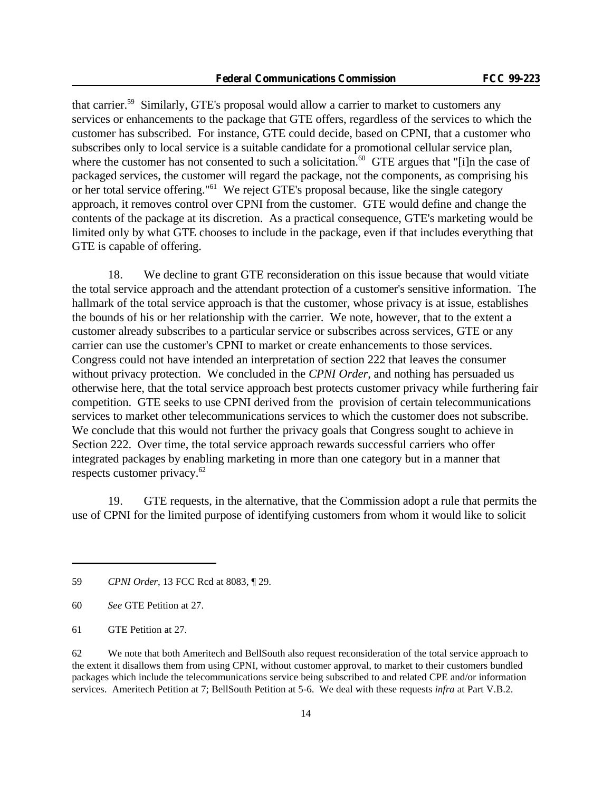that carrier.<sup>59</sup> Similarly, GTE's proposal would allow a carrier to market to customers any services or enhancements to the package that GTE offers, regardless of the services to which the customer has subscribed. For instance, GTE could decide, based on CPNI, that a customer who subscribes only to local service is a suitable candidate for a promotional cellular service plan, where the customer has not consented to such a solicitation.<sup>60</sup> GTE argues that "[i]n the case of packaged services, the customer will regard the package, not the components, as comprising his or her total service offering."<sup>61</sup> We reject GTE's proposal because, like the single category approach, it removes control over CPNI from the customer. GTE would define and change the contents of the package at its discretion. As a practical consequence, GTE's marketing would be limited only by what GTE chooses to include in the package, even if that includes everything that GTE is capable of offering.

18. We decline to grant GTE reconsideration on this issue because that would vitiate the total service approach and the attendant protection of a customer's sensitive information. The hallmark of the total service approach is that the customer, whose privacy is at issue, establishes the bounds of his or her relationship with the carrier. We note, however, that to the extent a customer already subscribes to a particular service or subscribes across services, GTE or any carrier can use the customer's CPNI to market or create enhancements to those services. Congress could not have intended an interpretation of section 222 that leaves the consumer without privacy protection. We concluded in the *CPNI Order*, and nothing has persuaded us otherwise here, that the total service approach best protects customer privacy while furthering fair competition. GTE seeks to use CPNI derived from the provision of certain telecommunications services to market other telecommunications services to which the customer does not subscribe. We conclude that this would not further the privacy goals that Congress sought to achieve in Section 222. Over time, the total service approach rewards successful carriers who offer integrated packages by enabling marketing in more than one category but in a manner that respects customer privacy.<sup>62</sup>

19. GTE requests, in the alternative, that the Commission adopt a rule that permits the use of CPNI for the limited purpose of identifying customers from whom it would like to solicit

<sup>59</sup> *CPNI Order*, 13 FCC Rcd at 8083, ¶ 29.

<sup>60</sup> *See* GTE Petition at 27.

<sup>61</sup> GTE Petition at 27.

<sup>62</sup> We note that both Ameritech and BellSouth also request reconsideration of the total service approach to the extent it disallows them from using CPNI, without customer approval, to market to their customers bundled packages which include the telecommunications service being subscribed to and related CPE and/or information services. Ameritech Petition at 7; BellSouth Petition at 5-6. We deal with these requests *infra* at Part V.B.2.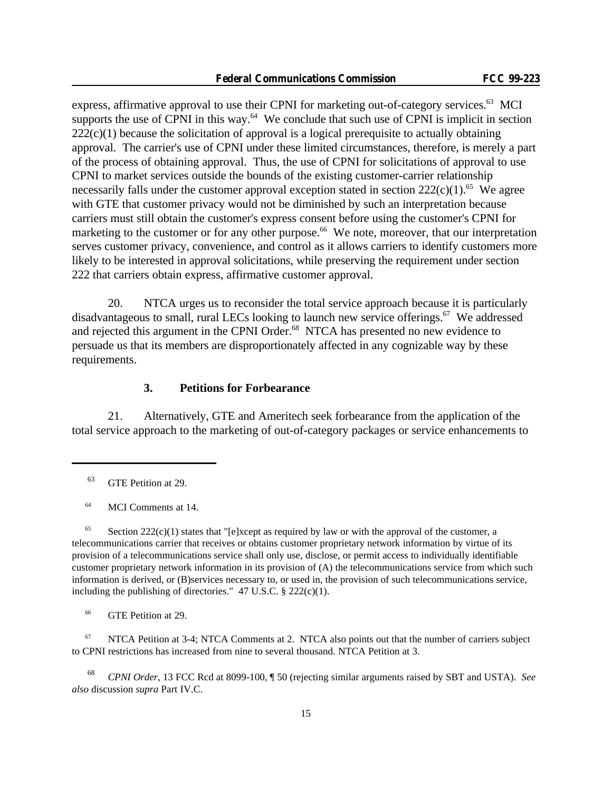express, affirmative approval to use their CPNI for marketing out-of-category services.<sup>63</sup> MCI supports the use of CPNI in this way.<sup>64</sup> We conclude that such use of CPNI is implicit in section  $222(c)(1)$  because the solicitation of approval is a logical prerequisite to actually obtaining approval. The carrier's use of CPNI under these limited circumstances, therefore, is merely a part of the process of obtaining approval. Thus, the use of CPNI for solicitations of approval to use CPNI to market services outside the bounds of the existing customer-carrier relationship necessarily falls under the customer approval exception stated in section  $222(c)(1)$ .<sup>65</sup> We agree with GTE that customer privacy would not be diminished by such an interpretation because carriers must still obtain the customer's express consent before using the customer's CPNI for marketing to the customer or for any other purpose.<sup>66</sup> We note, moreover, that our interpretation serves customer privacy, convenience, and control as it allows carriers to identify customers more likely to be interested in approval solicitations, while preserving the requirement under section 222 that carriers obtain express, affirmative customer approval.

20. NTCA urges us to reconsider the total service approach because it is particularly disadvantageous to small, rural LECs looking to launch new service offerings.<sup>67</sup> We addressed and rejected this argument in the CPNI Order.<sup>68</sup> NTCA has presented no new evidence to persuade us that its members are disproportionately affected in any cognizable way by these requirements.

#### **3. Petitions for Forbearance**

21. Alternatively, GTE and Ameritech seek forbearance from the application of the total service approach to the marketing of out-of-category packages or service enhancements to

<sup>64</sup> MCI Comments at 14.

<sup>65</sup> Section 222(c)(1) states that "[e]xcept as required by law or with the approval of the customer, a telecommunications carrier that receives or obtains customer proprietary network information by virtue of its provision of a telecommunications service shall only use, disclose, or permit access to individually identifiable customer proprietary network information in its provision of (A) the telecommunications service from which such information is derived, or (B)services necessary to, or used in, the provision of such telecommunications service, including the publishing of directories."  $47 \text{ U.S.C. }$  § 222(c)(1).

<sup>66</sup> GTE Petition at 29.

 $67$  NTCA Petition at 3-4; NTCA Comments at 2. NTCA also points out that the number of carriers subject to CPNI restrictions has increased from nine to several thousand. NTCA Petition at 3.

<sup>68</sup> *CPNI Order*, 13 FCC Rcd at 8099-100, ¶ 50 (rejecting similar arguments raised by SBT and USTA). *See also* discussion *supra* Part IV.C.

<sup>63</sup> GTE Petition at 29.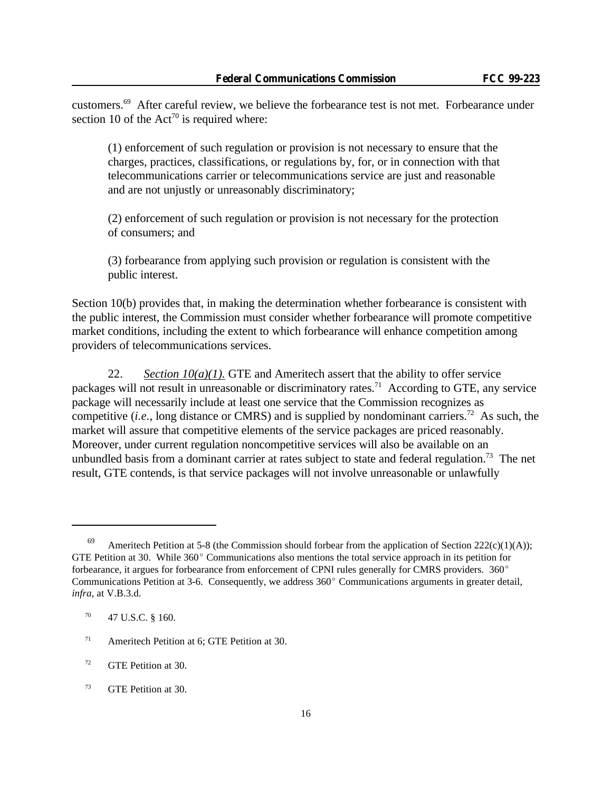customers.<sup>69</sup> After careful review, we believe the forbearance test is not met. Forbearance under section 10 of the  $Act^{70}$  is required where:

(1) enforcement of such regulation or provision is not necessary to ensure that the charges, practices, classifications, or regulations by, for, or in connection with that telecommunications carrier or telecommunications service are just and reasonable and are not unjustly or unreasonably discriminatory;

(2) enforcement of such regulation or provision is not necessary for the protection of consumers; and

(3) forbearance from applying such provision or regulation is consistent with the public interest.

Section 10(b) provides that, in making the determination whether forbearance is consistent with the public interest, the Commission must consider whether forbearance will promote competitive market conditions, including the extent to which forbearance will enhance competition among providers of telecommunications services.

22. *Section*  $10(a)(1)$ *.* GTE and Ameritech assert that the ability to offer service packages will not result in unreasonable or discriminatory rates.<sup>71</sup> According to GTE, any service package will necessarily include at least one service that the Commission recognizes as competitive (*i.e.*, long distance or CMRS) and is supplied by nondominant carriers.<sup>72</sup> As such, the market will assure that competitive elements of the service packages are priced reasonably. Moreover, under current regulation noncompetitive services will also be available on an unbundled basis from a dominant carrier at rates subject to state and federal regulation.<sup>73</sup> The net result, GTE contends, is that service packages will not involve unreasonable or unlawfully

<sup>69</sup> Ameritech Petition at 5-8 (the Commission should forbear from the application of Section 222(c)(1)(A)); GTE Petition at 30. While  $360^{\circ}$  Communications also mentions the total service approach in its petition for forbearance, it argues for forbearance from enforcement of CPNI rules generally for CMRS providers. 360° Communications Petition at 3-6. Consequently, we address  $360^{\circ}$  Communications arguments in greater detail, *infra*, at V.B.3.d.

 $70$  47 U.S.C. § 160.

<sup>&</sup>lt;sup>71</sup> Ameritech Petition at 6: GTE Petition at 30.

<sup>72</sup> GTE Petition at 30.

<sup>73</sup> GTE Petition at 30.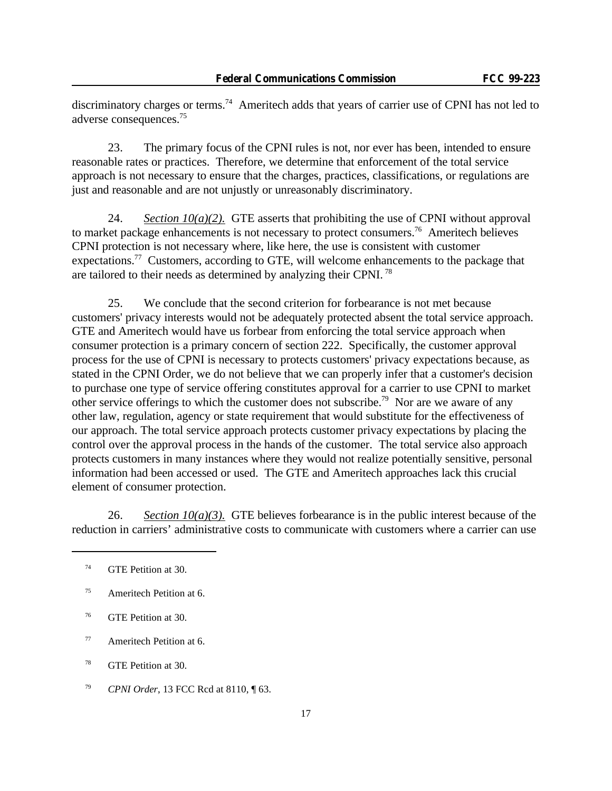discriminatory charges or terms.<sup>74</sup> Ameritech adds that years of carrier use of CPNI has not led to adverse consequences.<sup>75</sup>

23. The primary focus of the CPNI rules is not, nor ever has been, intended to ensure reasonable rates or practices. Therefore, we determine that enforcement of the total service approach is not necessary to ensure that the charges, practices, classifications, or regulations are just and reasonable and are not unjustly or unreasonably discriminatory.

24. *Section*  $10(a)/2$ . GTE asserts that prohibiting the use of CPNI without approval to market package enhancements is not necessary to protect consumers.<sup>76</sup> Ameritech believes CPNI protection is not necessary where, like here, the use is consistent with customer expectations.<sup>77</sup> Customers, according to GTE, will welcome enhancements to the package that are tailored to their needs as determined by analyzing their CPNI.<sup>78</sup>

25. We conclude that the second criterion for forbearance is not met because customers' privacy interests would not be adequately protected absent the total service approach. GTE and Ameritech would have us forbear from enforcing the total service approach when consumer protection is a primary concern of section 222. Specifically, the customer approval process for the use of CPNI is necessary to protects customers' privacy expectations because, as stated in the CPNI Order, we do not believe that we can properly infer that a customer's decision to purchase one type of service offering constitutes approval for a carrier to use CPNI to market other service offerings to which the customer does not subscribe.<sup>79</sup> Nor are we aware of any other law, regulation, agency or state requirement that would substitute for the effectiveness of our approach. The total service approach protects customer privacy expectations by placing the control over the approval process in the hands of the customer. The total service also approach protects customers in many instances where they would not realize potentially sensitive, personal information had been accessed or used. The GTE and Ameritech approaches lack this crucial element of consumer protection.

26. *Section 10(a)(3).* GTE believes for bearance is in the public interest because of the reduction in carriers' administrative costs to communicate with customers where a carrier can use

<sup>74</sup> GTE Petition at 30.

 $75$  Ameritech Petition at 6.

<sup>76</sup> GTE Petition at 30.

<sup>77</sup> Ameritech Petition at 6.

<sup>78</sup> GTE Petition at 30.

<sup>79</sup> *CPNI Order*, 13 FCC Rcd at 8110, ¶ 63.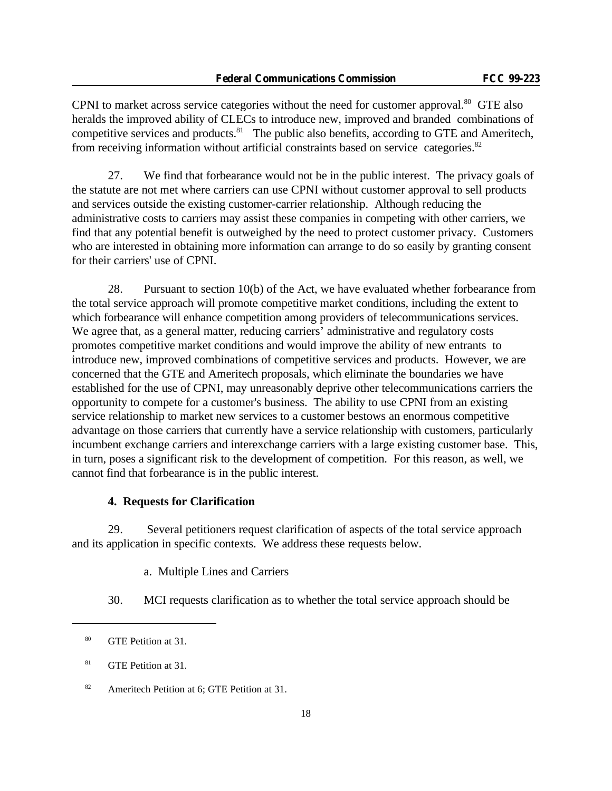CPNI to market across service categories without the need for customer approval.<sup>80</sup> GTE also heralds the improved ability of CLECs to introduce new, improved and branded combinations of competitive services and products. $81$  The public also benefits, according to GTE and Ameritech, from receiving information without artificial constraints based on service categories.<sup>82</sup>

27. We find that forbearance would not be in the public interest. The privacy goals of the statute are not met where carriers can use CPNI without customer approval to sell products and services outside the existing customer-carrier relationship. Although reducing the administrative costs to carriers may assist these companies in competing with other carriers, we find that any potential benefit is outweighed by the need to protect customer privacy. Customers who are interested in obtaining more information can arrange to do so easily by granting consent for their carriers' use of CPNI.

28. Pursuant to section 10(b) of the Act, we have evaluated whether forbearance from the total service approach will promote competitive market conditions, including the extent to which forbearance will enhance competition among providers of telecommunications services. We agree that, as a general matter, reducing carriers' administrative and regulatory costs promotes competitive market conditions and would improve the ability of new entrants to introduce new, improved combinations of competitive services and products. However, we are concerned that the GTE and Ameritech proposals, which eliminate the boundaries we have established for the use of CPNI, may unreasonably deprive other telecommunications carriers the opportunity to compete for a customer's business. The ability to use CPNI from an existing service relationship to market new services to a customer bestows an enormous competitive advantage on those carriers that currently have a service relationship with customers, particularly incumbent exchange carriers and interexchange carriers with a large existing customer base. This, in turn, poses a significant risk to the development of competition. For this reason, as well, we cannot find that forbearance is in the public interest.

### **4. Requests for Clarification**

29. Several petitioners request clarification of aspects of the total service approach and its application in specific contexts. We address these requests below.

a. Multiple Lines and Carriers

30. MCI requests clarification as to whether the total service approach should be

<sup>80</sup> GTE Petition at 31.

<sup>81</sup> GTE Petition at 31.

<sup>82</sup> Ameritech Petition at 6; GTE Petition at 31.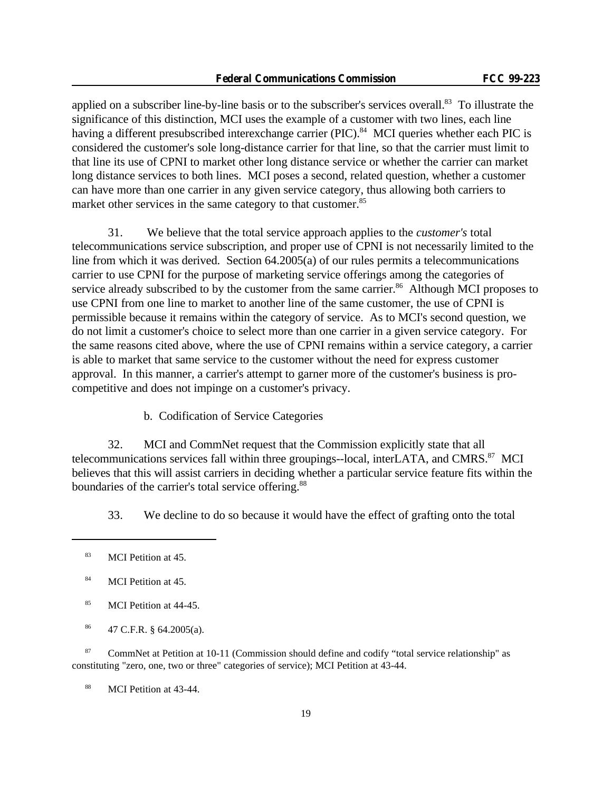applied on a subscriber line-by-line basis or to the subscriber's services overall.<sup>83</sup> To illustrate the significance of this distinction, MCI uses the example of a customer with two lines, each line having a different presubscribed interexchange carrier (PIC).<sup>84</sup> MCI queries whether each PIC is considered the customer's sole long-distance carrier for that line, so that the carrier must limit to that line its use of CPNI to market other long distance service or whether the carrier can market long distance services to both lines. MCI poses a second, related question, whether a customer can have more than one carrier in any given service category, thus allowing both carriers to market other services in the same category to that customer.<sup>85</sup>

31. We believe that the total service approach applies to the *customer's* total telecommunications service subscription, and proper use of CPNI is not necessarily limited to the line from which it was derived. Section 64.2005(a) of our rules permits a telecommunications carrier to use CPNI for the purpose of marketing service offerings among the categories of service already subscribed to by the customer from the same carrier.<sup>86</sup> Although MCI proposes to use CPNI from one line to market to another line of the same customer, the use of CPNI is permissible because it remains within the category of service. As to MCI's second question, we do not limit a customer's choice to select more than one carrier in a given service category. For the same reasons cited above, where the use of CPNI remains within a service category, a carrier is able to market that same service to the customer without the need for express customer approval. In this manner, a carrier's attempt to garner more of the customer's business is procompetitive and does not impinge on a customer's privacy.

b. Codification of Service Categories

32. MCI and CommNet request that the Commission explicitly state that all telecommunications services fall within three groupings--local, interLATA, and CMRS.<sup>87</sup> MCI believes that this will assist carriers in deciding whether a particular service feature fits within the boundaries of the carrier's total service offering.<sup>88</sup>

33. We decline to do so because it would have the effect of grafting onto the total

<sup>87</sup> CommNet at Petition at 10-11 (Commission should define and codify "total service relationship" as constituting "zero, one, two or three" categories of service); MCI Petition at 43-44.

<sup>88</sup> MCI Petition at 43-44.

<sup>83</sup> MCI Petition at 45.

<sup>&</sup>lt;sup>84</sup> MCI Petition at 45.

<sup>85</sup> MCI Petition at 44-45.

 $^{86}$  47 C.F.R. § 64.2005(a).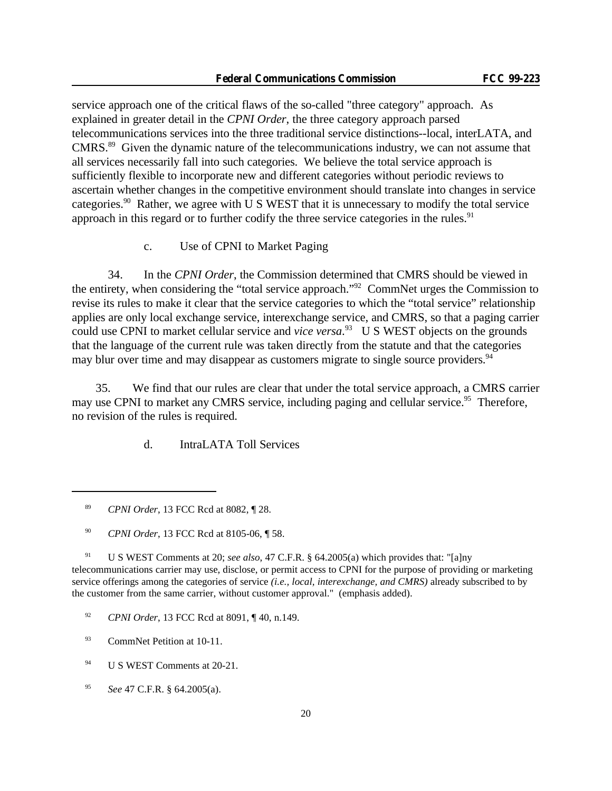service approach one of the critical flaws of the so-called "three category" approach. As explained in greater detail in the *CPNI Order*, the three category approach parsed telecommunications services into the three traditional service distinctions--local, interLATA, and CMRS.<sup>89</sup> Given the dynamic nature of the telecommunications industry, we can not assume that all services necessarily fall into such categories. We believe the total service approach is sufficiently flexible to incorporate new and different categories without periodic reviews to ascertain whether changes in the competitive environment should translate into changes in service categories.<sup>90</sup> Rather, we agree with U S WEST that it is unnecessary to modify the total service approach in this regard or to further codify the three service categories in the rules. $91$ 

c. Use of CPNI to Market Paging

34. In the *CPNI Order*, the Commission determined that CMRS should be viewed in the entirety, when considering the "total service approach."<sup>92</sup> CommNet urges the Commission to revise its rules to make it clear that the service categories to which the "total service" relationship applies are only local exchange service, interexchange service, and CMRS, so that a paging carrier could use CPNI to market cellular service and *vice versa*. <sup>93</sup> U S WEST objects on the grounds that the language of the current rule was taken directly from the statute and that the categories may blur over time and may disappear as customers migrate to single source providers.<sup>94</sup>

 35. We find that our rules are clear that under the total service approach, a CMRS carrier may use CPNI to market any CMRS service, including paging and cellular service.<sup>95</sup> Therefore, no revision of the rules is required.

d. IntraLATA Toll Services

<sup>91</sup> U S WEST Comments at 20; *see also*, 47 C.F.R. § 64.2005(a) which provides that: "[a]ny telecommunications carrier may use, disclose, or permit access to CPNI for the purpose of providing or marketing service offerings among the categories of service *(i.e., local, interexchange, and CMRS)* already subscribed to by the customer from the same carrier, without customer approval." (emphasis added).

- <sup>92</sup> *CPNI Order*, 13 FCC Rcd at 8091, ¶ 40, n.149.
- <sup>93</sup> CommNet Petition at 10-11.
- <sup>94</sup> U S WEST Comments at 20-21.
- <sup>95</sup> *See* 47 C.F.R. § 64.2005(a).

<sup>89</sup> *CPNI Order*, 13 FCC Rcd at 8082, ¶ 28.

<sup>90</sup> *CPNI Order*, 13 FCC Rcd at 8105-06, ¶ 58.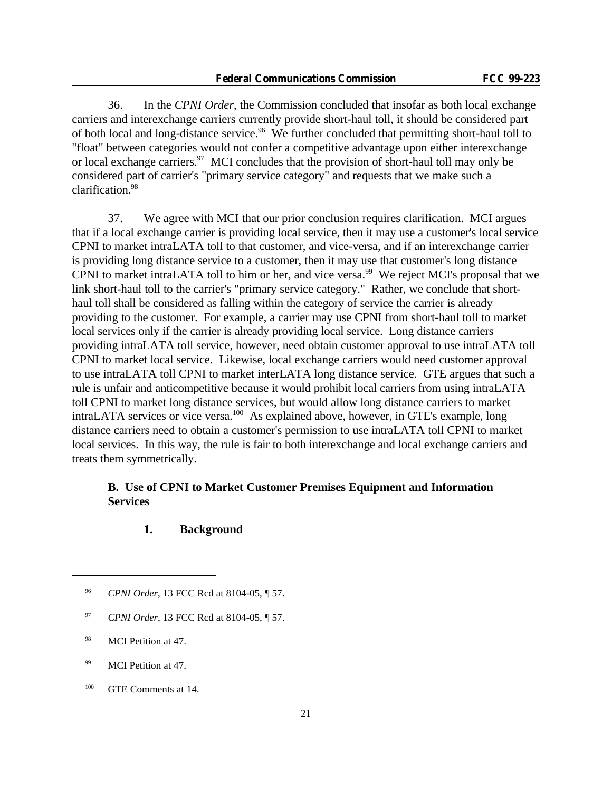36. In the *CPNI Order*, the Commission concluded that insofar as both local exchange carriers and interexchange carriers currently provide short-haul toll, it should be considered part of both local and long-distance service.<sup>96</sup> We further concluded that permitting short-haul toll to "float" between categories would not confer a competitive advantage upon either interexchange or local exchange carriers.<sup>97</sup> MCI concludes that the provision of short-haul toll may only be considered part of carrier's "primary service category" and requests that we make such a clarification.<sup>98</sup>

37. We agree with MCI that our prior conclusion requires clarification. MCI argues that if a local exchange carrier is providing local service, then it may use a customer's local service CPNI to market intraLATA toll to that customer, and vice-versa, and if an interexchange carrier is providing long distance service to a customer, then it may use that customer's long distance CPNI to market intraLATA toll to him or her, and vice versa.<sup>99</sup> We reject MCI's proposal that we link short-haul toll to the carrier's "primary service category." Rather, we conclude that shorthaul toll shall be considered as falling within the category of service the carrier is already providing to the customer. For example, a carrier may use CPNI from short-haul toll to market local services only if the carrier is already providing local service. Long distance carriers providing intraLATA toll service, however, need obtain customer approval to use intraLATA toll CPNI to market local service. Likewise, local exchange carriers would need customer approval to use intraLATA toll CPNI to market interLATA long distance service. GTE argues that such a rule is unfair and anticompetitive because it would prohibit local carriers from using intraLATA toll CPNI to market long distance services, but would allow long distance carriers to market intraLATA services or vice versa.<sup>100</sup> As explained above, however, in GTE's example, long distance carriers need to obtain a customer's permission to use intraLATA toll CPNI to market local services. In this way, the rule is fair to both interexchange and local exchange carriers and treats them symmetrically.

# **B. Use of CPNI to Market Customer Premises Equipment and Information Services**

### **1. Background**

- <sup>97</sup> *CPNI Order*, 13 FCC Rcd at 8104-05, ¶ 57.
- <sup>98</sup> MCI Petition at 47.
- <sup>99</sup> MCI Petition at 47.
- <sup>100</sup> GTE Comments at 14.

<sup>96</sup> *CPNI Order*, 13 FCC Rcd at 8104-05, ¶ 57.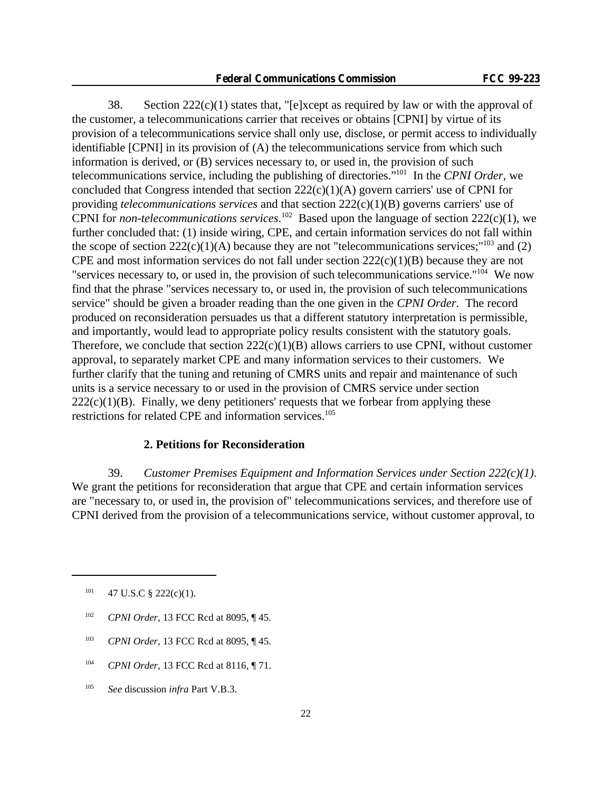38. Section  $222(c)(1)$  states that, "[e]xcept as required by law or with the approval of the customer, a telecommunications carrier that receives or obtains [CPNI] by virtue of its provision of a telecommunications service shall only use, disclose, or permit access to individually identifiable [CPNI] in its provision of (A) the telecommunications service from which such information is derived, or (B) services necessary to, or used in, the provision of such telecommunications service, including the publishing of directories."<sup>101</sup> In the *CPNI Order*, we concluded that Congress intended that section 222(c)(1)(A) govern carriers' use of CPNI for providing *telecommunications services* and that section 222(c)(1)(B) governs carriers' use of CPNI for *non-telecommunications services*.<sup>102</sup> Based upon the language of section 222(c)(1), we further concluded that: (1) inside wiring, CPE, and certain information services do not fall within the scope of section  $222(c)(1)(A)$  because they are not "telecommunications services;"<sup>103</sup> and (2) CPE and most information services do not fall under section 222(c)(1)(B) because they are not "services necessary to, or used in, the provision of such telecommunications service."<sup>104</sup> We now find that the phrase "services necessary to, or used in, the provision of such telecommunications service" should be given a broader reading than the one given in the *CPNI Order*. The record produced on reconsideration persuades us that a different statutory interpretation is permissible, and importantly, would lead to appropriate policy results consistent with the statutory goals. Therefore, we conclude that section  $222(c)(1)(B)$  allows carriers to use CPNI, without customer approval, to separately market CPE and many information services to their customers. We further clarify that the tuning and retuning of CMRS units and repair and maintenance of such units is a service necessary to or used in the provision of CMRS service under section  $222(c)(1)(B)$ . Finally, we deny petitioners' requests that we forbear from applying these restrictions for related CPE and information services.<sup>105</sup>

### **2. Petitions for Reconsideration**

39. *Customer Premises Equipment and Information Services under Section 222(c)(1)*. We grant the petitions for reconsideration that argue that CPE and certain information services are "necessary to, or used in, the provision of" telecommunications services, and therefore use of CPNI derived from the provision of a telecommunications service, without customer approval, to

- <sup>102</sup> *CPNI Order*, 13 FCC Rcd at 8095, ¶ 45.
- <sup>103</sup> *CPNI Order*, 13 FCC Rcd at 8095, ¶ 45.
- <sup>104</sup> *CPNI Order*, 13 FCC Rcd at 8116, ¶ 71.
- <sup>105</sup> *See* discussion *infra* Part V.B.3.

 $101$  47 U.S.C § 222(c)(1).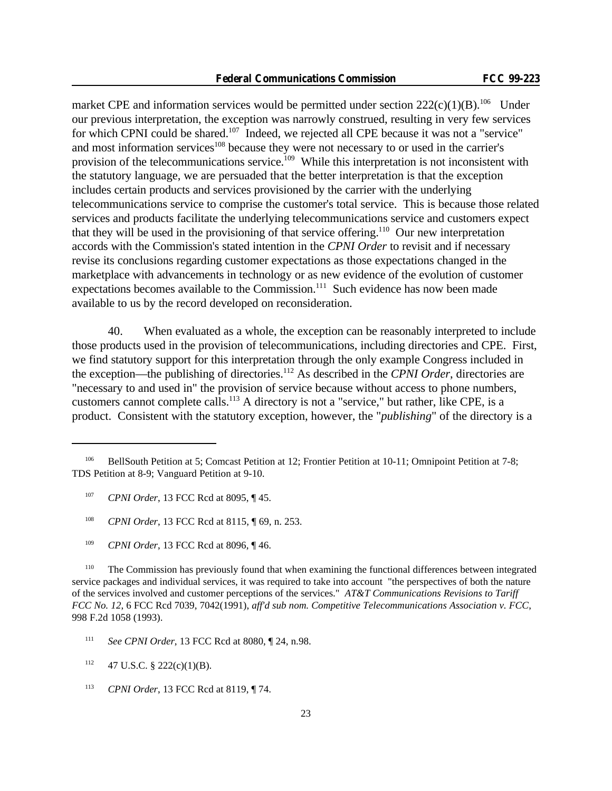market CPE and information services would be permitted under section  $222(c)(1)(B)$ .<sup>106</sup> Under our previous interpretation, the exception was narrowly construed, resulting in very few services for which CPNI could be shared.<sup>107</sup> Indeed, we rejected all CPE because it was not a "service" and most information services<sup>108</sup> because they were not necessary to or used in the carrier's provision of the telecommunications service.<sup>109</sup> While this interpretation is not inconsistent with the statutory language, we are persuaded that the better interpretation is that the exception includes certain products and services provisioned by the carrier with the underlying telecommunications service to comprise the customer's total service. This is because those related services and products facilitate the underlying telecommunications service and customers expect that they will be used in the provisioning of that service offering.<sup>110</sup> Our new interpretation accords with the Commission's stated intention in the *CPNI Order* to revisit and if necessary revise its conclusions regarding customer expectations as those expectations changed in the marketplace with advancements in technology or as new evidence of the evolution of customer expectations becomes available to the Commission.<sup>111</sup> Such evidence has now been made available to us by the record developed on reconsideration.

40. When evaluated as a whole, the exception can be reasonably interpreted to include those products used in the provision of telecommunications, including directories and CPE. First, we find statutory support for this interpretation through the only example Congress included in the exception—the publishing of directories.<sup>112</sup> As described in the *CPNI Order*, directories are "necessary to and used in" the provision of service because without access to phone numbers, customers cannot complete calls.<sup>113</sup> A directory is not a "service," but rather, like CPE, is a product. Consistent with the statutory exception, however, the "*publishing*" of the directory is a

<sup>&</sup>lt;sup>106</sup> BellSouth Petition at 5; Comcast Petition at 12; Frontier Petition at 10-11; Omnipoint Petition at 7-8; TDS Petition at 8-9; Vanguard Petition at 9-10.

<sup>107</sup> *CPNI Order*, 13 FCC Rcd at 8095, ¶ 45.

<sup>108</sup> *CPNI Order*, 13 FCC Rcd at 8115, ¶ 69, n. 253.

<sup>109</sup> *CPNI Order*, 13 FCC Rcd at 8096, ¶ 46.

<sup>&</sup>lt;sup>110</sup> The Commission has previously found that when examining the functional differences between integrated service packages and individual services, it was required to take into account "the perspectives of both the nature of the services involved and customer perceptions of the services." *AT&T Communications Revisions to Tariff FCC No. 12*, 6 FCC Rcd 7039, 7042(1991), *aff'd sub nom. Competitive Telecommunications Association v. FCC*, 998 F.2d 1058 (1993).

<sup>111</sup> *See CPNI Order*, 13 FCC Rcd at 8080, ¶ 24, n.98.

 $112$  47 U.S.C. § 222(c)(1)(B).

<sup>113</sup> *CPNI Order*, 13 FCC Rcd at 8119, ¶ 74.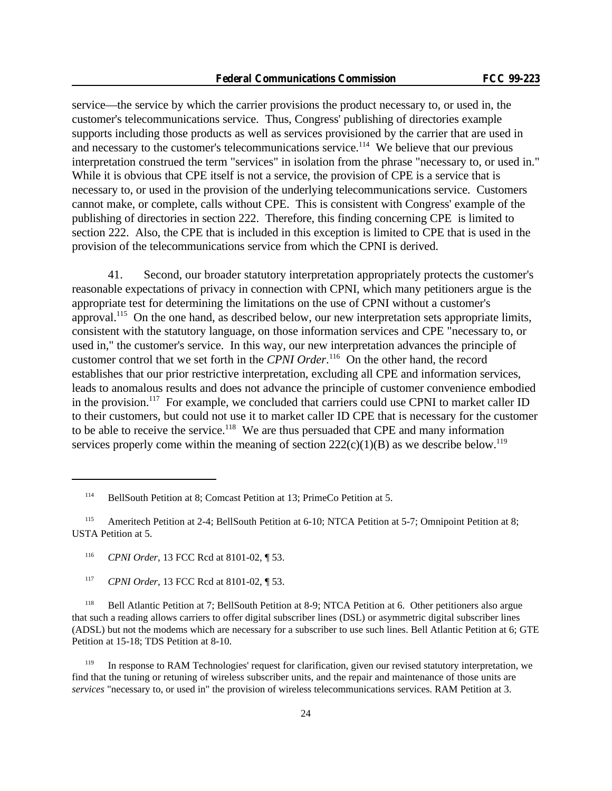service—the service by which the carrier provisions the product necessary to, or used in, the customer's telecommunications service. Thus, Congress' publishing of directories example supports including those products as well as services provisioned by the carrier that are used in and necessary to the customer's telecommunications service.<sup>114</sup> We believe that our previous interpretation construed the term "services" in isolation from the phrase "necessary to, or used in." While it is obvious that CPE itself is not a service, the provision of CPE is a service that is necessary to, or used in the provision of the underlying telecommunications service. Customers cannot make, or complete, calls without CPE. This is consistent with Congress' example of the publishing of directories in section 222. Therefore, this finding concerning CPE is limited to section 222. Also, the CPE that is included in this exception is limited to CPE that is used in the provision of the telecommunications service from which the CPNI is derived.

41. Second, our broader statutory interpretation appropriately protects the customer's reasonable expectations of privacy in connection with CPNI, which many petitioners argue is the appropriate test for determining the limitations on the use of CPNI without a customer's approval.<sup>115</sup> On the one hand, as described below, our new interpretation sets appropriate limits, consistent with the statutory language, on those information services and CPE "necessary to, or used in," the customer's service. In this way, our new interpretation advances the principle of customer control that we set forth in the *CPNI Order*. <sup>116</sup> On the other hand, the record establishes that our prior restrictive interpretation, excluding all CPE and information services, leads to anomalous results and does not advance the principle of customer convenience embodied in the provision.<sup>117</sup> For example, we concluded that carriers could use CPNI to market caller ID to their customers, but could not use it to market caller ID CPE that is necessary for the customer to be able to receive the service.<sup>118</sup> We are thus persuaded that CPE and many information services properly come within the meaning of section  $222(c)(1)(B)$  as we describe below.<sup>119</sup>

<sup>116</sup> *CPNI Order*, 13 FCC Rcd at 8101-02, ¶ 53.

<sup>114</sup> BellSouth Petition at 8; Comcast Petition at 13; PrimeCo Petition at 5.

<sup>&</sup>lt;sup>115</sup> Ameritech Petition at 2-4; BellSouth Petition at 6-10; NTCA Petition at 5-7; Omnipoint Petition at 8; USTA Petition at 5.

<sup>117</sup> *CPNI Order*, 13 FCC Rcd at 8101-02, ¶ 53.

<sup>118</sup> Bell Atlantic Petition at 7; BellSouth Petition at 8-9; NTCA Petition at 6. Other petitioners also argue that such a reading allows carriers to offer digital subscriber lines (DSL) or asymmetric digital subscriber lines (ADSL) but not the modems which are necessary for a subscriber to use such lines. Bell Atlantic Petition at 6; GTE Petition at 15-18; TDS Petition at 8-10.

<sup>&</sup>lt;sup>119</sup> In response to RAM Technologies' request for clarification, given our revised statutory interpretation, we find that the tuning or retuning of wireless subscriber units, and the repair and maintenance of those units are *services* "necessary to, or used in" the provision of wireless telecommunications services. RAM Petition at 3.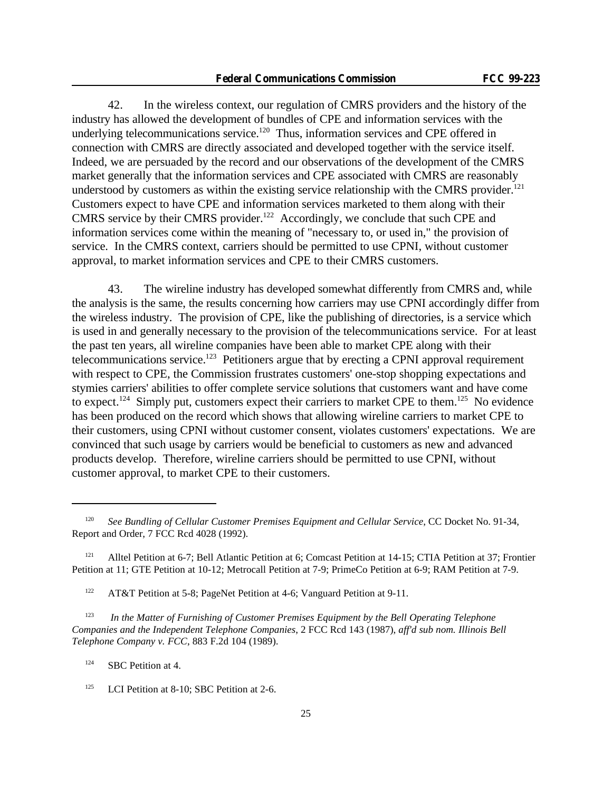42. In the wireless context, our regulation of CMRS providers and the history of the industry has allowed the development of bundles of CPE and information services with the underlying telecommunications service.<sup>120</sup> Thus, information services and CPE offered in connection with CMRS are directly associated and developed together with the service itself. Indeed, we are persuaded by the record and our observations of the development of the CMRS market generally that the information services and CPE associated with CMRS are reasonably understood by customers as within the existing service relationship with the CMRS provider.<sup>121</sup> Customers expect to have CPE and information services marketed to them along with their CMRS service by their CMRS provider.<sup>122</sup> Accordingly, we conclude that such CPE and information services come within the meaning of "necessary to, or used in," the provision of service. In the CMRS context, carriers should be permitted to use CPNI, without customer approval, to market information services and CPE to their CMRS customers.

43. The wireline industry has developed somewhat differently from CMRS and, while the analysis is the same, the results concerning how carriers may use CPNI accordingly differ from the wireless industry. The provision of CPE, like the publishing of directories, is a service which is used in and generally necessary to the provision of the telecommunications service. For at least the past ten years, all wireline companies have been able to market CPE along with their telecommunications service.<sup>123</sup> Petitioners argue that by erecting a CPNI approval requirement with respect to CPE, the Commission frustrates customers' one-stop shopping expectations and stymies carriers' abilities to offer complete service solutions that customers want and have come to expect.<sup>124</sup> Simply put, customers expect their carriers to market CPE to them.<sup>125</sup> No evidence has been produced on the record which shows that allowing wireline carriers to market CPE to their customers, using CPNI without customer consent, violates customers' expectations. We are convinced that such usage by carriers would be beneficial to customers as new and advanced products develop. Therefore, wireline carriers should be permitted to use CPNI, without customer approval, to market CPE to their customers.

<sup>120</sup> *See Bundling of Cellular Customer Premises Equipment and Cellular Service*, CC Docket No. 91-34, Report and Order, 7 FCC Rcd 4028 (1992).

<sup>&</sup>lt;sup>121</sup> Alltel Petition at 6-7; Bell Atlantic Petition at 6; Comcast Petition at 14-15; CTIA Petition at 37; Frontier Petition at 11; GTE Petition at 10-12; Metrocall Petition at 7-9; PrimeCo Petition at 6-9; RAM Petition at 7-9.

<sup>&</sup>lt;sup>122</sup> AT&T Petition at 5-8; PageNet Petition at 4-6; Vanguard Petition at 9-11.

<sup>123</sup> *In the Matter of Furnishing of Customer Premises Equipment by the Bell Operating Telephone Companies and the Independent Telephone Companies*, 2 FCC Rcd 143 (1987), *aff'd sub nom. Illinois Bell Telephone Company v. FCC*, 883 F.2d 104 (1989).

<sup>&</sup>lt;sup>124</sup> SBC Petition at 4.

<sup>&</sup>lt;sup>125</sup> LCI Petition at 8-10; SBC Petition at 2-6.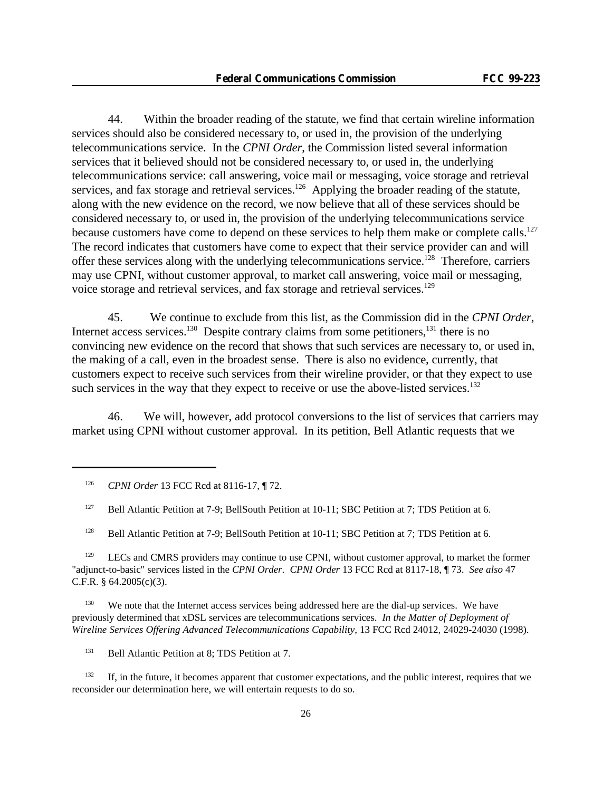44. Within the broader reading of the statute, we find that certain wireline information services should also be considered necessary to, or used in, the provision of the underlying telecommunications service. In the *CPNI Order*, the Commission listed several information services that it believed should not be considered necessary to, or used in, the underlying telecommunications service: call answering, voice mail or messaging, voice storage and retrieval services, and fax storage and retrieval services.<sup>126</sup> Applying the broader reading of the statute, along with the new evidence on the record, we now believe that all of these services should be considered necessary to, or used in, the provision of the underlying telecommunications service because customers have come to depend on these services to help them make or complete calls.<sup>127</sup> The record indicates that customers have come to expect that their service provider can and will offer these services along with the underlying telecommunications service.<sup>128</sup> Therefore, carriers may use CPNI, without customer approval, to market call answering, voice mail or messaging, voice storage and retrieval services, and fax storage and retrieval services.<sup>129</sup>

45. We continue to exclude from this list, as the Commission did in the *CPNI Order*, Internet access services.<sup>130</sup> Despite contrary claims from some petitioners,<sup>131</sup> there is no convincing new evidence on the record that shows that such services are necessary to, or used in, the making of a call, even in the broadest sense. There is also no evidence, currently, that customers expect to receive such services from their wireline provider, or that they expect to use such services in the way that they expect to receive or use the above-listed services.<sup>132</sup>

46. We will, however, add protocol conversions to the list of services that carriers may market using CPNI without customer approval. In its petition, Bell Atlantic requests that we

<sup>126</sup> *CPNI Order* 13 FCC Rcd at 8116-17, ¶ 72.

<sup>127</sup> Bell Atlantic Petition at 7-9; BellSouth Petition at 10-11; SBC Petition at 7; TDS Petition at 6.

<sup>128</sup> Bell Atlantic Petition at 7-9; BellSouth Petition at 10-11; SBC Petition at 7; TDS Petition at 6.

 $129$  LECs and CMRS providers may continue to use CPNI, without customer approval, to market the former "adjunct-to-basic" services listed in the *CPNI Order*. *CPNI Order* 13 FCC Rcd at 8117-18, ¶ 73. *See also* 47 C.F.R. § 64.2005(c)(3).

<sup>130</sup> We note that the Internet access services being addressed here are the dial-up services. We have previously determined that xDSL services are telecommunications services. *In the Matter of Deployment of Wireline Services Offering Advanced Telecommunications Capability*, 13 FCC Rcd 24012, 24029-24030 (1998).

<sup>131</sup> Bell Atlantic Petition at 8; TDS Petition at 7.

 $132$  If, in the future, it becomes apparent that customer expectations, and the public interest, requires that we reconsider our determination here, we will entertain requests to do so.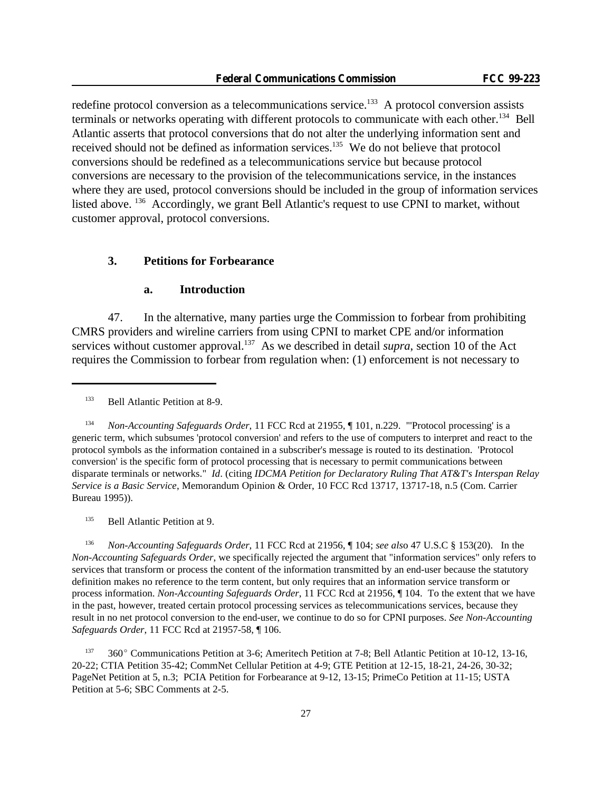redefine protocol conversion as a telecommunications service.<sup>133</sup> A protocol conversion assists terminals or networks operating with different protocols to communicate with each other.<sup>134</sup> Bell Atlantic asserts that protocol conversions that do not alter the underlying information sent and received should not be defined as information services.<sup>135</sup> We do not believe that protocol conversions should be redefined as a telecommunications service but because protocol conversions are necessary to the provision of the telecommunications service, in the instances where they are used, protocol conversions should be included in the group of information services listed above. <sup>136</sup> Accordingly, we grant Bell Atlantic's request to use CPNI to market, without customer approval, protocol conversions.

#### **3. Petitions for Forbearance**

#### **a. Introduction**

47. In the alternative, many parties urge the Commission to forbear from prohibiting CMRS providers and wireline carriers from using CPNI to market CPE and/or information services without customer approval.<sup>137</sup> As we described in detail *supra*, section 10 of the Act requires the Commission to forbear from regulation when: (1) enforcement is not necessary to

<sup>134</sup> *Non-Accounting Safeguards Order*, 11 FCC Rcd at 21955, ¶ 101, n.229. "'Protocol processing' is a generic term, which subsumes 'protocol conversion' and refers to the use of computers to interpret and react to the protocol symbols as the information contained in a subscriber's message is routed to its destination. 'Protocol conversion' is the specific form of protocol processing that is necessary to permit communications between disparate terminals or networks." *Id*. (citing *IDCMA Petition for Declaratory Ruling That AT&T's Interspan Relay Service is a Basic Service*, Memorandum Opinion & Order, 10 FCC Rcd 13717, 13717-18, n.5 (Com. Carrier Bureau 1995)).

<sup>135</sup> Bell Atlantic Petition at 9.

<sup>136</sup> *Non-Accounting Safeguards Order*, 11 FCC Rcd at 21956, ¶ 104; *see als*o 47 U.S.C § 153(20). In the *Non-Accounting Safeguards Order*, we specifically rejected the argument that "information services" only refers to services that transform or process the content of the information transmitted by an end-user because the statutory definition makes no reference to the term content, but only requires that an information service transform or process information. *Non-Accounting Safeguards Order*, 11 FCC Rcd at 21956, ¶ 104. To the extent that we have in the past, however, treated certain protocol processing services as telecommunications services, because they result in no net protocol conversion to the end-user, we continue to do so for CPNI purposes. *See Non-Accounting Safeguards Order*, 11 FCC Rcd at 21957-58, ¶ 106.

<sup>137</sup> 360E Communications Petition at 3-6; Ameritech Petition at 7-8; Bell Atlantic Petition at 10-12, 13-16, 20-22; CTIA Petition 35-42; CommNet Cellular Petition at 4-9; GTE Petition at 12-15, 18-21, 24-26, 30-32; PageNet Petition at 5, n.3; PCIA Petition for Forbearance at 9-12, 13-15; PrimeCo Petition at 11-15; USTA Petition at 5-6; SBC Comments at 2-5.

<sup>133</sup> Bell Atlantic Petition at 8-9.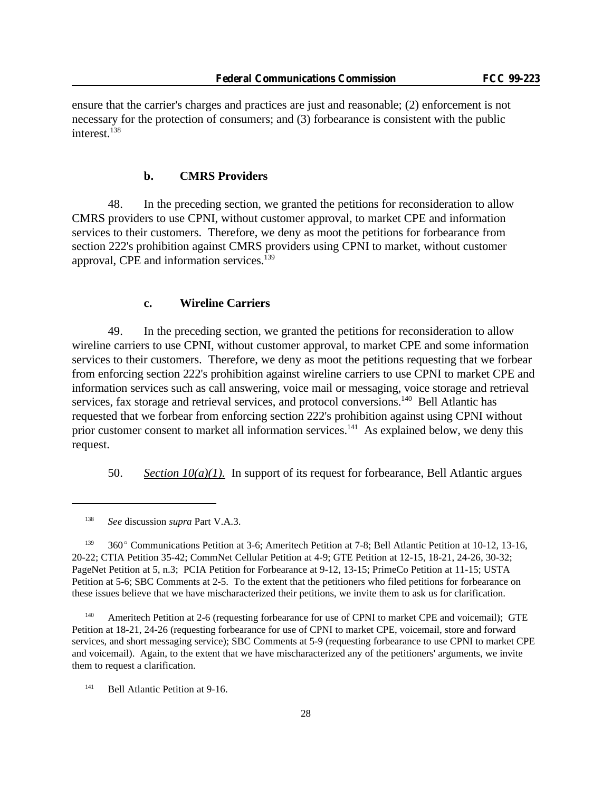ensure that the carrier's charges and practices are just and reasonable; (2) enforcement is not necessary for the protection of consumers; and (3) forbearance is consistent with the public interest.<sup>138</sup>

### **b. CMRS Providers**

48. In the preceding section, we granted the petitions for reconsideration to allow CMRS providers to use CPNI, without customer approval, to market CPE and information services to their customers. Therefore, we deny as moot the petitions for forbearance from section 222's prohibition against CMRS providers using CPNI to market, without customer approval, CPE and information services.<sup>139</sup>

### **c. Wireline Carriers**

49. In the preceding section, we granted the petitions for reconsideration to allow wireline carriers to use CPNI, without customer approval, to market CPE and some information services to their customers. Therefore, we deny as moot the petitions requesting that we forbear from enforcing section 222's prohibition against wireline carriers to use CPNI to market CPE and information services such as call answering, voice mail or messaging, voice storage and retrieval services, fax storage and retrieval services, and protocol conversions.<sup>140</sup> Bell Atlantic has requested that we forbear from enforcing section 222's prohibition against using CPNI without prior customer consent to market all information services.<sup>141</sup> As explained below, we deny this request.

50. *Section 10(a)(1).* In support of its request for forbearance, Bell Atlantic argues

<sup>139</sup> 360° Communications Petition at 3-6; Ameritech Petition at 7-8; Bell Atlantic Petition at 10-12, 13-16, 20-22; CTIA Petition 35-42; CommNet Cellular Petition at 4-9; GTE Petition at 12-15, 18-21, 24-26, 30-32; PageNet Petition at 5, n.3; PCIA Petition for Forbearance at 9-12, 13-15; PrimeCo Petition at 11-15; USTA Petition at 5-6; SBC Comments at 2-5. To the extent that the petitioners who filed petitions for forbearance on these issues believe that we have mischaracterized their petitions, we invite them to ask us for clarification.

<sup>140</sup> Ameritech Petition at 2-6 (requesting forbearance for use of CPNI to market CPE and voicemail); GTE Petition at 18-21, 24-26 (requesting forbearance for use of CPNI to market CPE, voicemail, store and forward services, and short messaging service); SBC Comments at 5-9 (requesting forbearance to use CPNI to market CPE and voicemail). Again, to the extent that we have mischaracterized any of the petitioners' arguments, we invite them to request a clarification.

<sup>141</sup> Bell Atlantic Petition at 9-16.

<sup>138</sup> *See* discussion *supra* Part V.A.3.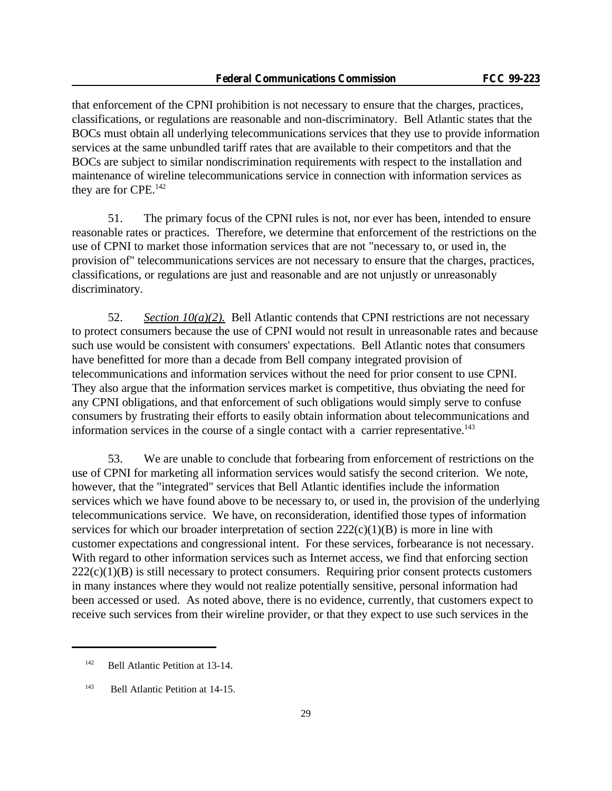that enforcement of the CPNI prohibition is not necessary to ensure that the charges, practices, classifications, or regulations are reasonable and non-discriminatory. Bell Atlantic states that the BOCs must obtain all underlying telecommunications services that they use to provide information services at the same unbundled tariff rates that are available to their competitors and that the BOCs are subject to similar nondiscrimination requirements with respect to the installation and maintenance of wireline telecommunications service in connection with information services as they are for CPE.<sup>142</sup>

51. The primary focus of the CPNI rules is not, nor ever has been, intended to ensure reasonable rates or practices. Therefore, we determine that enforcement of the restrictions on the use of CPNI to market those information services that are not "necessary to, or used in, the provision of" telecommunications services are not necessary to ensure that the charges, practices, classifications, or regulations are just and reasonable and are not unjustly or unreasonably discriminatory.

52. *Section 10(a)(2).* Bell Atlantic contends that CPNI restrictions are not necessary to protect consumers because the use of CPNI would not result in unreasonable rates and because such use would be consistent with consumers' expectations. Bell Atlantic notes that consumers have benefitted for more than a decade from Bell company integrated provision of telecommunications and information services without the need for prior consent to use CPNI. They also argue that the information services market is competitive, thus obviating the need for any CPNI obligations, and that enforcement of such obligations would simply serve to confuse consumers by frustrating their efforts to easily obtain information about telecommunications and information services in the course of a single contact with a carrier representative.<sup>143</sup>

53. We are unable to conclude that forbearing from enforcement of restrictions on the use of CPNI for marketing all information services would satisfy the second criterion. We note, however, that the "integrated" services that Bell Atlantic identifies include the information services which we have found above to be necessary to, or used in, the provision of the underlying telecommunications service. We have, on reconsideration, identified those types of information services for which our broader interpretation of section  $222(c)(1)(B)$  is more in line with customer expectations and congressional intent. For these services, forbearance is not necessary. With regard to other information services such as Internet access, we find that enforcing section  $222(c)(1)(B)$  is still necessary to protect consumers. Requiring prior consent protects customers in many instances where they would not realize potentially sensitive, personal information had been accessed or used. As noted above, there is no evidence, currently, that customers expect to receive such services from their wireline provider, or that they expect to use such services in the

<sup>&</sup>lt;sup>142</sup> Bell Atlantic Petition at 13-14.

<sup>143</sup> Bell Atlantic Petition at 14-15.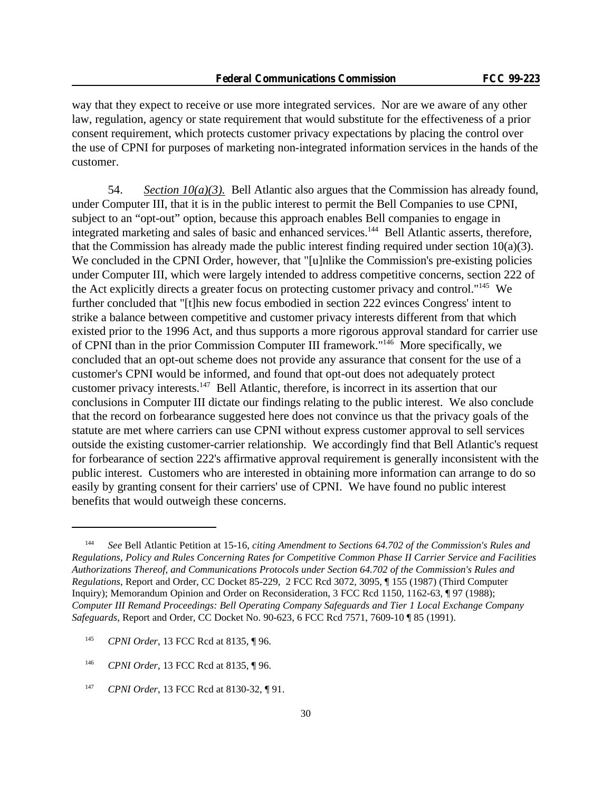way that they expect to receive or use more integrated services. Nor are we aware of any other law, regulation, agency or state requirement that would substitute for the effectiveness of a prior consent requirement, which protects customer privacy expectations by placing the control over the use of CPNI for purposes of marketing non-integrated information services in the hands of the customer.

54. *Section 10(a)(3).* Bell Atlantic also argues that the Commission has already found, under Computer III, that it is in the public interest to permit the Bell Companies to use CPNI, subject to an "opt-out" option, because this approach enables Bell companies to engage in integrated marketing and sales of basic and enhanced services.<sup>144</sup> Bell Atlantic asserts, therefore, that the Commission has already made the public interest finding required under section  $10(a)(3)$ . We concluded in the CPNI Order, however, that "[u]nlike the Commission's pre-existing policies under Computer III, which were largely intended to address competitive concerns, section 222 of the Act explicitly directs a greater focus on protecting customer privacy and control."<sup>145</sup> We further concluded that "[t]his new focus embodied in section 222 evinces Congress' intent to strike a balance between competitive and customer privacy interests different from that which existed prior to the 1996 Act, and thus supports a more rigorous approval standard for carrier use of CPNI than in the prior Commission Computer III framework."<sup>146</sup> More specifically, we concluded that an opt-out scheme does not provide any assurance that consent for the use of a customer's CPNI would be informed, and found that opt-out does not adequately protect customer privacy interests.<sup>147</sup> Bell Atlantic, therefore, is incorrect in its assertion that our conclusions in Computer III dictate our findings relating to the public interest. We also conclude that the record on forbearance suggested here does not convince us that the privacy goals of the statute are met where carriers can use CPNI without express customer approval to sell services outside the existing customer-carrier relationship. We accordingly find that Bell Atlantic's request for forbearance of section 222's affirmative approval requirement is generally inconsistent with the public interest. Customers who are interested in obtaining more information can arrange to do so easily by granting consent for their carriers' use of CPNI. We have found no public interest benefits that would outweigh these concerns.

<sup>144</sup> *See* Bell Atlantic Petition at 15-16, *citing Amendment to Sections 64.702 of the Commission's Rules and Regulations*, *Policy and Rules Concerning Rates for Competitive Common Phase II Carrier Service and Facilities Authorizations Thereof, and Communications Protocols under Section 64.702 of the Commission's Rules and Regulations*, Report and Order, CC Docket 85-229, 2 FCC Rcd 3072, 3095, ¶ 155 (1987) (Third Computer Inquiry); Memorandum Opinion and Order on Reconsideration, 3 FCC Rcd 1150, 1162-63, ¶ 97 (1988); *Computer III Remand Proceedings: Bell Operating Company Safeguards and Tier 1 Local Exchange Company Safeguards*, Report and Order, CC Docket No. 90-623, 6 FCC Rcd 7571, 7609-10 ¶ 85 (1991).

<sup>145</sup> *CPNI Order*, 13 FCC Rcd at 8135, ¶ 96.

<sup>146</sup> *CPNI Order*, 13 FCC Rcd at 8135, ¶ 96.

<sup>147</sup> *CPNI Order*, 13 FCC Rcd at 8130-32, ¶ 91.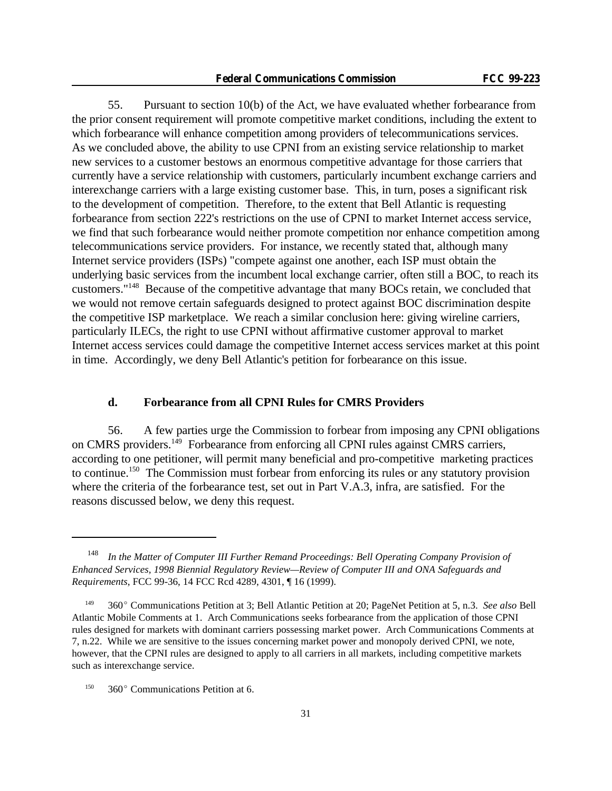55. Pursuant to section 10(b) of the Act, we have evaluated whether forbearance from the prior consent requirement will promote competitive market conditions, including the extent to which forbearance will enhance competition among providers of telecommunications services. As we concluded above, the ability to use CPNI from an existing service relationship to market new services to a customer bestows an enormous competitive advantage for those carriers that currently have a service relationship with customers, particularly incumbent exchange carriers and interexchange carriers with a large existing customer base. This, in turn, poses a significant risk to the development of competition. Therefore, to the extent that Bell Atlantic is requesting forbearance from section 222's restrictions on the use of CPNI to market Internet access service, we find that such forbearance would neither promote competition nor enhance competition among telecommunications service providers. For instance, we recently stated that, although many Internet service providers (ISPs) "compete against one another, each ISP must obtain the underlying basic services from the incumbent local exchange carrier, often still a BOC, to reach its customers."<sup>148</sup> Because of the competitive advantage that many BOCs retain, we concluded that we would not remove certain safeguards designed to protect against BOC discrimination despite the competitive ISP marketplace. We reach a similar conclusion here: giving wireline carriers, particularly ILECs, the right to use CPNI without affirmative customer approval to market Internet access services could damage the competitive Internet access services market at this point in time. Accordingly, we deny Bell Atlantic's petition for forbearance on this issue.

# **d. Forbearance from all CPNI Rules for CMRS Providers**

56. A few parties urge the Commission to forbear from imposing any CPNI obligations on CMRS providers.<sup>149</sup> Forbearance from enforcing all CPNI rules against CMRS carriers, according to one petitioner, will permit many beneficial and pro-competitive marketing practices to continue.<sup>150</sup> The Commission must forbear from enforcing its rules or any statutory provision where the criteria of the forbearance test, set out in Part V.A.3, infra, are satisfied. For the reasons discussed below, we deny this request.

<sup>148</sup> *In the Matter of Computer III Further Remand Proceedings: Bell Operating Company Provision of Enhanced Services, 1998 Biennial Regulatory Review—Review of Computer III and ONA Safeguards and Requirements*, FCC 99-36, 14 FCC Rcd 4289, 4301, ¶ 16 (1999).

<sup>&</sup>lt;sup>149</sup> 360° Communications Petition at 3; Bell Atlantic Petition at 20; PageNet Petition at 5, n.3. *See also* Bell Atlantic Mobile Comments at 1. Arch Communications seeks forbearance from the application of those CPNI rules designed for markets with dominant carriers possessing market power. Arch Communications Comments at 7, n.22. While we are sensitive to the issues concerning market power and monopoly derived CPNI, we note, however, that the CPNI rules are designed to apply to all carriers in all markets, including competitive markets such as interexchange service.

 $150$  360° Communications Petition at 6.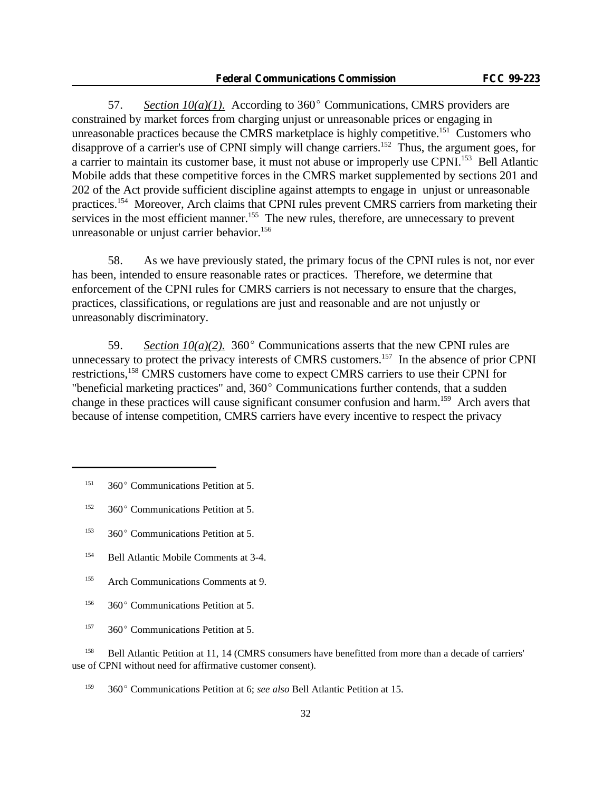57. *Section 10(a)(1).* According to 360 $^{\circ}$  Communications, CMRS providers are constrained by market forces from charging unjust or unreasonable prices or engaging in unreasonable practices because the CMRS marketplace is highly competitive.<sup>151</sup> Customers who disapprove of a carrier's use of CPNI simply will change carriers.<sup>152</sup> Thus, the argument goes, for a carrier to maintain its customer base, it must not abuse or improperly use CPNI.<sup>153</sup> Bell Atlantic Mobile adds that these competitive forces in the CMRS market supplemented by sections 201 and 202 of the Act provide sufficient discipline against attempts to engage in unjust or unreasonable practices.<sup>154</sup> Moreover, Arch claims that CPNI rules prevent CMRS carriers from marketing their services in the most efficient manner.<sup>155</sup> The new rules, therefore, are unnecessary to prevent unreasonable or unjust carrier behavior.<sup>156</sup>

58. As we have previously stated, the primary focus of the CPNI rules is not, nor ever has been, intended to ensure reasonable rates or practices. Therefore, we determine that enforcement of the CPNI rules for CMRS carriers is not necessary to ensure that the charges, practices, classifications, or regulations are just and reasonable and are not unjustly or unreasonably discriminatory.

59. *Section*  $10(a)(2)$ *.* 360° Communications asserts that the new CPNI rules are unnecessary to protect the privacy interests of CMRS customers.<sup>157</sup> In the absence of prior CPNI restrictions,<sup>158</sup> CMRS customers have come to expect CMRS carriers to use their CPNI for "beneficial marketing practices" and,  $360^{\circ}$  Communications further contends, that a sudden change in these practices will cause significant consumer confusion and harm.<sup>159</sup> Arch avers that because of intense competition, CMRS carriers have every incentive to respect the privacy

- <sup>154</sup> Bell Atlantic Mobile Comments at 3-4.
- <sup>155</sup> Arch Communications Comments at 9.
- <sup>156</sup> 360 $^{\circ}$  Communications Petition at 5.
- <sup>157</sup> 360 $^{\circ}$  Communications Petition at 5.

<sup>158</sup> Bell Atlantic Petition at 11, 14 (CMRS consumers have benefitted from more than a decade of carriers' use of CPNI without need for affirmative customer consent).

<sup>159</sup> 360 $^{\circ}$  Communications Petition at 6; *see also* Bell Atlantic Petition at 15.

 $151 - 360^{\circ}$  Communications Petition at 5.

 $152$  360° Communications Petition at 5.

<sup>&</sup>lt;sup>153</sup> 360 $^{\circ}$  Communications Petition at 5.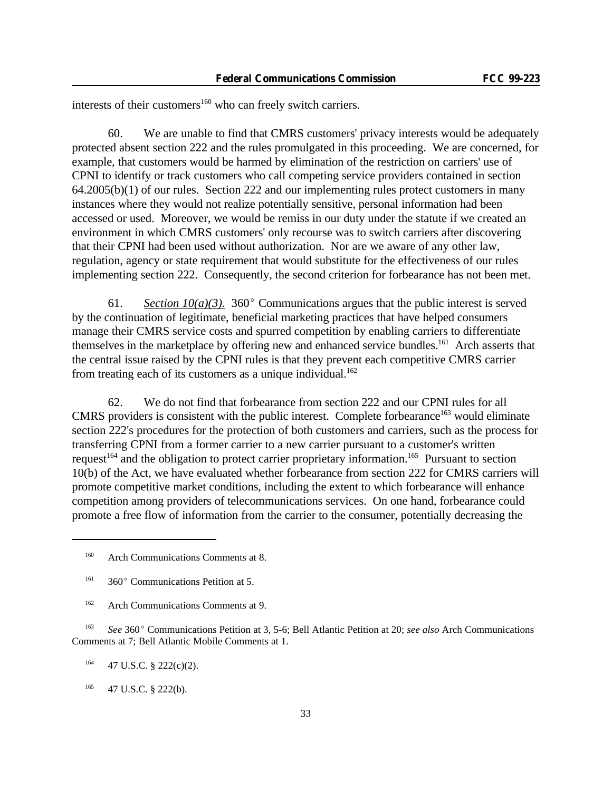interests of their customers<sup>160</sup> who can freely switch carriers.

60. We are unable to find that CMRS customers' privacy interests would be adequately protected absent section 222 and the rules promulgated in this proceeding. We are concerned, for example, that customers would be harmed by elimination of the restriction on carriers' use of CPNI to identify or track customers who call competing service providers contained in section  $64.2005(b)(1)$  of our rules. Section 222 and our implementing rules protect customers in many instances where they would not realize potentially sensitive, personal information had been accessed or used. Moreover, we would be remiss in our duty under the statute if we created an environment in which CMRS customers' only recourse was to switch carriers after discovering that their CPNI had been used without authorization. Nor are we aware of any other law, regulation, agency or state requirement that would substitute for the effectiveness of our rules implementing section 222. Consequently, the second criterion for forbearance has not been met.

61. *Section 10(a)(3).* 360 $^{\circ}$  Communications argues that the public interest is served by the continuation of legitimate, beneficial marketing practices that have helped consumers manage their CMRS service costs and spurred competition by enabling carriers to differentiate themselves in the marketplace by offering new and enhanced service bundles.<sup>161</sup> Arch asserts that the central issue raised by the CPNI rules is that they prevent each competitive CMRS carrier from treating each of its customers as a unique individual.<sup>162</sup>

62. We do not find that forbearance from section 222 and our CPNI rules for all CMRS providers is consistent with the public interest. Complete forbearance<sup>163</sup> would eliminate section 222's procedures for the protection of both customers and carriers, such as the process for transferring CPNI from a former carrier to a new carrier pursuant to a customer's written request<sup>164</sup> and the obligation to protect carrier proprietary information.<sup>165</sup> Pursuant to section 10(b) of the Act, we have evaluated whether forbearance from section 222 for CMRS carriers will promote competitive market conditions, including the extent to which forbearance will enhance competition among providers of telecommunications services. On one hand, forbearance could promote a free flow of information from the carrier to the consumer, potentially decreasing the

<sup>163</sup> *See* 360° Communications Petition at 3, 5-6; Bell Atlantic Petition at 20; *see also* Arch Communications Comments at 7; Bell Atlantic Mobile Comments at 1.

 $164$  47 U.S.C. § 222(c)(2).

 $165$  47 U.S.C. § 222(b).

<sup>&</sup>lt;sup>160</sup> Arch Communications Comments at 8.

 $161$  360° Communications Petition at 5.

<sup>&</sup>lt;sup>162</sup> Arch Communications Comments at 9.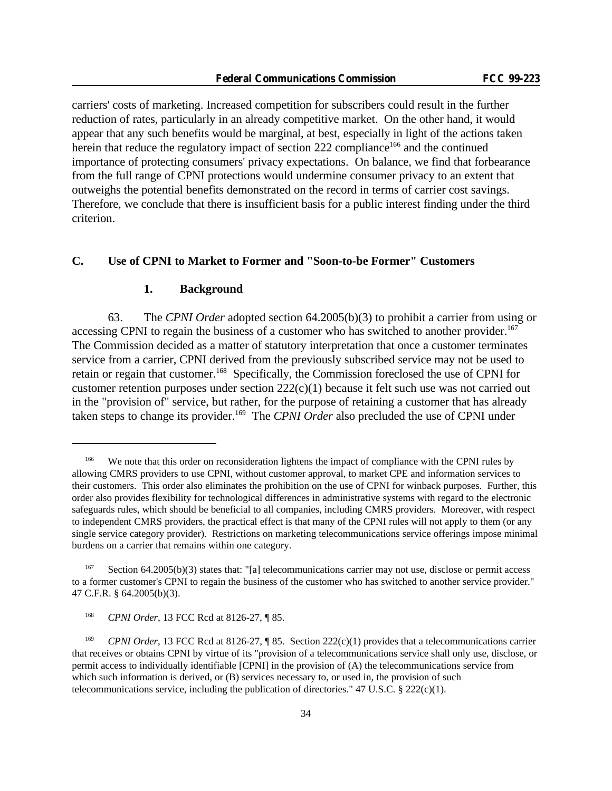carriers' costs of marketing. Increased competition for subscribers could result in the further reduction of rates, particularly in an already competitive market. On the other hand, it would appear that any such benefits would be marginal, at best, especially in light of the actions taken herein that reduce the regulatory impact of section  $222$  compliance<sup>166</sup> and the continued importance of protecting consumers' privacy expectations. On balance, we find that forbearance from the full range of CPNI protections would undermine consumer privacy to an extent that outweighs the potential benefits demonstrated on the record in terms of carrier cost savings. Therefore, we conclude that there is insufficient basis for a public interest finding under the third criterion.

# **C. Use of CPNI to Market to Former and "Soon-to-be Former" Customers**

#### **1. Background**

63. The *CPNI Order* adopted section 64.2005(b)(3) to prohibit a carrier from using or accessing CPNI to regain the business of a customer who has switched to another provider.<sup>167</sup> The Commission decided as a matter of statutory interpretation that once a customer terminates service from a carrier, CPNI derived from the previously subscribed service may not be used to retain or regain that customer.<sup>168</sup> Specifically, the Commission foreclosed the use of CPNI for customer retention purposes under section 222(c)(1) because it felt such use was not carried out in the "provision of" service, but rather, for the purpose of retaining a customer that has already taken steps to change its provider.<sup>169</sup> The *CPNI Order* also precluded the use of CPNI under

<sup>&</sup>lt;sup>166</sup> We note that this order on reconsideration lightens the impact of compliance with the CPNI rules by allowing CMRS providers to use CPNI, without customer approval, to market CPE and information services to their customers. This order also eliminates the prohibition on the use of CPNI for winback purposes. Further, this order also provides flexibility for technological differences in administrative systems with regard to the electronic safeguards rules, which should be beneficial to all companies, including CMRS providers. Moreover, with respect to independent CMRS providers, the practical effect is that many of the CPNI rules will not apply to them (or any single service category provider). Restrictions on marketing telecommunications service offerings impose minimal burdens on a carrier that remains within one category.

<sup>167</sup> Section 64.2005(b)(3) states that: "[a] telecommunications carrier may not use, disclose or permit access to a former customer's CPNI to regain the business of the customer who has switched to another service provider." 47 C.F.R. § 64.2005(b)(3).

<sup>168</sup> *CPNI Order*, 13 FCC Rcd at 8126-27, ¶ 85.

<sup>&</sup>lt;sup>169</sup> *CPNI Order*, 13 FCC Rcd at 8126-27, ¶ 85. Section 222(c)(1) provides that a telecommunications carrier that receives or obtains CPNI by virtue of its "provision of a telecommunications service shall only use, disclose, or permit access to individually identifiable [CPNI] in the provision of (A) the telecommunications service from which such information is derived, or  $(B)$  services necessary to, or used in, the provision of such telecommunications service, including the publication of directories." 47 U.S.C.  $\S$  222(c)(1).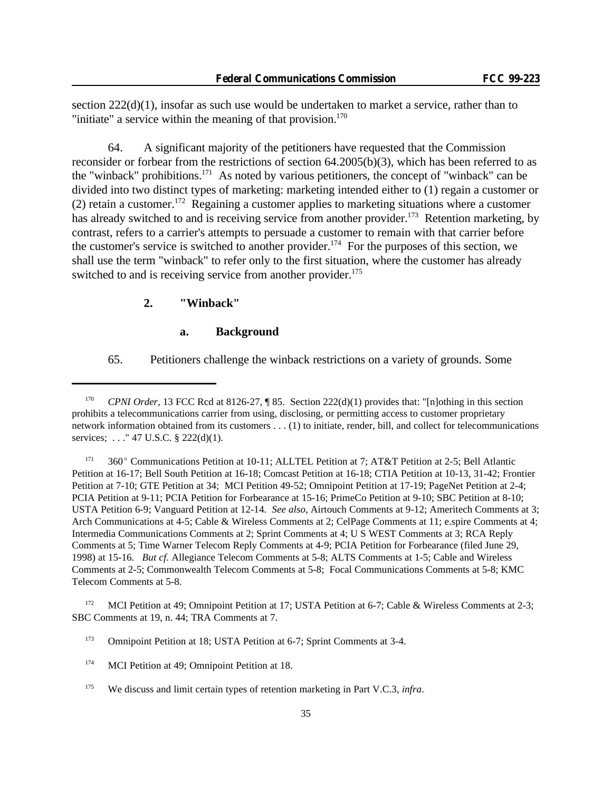section  $222(d)(1)$ , insofar as such use would be undertaken to market a service, rather than to "initiate" a service within the meaning of that provision. $170$ 

64. A significant majority of the petitioners have requested that the Commission reconsider or forbear from the restrictions of section 64.2005(b)(3), which has been referred to as the "winback" prohibitions.<sup>171</sup> As noted by various petitioners, the concept of "winback" can be divided into two distinct types of marketing: marketing intended either to (1) regain a customer or (2) retain a customer.<sup>172</sup> Regaining a customer applies to marketing situations where a customer has already switched to and is receiving service from another provider.<sup>173</sup> Retention marketing, by contrast, refers to a carrier's attempts to persuade a customer to remain with that carrier before the customer's service is switched to another provider.<sup>174</sup> For the purposes of this section, we shall use the term "winback" to refer only to the first situation, where the customer has already switched to and is receiving service from another provider.<sup>175</sup>

### **2. "Winback"**

### **a. Background**

65. Petitioners challenge the winback restrictions on a variety of grounds. Some

<sup>171</sup> 360° Communications Petition at 10-11; ALLTEL Petition at 7; AT&T Petition at 2-5; Bell Atlantic Petition at 16-17; Bell South Petition at 16-18; Comcast Petition at 16-18; CTIA Petition at 10-13, 31-42; Frontier Petition at 7-10; GTE Petition at 34; MCI Petition 49-52; Omnipoint Petition at 17-19; PageNet Petition at 2-4; PCIA Petition at 9-11; PCIA Petition for Forbearance at 15-16; PrimeCo Petition at 9-10; SBC Petition at 8-10; USTA Petition 6-9; Vanguard Petition at 12-14. *See also*, Airtouch Comments at 9-12; Ameritech Comments at 3; Arch Communications at 4-5; Cable & Wireless Comments at 2; CelPage Comments at 11; e.spire Comments at 4; Intermedia Communications Comments at 2; Sprint Comments at 4; U S WEST Comments at 3; RCA Reply Comments at 5; Time Warner Telecom Reply Comments at 4-9; PCIA Petition for Forbearance (filed June 29, 1998) at 15-16. *But cf.* Allegiance Telecom Comments at 5-8; ALTS Comments at 1-5; Cable and Wireless Comments at 2-5; Commonwealth Telecom Comments at 5-8; Focal Communications Comments at 5-8; KMC Telecom Comments at 5-8.

<sup>172</sup> MCI Petition at 49; Omnipoint Petition at 17; USTA Petition at 6-7; Cable & Wireless Comments at 2-3; SBC Comments at 19, n. 44; TRA Comments at 7.

<sup>173</sup> Omnipoint Petition at 18; USTA Petition at 6-7; Sprint Comments at 3-4.

<sup>&</sup>lt;sup>170</sup> *CPNI Order*, 13 FCC Rcd at 8126-27, ¶ 85. Section 222(d)(1) provides that: "[n]othing in this section prohibits a telecommunications carrier from using, disclosing, or permitting access to customer proprietary network information obtained from its customers . . . (1) to initiate, render, bill, and collect for telecommunications services; ..." 47 U.S.C. § 222(d)(1).

<sup>&</sup>lt;sup>174</sup> MCI Petition at 49; Omnipoint Petition at 18.

<sup>175</sup> We discuss and limit certain types of retention marketing in Part V.C.3, *infra*.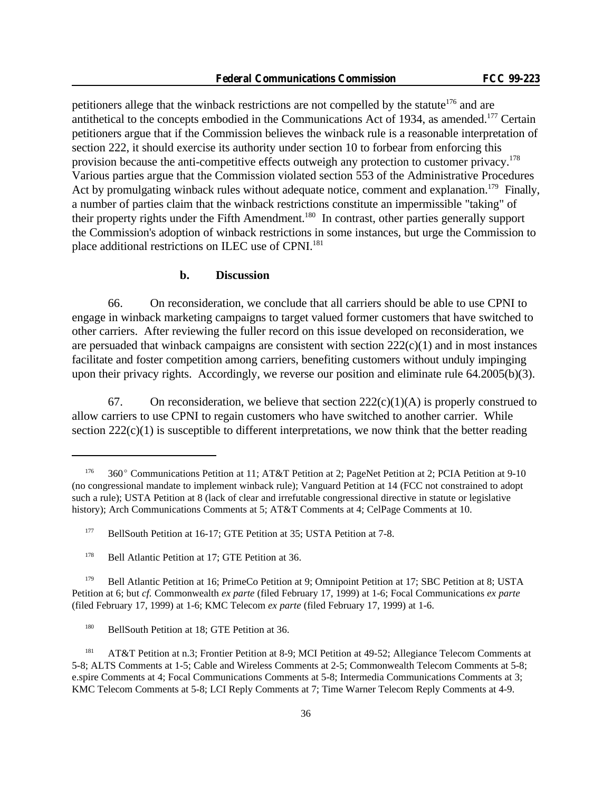petitioners allege that the winback restrictions are not compelled by the statute<sup>176</sup> and are antithetical to the concepts embodied in the Communications Act of 1934, as amended.<sup>177</sup> Certain petitioners argue that if the Commission believes the winback rule is a reasonable interpretation of section 222, it should exercise its authority under section 10 to forbear from enforcing this provision because the anti-competitive effects outweigh any protection to customer privacy.<sup>178</sup> Various parties argue that the Commission violated section 553 of the Administrative Procedures Act by promulgating winback rules without adequate notice, comment and explanation.<sup>179</sup> Finally, a number of parties claim that the winback restrictions constitute an impermissible "taking" of their property rights under the Fifth Amendment.<sup>180</sup> In contrast, other parties generally support the Commission's adoption of winback restrictions in some instances, but urge the Commission to place additional restrictions on ILEC use of CPNI.<sup>181</sup>

### **b. Discussion**

66. On reconsideration, we conclude that all carriers should be able to use CPNI to engage in winback marketing campaigns to target valued former customers that have switched to other carriers. After reviewing the fuller record on this issue developed on reconsideration, we are persuaded that winback campaigns are consistent with section 222(c)(1) and in most instances facilitate and foster competition among carriers, benefiting customers without unduly impinging upon their privacy rights. Accordingly, we reverse our position and eliminate rule 64.2005(b)(3).

67. On reconsideration, we believe that section  $222(c)(1)(A)$  is properly construed to allow carriers to use CPNI to regain customers who have switched to another carrier. While section  $222(c)(1)$  is susceptible to different interpretations, we now think that the better reading

<sup>179</sup> Bell Atlantic Petition at 16; PrimeCo Petition at 9; Omnipoint Petition at 17; SBC Petition at 8; USTA Petition at 6; but *cf.* Commonwealth *ex parte* (filed February 17, 1999) at 1-6; Focal Communications *ex parte* (filed February 17, 1999) at 1-6; KMC Telecom *ex parte* (filed February 17, 1999) at 1-6.

<sup>&</sup>lt;sup>176</sup> 360° Communications Petition at 11; AT&T Petition at 2; PageNet Petition at 2; PCIA Petition at 9-10 (no congressional mandate to implement winback rule); Vanguard Petition at 14 (FCC not constrained to adopt such a rule); USTA Petition at 8 (lack of clear and irrefutable congressional directive in statute or legislative history); Arch Communications Comments at 5; AT&T Comments at 4; CelPage Comments at 10.

<sup>&</sup>lt;sup>177</sup> BellSouth Petition at 16-17; GTE Petition at 35; USTA Petition at 7-8.

<sup>&</sup>lt;sup>178</sup> Bell Atlantic Petition at 17; GTE Petition at 36.

<sup>&</sup>lt;sup>180</sup> BellSouth Petition at 18; GTE Petition at 36.

<sup>181</sup> AT&T Petition at n.3; Frontier Petition at 8-9; MCI Petition at 49-52; Allegiance Telecom Comments at 5-8; ALTS Comments at 1-5; Cable and Wireless Comments at 2-5; Commonwealth Telecom Comments at 5-8; e.spire Comments at 4; Focal Communications Comments at 5-8; Intermedia Communications Comments at 3; KMC Telecom Comments at 5-8; LCI Reply Comments at 7; Time Warner Telecom Reply Comments at 4-9.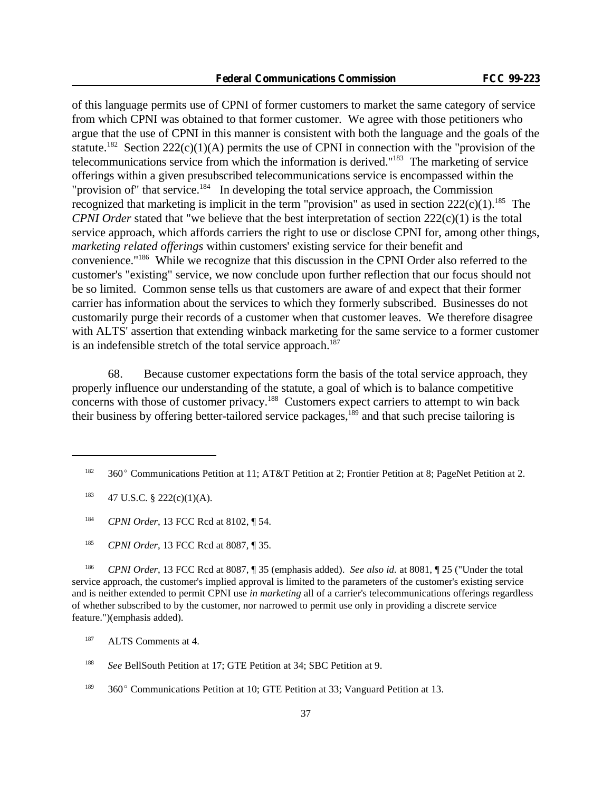of this language permits use of CPNI of former customers to market the same category of service from which CPNI was obtained to that former customer. We agree with those petitioners who argue that the use of CPNI in this manner is consistent with both the language and the goals of the statute.<sup>182</sup> Section  $222(c)(1)(A)$  permits the use of CPNI in connection with the "provision of the telecommunications service from which the information is derived."<sup>183</sup> The marketing of service offerings within a given presubscribed telecommunications service is encompassed within the "provision of" that service.<sup>184</sup> In developing the total service approach, the Commission recognized that marketing is implicit in the term "provision" as used in section  $222(c)(1)$ .<sup>185</sup> The *CPNI Order* stated that "we believe that the best interpretation of section 222(c)(1) is the total service approach, which affords carriers the right to use or disclose CPNI for, among other things, *marketing related offerings* within customers' existing service for their benefit and convenience."<sup>186</sup> While we recognize that this discussion in the CPNI Order also referred to the customer's "existing" service, we now conclude upon further reflection that our focus should not be so limited. Common sense tells us that customers are aware of and expect that their former carrier has information about the services to which they formerly subscribed. Businesses do not customarily purge their records of a customer when that customer leaves. We therefore disagree with ALTS' assertion that extending winback marketing for the same service to a former customer is an indefensible stretch of the total service approach.<sup>187</sup>

68. Because customer expectations form the basis of the total service approach, they properly influence our understanding of the statute, a goal of which is to balance competitive concerns with those of customer privacy.<sup>188</sup> Customers expect carriers to attempt to win back their business by offering better-tailored service packages,<sup>189</sup> and that such precise tailoring is

<sup>184</sup> *CPNI Order*, 13 FCC Rcd at 8102, ¶ 54.

<sup>185</sup> *CPNI Order*, 13 FCC Rcd at 8087, ¶ 35.

<sup>186</sup> *CPNI Order*, 13 FCC Rcd at 8087, ¶ 35 (emphasis added). *See also id.* at 8081, ¶ 25 ("Under the total service approach, the customer's implied approval is limited to the parameters of the customer's existing service and is neither extended to permit CPNI use *in marketing* all of a carrier's telecommunications offerings regardless of whether subscribed to by the customer, nor narrowed to permit use only in providing a discrete service feature.")(emphasis added).

<sup>187</sup> ALTS Comments at 4.

<sup>&</sup>lt;sup>182</sup> 360° Communications Petition at 11; AT&T Petition at 2; Frontier Petition at 8; PageNet Petition at 2.

 $183$  47 U.S.C. § 222(c)(1)(A).

<sup>188</sup> *See* BellSouth Petition at 17; GTE Petition at 34; SBC Petition at 9.

<sup>&</sup>lt;sup>189</sup> 360° Communications Petition at 10; GTE Petition at 33; Vanguard Petition at 13.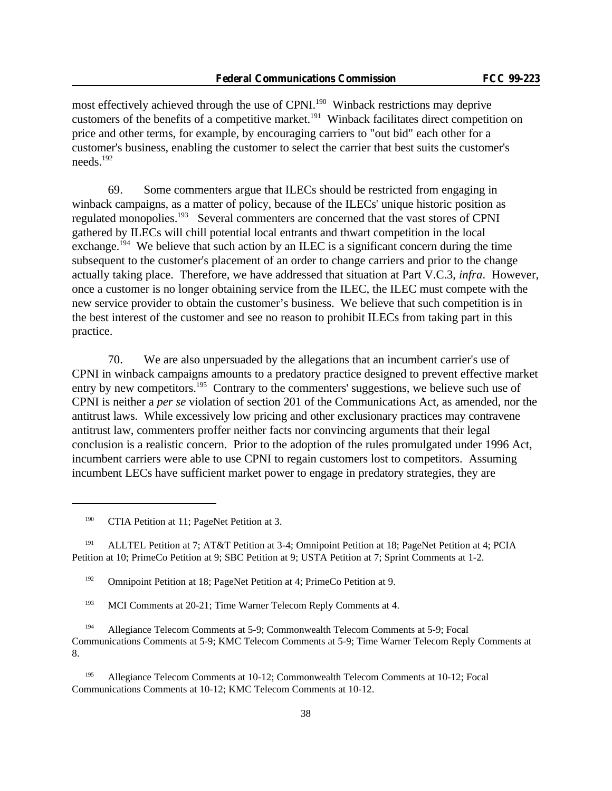most effectively achieved through the use of CPNI.<sup>190</sup> Winback restrictions may deprive customers of the benefits of a competitive market.<sup>191</sup> Winback facilitates direct competition on price and other terms, for example, by encouraging carriers to "out bid" each other for a customer's business, enabling the customer to select the carrier that best suits the customer's needs.<sup>192</sup>

69. Some commenters argue that ILECs should be restricted from engaging in winback campaigns, as a matter of policy, because of the ILECs' unique historic position as regulated monopolies.<sup>193</sup> Several commenters are concerned that the vast stores of CPNI gathered by ILECs will chill potential local entrants and thwart competition in the local exchange.<sup>194</sup> We believe that such action by an ILEC is a significant concern during the time subsequent to the customer's placement of an order to change carriers and prior to the change actually taking place. Therefore, we have addressed that situation at Part V.C.3, *infra*. However, once a customer is no longer obtaining service from the ILEC, the ILEC must compete with the new service provider to obtain the customer's business. We believe that such competition is in the best interest of the customer and see no reason to prohibit ILECs from taking part in this practice.

70. We are also unpersuaded by the allegations that an incumbent carrier's use of CPNI in winback campaigns amounts to a predatory practice designed to prevent effective market entry by new competitors.<sup>195</sup> Contrary to the commenters' suggestions, we believe such use of CPNI is neither a *per se* violation of section 201 of the Communications Act, as amended, nor the antitrust laws. While excessively low pricing and other exclusionary practices may contravene antitrust law, commenters proffer neither facts nor convincing arguments that their legal conclusion is a realistic concern. Prior to the adoption of the rules promulgated under 1996 Act, incumbent carriers were able to use CPNI to regain customers lost to competitors. Assuming incumbent LECs have sufficient market power to engage in predatory strategies, they are

<sup>191</sup> ALLTEL Petition at 7; AT&T Petition at 3-4; Omnipoint Petition at 18; PageNet Petition at 4; PCIA Petition at 10; PrimeCo Petition at 9; SBC Petition at 9; USTA Petition at 7; Sprint Comments at 1-2.

<sup>192</sup> Omnipoint Petition at 18; PageNet Petition at 4; PrimeCo Petition at 9.

<sup>193</sup> MCI Comments at 20-21; Time Warner Telecom Reply Comments at 4.

<sup>194</sup> Allegiance Telecom Comments at 5-9; Commonwealth Telecom Comments at 5-9; Focal Communications Comments at 5-9; KMC Telecom Comments at 5-9; Time Warner Telecom Reply Comments at 8.

<sup>195</sup> Allegiance Telecom Comments at 10-12; Commonwealth Telecom Comments at 10-12; Focal Communications Comments at 10-12; KMC Telecom Comments at 10-12.

<sup>&</sup>lt;sup>190</sup> CTIA Petition at 11; PageNet Petition at 3.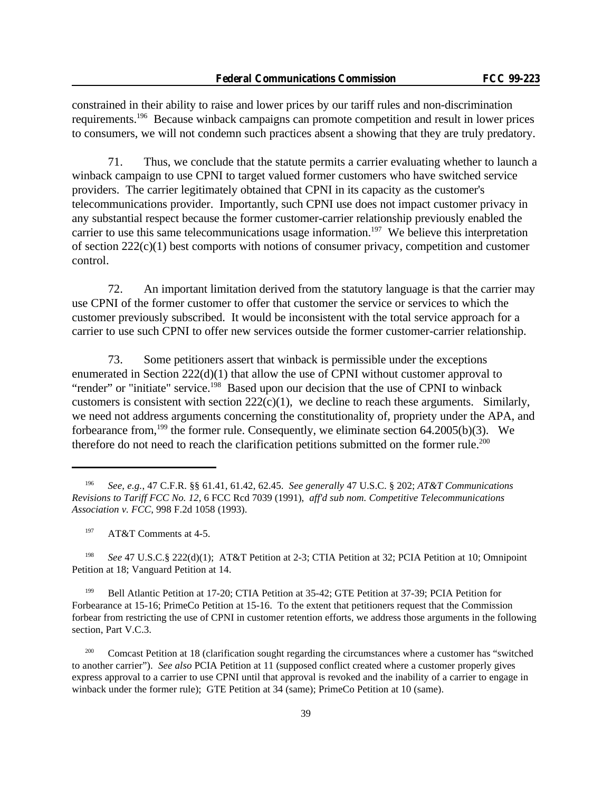constrained in their ability to raise and lower prices by our tariff rules and non-discrimination requirements.<sup>196</sup> Because winback campaigns can promote competition and result in lower prices to consumers, we will not condemn such practices absent a showing that they are truly predatory.

71. Thus, we conclude that the statute permits a carrier evaluating whether to launch a winback campaign to use CPNI to target valued former customers who have switched service providers. The carrier legitimately obtained that CPNI in its capacity as the customer's telecommunications provider. Importantly, such CPNI use does not impact customer privacy in any substantial respect because the former customer-carrier relationship previously enabled the carrier to use this same telecommunications usage information.<sup>197</sup> We believe this interpretation of section 222(c)(1) best comports with notions of consumer privacy, competition and customer control.

72. An important limitation derived from the statutory language is that the carrier may use CPNI of the former customer to offer that customer the service or services to which the customer previously subscribed. It would be inconsistent with the total service approach for a carrier to use such CPNI to offer new services outside the former customer-carrier relationship.

73. Some petitioners assert that winback is permissible under the exceptions enumerated in Section 222(d)(1) that allow the use of CPNI without customer approval to "render" or "initiate" service.<sup>198</sup> Based upon our decision that the use of CPNI to winback customers is consistent with section  $222(c)(1)$ , we decline to reach these arguments. Similarly, we need not address arguments concerning the constitutionality of, propriety under the APA, and forbearance from,<sup>199</sup> the former rule. Consequently, we eliminate section 64.2005(b)(3). We therefore do not need to reach the clarification petitions submitted on the former rule.<sup>200</sup>

<sup>198</sup> *See* 47 U.S.C.§ 222(d)(1); AT&T Petition at 2-3; CTIA Petition at 32; PCIA Petition at 10; Omnipoint Petition at 18; Vanguard Petition at 14.

<sup>199</sup> Bell Atlantic Petition at 17-20; CTIA Petition at 35-42; GTE Petition at 37-39; PCIA Petition for Forbearance at 15-16; PrimeCo Petition at 15-16. To the extent that petitioners request that the Commission forbear from restricting the use of CPNI in customer retention efforts, we address those arguments in the following section, Part V.C.3.

<sup>200</sup> Comcast Petition at 18 (clarification sought regarding the circumstances where a customer has "switched to another carrier"). *See also* PCIA Petition at 11 (supposed conflict created where a customer properly gives express approval to a carrier to use CPNI until that approval is revoked and the inability of a carrier to engage in winback under the former rule); GTE Petition at 34 (same); PrimeCo Petition at 10 (same).

<sup>196</sup> *See, e.g.*, 47 C.F.R. §§ 61.41, 61.42, 62.45. *See generally* 47 U.S.C. § 202; *AT&T Communications Revisions to Tariff FCC No. 12*, 6 FCC Rcd 7039 (1991), *aff'd sub nom. Competitive Telecommunications Association v. FCC*, 998 F.2d 1058 (1993).

<sup>&</sup>lt;sup>197</sup> AT&T Comments at 4-5.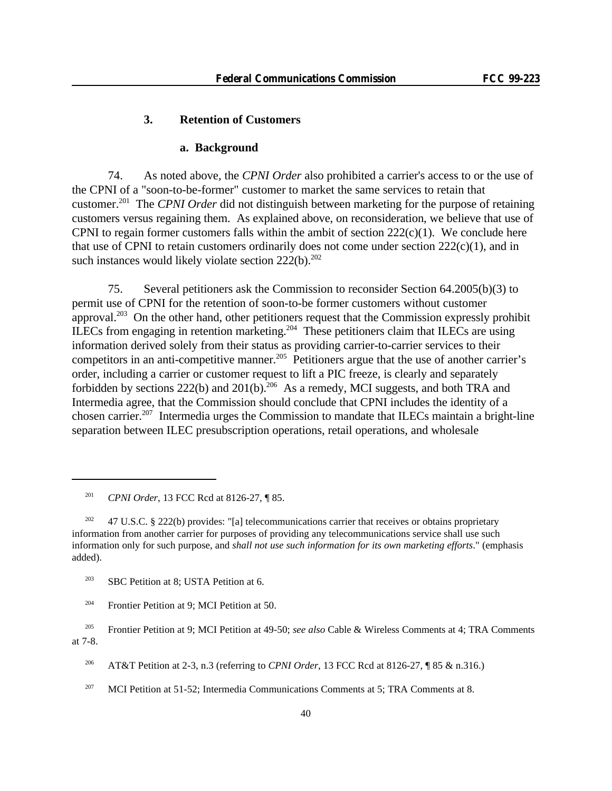### **3. Retention of Customers**

### **a. Background**

74. As noted above, the *CPNI Order* also prohibited a carrier's access to or the use of the CPNI of a "soon-to-be-former" customer to market the same services to retain that customer.<sup>201</sup> The *CPNI Order* did not distinguish between marketing for the purpose of retaining customers versus regaining them. As explained above, on reconsideration, we believe that use of CPNI to regain former customers falls within the ambit of section  $222(c)(1)$ . We conclude here that use of CPNI to retain customers ordinarily does not come under section  $222(c)(1)$ , and in such instances would likely violate section  $222(b)$ .<sup>202</sup>

75. Several petitioners ask the Commission to reconsider Section 64.2005(b)(3) to permit use of CPNI for the retention of soon-to-be former customers without customer approval.<sup>203</sup> On the other hand, other petitioners request that the Commission expressly prohibit ILECs from engaging in retention marketing.<sup>204</sup> These petitioners claim that ILECs are using information derived solely from their status as providing carrier-to-carrier services to their competitors in an anti-competitive manner.<sup>205</sup> Petitioners argue that the use of another carrier's order, including a carrier or customer request to lift a PIC freeze, is clearly and separately forbidden by sections  $222(b)$  and  $201(b)$ .<sup>206</sup> As a remedy, MCI suggests, and both TRA and Intermedia agree, that the Commission should conclude that CPNI includes the identity of a chosen carrier.<sup>207</sup> Intermedia urges the Commission to mandate that ILECs maintain a bright-line separation between ILEC presubscription operations, retail operations, and wholesale

<sup>201</sup> *CPNI Order*, 13 FCC Rcd at 8126-27, ¶ 85.

<sup>&</sup>lt;sup>202</sup> 47 U.S.C. § 222(b) provides: "[a] telecommunications carrier that receives or obtains proprietary information from another carrier for purposes of providing any telecommunications service shall use such information only for such purpose, and *shall not use such information for its own marketing efforts*." (emphasis added).

<sup>&</sup>lt;sup>203</sup> SBC Petition at 8; USTA Petition at 6.

<sup>&</sup>lt;sup>204</sup> Frontier Petition at 9; MCI Petition at 50.

<sup>205</sup> Frontier Petition at 9; MCI Petition at 49-50; *see also* Cable & Wireless Comments at 4; TRA Comments at 7-8.

<sup>206</sup> AT&T Petition at 2-3, n.3 (referring to *CPNI Order*, 13 FCC Rcd at 8126-27, ¶ 85 & n.316.)

 $207$  MCI Petition at 51-52; Intermedia Communications Comments at 5; TRA Comments at 8.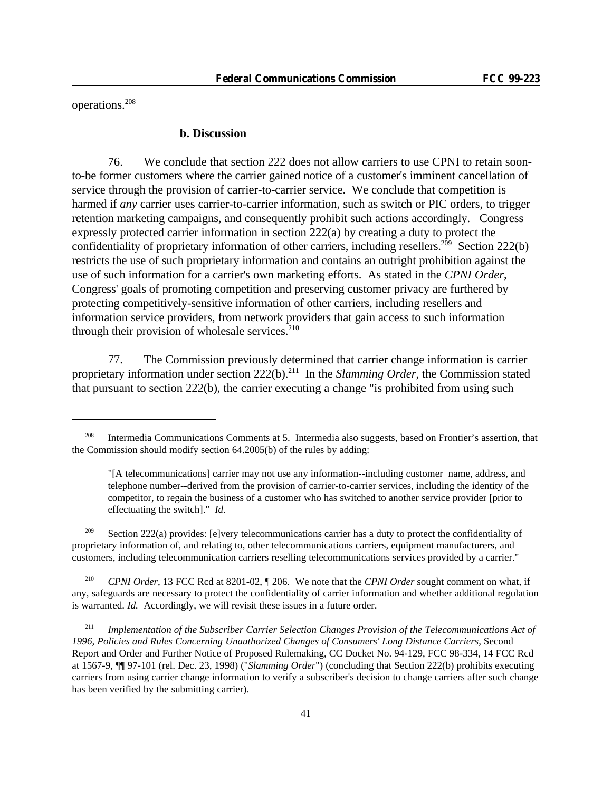operations.<sup>208</sup>

#### **b. Discussion**

76. We conclude that section 222 does not allow carriers to use CPNI to retain soonto-be former customers where the carrier gained notice of a customer's imminent cancellation of service through the provision of carrier-to-carrier service. We conclude that competition is harmed if *any* carrier uses carrier-to-carrier information, such as switch or PIC orders, to trigger retention marketing campaigns, and consequently prohibit such actions accordingly. Congress expressly protected carrier information in section 222(a) by creating a duty to protect the confidentiality of proprietary information of other carriers, including resellers.<sup>209</sup> Section 222(b) restricts the use of such proprietary information and contains an outright prohibition against the use of such information for a carrier's own marketing efforts. As stated in the *CPNI Order*, Congress' goals of promoting competition and preserving customer privacy are furthered by protecting competitively-sensitive information of other carriers, including resellers and information service providers, from network providers that gain access to such information through their provision of wholesale services. $210$ 

77. The Commission previously determined that carrier change information is carrier proprietary information under section 222(b).<sup>211</sup> In the *Slamming Order*, the Commission stated that pursuant to section 222(b), the carrier executing a change "is prohibited from using such

<sup>209</sup> Section 222(a) provides: [e]very telecommunications carrier has a duty to protect the confidentiality of proprietary information of, and relating to, other telecommunications carriers, equipment manufacturers, and customers, including telecommunication carriers reselling telecommunications services provided by a carrier."

<sup>210</sup> *CPNI Order*, 13 FCC Rcd at 8201-02, ¶ 206. We note that the *CPNI Order* sought comment on what, if any, safeguards are necessary to protect the confidentiality of carrier information and whether additional regulation is warranted. *Id.* Accordingly, we will revisit these issues in a future order.

<sup>208</sup> Intermedia Communications Comments at 5. Intermedia also suggests, based on Frontier's assertion, that the Commission should modify section 64.2005(b) of the rules by adding:

<sup>&</sup>quot;[A telecommunications] carrier may not use any information--including customer name, address, and telephone number--derived from the provision of carrier-to-carrier services, including the identity of the competitor, to regain the business of a customer who has switched to another service provider [prior to effectuating the switch]." *Id*.

<sup>211</sup> *Implementation of the Subscriber Carrier Selection Changes Provision of the Telecommunications Act of 1996, Policies and Rules Concerning Unauthorized Changes of Consumers' Long Distance Carriers*, Second Report and Order and Further Notice of Proposed Rulemaking, CC Docket No. 94-129, FCC 98-334, 14 FCC Rcd at 1567-9, ¶¶ 97-101 (rel. Dec. 23, 1998) ("*Slamming Order*") (concluding that Section 222(b) prohibits executing carriers from using carrier change information to verify a subscriber's decision to change carriers after such change has been verified by the submitting carrier).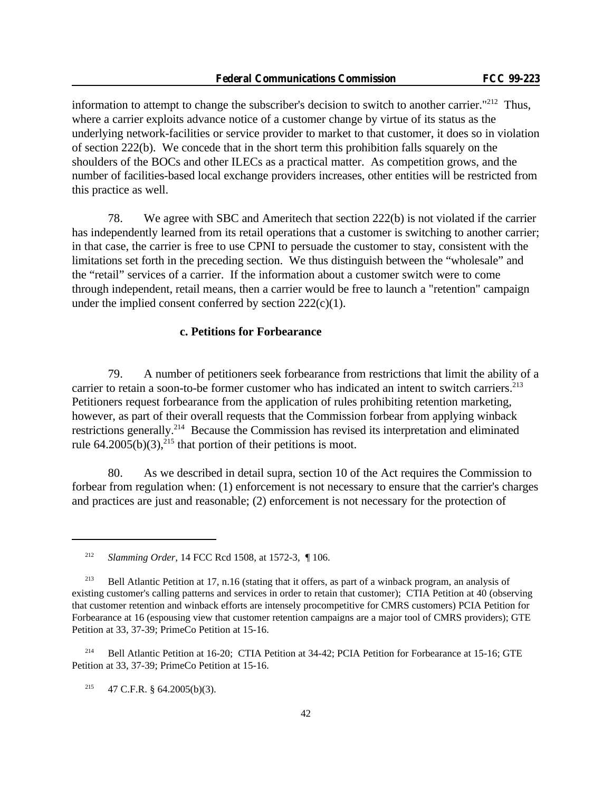information to attempt to change the subscriber's decision to switch to another carrier."<sup>212</sup> Thus, where a carrier exploits advance notice of a customer change by virtue of its status as the underlying network-facilities or service provider to market to that customer, it does so in violation of section 222(b). We concede that in the short term this prohibition falls squarely on the shoulders of the BOCs and other ILECs as a practical matter. As competition grows, and the number of facilities-based local exchange providers increases, other entities will be restricted from this practice as well.

78. We agree with SBC and Ameritech that section 222(b) is not violated if the carrier has independently learned from its retail operations that a customer is switching to another carrier; in that case, the carrier is free to use CPNI to persuade the customer to stay, consistent with the limitations set forth in the preceding section. We thus distinguish between the "wholesale" and the "retail" services of a carrier. If the information about a customer switch were to come through independent, retail means, then a carrier would be free to launch a "retention" campaign under the implied consent conferred by section  $222(c)(1)$ .

## **c. Petitions for Forbearance**

79. A number of petitioners seek forbearance from restrictions that limit the ability of a carrier to retain a soon-to-be former customer who has indicated an intent to switch carriers.<sup>213</sup> Petitioners request forbearance from the application of rules prohibiting retention marketing, however, as part of their overall requests that the Commission forbear from applying winback restrictions generally.<sup>214</sup> Because the Commission has revised its interpretation and eliminated rule  $64.2005(b)(3)$ ,<sup>215</sup> that portion of their petitions is moot.

80. As we described in detail supra, section 10 of the Act requires the Commission to forbear from regulation when: (1) enforcement is not necessary to ensure that the carrier's charges and practices are just and reasonable; (2) enforcement is not necessary for the protection of

<sup>214</sup> Bell Atlantic Petition at 16-20; CTIA Petition at 34-42; PCIA Petition for Forbearance at 15-16; GTE Petition at 33, 37-39; PrimeCo Petition at 15-16.

<sup>215</sup> 47 C.F.R. § 64.2005(b)(3).

<sup>212</sup> *Slamming Order*, 14 FCC Rcd 1508, at 1572-3, ¶ 106.

<sup>&</sup>lt;sup>213</sup> Bell Atlantic Petition at 17, n.16 (stating that it offers, as part of a winback program, an analysis of existing customer's calling patterns and services in order to retain that customer); CTIA Petition at 40 (observing that customer retention and winback efforts are intensely procompetitive for CMRS customers) PCIA Petition for Forbearance at 16 (espousing view that customer retention campaigns are a major tool of CMRS providers); GTE Petition at 33, 37-39; PrimeCo Petition at 15-16.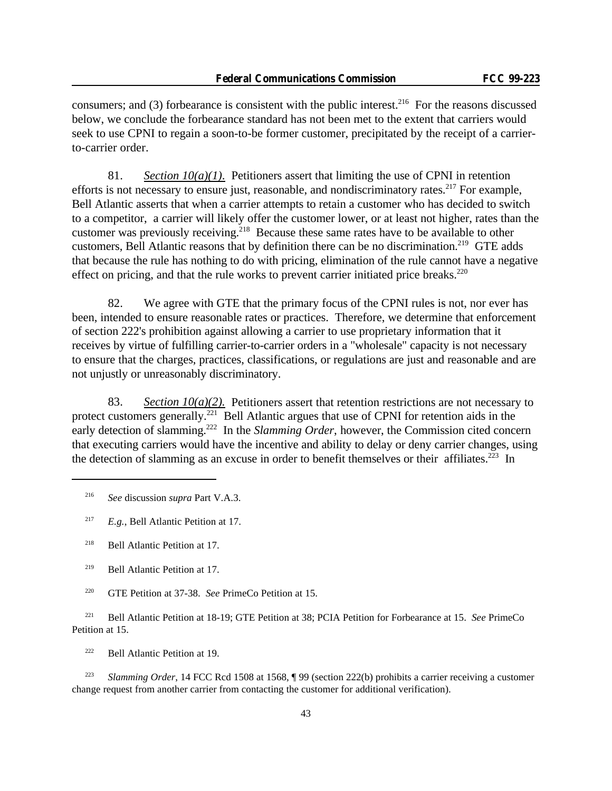consumers; and (3) forbearance is consistent with the public interest.<sup>216</sup> For the reasons discussed below, we conclude the forbearance standard has not been met to the extent that carriers would seek to use CPNI to regain a soon-to-be former customer, precipitated by the receipt of a carrierto-carrier order.

81. *Section 10(a)(1)*. Petitioners assert that limiting the use of CPNI in retention efforts is not necessary to ensure just, reasonable, and nondiscriminatory rates.<sup>217</sup> For example, Bell Atlantic asserts that when a carrier attempts to retain a customer who has decided to switch to a competitor, a carrier will likely offer the customer lower, or at least not higher, rates than the customer was previously receiving.<sup>218</sup> Because these same rates have to be available to other customers, Bell Atlantic reasons that by definition there can be no discrimination.<sup>219</sup> GTE adds that because the rule has nothing to do with pricing, elimination of the rule cannot have a negative effect on pricing, and that the rule works to prevent carrier initiated price breaks. $220$ 

82. We agree with GTE that the primary focus of the CPNI rules is not, nor ever has been, intended to ensure reasonable rates or practices. Therefore, we determine that enforcement of section 222's prohibition against allowing a carrier to use proprietary information that it receives by virtue of fulfilling carrier-to-carrier orders in a "wholesale" capacity is not necessary to ensure that the charges, practices, classifications, or regulations are just and reasonable and are not unjustly or unreasonably discriminatory.

83. *Section 10(a)(2).* Petitioners assert that retention restrictions are not necessary to protect customers generally.<sup>221</sup> Bell Atlantic argues that use of CPNI for retention aids in the early detection of slamming.<sup>222</sup> In the *Slamming Order*, however, the Commission cited concern that executing carriers would have the incentive and ability to delay or deny carrier changes, using the detection of slamming as an excuse in order to benefit themselves or their affiliates.<sup>223</sup> In

<sup>216</sup> *See* discussion *supra* Part V.A.3.

<sup>217</sup> *E.g.*, Bell Atlantic Petition at 17.

<sup>218</sup> Bell Atlantic Petition at 17.

<sup>219</sup> Bell Atlantic Petition at 17.

<sup>220</sup> GTE Petition at 37-38. *See* PrimeCo Petition at 15.

<sup>221</sup> Bell Atlantic Petition at 18-19; GTE Petition at 38; PCIA Petition for Forbearance at 15. *See* PrimeCo Petition at 15.

<sup>222</sup> Bell Atlantic Petition at 19.

<sup>223</sup> *Slamming Order*, 14 FCC Rcd 1508 at 1568, ¶ 99 (section 222(b) prohibits a carrier receiving a customer change request from another carrier from contacting the customer for additional verification).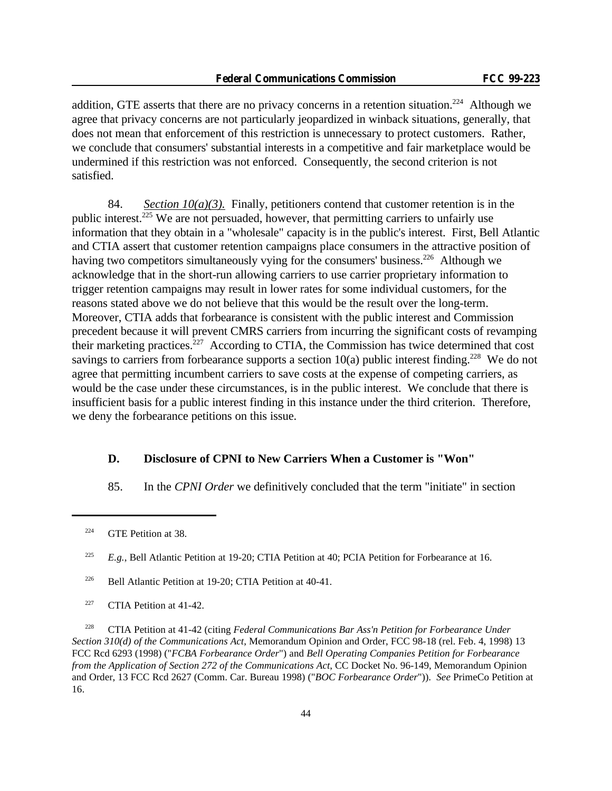addition, GTE asserts that there are no privacy concerns in a retention situation.<sup>224</sup> Although we agree that privacy concerns are not particularly jeopardized in winback situations, generally, that does not mean that enforcement of this restriction is unnecessary to protect customers. Rather, we conclude that consumers' substantial interests in a competitive and fair marketplace would be undermined if this restriction was not enforced. Consequently, the second criterion is not satisfied.

84. *Section 10(a)(3).* Finally, petitioners contend that customer retention is in the public interest.<sup>225</sup> We are not persuaded, however, that permitting carriers to unfairly use information that they obtain in a "wholesale" capacity is in the public's interest. First, Bell Atlantic and CTIA assert that customer retention campaigns place consumers in the attractive position of having two competitors simultaneously vying for the consumers' business.<sup>226</sup> Although we acknowledge that in the short-run allowing carriers to use carrier proprietary information to trigger retention campaigns may result in lower rates for some individual customers, for the reasons stated above we do not believe that this would be the result over the long-term. Moreover, CTIA adds that forbearance is consistent with the public interest and Commission precedent because it will prevent CMRS carriers from incurring the significant costs of revamping their marketing practices.<sup> $227$ </sup> According to CTIA, the Commission has twice determined that cost savings to carriers from forbearance supports a section  $10(a)$  public interest finding.<sup>228</sup> We do not agree that permitting incumbent carriers to save costs at the expense of competing carriers, as would be the case under these circumstances, is in the public interest. We conclude that there is insufficient basis for a public interest finding in this instance under the third criterion. Therefore, we deny the forbearance petitions on this issue.

### **D. Disclosure of CPNI to New Carriers When a Customer is "Won"**

85. In the *CPNI Order* we definitively concluded that the term "initiate" in section

<sup>225</sup> *E.g.*, Bell Atlantic Petition at 19-20; CTIA Petition at 40; PCIA Petition for Forbearance at 16.

<sup>226</sup> Bell Atlantic Petition at 19-20; CTIA Petition at 40-41.

<sup>227</sup> CTIA Petition at 41-42.

<sup>228</sup> CTIA Petition at 41-42 (citing *Federal Communications Bar Ass'n Petition for Forbearance Under Section 310(d) of the Communications Act*, Memorandum Opinion and Order, FCC 98-18 (rel. Feb. 4, 1998) 13 FCC Rcd 6293 (1998) ("*FCBA Forbearance Order*") and *Bell Operating Companies Petition for Forbearance from the Application of Section 272 of the Communications Act*, CC Docket No. 96-149, Memorandum Opinion and Order, 13 FCC Rcd 2627 (Comm. Car. Bureau 1998) ("*BOC Forbearance Order*")). *See* PrimeCo Petition at 16.

<sup>&</sup>lt;sup>224</sup> GTE Petition at 38.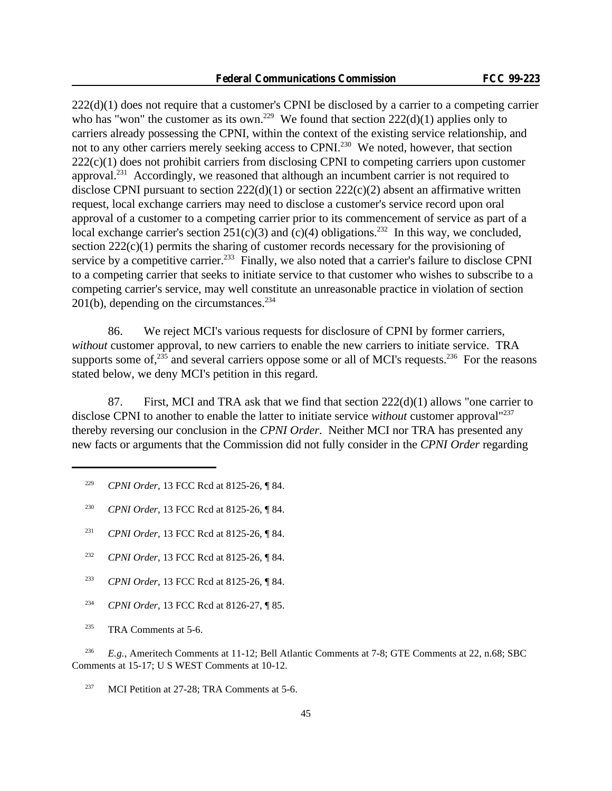222(d)(1) does not require that a customer's CPNI be disclosed by a carrier to a competing carrier who has "won" the customer as its own.<sup>229</sup> We found that section  $222(d)(1)$  applies only to carriers already possessing the CPNI, within the context of the existing service relationship, and not to any other carriers merely seeking access to CPNI.<sup>230</sup> We noted, however, that section  $222(c)(1)$  does not prohibit carriers from disclosing CPNI to competing carriers upon customer approval.<sup>231</sup> Accordingly, we reasoned that although an incumbent carrier is not required to disclose CPNI pursuant to section  $222(d)(1)$  or section  $222(c)(2)$  absent an affirmative written request, local exchange carriers may need to disclose a customer's service record upon oral approval of a customer to a competing carrier prior to its commencement of service as part of a local exchange carrier's section  $251(c)(3)$  and  $(c)(4)$  obligations.<sup>232</sup> In this way, we concluded, section  $222(c)(1)$  permits the sharing of customer records necessary for the provisioning of service by a competitive carrier.<sup>233</sup> Finally, we also noted that a carrier's failure to disclose CPNI to a competing carrier that seeks to initiate service to that customer who wishes to subscribe to a competing carrier's service, may well constitute an unreasonable practice in violation of section 201(b), depending on the circumstances.<sup>234</sup>

86. We reject MCI's various requests for disclosure of CPNI by former carriers, *without* customer approval, to new carriers to enable the new carriers to initiate service. TRA supports some of,  $235$  and several carriers oppose some or all of MCI's requests.<sup>236</sup> For the reasons stated below, we deny MCI's petition in this regard.

87. First, MCI and TRA ask that we find that section  $222(d)(1)$  allows "one carrier to disclose CPNI to another to enable the latter to initiate service *without* customer approval<sup>"237</sup> thereby reversing our conclusion in the *CPNI Order*. Neither MCI nor TRA has presented any new facts or arguments that the Commission did not fully consider in the *CPNI Order* regarding

- <sup>229</sup> *CPNI Order*, 13 FCC Rcd at 8125-26, ¶ 84.
- <sup>230</sup> *CPNI Order*, 13 FCC Rcd at 8125-26, ¶ 84.
- <sup>231</sup> *CPNI Order*, 13 FCC Rcd at 8125-26, ¶ 84.
- <sup>232</sup> *CPNI Order*, 13 FCC Rcd at 8125-26, ¶ 84.
- <sup>233</sup> *CPNI Order*, 13 FCC Rcd at 8125-26, ¶ 84.
- <sup>234</sup> *CPNI Order*, 13 FCC Rcd at 8126-27, ¶ 85.
- <sup>235</sup> TRA Comments at 5-6.

<sup>236</sup> *E.g.*, Ameritech Comments at 11-12; Bell Atlantic Comments at 7-8; GTE Comments at 22, n.68; SBC Comments at 15-17; U S WEST Comments at 10-12.

<sup>237</sup> MCI Petition at 27-28; TRA Comments at 5-6.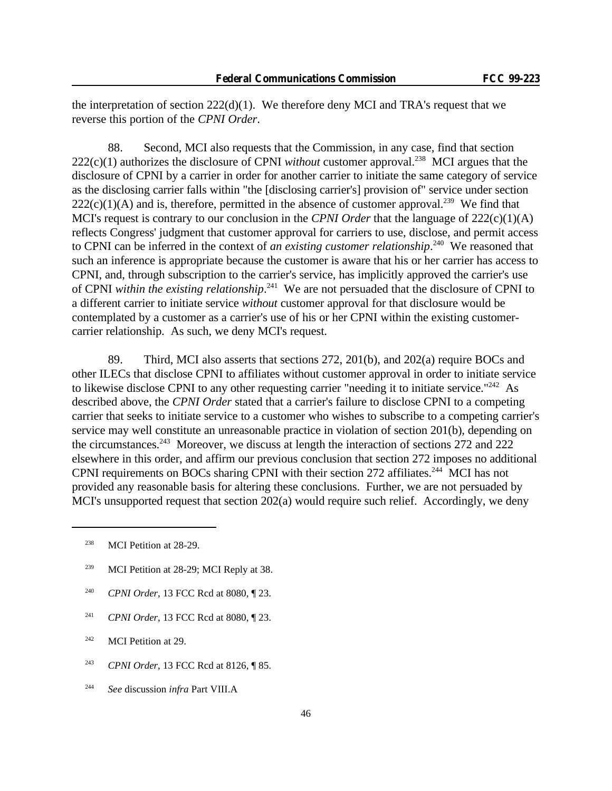the interpretation of section  $222(d)(1)$ . We therefore deny MCI and TRA's request that we reverse this portion of the *CPNI Order*.

88. Second, MCI also requests that the Commission, in any case, find that section  $222(c)(1)$  authorizes the disclosure of CPNI *without* customer approval.<sup>238</sup> MCI argues that the disclosure of CPNI by a carrier in order for another carrier to initiate the same category of service as the disclosing carrier falls within "the [disclosing carrier's] provision of" service under section  $222(c)(1)(A)$  and is, therefore, permitted in the absence of customer approval.<sup>239</sup> We find that MCI's request is contrary to our conclusion in the *CPNI Order* that the language of  $222(c)(1)(A)$ reflects Congress' judgment that customer approval for carriers to use, disclose, and permit access to CPNI can be inferred in the context of *an existing customer relationship*.<sup>240</sup> We reasoned that such an inference is appropriate because the customer is aware that his or her carrier has access to CPNI, and, through subscription to the carrier's service, has implicitly approved the carrier's use of CPNI *within the existing relationship*. <sup>241</sup> We are not persuaded that the disclosure of CPNI to a different carrier to initiate service *without* customer approval for that disclosure would be contemplated by a customer as a carrier's use of his or her CPNI within the existing customercarrier relationship. As such, we deny MCI's request.

89. Third, MCI also asserts that sections 272, 201(b), and 202(a) require BOCs and other ILECs that disclose CPNI to affiliates without customer approval in order to initiate service to likewise disclose CPNI to any other requesting carrier "needing it to initiate service."<sup>242</sup> As described above, the *CPNI Order* stated that a carrier's failure to disclose CPNI to a competing carrier that seeks to initiate service to a customer who wishes to subscribe to a competing carrier's service may well constitute an unreasonable practice in violation of section 201(b), depending on the circumstances.<sup>243</sup> Moreover, we discuss at length the interaction of sections 272 and 222 elsewhere in this order, and affirm our previous conclusion that section 272 imposes no additional CPNI requirements on BOCs sharing CPNI with their section 272 affiliates.<sup>244</sup> MCI has not provided any reasonable basis for altering these conclusions. Further, we are not persuaded by MCI's unsupported request that section 202(a) would require such relief. Accordingly, we deny

- <sup>239</sup> MCI Petition at 28-29; MCI Reply at 38.
- <sup>240</sup> *CPNI Order*, 13 FCC Rcd at 8080, ¶ 23.
- <sup>241</sup> *CPNI Order*, 13 FCC Rcd at 8080, ¶ 23.
- $242$  MCI Petition at 29.
- <sup>243</sup> *CPNI Order*, 13 FCC Rcd at 8126, ¶ 85.
- <sup>244</sup> *See* discussion *infra* Part VIII.A

<sup>&</sup>lt;sup>238</sup> MCI Petition at  $28-29$ .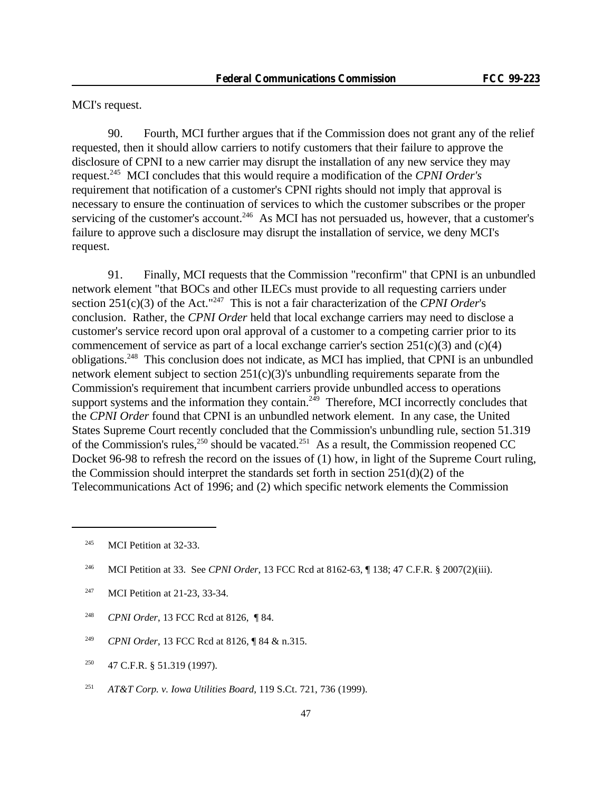MCI's request.

90. Fourth, MCI further argues that if the Commission does not grant any of the relief requested, then it should allow carriers to notify customers that their failure to approve the disclosure of CPNI to a new carrier may disrupt the installation of any new service they may request.<sup>245</sup> MCI concludes that this would require a modification of the *CPNI Order's* requirement that notification of a customer's CPNI rights should not imply that approval is necessary to ensure the continuation of services to which the customer subscribes or the proper servicing of the customer's account.<sup>246</sup> As MCI has not persuaded us, however, that a customer's failure to approve such a disclosure may disrupt the installation of service, we deny MCI's request.

91. Finally, MCI requests that the Commission "reconfirm" that CPNI is an unbundled network element "that BOCs and other ILECs must provide to all requesting carriers under section 251(c)(3) of the Act."<sup>247</sup> This is not a fair characterization of the *CPNI Order*'s conclusion. Rather, the *CPNI Order* held that local exchange carriers may need to disclose a customer's service record upon oral approval of a customer to a competing carrier prior to its commencement of service as part of a local exchange carrier's section  $251(c)(3)$  and  $(c)(4)$ obligations.<sup>248</sup> This conclusion does not indicate, as MCI has implied, that CPNI is an unbundled network element subject to section 251(c)(3)'s unbundling requirements separate from the Commission's requirement that incumbent carriers provide unbundled access to operations support systems and the information they contain.<sup>249</sup> Therefore, MCI incorrectly concludes that the *CPNI Order* found that CPNI is an unbundled network element. In any case, the United States Supreme Court recently concluded that the Commission's unbundling rule, section 51.319 of the Commission's rules,<sup>250</sup> should be vacated.<sup>251</sup> As a result, the Commission reopened CC Docket 96-98 to refresh the record on the issues of (1) how, in light of the Supreme Court ruling, the Commission should interpret the standards set forth in section  $251(d)(2)$  of the Telecommunications Act of 1996; and (2) which specific network elements the Commission

- <sup>248</sup> *CPNI Order*, 13 FCC Rcd at 8126, ¶ 84.
- <sup>249</sup> *CPNI Order*, 13 FCC Rcd at 8126, ¶ 84 & n.315.
- $250$  47 C.F.R. § 51.319 (1997).
- <sup>251</sup> *AT&T Corp. v. Iowa Utilities Board*, 119 S.Ct. 721, 736 (1999).

<sup>&</sup>lt;sup>245</sup> MCI Petition at 32-33.

<sup>246</sup> MCI Petition at 33. See *CPNI Order*, 13 FCC Rcd at 8162-63, ¶ 138; 47 C.F.R. § 2007(2)(iii).

<sup>&</sup>lt;sup>247</sup> MCI Petition at 21-23, 33-34.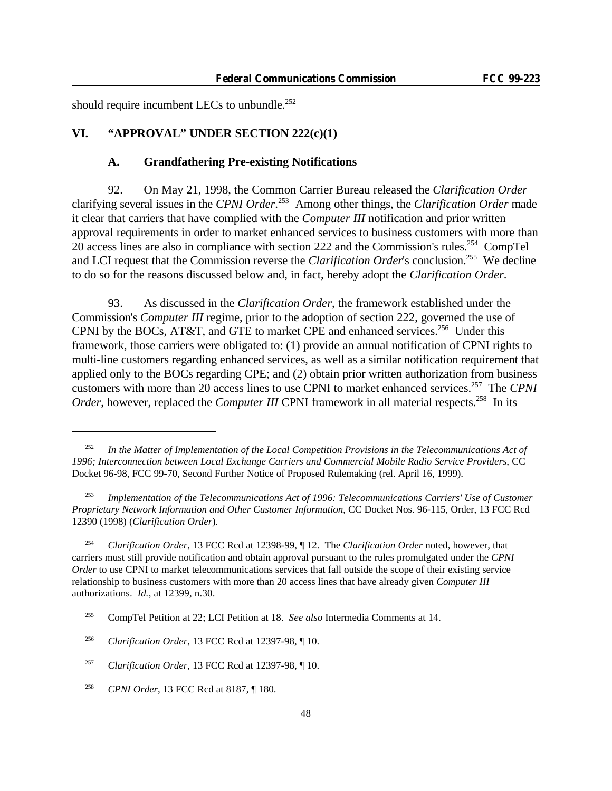should require incumbent LECs to unbundle.<sup>252</sup>

# **VI. "APPROVAL" UNDER SECTION 222(c)(1)**

## **A. Grandfathering Pre-existing Notifications**

92. On May 21, 1998, the Common Carrier Bureau released the *Clarification Order* clarifying several issues in the *CPNI Order*. <sup>253</sup> Among other things, the *Clarification Order* made it clear that carriers that have complied with the *Computer III* notification and prior written approval requirements in order to market enhanced services to business customers with more than 20 access lines are also in compliance with section 222 and the Commission's rules.<sup>254</sup> CompTel and LCI request that the Commission reverse the *Clarification Order's* conclusion.<sup>255</sup> We decline to do so for the reasons discussed below and, in fact, hereby adopt the *Clarification Order*.

93. As discussed in the *Clarification Order*, the framework established under the Commission's *Computer III* regime, prior to the adoption of section 222, governed the use of CPNI by the BOCs, AT&T, and GTE to market CPE and enhanced services.<sup>256</sup> Under this framework, those carriers were obligated to: (1) provide an annual notification of CPNI rights to multi-line customers regarding enhanced services, as well as a similar notification requirement that applied only to the BOCs regarding CPE; and (2) obtain prior written authorization from business customers with more than 20 access lines to use CPNI to market enhanced services.<sup>257</sup> The *CPNI Order*, however, replaced the *Computer III* CPNI framework in all material respects.<sup>258</sup> In its

<sup>252</sup> *In the Matter of Implementation of the Local Competition Provisions in the Telecommunications Act of 1996; Interconnection between Local Exchange Carriers and Commercial Mobile Radio Service Providers*, CC Docket 96-98, FCC 99-70, Second Further Notice of Proposed Rulemaking (rel. April 16, 1999).

<sup>253</sup> *Implementation of the Telecommunications Act of 1996: Telecommunications Carriers' Use of Customer Proprietary Network Information and Other Customer Information*, CC Docket Nos. 96-115, Order, 13 FCC Rcd 12390 (1998) (*Clarification Order*).

<sup>254</sup> *Clarification Order*, 13 FCC Rcd at 12398-99, ¶ 12. The *Clarification Order* noted, however, that carriers must still provide notification and obtain approval pursuant to the rules promulgated under the *CPNI Order* to use CPNI to market telecommunications services that fall outside the scope of their existing service relationship to business customers with more than 20 access lines that have already given *Computer III* authorizations. *Id.*, at 12399, n.30.

<sup>255</sup> CompTel Petition at 22; LCI Petition at 18. *See also* Intermedia Comments at 14.

<sup>256</sup> *Clarification Order*, 13 FCC Rcd at 12397-98, ¶ 10.

<sup>257</sup> *Clarification Order*, 13 FCC Rcd at 12397-98, ¶ 10.

<sup>258</sup> *CPNI Order*, 13 FCC Rcd at 8187, ¶ 180.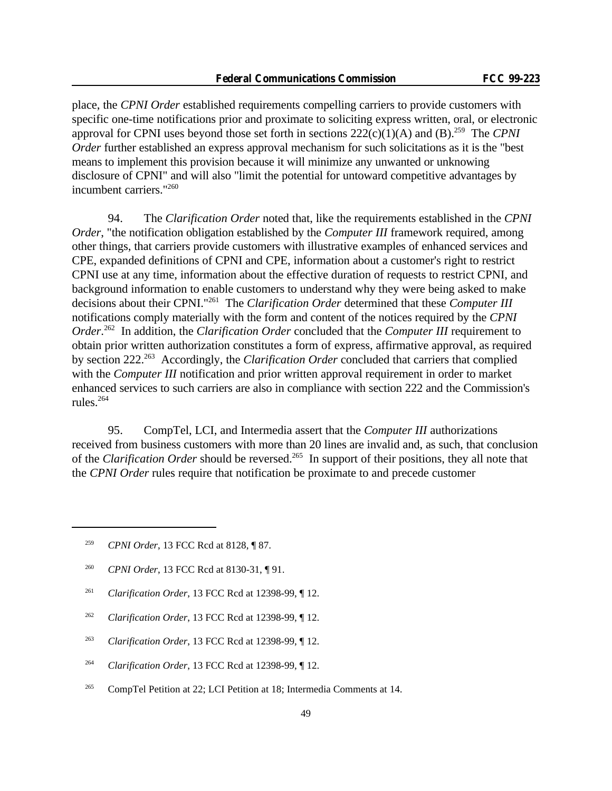place, the *CPNI Order* established requirements compelling carriers to provide customers with specific one-time notifications prior and proximate to soliciting express written, oral, or electronic approval for CPNI uses beyond those set forth in sections  $222(c)(1)(A)$  and  $(B)$ <sup>259</sup> The *CPNI Order* further established an express approval mechanism for such solicitations as it is the "best" means to implement this provision because it will minimize any unwanted or unknowing disclosure of CPNI" and will also "limit the potential for untoward competitive advantages by incumbent carriers."<sup>260</sup>

94. The *Clarification Order* noted that, like the requirements established in the *CPNI Order*, "the notification obligation established by the *Computer III* framework required, among other things, that carriers provide customers with illustrative examples of enhanced services and CPE, expanded definitions of CPNI and CPE, information about a customer's right to restrict CPNI use at any time, information about the effective duration of requests to restrict CPNI, and background information to enable customers to understand why they were being asked to make decisions about their CPNI."<sup>261</sup> The *Clarification Order* determined that these *Computer III* notifications comply materially with the form and content of the notices required by the *CPNI Order*. <sup>262</sup> In addition, the *Clarification Order* concluded that the *Computer III* requirement to obtain prior written authorization constitutes a form of express, affirmative approval, as required by section 222.<sup>263</sup> Accordingly, the *Clarification Order* concluded that carriers that complied with the *Computer III* notification and prior written approval requirement in order to market enhanced services to such carriers are also in compliance with section 222 and the Commission's rules.<sup>264</sup>

95. CompTel, LCI, and Intermedia assert that the *Computer III* authorizations received from business customers with more than 20 lines are invalid and, as such, that conclusion of the *Clarification Order* should be reversed.<sup>265</sup> In support of their positions, they all note that the *CPNI Order* rules require that notification be proximate to and precede customer

- <sup>260</sup> *CPNI Order*, 13 FCC Rcd at 8130-31, ¶ 91.
- <sup>261</sup> *Clarification Order*, 13 FCC Rcd at 12398-99, ¶ 12.
- <sup>262</sup> *Clarification Order*, 13 FCC Rcd at 12398-99, ¶ 12.
- <sup>263</sup> *Clarification Order*, 13 FCC Rcd at 12398-99, ¶ 12.
- <sup>264</sup> *Clarification Order*, 13 FCC Rcd at 12398-99, ¶ 12.
- <sup>265</sup> CompTel Petition at 22; LCI Petition at 18; Intermedia Comments at 14.

<sup>259</sup> *CPNI Order*, 13 FCC Rcd at 8128, ¶ 87.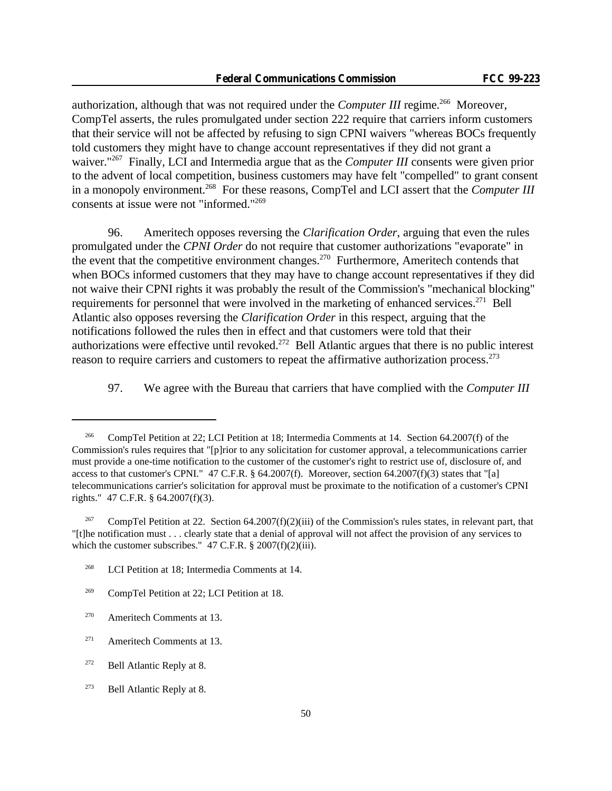authorization, although that was not required under the *Computer III* regime.<sup>266</sup> Moreover, CompTel asserts, the rules promulgated under section 222 require that carriers inform customers that their service will not be affected by refusing to sign CPNI waivers "whereas BOCs frequently told customers they might have to change account representatives if they did not grant a waiver."<sup>267</sup> Finally, LCI and Intermedia argue that as the *Computer III* consents were given prior to the advent of local competition, business customers may have felt "compelled" to grant consent in a monopoly environment.<sup>268</sup> For these reasons, CompTel and LCI assert that the *Computer III* consents at issue were not "informed."<sup>269</sup>

96. Ameritech opposes reversing the *Clarification Order*, arguing that even the rules promulgated under the *CPNI Order* do not require that customer authorizations "evaporate" in the event that the competitive environment changes.<sup>270</sup> Furthermore, Ameritech contends that when BOCs informed customers that they may have to change account representatives if they did not waive their CPNI rights it was probably the result of the Commission's "mechanical blocking" requirements for personnel that were involved in the marketing of enhanced services.<sup>271</sup> Bell Atlantic also opposes reversing the *Clarification Order* in this respect, arguing that the notifications followed the rules then in effect and that customers were told that their authorizations were effective until revoked.<sup>272</sup> Bell Atlantic argues that there is no public interest reason to require carriers and customers to repeat the affirmative authorization process.<sup>273</sup>

97. We agree with the Bureau that carriers that have complied with the *Computer III*

<sup>&</sup>lt;sup>266</sup> CompTel Petition at 22; LCI Petition at 18; Intermedia Comments at 14. Section 64.2007(f) of the Commission's rules requires that "[p]rior to any solicitation for customer approval, a telecommunications carrier must provide a one-time notification to the customer of the customer's right to restrict use of, disclosure of, and access to that customer's CPNI."  $47$  C.F.R. § 64.2007(f). Moreover, section 64.2007(f)(3) states that "[a] telecommunications carrier's solicitation for approval must be proximate to the notification of a customer's CPNI rights." 47 C.F.R. § 64.2007(f)(3).

CompTel Petition at 22. Section  $64.2007(f)(2)(iii)$  of the Commission's rules states, in relevant part, that "[t]he notification must . . . clearly state that a denial of approval will not affect the provision of any services to which the customer subscribes."  $47$  C.F.R. §  $2007(f)(2)(iii)$ .

<sup>&</sup>lt;sup>268</sup> LCI Petition at 18; Intermedia Comments at 14.

<sup>&</sup>lt;sup>269</sup> CompTel Petition at 22; LCI Petition at 18.

 $270$  Ameritech Comments at 13.

<sup>&</sup>lt;sup>271</sup> Ameritech Comments at 13.

<sup>272</sup> Bell Atlantic Reply at 8.

 $273$  Bell Atlantic Reply at 8.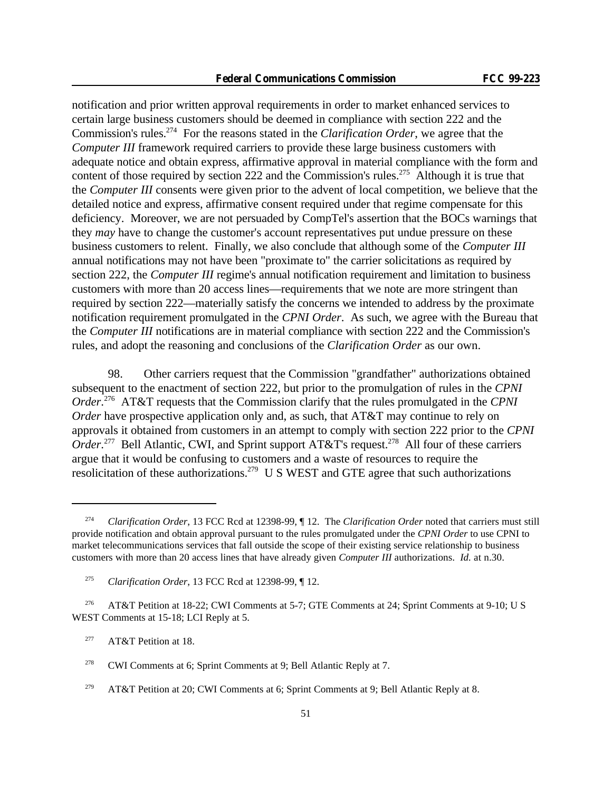notification and prior written approval requirements in order to market enhanced services to certain large business customers should be deemed in compliance with section 222 and the Commission's rules.<sup>274</sup> For the reasons stated in the *Clarification Order*, we agree that the *Computer III* framework required carriers to provide these large business customers with adequate notice and obtain express, affirmative approval in material compliance with the form and content of those required by section 222 and the Commission's rules.<sup>275</sup> Although it is true that the *Computer III* consents were given prior to the advent of local competition, we believe that the detailed notice and express, affirmative consent required under that regime compensate for this deficiency. Moreover, we are not persuaded by CompTel's assertion that the BOCs warnings that they *may* have to change the customer's account representatives put undue pressure on these business customers to relent. Finally, we also conclude that although some of the *Computer III* annual notifications may not have been "proximate to" the carrier solicitations as required by section 222, the *Computer III* regime's annual notification requirement and limitation to business customers with more than 20 access lines—requirements that we note are more stringent than required by section 222—materially satisfy the concerns we intended to address by the proximate notification requirement promulgated in the *CPNI Order*. As such, we agree with the Bureau that the *Computer III* notifications are in material compliance with section 222 and the Commission's rules, and adopt the reasoning and conclusions of the *Clarification Order* as our own.

98. Other carriers request that the Commission "grandfather" authorizations obtained subsequent to the enactment of section 222, but prior to the promulgation of rules in the *CPNI Order*. <sup>276</sup> AT&T requests that the Commission clarify that the rules promulgated in the *CPNI Order* have prospective application only and, as such, that AT&T may continue to rely on approvals it obtained from customers in an attempt to comply with section 222 prior to the *CPNI* Order.<sup>277</sup> Bell Atlantic, CWI, and Sprint support AT&T's request.<sup>278</sup> All four of these carriers argue that it would be confusing to customers and a waste of resources to require the resolicitation of these authorizations.<sup>279</sup> U S WEST and GTE agree that such authorizations

<sup>274</sup> *Clarification Order*, 13 FCC Rcd at 12398-99, ¶ 12. The *Clarification Order* noted that carriers must still provide notification and obtain approval pursuant to the rules promulgated under the *CPNI Order* to use CPNI to market telecommunications services that fall outside the scope of their existing service relationship to business customers with more than 20 access lines that have already given *Computer III* authorizations. *Id.* at n.30.

<sup>275</sup> *Clarification Order*, 13 FCC Rcd at 12398-99, ¶ 12.

<sup>&</sup>lt;sup>276</sup> AT&T Petition at 18-22; CWI Comments at 5-7; GTE Comments at 24; Sprint Comments at 9-10; U S WEST Comments at 15-18; LCI Reply at 5.

<sup>&</sup>lt;sup>277</sup> AT&T Petition at 18.

<sup>&</sup>lt;sup>278</sup> CWI Comments at 6; Sprint Comments at 9; Bell Atlantic Reply at 7.

 $279$  AT&T Petition at 20; CWI Comments at 6; Sprint Comments at 9; Bell Atlantic Reply at 8.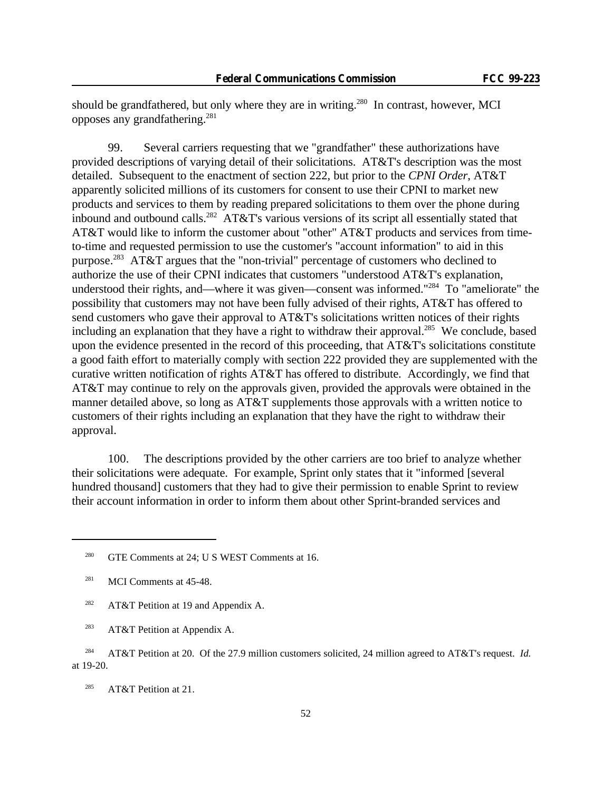should be grandfathered, but only where they are in writing.<sup>280</sup> In contrast, however, MCI opposes any grandfathering.<sup>281</sup>

99. Several carriers requesting that we "grandfather" these authorizations have provided descriptions of varying detail of their solicitations. AT&T's description was the most detailed. Subsequent to the enactment of section 222, but prior to the *CPNI Order*, AT&T apparently solicited millions of its customers for consent to use their CPNI to market new products and services to them by reading prepared solicitations to them over the phone during inbound and outbound calls.<sup>282</sup> AT&T's various versions of its script all essentially stated that AT&T would like to inform the customer about "other" AT&T products and services from timeto-time and requested permission to use the customer's "account information" to aid in this purpose.<sup>283</sup> AT&T argues that the "non-trivial" percentage of customers who declined to authorize the use of their CPNI indicates that customers "understood AT&T's explanation, understood their rights, and—where it was given—consent was informed."<sup>284</sup> To "ameliorate" the possibility that customers may not have been fully advised of their rights, AT&T has offered to send customers who gave their approval to AT&T's solicitations written notices of their rights including an explanation that they have a right to withdraw their approval.<sup>285</sup> We conclude, based upon the evidence presented in the record of this proceeding, that AT&T's solicitations constitute a good faith effort to materially comply with section 222 provided they are supplemented with the curative written notification of rights AT&T has offered to distribute. Accordingly, we find that AT&T may continue to rely on the approvals given, provided the approvals were obtained in the manner detailed above, so long as AT&T supplements those approvals with a written notice to customers of their rights including an explanation that they have the right to withdraw their approval.

100. The descriptions provided by the other carriers are too brief to analyze whether their solicitations were adequate. For example, Sprint only states that it "informed [several hundred thousand] customers that they had to give their permission to enable Sprint to review their account information in order to inform them about other Sprint-branded services and

- <sup>282</sup> AT&T Petition at 19 and Appendix A.
- <sup>283</sup> AT&T Petition at Appendix A.

<sup>&</sup>lt;sup>280</sup> GTE Comments at 24; U S WEST Comments at 16.

<sup>&</sup>lt;sup>281</sup> MCI Comments at 45-48.

<sup>284</sup> AT&T Petition at 20. Of the 27.9 million customers solicited, 24 million agreed to AT&T's request. *Id.* at 19-20.

<sup>285</sup> AT&T Petition at 21.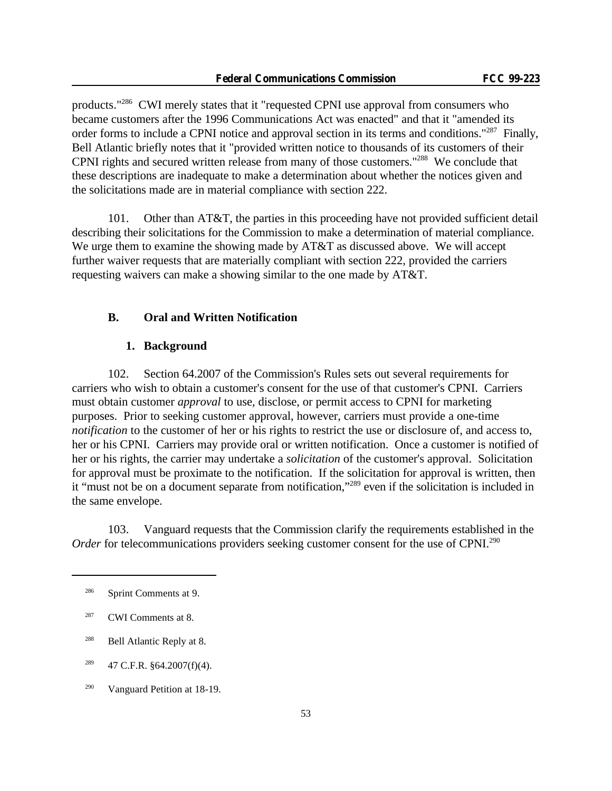products."<sup>286</sup> CWI merely states that it "requested CPNI use approval from consumers who became customers after the 1996 Communications Act was enacted" and that it "amended its order forms to include a CPNI notice and approval section in its terms and conditions."<sup>287</sup> Finally, Bell Atlantic briefly notes that it "provided written notice to thousands of its customers of their CPNI rights and secured written release from many of those customers."<sup>288</sup> We conclude that these descriptions are inadequate to make a determination about whether the notices given and the solicitations made are in material compliance with section 222.

101. Other than AT&T, the parties in this proceeding have not provided sufficient detail describing their solicitations for the Commission to make a determination of material compliance. We urge them to examine the showing made by AT&T as discussed above. We will accept further waiver requests that are materially compliant with section 222, provided the carriers requesting waivers can make a showing similar to the one made by AT&T.

## **B. Oral and Written Notification**

## **1. Background**

102. Section 64.2007 of the Commission's Rules sets out several requirements for carriers who wish to obtain a customer's consent for the use of that customer's CPNI. Carriers must obtain customer *approval* to use, disclose, or permit access to CPNI for marketing purposes. Prior to seeking customer approval, however, carriers must provide a one-time *notification* to the customer of her or his rights to restrict the use or disclosure of, and access to, her or his CPNI. Carriers may provide oral or written notification. Once a customer is notified of her or his rights, the carrier may undertake a *solicitation* of the customer's approval. Solicitation for approval must be proximate to the notification. If the solicitation for approval is written, then it "must not be on a document separate from notification,"<sup>289</sup> even if the solicitation is included in the same envelope.

103. Vanguard requests that the Commission clarify the requirements established in the *Order* for telecommunications providers seeking customer consent for the use of CPNI.<sup>290</sup>

<sup>286</sup> Sprint Comments at 9.

<sup>287</sup> CWI Comments at 8.

<sup>288</sup> Bell Atlantic Reply at 8.

 $^{289}$  47 C.F.R. §64.2007(f)(4).

<sup>290</sup> Vanguard Petition at 18-19.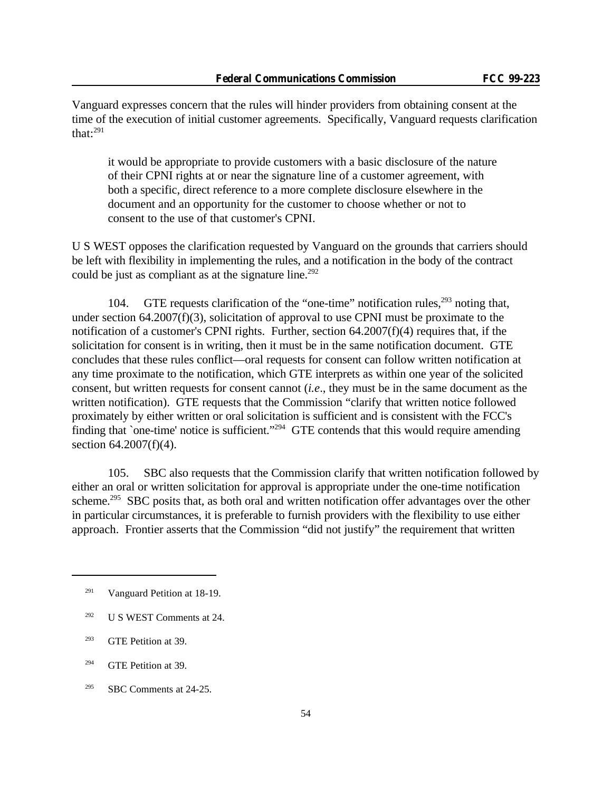Vanguard expresses concern that the rules will hinder providers from obtaining consent at the time of the execution of initial customer agreements. Specifically, Vanguard requests clarification that: $291$ 

it would be appropriate to provide customers with a basic disclosure of the nature of their CPNI rights at or near the signature line of a customer agreement, with both a specific, direct reference to a more complete disclosure elsewhere in the document and an opportunity for the customer to choose whether or not to consent to the use of that customer's CPNI.

U S WEST opposes the clarification requested by Vanguard on the grounds that carriers should be left with flexibility in implementing the rules, and a notification in the body of the contract could be just as compliant as at the signature line.<sup>292</sup>

104. GTE requests clarification of the "one-time" notification rules,  $293$  noting that, under section 64.2007(f)(3), solicitation of approval to use CPNI must be proximate to the notification of a customer's CPNI rights. Further, section 64.2007(f)(4) requires that, if the solicitation for consent is in writing, then it must be in the same notification document. GTE concludes that these rules conflict—oral requests for consent can follow written notification at any time proximate to the notification, which GTE interprets as within one year of the solicited consent, but written requests for consent cannot (*i.e*., they must be in the same document as the written notification). GTE requests that the Commission "clarify that written notice followed proximately by either written or oral solicitation is sufficient and is consistent with the FCC's finding that `one-time' notice is sufficient."<sup>294</sup> GTE contends that this would require amending section 64.2007(f)(4).

105. SBC also requests that the Commission clarify that written notification followed by either an oral or written solicitation for approval is appropriate under the one-time notification scheme.<sup>295</sup> SBC posits that, as both oral and written notification offer advantages over the other in particular circumstances, it is preferable to furnish providers with the flexibility to use either approach. Frontier asserts that the Commission "did not justify" the requirement that written

<sup>&</sup>lt;sup>291</sup> Vanguard Petition at 18-19.

 $292$  U S WEST Comments at 24.

<sup>293</sup> GTE Petition at 39.

<sup>294</sup> GTE Petition at 39.

<sup>&</sup>lt;sup>295</sup> SBC Comments at  $24-25$ .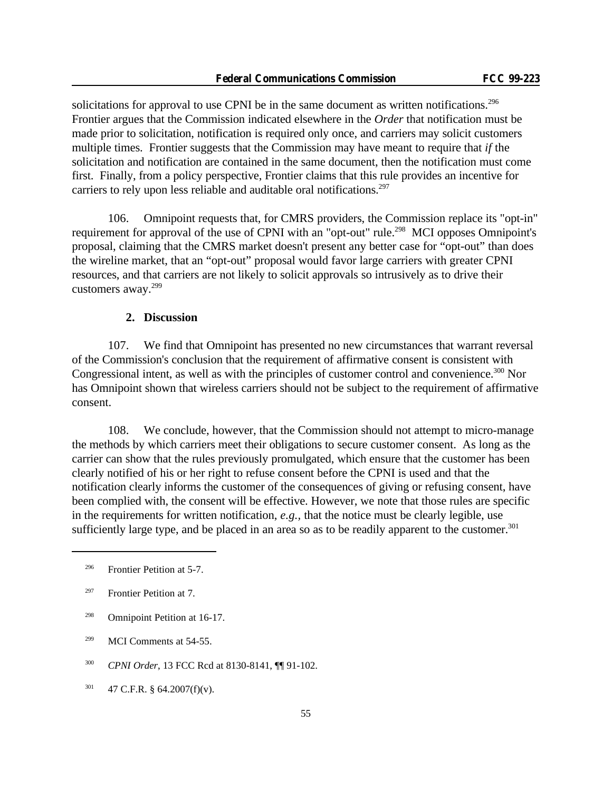solicitations for approval to use CPNI be in the same document as written notifications.<sup>296</sup> Frontier argues that the Commission indicated elsewhere in the *Order* that notification must be made prior to solicitation, notification is required only once, and carriers may solicit customers multiple times. Frontier suggests that the Commission may have meant to require that *if* the solicitation and notification are contained in the same document, then the notification must come first. Finally, from a policy perspective, Frontier claims that this rule provides an incentive for carriers to rely upon less reliable and auditable oral notifications.<sup>297</sup>

106. Omnipoint requests that, for CMRS providers, the Commission replace its "opt-in" requirement for approval of the use of CPNI with an "opt-out" rule.<sup>298</sup> MCI opposes Omnipoint's proposal, claiming that the CMRS market doesn't present any better case for "opt-out" than does the wireline market, that an "opt-out" proposal would favor large carriers with greater CPNI resources, and that carriers are not likely to solicit approvals so intrusively as to drive their customers away.<sup>299</sup>

### **2. Discussion**

107. We find that Omnipoint has presented no new circumstances that warrant reversal of the Commission's conclusion that the requirement of affirmative consent is consistent with Congressional intent, as well as with the principles of customer control and convenience.<sup>300</sup> Nor has Omnipoint shown that wireless carriers should not be subject to the requirement of affirmative consent.

108. We conclude, however, that the Commission should not attempt to micro-manage the methods by which carriers meet their obligations to secure customer consent. As long as the carrier can show that the rules previously promulgated, which ensure that the customer has been clearly notified of his or her right to refuse consent before the CPNI is used and that the notification clearly informs the customer of the consequences of giving or refusing consent, have been complied with, the consent will be effective. However, we note that those rules are specific in the requirements for written notification, *e.g.,* that the notice must be clearly legible, use sufficiently large type, and be placed in an area so as to be readily apparent to the customer.<sup>301</sup>

<sup>296</sup> Frontier Petition at 5-7.

<sup>297</sup> Frontier Petition at 7.

<sup>298</sup> Omnipoint Petition at 16-17.

<sup>&</sup>lt;sup>299</sup> MCI Comments at 54-55.

<sup>300</sup> *CPNI Order*, 13 FCC Rcd at 8130-8141, ¶¶ 91-102.

 $301$  47 C.F.R. § 64.2007(f)(v).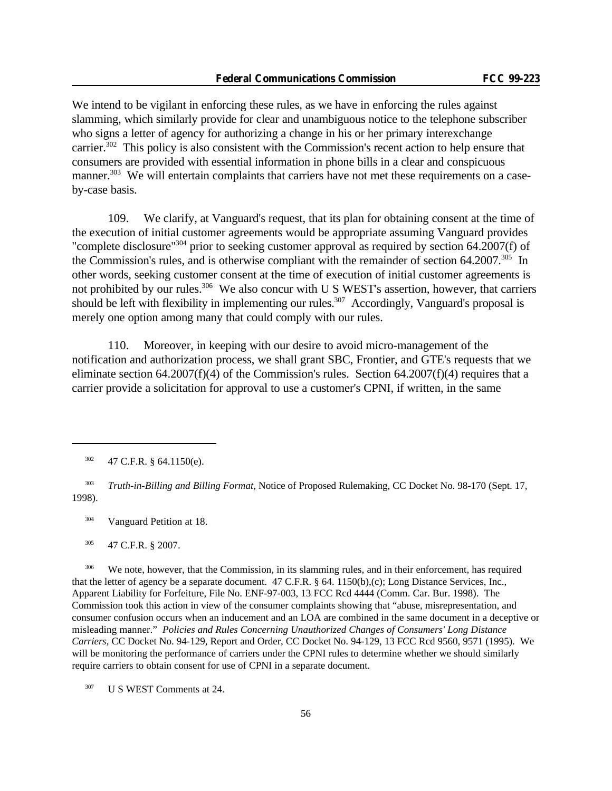We intend to be vigilant in enforcing these rules, as we have in enforcing the rules against slamming, which similarly provide for clear and unambiguous notice to the telephone subscriber who signs a letter of agency for authorizing a change in his or her primary interexchange carrier.<sup>302</sup> This policy is also consistent with the Commission's recent action to help ensure that consumers are provided with essential information in phone bills in a clear and conspicuous manner.<sup>303</sup> We will entertain complaints that carriers have not met these requirements on a caseby-case basis.

109. We clarify, at Vanguard's request, that its plan for obtaining consent at the time of the execution of initial customer agreements would be appropriate assuming Vanguard provides "complete disclosure"<sup>304</sup> prior to seeking customer approval as required by section 64.2007(f) of the Commission's rules, and is otherwise compliant with the remainder of section  $64.2007$ .<sup>305</sup> In other words, seeking customer consent at the time of execution of initial customer agreements is not prohibited by our rules.<sup>306</sup> We also concur with U S WEST's assertion, however, that carriers should be left with flexibility in implementing our rules.<sup>307</sup> Accordingly, Vanguard's proposal is merely one option among many that could comply with our rules.

110. Moreover, in keeping with our desire to avoid micro-management of the notification and authorization process, we shall grant SBC, Frontier, and GTE's requests that we eliminate section 64.2007(f)(4) of the Commission's rules. Section 64.2007(f)(4) requires that a carrier provide a solicitation for approval to use a customer's CPNI, if written, in the same

<sup>304</sup> Vanguard Petition at 18.

<sup>305</sup> 47 C.F.R. § 2007.

<sup>306</sup> We note, however, that the Commission, in its slamming rules, and in their enforcement, has required that the letter of agency be a separate document. 47 C.F.R. § 64. 1150(b),(c); Long Distance Services, Inc., Apparent Liability for Forfeiture, File No. ENF-97-003, 13 FCC Rcd 4444 (Comm. Car. Bur. 1998). The Commission took this action in view of the consumer complaints showing that "abuse, misrepresentation, and consumer confusion occurs when an inducement and an LOA are combined in the same document in a deceptive or misleading manner." *Policies and Rules Concerning Unauthorized Changes of Consumers' Long Distance Carriers*, CC Docket No. 94-129, Report and Order, CC Docket No. 94-129, 13 FCC Rcd 9560, 9571 (1995). We will be monitoring the performance of carriers under the CPNI rules to determine whether we should similarly require carriers to obtain consent for use of CPNI in a separate document.

<sup>307</sup> U S WEST Comments at 24.

 $302$  47 C.F.R. § 64.1150(e).

<sup>303</sup> *Truth-in-Billing and Billing Format*, Notice of Proposed Rulemaking, CC Docket No. 98-170 (Sept. 17, 1998).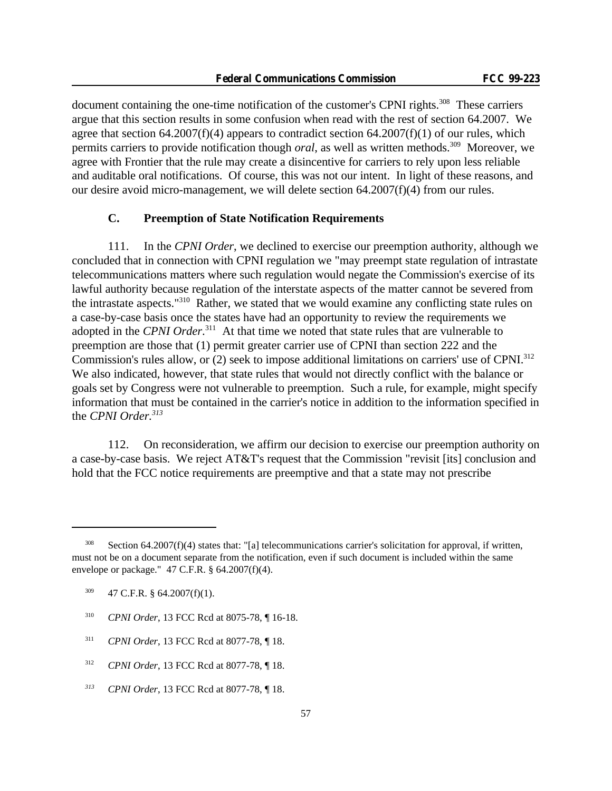document containing the one-time notification of the customer's CPNI rights.<sup>308</sup> These carriers argue that this section results in some confusion when read with the rest of section 64.2007. We agree that section 64.2007(f)(4) appears to contradict section 64.2007(f)(1) of our rules, which permits carriers to provide notification though *oral*, as well as written methods.<sup>309</sup> Moreover, we agree with Frontier that the rule may create a disincentive for carriers to rely upon less reliable and auditable oral notifications. Of course, this was not our intent. In light of these reasons, and our desire avoid micro-management, we will delete section  $64.2007(f)(4)$  from our rules.

## **C. Preemption of State Notification Requirements**

111. In the *CPNI Order*, we declined to exercise our preemption authority, although we concluded that in connection with CPNI regulation we "may preempt state regulation of intrastate telecommunications matters where such regulation would negate the Commission's exercise of its lawful authority because regulation of the interstate aspects of the matter cannot be severed from the intrastate aspects."<sup>310</sup> Rather, we stated that we would examine any conflicting state rules on a case-by-case basis once the states have had an opportunity to review the requirements we adopted in the *CPNI Order*. <sup>311</sup> At that time we noted that state rules that are vulnerable to preemption are those that (1) permit greater carrier use of CPNI than section 222 and the Commission's rules allow, or (2) seek to impose additional limitations on carriers' use of CPNI.<sup>312</sup> We also indicated, however, that state rules that would not directly conflict with the balance or goals set by Congress were not vulnerable to preemption. Such a rule, for example, might specify information that must be contained in the carrier's notice in addition to the information specified in the *CPNI Order.<sup>313</sup>*

112. On reconsideration, we affirm our decision to exercise our preemption authority on a case-by-case basis. We reject AT&T's request that the Commission "revisit [its] conclusion and hold that the FCC notice requirements are preemptive and that a state may not prescribe

- <sup>310</sup> *CPNI Order*, 13 FCC Rcd at 8075-78, ¶ 16-18.
- <sup>311</sup> *CPNI Order*, 13 FCC Rcd at 8077-78, ¶ 18.
- <sup>312</sup> *CPNI Order*, 13 FCC Rcd at 8077-78, ¶ 18.
- *<sup>313</sup> CPNI Order*, 13 FCC Rcd at 8077-78, ¶ 18.

Section 64.2007(f)(4) states that: "[a] telecommunications carrier's solicitation for approval, if written, must not be on a document separate from the notification, even if such document is included within the same envelope or package." 47 C.F.R. § 64.2007(f)(4).

 $309$  47 C.F.R. § 64.2007(f)(1).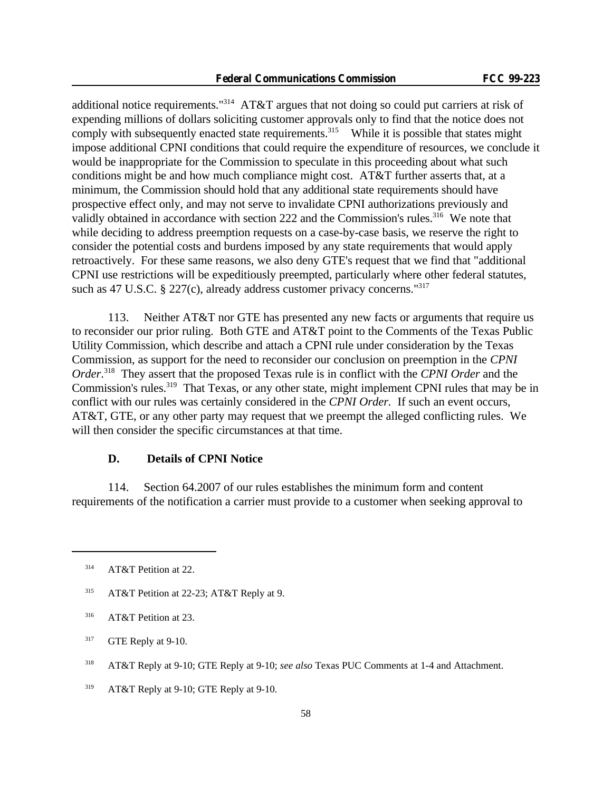additional notice requirements."<sup>314</sup> AT&T argues that not doing so could put carriers at risk of expending millions of dollars soliciting customer approvals only to find that the notice does not comply with subsequently enacted state requirements.<sup>315</sup> While it is possible that states might impose additional CPNI conditions that could require the expenditure of resources, we conclude it would be inappropriate for the Commission to speculate in this proceeding about what such conditions might be and how much compliance might cost. AT&T further asserts that, at a minimum, the Commission should hold that any additional state requirements should have prospective effect only, and may not serve to invalidate CPNI authorizations previously and validly obtained in accordance with section 222 and the Commission's rules.<sup>316</sup> We note that while deciding to address preemption requests on a case-by-case basis, we reserve the right to consider the potential costs and burdens imposed by any state requirements that would apply retroactively. For these same reasons, we also deny GTE's request that we find that "additional CPNI use restrictions will be expeditiously preempted, particularly where other federal statutes, such as 47 U.S.C. § 227(c), already address customer privacy concerns.<sup>"317</sup>

113. Neither AT&T nor GTE has presented any new facts or arguments that require us to reconsider our prior ruling. Both GTE and AT&T point to the Comments of the Texas Public Utility Commission, which describe and attach a CPNI rule under consideration by the Texas Commission, as support for the need to reconsider our conclusion on preemption in the *CPNI Order*. <sup>318</sup> They assert that the proposed Texas rule is in conflict with the *CPNI Order* and the Commission's rules.<sup>319</sup> That Texas, or any other state, might implement CPNI rules that may be in conflict with our rules was certainly considered in the *CPNI Order.* If such an event occurs, AT&T, GTE, or any other party may request that we preempt the alleged conflicting rules. We will then consider the specific circumstances at that time.

### **D. Details of CPNI Notice**

114. Section 64.2007 of our rules establishes the minimum form and content requirements of the notification a carrier must provide to a customer when seeking approval to

<sup>&</sup>lt;sup>314</sup> AT&T Petition at 22.

<sup>&</sup>lt;sup>315</sup> AT&T Petition at 22-23; AT&T Reply at 9.

<sup>&</sup>lt;sup>316</sup> AT&T Petition at 23.

 $317$  GTE Reply at 9-10.

<sup>318</sup> AT&T Reply at 9-10; GTE Reply at 9-10; *see also* Texas PUC Comments at 1-4 and Attachment.

<sup>&</sup>lt;sup>319</sup> AT&T Reply at 9-10; GTE Reply at 9-10.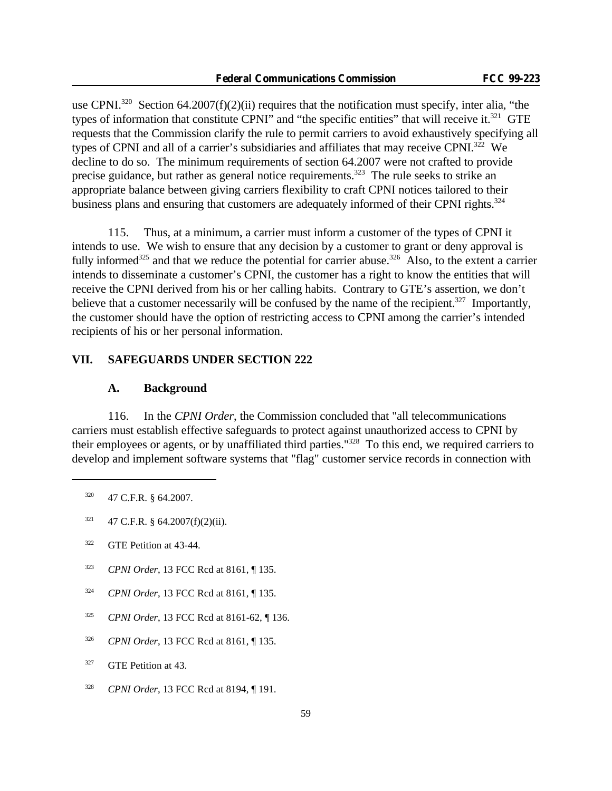use CPNI.<sup>320</sup> Section 64.2007(f)(2)(ii) requires that the notification must specify, inter alia, "the types of information that constitute CPNI" and "the specific entities" that will receive it.<sup>321</sup> GTE requests that the Commission clarify the rule to permit carriers to avoid exhaustively specifying all types of CPNI and all of a carrier's subsidiaries and affiliates that may receive CPNI.<sup>322</sup> We decline to do so. The minimum requirements of section 64.2007 were not crafted to provide precise guidance, but rather as general notice requirements.<sup>323</sup> The rule seeks to strike an appropriate balance between giving carriers flexibility to craft CPNI notices tailored to their business plans and ensuring that customers are adequately informed of their CPNI rights. $324$ 

115. Thus, at a minimum, a carrier must inform a customer of the types of CPNI it intends to use. We wish to ensure that any decision by a customer to grant or deny approval is fully informed<sup>325</sup> and that we reduce the potential for carrier abuse.<sup>326</sup> Also, to the extent a carrier intends to disseminate a customer's CPNI, the customer has a right to know the entities that will receive the CPNI derived from his or her calling habits. Contrary to GTE's assertion, we don't believe that a customer necessarily will be confused by the name of the recipient.<sup>327</sup> Importantly, the customer should have the option of restricting access to CPNI among the carrier's intended recipients of his or her personal information.

### **VII. SAFEGUARDS UNDER SECTION 222**

#### **A. Background**

116. In the *CPNI Order*, the Commission concluded that "all telecommunications carriers must establish effective safeguards to protect against unauthorized access to CPNI by their employees or agents, or by unaffiliated third parties."<sup>328</sup> To this end, we required carriers to develop and implement software systems that "flag" customer service records in connection with

- <sup>322</sup> GTE Petition at 43-44.
- <sup>323</sup> *CPNI Order*, 13 FCC Rcd at 8161, ¶ 135.
- <sup>324</sup> *CPNI Order*, 13 FCC Rcd at 8161, ¶ 135.
- <sup>325</sup> *CPNI Order*, 13 FCC Rcd at 8161-62, ¶ 136.
- <sup>326</sup> *CPNI Order*, 13 FCC Rcd at 8161, ¶ 135.
- <sup>327</sup> GTE Petition at 43.
- <sup>328</sup> *CPNI Order*, 13 FCC Rcd at 8194, ¶ 191.

<sup>&</sup>lt;sup>320</sup> 47 C.F.R. § 64.2007.

 $321$  47 C.F.R. § 64.2007(f)(2)(ii).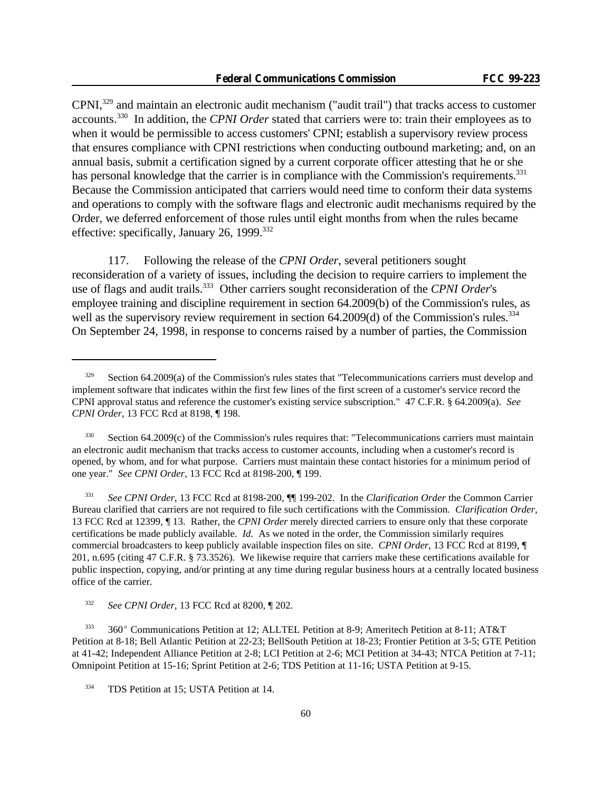CPNI,<sup>329</sup> and maintain an electronic audit mechanism ("audit trail") that tracks access to customer accounts.<sup>330</sup> In addition, the *CPNI Order* stated that carriers were to: train their employees as to when it would be permissible to access customers' CPNI; establish a supervisory review process that ensures compliance with CPNI restrictions when conducting outbound marketing; and, on an annual basis, submit a certification signed by a current corporate officer attesting that he or she has personal knowledge that the carrier is in compliance with the Commission's requirements.<sup>331</sup> Because the Commission anticipated that carriers would need time to conform their data systems and operations to comply with the software flags and electronic audit mechanisms required by the Order, we deferred enforcement of those rules until eight months from when the rules became effective: specifically, January 26, 1999.<sup>332</sup>

117. Following the release of the *CPNI Order*, several petitioners sought reconsideration of a variety of issues, including the decision to require carriers to implement the use of flags and audit trails.<sup>333</sup> Other carriers sought reconsideration of the *CPNI Order*'s employee training and discipline requirement in section 64.2009(b) of the Commission's rules, as well as the supervisory review requirement in section 64.2009(d) of the Commission's rules.<sup>334</sup> On September 24, 1998, in response to concerns raised by a number of parties, the Commission

<sup>331</sup> *See CPNI Order*, 13 FCC Rcd at 8198-200, ¶¶ 199-202. In the *Clarification Order* the Common Carrier Bureau clarified that carriers are not required to file such certifications with the Commission. *Clarification Order*, 13 FCC Rcd at 12399, ¶ 13. Rather, the *CPNI Order* merely directed carriers to ensure only that these corporate certifications be made publicly available. *Id*. As we noted in the order, the Commission similarly requires commercial broadcasters to keep publicly available inspection files on site. *CPNI Order*, 13 FCC Rcd at 8199, ¶ 201, n.695 (citing 47 C.F.R. § 73.3526). We likewise require that carriers make these certifications available for public inspection, copying, and/or printing at any time during regular business hours at a centrally located business office of the carrier.

 $329$  Section 64.2009(a) of the Commission's rules states that "Telecommunications carriers must develop and implement software that indicates within the first few lines of the first screen of a customer's service record the CPNI approval status and reference the customer's existing service subscription." 47 C.F.R. § 64.2009(a). *See CPNI Order*, 13 FCC Rcd at 8198, ¶ 198.

 $330$  Section 64.2009(c) of the Commission's rules requires that: "Telecommunications carriers must maintain an electronic audit mechanism that tracks access to customer accounts, including when a customer's record is opened, by whom, and for what purpose. Carriers must maintain these contact histories for a minimum period of one year." *See CPNI Order*, 13 FCC Rcd at 8198-200, ¶ 199.

<sup>332</sup> *See CPNI Order*, 13 FCC Rcd at 8200, ¶ 202.

 $333$  360° Communications Petition at 12; ALLTEL Petition at 8-9; Ameritech Petition at 8-11; AT&T Petition at 8-18; Bell Atlantic Petition at 22-23; BellSouth Petition at 18-23; Frontier Petition at 3-5; GTE Petition at 41-42; Independent Alliance Petition at 2-8; LCI Petition at 2-6; MCI Petition at 34-43; NTCA Petition at 7-11; Omnipoint Petition at 15-16; Sprint Petition at 2-6; TDS Petition at 11-16; USTA Petition at 9-15.

<sup>&</sup>lt;sup>334</sup> TDS Petition at 15; USTA Petition at 14.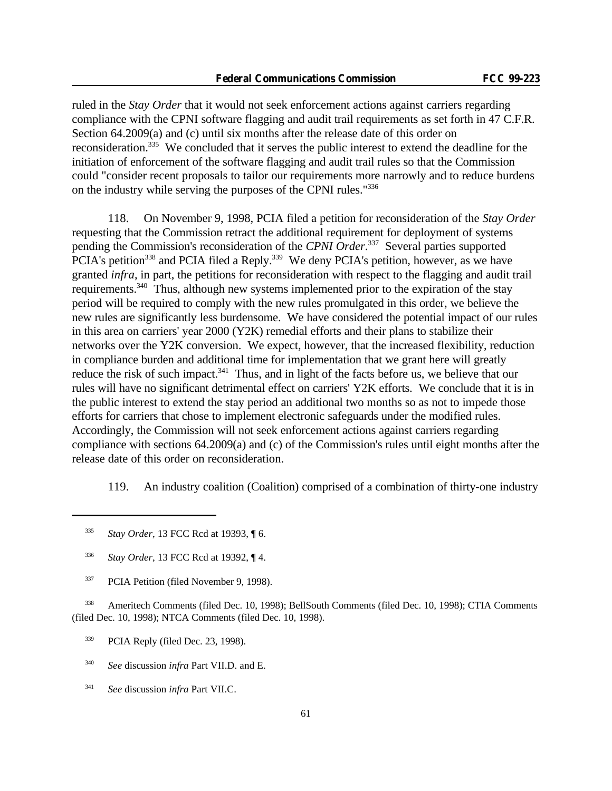ruled in the *Stay Order* that it would not seek enforcement actions against carriers regarding compliance with the CPNI software flagging and audit trail requirements as set forth in 47 C.F.R. Section 64.2009(a) and (c) until six months after the release date of this order on reconsideration.<sup>335</sup> We concluded that it serves the public interest to extend the deadline for the initiation of enforcement of the software flagging and audit trail rules so that the Commission could "consider recent proposals to tailor our requirements more narrowly and to reduce burdens on the industry while serving the purposes of the CPNI rules."<sup>336</sup>

118. On November 9, 1998, PCIA filed a petition for reconsideration of the *Stay Order* requesting that the Commission retract the additional requirement for deployment of systems pending the Commission's reconsideration of the *CPNI Order*. <sup>337</sup> Several parties supported PCIA's petition<sup>338</sup> and PCIA filed a Reply.<sup>339</sup> We deny PCIA's petition, however, as we have granted *infra*, in part, the petitions for reconsideration with respect to the flagging and audit trail requirements.<sup>340</sup> Thus, although new systems implemented prior to the expiration of the stay period will be required to comply with the new rules promulgated in this order, we believe the new rules are significantly less burdensome. We have considered the potential impact of our rules in this area on carriers' year 2000 (Y2K) remedial efforts and their plans to stabilize their networks over the Y2K conversion. We expect, however, that the increased flexibility, reduction in compliance burden and additional time for implementation that we grant here will greatly reduce the risk of such impact.<sup>341</sup> Thus, and in light of the facts before us, we believe that our rules will have no significant detrimental effect on carriers' Y2K efforts. We conclude that it is in the public interest to extend the stay period an additional two months so as not to impede those efforts for carriers that chose to implement electronic safeguards under the modified rules. Accordingly, the Commission will not seek enforcement actions against carriers regarding compliance with sections 64.2009(a) and (c) of the Commission's rules until eight months after the release date of this order on reconsideration.

119. An industry coalition (Coalition) comprised of a combination of thirty-one industry

- <sup>336</sup> *Stay Order*, 13 FCC Rcd at 19392, ¶ 4.
- <sup>337</sup> PCIA Petition (filed November 9, 1998).

<sup>338</sup> Ameritech Comments (filed Dec. 10, 1998); BellSouth Comments (filed Dec. 10, 1998); CTIA Comments (filed Dec. 10, 1998); NTCA Comments (filed Dec. 10, 1998).

- <sup>339</sup> PCIA Reply (filed Dec. 23, 1998).
- <sup>340</sup> *See* discussion *infra* Part VII.D. and E.
- <sup>341</sup> *See* discussion *infra* Part VII.C.

<sup>335</sup> *Stay Order*, 13 FCC Rcd at 19393, ¶ 6.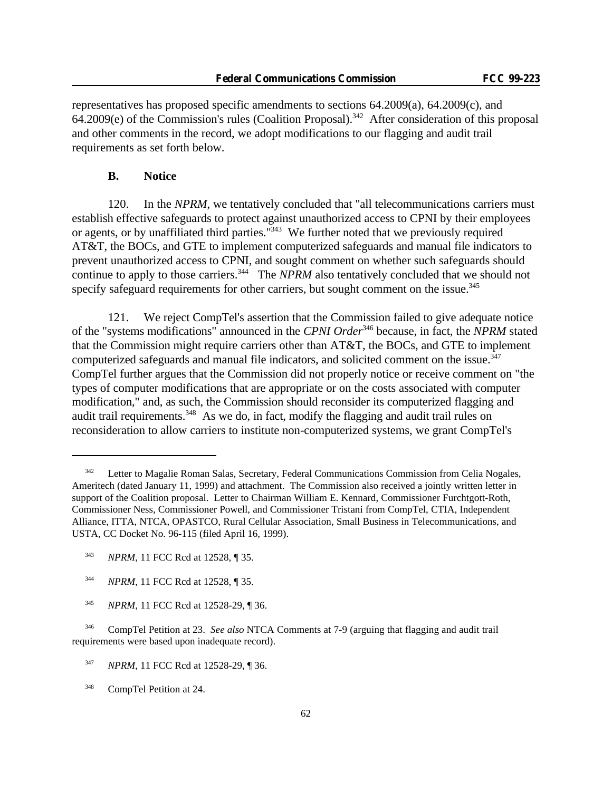representatives has proposed specific amendments to sections 64.2009(a), 64.2009(c), and  $64.2009(e)$  of the Commission's rules (Coalition Proposal).<sup>342</sup> After consideration of this proposal and other comments in the record, we adopt modifications to our flagging and audit trail requirements as set forth below.

## **B. Notice**

120. In the *NPRM*, we tentatively concluded that "all telecommunications carriers must establish effective safeguards to protect against unauthorized access to CPNI by their employees or agents, or by unaffiliated third parties."<sup>343</sup> We further noted that we previously required AT&T, the BOCs, and GTE to implement computerized safeguards and manual file indicators to prevent unauthorized access to CPNI, and sought comment on whether such safeguards should continue to apply to those carriers.<sup>344</sup> The *NPRM* also tentatively concluded that we should not specify safeguard requirements for other carriers, but sought comment on the issue.<sup>345</sup>

121. We reject CompTel's assertion that the Commission failed to give adequate notice of the "systems modifications" announced in the *CPNI Order*<sup>346</sup> because, in fact, the *NPRM* stated that the Commission might require carriers other than AT&T, the BOCs, and GTE to implement computerized safeguards and manual file indicators, and solicited comment on the issue.<sup>347</sup> CompTel further argues that the Commission did not properly notice or receive comment on "the types of computer modifications that are appropriate or on the costs associated with computer modification," and, as such, the Commission should reconsider its computerized flagging and audit trail requirements.<sup>348</sup> As we do, in fact, modify the flagging and audit trail rules on reconsideration to allow carriers to institute non-computerized systems, we grant CompTel's

<sup>348</sup> CompTel Petition at 24.

<sup>&</sup>lt;sup>342</sup> Letter to Magalie Roman Salas, Secretary, Federal Communications Commission from Celia Nogales, Ameritech (dated January 11, 1999) and attachment. The Commission also received a jointly written letter in support of the Coalition proposal. Letter to Chairman William E. Kennard, Commissioner Furchtgott-Roth, Commissioner Ness, Commissioner Powell, and Commissioner Tristani from CompTel, CTIA, Independent Alliance, ITTA, NTCA, OPASTCO, Rural Cellular Association, Small Business in Telecommunications, and USTA, CC Docket No. 96-115 (filed April 16, 1999).

<sup>343</sup> *NPRM*, 11 FCC Rcd at 12528, ¶ 35.

<sup>344</sup> *NPRM*, 11 FCC Rcd at 12528, ¶ 35.

<sup>345</sup> *NPRM*, 11 FCC Rcd at 12528-29, ¶ 36.

<sup>346</sup> CompTel Petition at 23. *See also* NTCA Comments at 7-9 (arguing that flagging and audit trail requirements were based upon inadequate record).

<sup>347</sup> *NPRM*, 11 FCC Rcd at 12528-29, ¶ 36.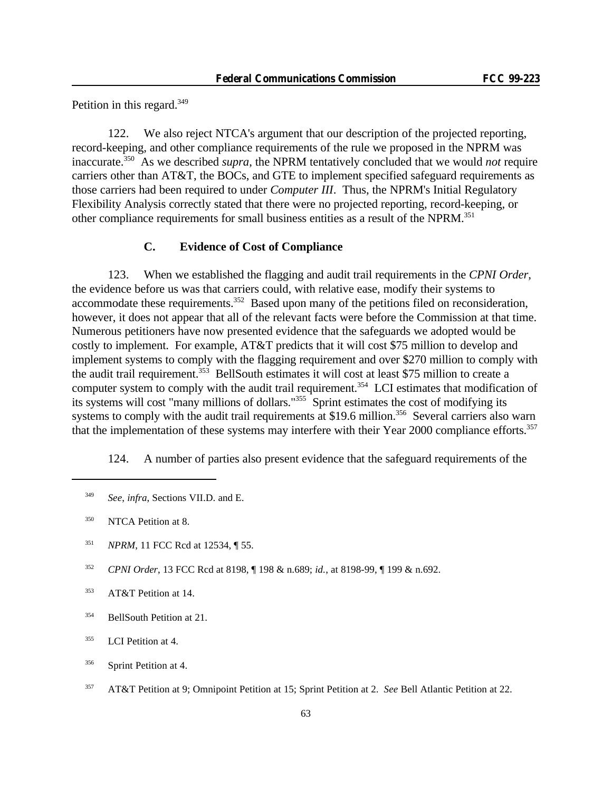Petition in this regard. $349$ 

122. We also reject NTCA's argument that our description of the projected reporting, record-keeping, and other compliance requirements of the rule we proposed in the NPRM was inaccurate.<sup>350</sup> As we described *supra*, the NPRM tentatively concluded that we would *not* require carriers other than AT&T, the BOCs, and GTE to implement specified safeguard requirements as those carriers had been required to under *Computer III*. Thus, the NPRM's Initial Regulatory Flexibility Analysis correctly stated that there were no projected reporting, record-keeping, or other compliance requirements for small business entities as a result of the NPRM.<sup>351</sup>

# **C. Evidence of Cost of Compliance**

123. When we established the flagging and audit trail requirements in the *CPNI Order*, the evidence before us was that carriers could, with relative ease, modify their systems to accommodate these requirements.<sup>352</sup> Based upon many of the petitions filed on reconsideration, however, it does not appear that all of the relevant facts were before the Commission at that time. Numerous petitioners have now presented evidence that the safeguards we adopted would be costly to implement. For example, AT&T predicts that it will cost \$75 million to develop and implement systems to comply with the flagging requirement and over \$270 million to comply with the audit trail requirement.<sup>353</sup> BellSouth estimates it will cost at least \$75 million to create a computer system to comply with the audit trail requirement.<sup>354</sup> LCI estimates that modification of its systems will cost "many millions of dollars."<sup>355</sup> Sprint estimates the cost of modifying its systems to comply with the audit trail requirements at \$19.6 million.<sup>356</sup> Several carriers also warn that the implementation of these systems may interfere with their Year 2000 compliance efforts.<sup>357</sup>

124. A number of parties also present evidence that the safeguard requirements of the

- <sup>351</sup> *NPRM*, 11 FCC Rcd at 12534, ¶ 55.
- <sup>352</sup> *CPNI Order*, 13 FCC Rcd at 8198, ¶ 198 & n.689; *id.*, at 8198-99, ¶ 199 & n.692.

<sup>349</sup> *See*, *infra*, Sections VII.D. and E.

<sup>&</sup>lt;sup>350</sup> NTCA Petition at 8.

<sup>&</sup>lt;sup>353</sup> AT&T Petition at 14.

<sup>&</sup>lt;sup>354</sup> BellSouth Petition at 21.

 $355$  LCI Petition at 4.

<sup>&</sup>lt;sup>356</sup> Sprint Petition at 4.

<sup>357</sup> AT&T Petition at 9; Omnipoint Petition at 15; Sprint Petition at 2. *See* Bell Atlantic Petition at 22.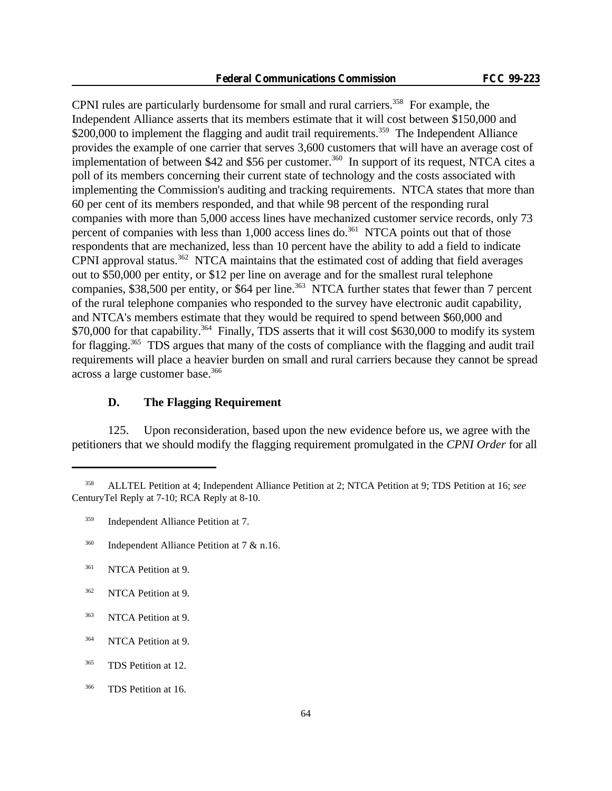CPNI rules are particularly burdensome for small and rural carriers.<sup>358</sup> For example, the Independent Alliance asserts that its members estimate that it will cost between \$150,000 and \$200,000 to implement the flagging and audit trail requirements.<sup>359</sup> The Independent Alliance provides the example of one carrier that serves 3,600 customers that will have an average cost of implementation of between \$42 and \$56 per customer.<sup>360</sup> In support of its request, NTCA cites a poll of its members concerning their current state of technology and the costs associated with implementing the Commission's auditing and tracking requirements. NTCA states that more than 60 per cent of its members responded, and that while 98 percent of the responding rural companies with more than 5,000 access lines have mechanized customer service records, only 73 percent of companies with less than  $1,000$  access lines do.<sup>361</sup> NTCA points out that of those respondents that are mechanized, less than 10 percent have the ability to add a field to indicate CPNI approval status.<sup>362</sup> NTCA maintains that the estimated cost of adding that field averages out to \$50,000 per entity, or \$12 per line on average and for the smallest rural telephone companies, \$38,500 per entity, or \$64 per line.<sup>363</sup> NTCA further states that fewer than 7 percent of the rural telephone companies who responded to the survey have electronic audit capability, and NTCA's members estimate that they would be required to spend between \$60,000 and \$70,000 for that capability.<sup>364</sup> Finally, TDS asserts that it will cost \$630,000 to modify its system for flagging.<sup>365</sup> TDS argues that many of the costs of compliance with the flagging and audit trail requirements will place a heavier burden on small and rural carriers because they cannot be spread across a large customer base.<sup>366</sup>

## **D. The Flagging Requirement**

125. Upon reconsideration, based upon the new evidence before us, we agree with the petitioners that we should modify the flagging requirement promulgated in the *CPNI Order* for all

<sup>358</sup> ALLTEL Petition at 4; Independent Alliance Petition at 2; NTCA Petition at 9; TDS Petition at 16; *see* CenturyTel Reply at 7-10; RCA Reply at 8-10.

<sup>359</sup> Independent Alliance Petition at 7.

<sup>&</sup>lt;sup>360</sup> Independent Alliance Petition at 7  $\&$  n.16.

<sup>&</sup>lt;sup>361</sup> NTCA Petition at 9.

<sup>&</sup>lt;sup>362</sup> NTCA Petition at 9.

<sup>&</sup>lt;sup>363</sup> NTCA Petition at 9.

<sup>&</sup>lt;sup>364</sup> NTCA Petition at 9.

<sup>&</sup>lt;sup>365</sup> TDS Petition at 12.

<sup>&</sup>lt;sup>366</sup> TDS Petition at 16.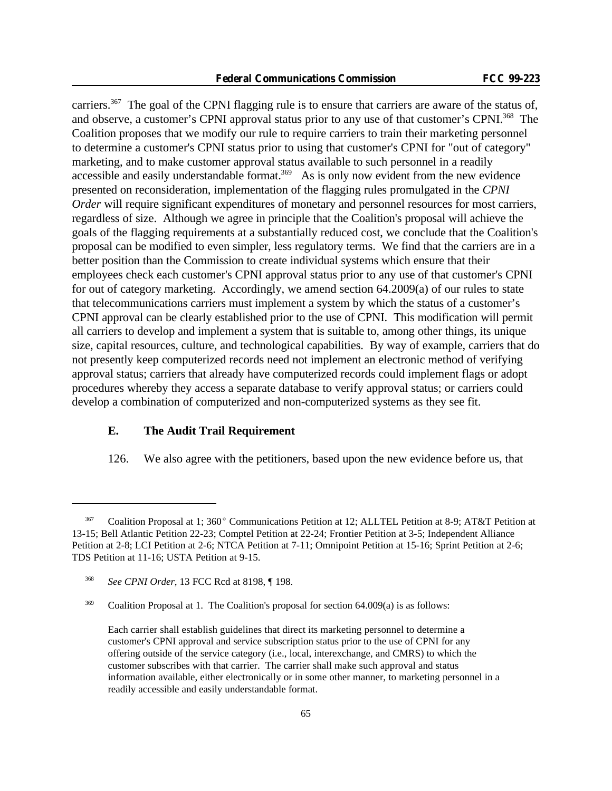carriers.<sup>367</sup> The goal of the CPNI flagging rule is to ensure that carriers are aware of the status of, and observe, a customer's CPNI approval status prior to any use of that customer's CPNI.<sup>368</sup> The Coalition proposes that we modify our rule to require carriers to train their marketing personnel to determine a customer's CPNI status prior to using that customer's CPNI for "out of category" marketing, and to make customer approval status available to such personnel in a readily accessible and easily understandable format.<sup>369</sup> As is only now evident from the new evidence presented on reconsideration, implementation of the flagging rules promulgated in the *CPNI Order* will require significant expenditures of monetary and personnel resources for most carriers, regardless of size. Although we agree in principle that the Coalition's proposal will achieve the goals of the flagging requirements at a substantially reduced cost, we conclude that the Coalition's proposal can be modified to even simpler, less regulatory terms. We find that the carriers are in a better position than the Commission to create individual systems which ensure that their employees check each customer's CPNI approval status prior to any use of that customer's CPNI for out of category marketing. Accordingly, we amend section 64.2009(a) of our rules to state that telecommunications carriers must implement a system by which the status of a customer's CPNI approval can be clearly established prior to the use of CPNI. This modification will permit all carriers to develop and implement a system that is suitable to, among other things, its unique size, capital resources, culture, and technological capabilities. By way of example, carriers that do not presently keep computerized records need not implement an electronic method of verifying approval status; carriers that already have computerized records could implement flags or adopt procedures whereby they access a separate database to verify approval status; or carriers could develop a combination of computerized and non-computerized systems as they see fit.

# **E. The Audit Trail Requirement**

126. We also agree with the petitioners, based upon the new evidence before us, that

 $367$  Coalition Proposal at 1; 360° Communications Petition at 12; ALLTEL Petition at 8-9; AT&T Petition at 13-15; Bell Atlantic Petition 22-23; Comptel Petition at 22-24; Frontier Petition at 3-5; Independent Alliance Petition at 2-8; LCI Petition at 2-6; NTCA Petition at 7-11; Omnipoint Petition at 15-16; Sprint Petition at 2-6; TDS Petition at 11-16; USTA Petition at 9-15.

<sup>368</sup> *See CPNI Order*, 13 FCC Rcd at 8198, ¶ 198.

 $369$  Coalition Proposal at 1. The Coalition's proposal for section 64.009(a) is as follows:

Each carrier shall establish guidelines that direct its marketing personnel to determine a customer's CPNI approval and service subscription status prior to the use of CPNI for any offering outside of the service category (i.e., local, interexchange, and CMRS) to which the customer subscribes with that carrier. The carrier shall make such approval and status information available, either electronically or in some other manner, to marketing personnel in a readily accessible and easily understandable format.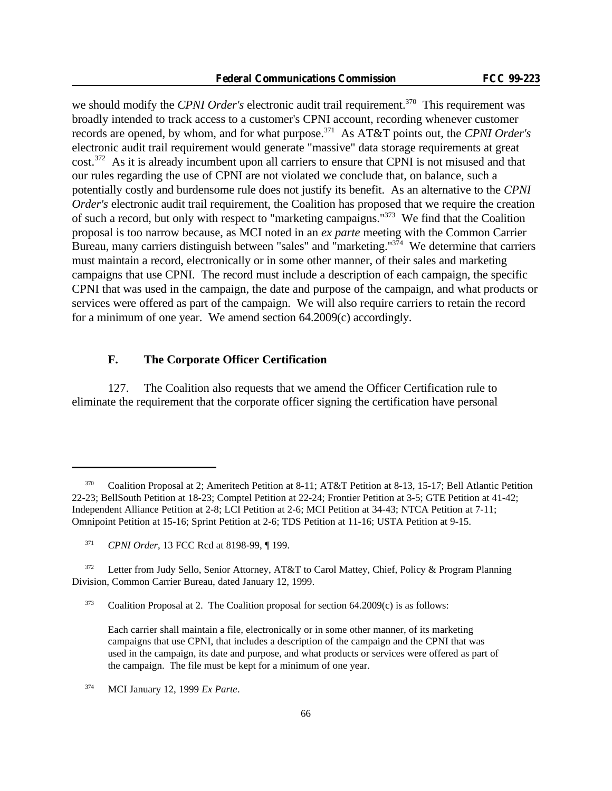we should modify the *CPNI Order's* electronic audit trail requirement.<sup>370</sup> This requirement was broadly intended to track access to a customer's CPNI account, recording whenever customer records are opened, by whom, and for what purpose.<sup>371</sup> As AT&T points out, the *CPNI Order's* electronic audit trail requirement would generate "massive" data storage requirements at great cost.<sup>372</sup> As it is already incumbent upon all carriers to ensure that CPNI is not misused and that our rules regarding the use of CPNI are not violated we conclude that, on balance, such a potentially costly and burdensome rule does not justify its benefit. As an alternative to the *CPNI Order's* electronic audit trail requirement, the Coalition has proposed that we require the creation of such a record, but only with respect to "marketing campaigns."<sup>373</sup> We find that the Coalition proposal is too narrow because, as MCI noted in an *ex parte* meeting with the Common Carrier Bureau, many carriers distinguish between "sales" and "marketing."<sup>374</sup> We determine that carriers must maintain a record, electronically or in some other manner, of their sales and marketing campaigns that use CPNI. The record must include a description of each campaign, the specific CPNI that was used in the campaign, the date and purpose of the campaign, and what products or services were offered as part of the campaign. We will also require carriers to retain the record for a minimum of one year. We amend section 64.2009(c) accordingly.

## **F. The Corporate Officer Certification**

127. The Coalition also requests that we amend the Officer Certification rule to eliminate the requirement that the corporate officer signing the certification have personal

<sup>370</sup> Coalition Proposal at 2; Ameritech Petition at 8-11; AT&T Petition at 8-13, 15-17; Bell Atlantic Petition 22-23; BellSouth Petition at 18-23; Comptel Petition at 22-24; Frontier Petition at 3-5; GTE Petition at 41-42; Independent Alliance Petition at 2-8; LCI Petition at 2-6; MCI Petition at 34-43; NTCA Petition at 7-11; Omnipoint Petition at 15-16; Sprint Petition at 2-6; TDS Petition at 11-16; USTA Petition at 9-15.

<sup>371</sup> *CPNI Order*, 13 FCC Rcd at 8198-99, ¶ 199.

<sup>&</sup>lt;sup>372</sup> Letter from Judy Sello, Senior Attorney, AT&T to Carol Mattey, Chief, Policy & Program Planning Division, Common Carrier Bureau, dated January 12, 1999.

 $373$  Coalition Proposal at 2. The Coalition proposal for section 64.2009(c) is as follows:

Each carrier shall maintain a file, electronically or in some other manner, of its marketing campaigns that use CPNI, that includes a description of the campaign and the CPNI that was used in the campaign, its date and purpose, and what products or services were offered as part of the campaign. The file must be kept for a minimum of one year.

<sup>374</sup> MCI January 12, 1999 *Ex Parte*.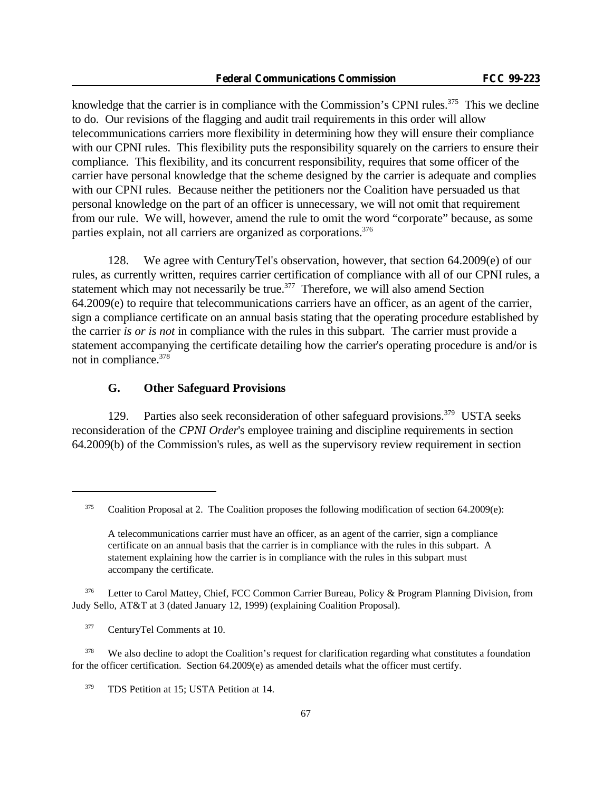knowledge that the carrier is in compliance with the Commission's CPNI rules.<sup>375</sup> This we decline to do. Our revisions of the flagging and audit trail requirements in this order will allow telecommunications carriers more flexibility in determining how they will ensure their compliance with our CPNI rules. This flexibility puts the responsibility squarely on the carriers to ensure their compliance. This flexibility, and its concurrent responsibility, requires that some officer of the carrier have personal knowledge that the scheme designed by the carrier is adequate and complies with our CPNI rules. Because neither the petitioners nor the Coalition have persuaded us that personal knowledge on the part of an officer is unnecessary, we will not omit that requirement from our rule. We will, however, amend the rule to omit the word "corporate" because, as some parties explain, not all carriers are organized as corporations.<sup>376</sup>

128. We agree with CenturyTel's observation, however, that section 64.2009(e) of our rules, as currently written, requires carrier certification of compliance with all of our CPNI rules, a statement which may not necessarily be true.<sup>377</sup> Therefore, we will also amend Section 64.2009(e) to require that telecommunications carriers have an officer, as an agent of the carrier, sign a compliance certificate on an annual basis stating that the operating procedure established by the carrier *is or is not* in compliance with the rules in this subpart. The carrier must provide a statement accompanying the certificate detailing how the carrier's operating procedure is and/or is not in compliance.<sup>378</sup>

### **G. Other Safeguard Provisions**

129. Parties also seek reconsideration of other safeguard provisions.<sup>379</sup> USTA seeks reconsideration of the *CPNI Order*'s employee training and discipline requirements in section 64.2009(b) of the Commission's rules, as well as the supervisory review requirement in section

<sup>376</sup> Letter to Carol Mattey, Chief, FCC Common Carrier Bureau, Policy & Program Planning Division, from Judy Sello, AT&T at 3 (dated January 12, 1999) (explaining Coalition Proposal).

<sup>377</sup> CenturyTel Comments at 10.

<sup>378</sup> We also decline to adopt the Coalition's request for clarification regarding what constitutes a foundation for the officer certification. Section 64.2009(e) as amended details what the officer must certify.

 $375$  Coalition Proposal at 2. The Coalition proposes the following modification of section 64.2009(e):

A telecommunications carrier must have an officer, as an agent of the carrier, sign a compliance certificate on an annual basis that the carrier is in compliance with the rules in this subpart. A statement explaining how the carrier is in compliance with the rules in this subpart must accompany the certificate.

<sup>&</sup>lt;sup>379</sup> TDS Petition at 15; USTA Petition at 14.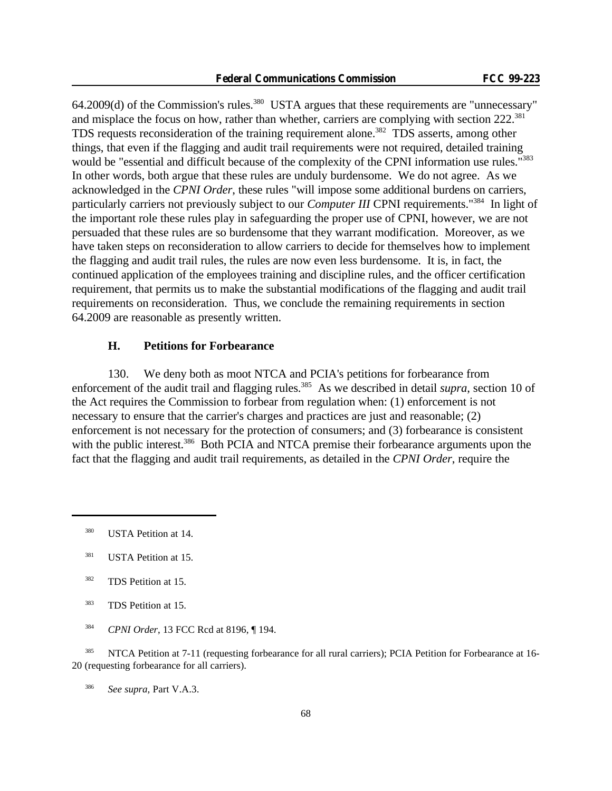64.2009(d) of the Commission's rules.<sup>380</sup> USTA argues that these requirements are "unnecessary" and misplace the focus on how, rather than whether, carriers are complying with section 222.<sup>381</sup> TDS requests reconsideration of the training requirement alone.<sup>382</sup> TDS asserts, among other things, that even if the flagging and audit trail requirements were not required, detailed training would be "essential and difficult because of the complexity of the CPNI information use rules."<sup>383</sup> In other words, both argue that these rules are unduly burdensome. We do not agree. As we acknowledged in the *CPNI Order*, these rules "will impose some additional burdens on carriers, particularly carriers not previously subject to our *Computer III* CPNI requirements."<sup>384</sup> In light of the important role these rules play in safeguarding the proper use of CPNI, however, we are not persuaded that these rules are so burdensome that they warrant modification. Moreover, as we have taken steps on reconsideration to allow carriers to decide for themselves how to implement the flagging and audit trail rules, the rules are now even less burdensome. It is, in fact, the continued application of the employees training and discipline rules, and the officer certification requirement, that permits us to make the substantial modifications of the flagging and audit trail requirements on reconsideration. Thus, we conclude the remaining requirements in section 64.2009 are reasonable as presently written.

# **H. Petitions for Forbearance**

130. We deny both as moot NTCA and PCIA's petitions for forbearance from enforcement of the audit trail and flagging rules.<sup>385</sup> As we described in detail *supra*, section 10 of the Act requires the Commission to forbear from regulation when: (1) enforcement is not necessary to ensure that the carrier's charges and practices are just and reasonable; (2) enforcement is not necessary for the protection of consumers; and (3) forbearance is consistent with the public interest.<sup>386</sup> Both PCIA and NTCA premise their forbearance arguments upon the fact that the flagging and audit trail requirements, as detailed in the *CPNI Order*, require the

<sup>385</sup> NTCA Petition at 7-11 (requesting forbearance for all rural carriers); PCIA Petition for Forbearance at 16-20 (requesting forbearance for all carriers).

<sup>386</sup> *See supra,* Part V.A.3.

<sup>&</sup>lt;sup>380</sup> USTA Petition at 14.

<sup>&</sup>lt;sup>381</sup> USTA Petition at 15.

<sup>&</sup>lt;sup>382</sup> TDS Petition at 15.

<sup>383</sup> TDS Petition at 15.

<sup>384</sup> *CPNI Order*, 13 FCC Rcd at 8196, ¶ 194.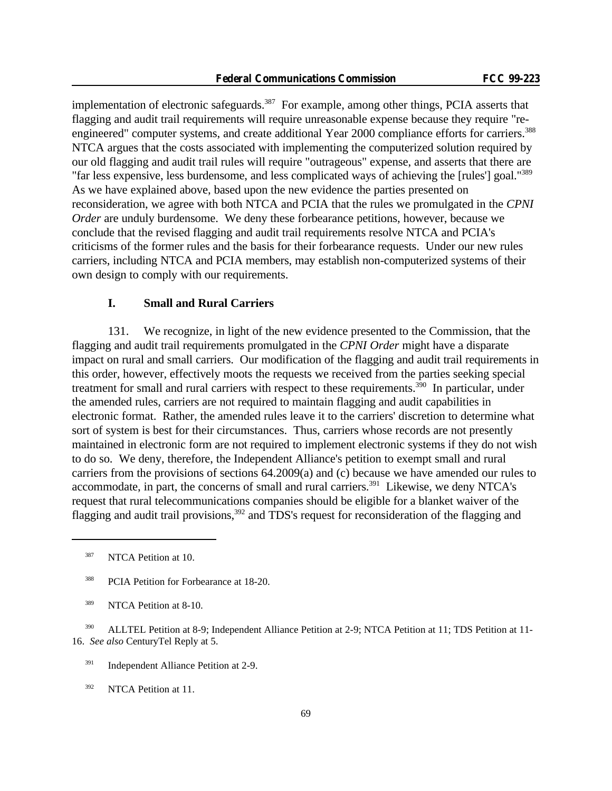implementation of electronic safeguards.<sup>387</sup> For example, among other things, PCIA asserts that flagging and audit trail requirements will require unreasonable expense because they require "reengineered" computer systems, and create additional Year 2000 compliance efforts for carriers.<sup>388</sup> NTCA argues that the costs associated with implementing the computerized solution required by our old flagging and audit trail rules will require "outrageous" expense, and asserts that there are "far less expensive, less burdensome, and less complicated ways of achieving the [rules'] goal."<sup>389</sup> As we have explained above, based upon the new evidence the parties presented on reconsideration, we agree with both NTCA and PCIA that the rules we promulgated in the *CPNI Order* are unduly burdensome. We deny these forbearance petitions, however, because we conclude that the revised flagging and audit trail requirements resolve NTCA and PCIA's criticisms of the former rules and the basis for their forbearance requests. Under our new rules carriers, including NTCA and PCIA members, may establish non-computerized systems of their own design to comply with our requirements.

## **I. Small and Rural Carriers**

131. We recognize, in light of the new evidence presented to the Commission, that the flagging and audit trail requirements promulgated in the *CPNI Order* might have a disparate impact on rural and small carriers. Our modification of the flagging and audit trail requirements in this order, however, effectively moots the requests we received from the parties seeking special treatment for small and rural carriers with respect to these requirements.<sup>390</sup> In particular, under the amended rules, carriers are not required to maintain flagging and audit capabilities in electronic format. Rather, the amended rules leave it to the carriers' discretion to determine what sort of system is best for their circumstances. Thus, carriers whose records are not presently maintained in electronic form are not required to implement electronic systems if they do not wish to do so. We deny, therefore, the Independent Alliance's petition to exempt small and rural carriers from the provisions of sections 64.2009(a) and (c) because we have amended our rules to accommodate, in part, the concerns of small and rural carriers.<sup>391</sup> Likewise, we deny NTCA's request that rural telecommunications companies should be eligible for a blanket waiver of the flagging and audit trail provisions,<sup>392</sup> and TDS's request for reconsideration of the flagging and

<sup>387</sup> NTCA Petition at 10.

<sup>392</sup> NTCA Petition at 11.

<sup>&</sup>lt;sup>388</sup> PCIA Petition for Forbearance at 18-20.

<sup>&</sup>lt;sup>389</sup> NTCA Petition at 8-10.

<sup>&</sup>lt;sup>390</sup> ALLTEL Petition at 8-9; Independent Alliance Petition at 2-9; NTCA Petition at 11; TDS Petition at 11-16. *See also* CenturyTel Reply at 5.

<sup>&</sup>lt;sup>391</sup> Independent Alliance Petition at 2-9.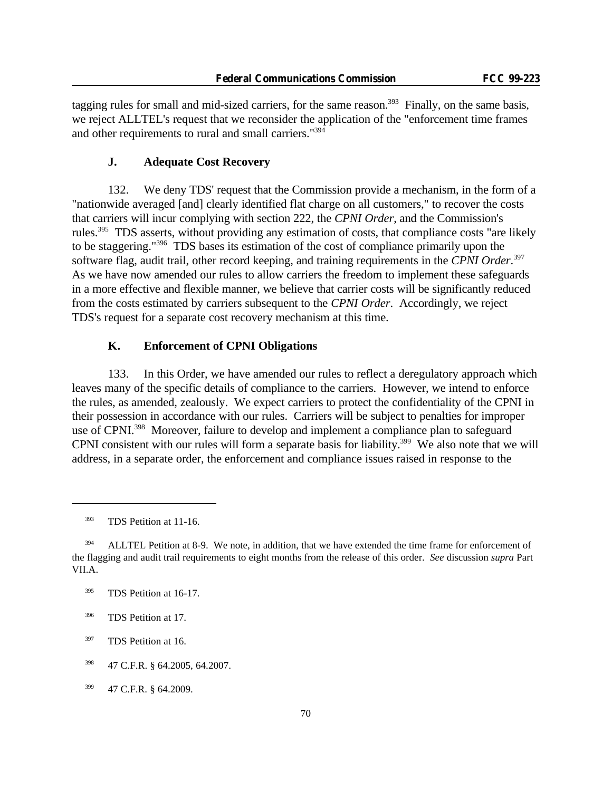tagging rules for small and mid-sized carriers, for the same reason.<sup>393</sup> Finally, on the same basis, we reject ALLTEL's request that we reconsider the application of the "enforcement time frames and other requirements to rural and small carriers."<sup>394</sup>

### **J. Adequate Cost Recovery**

132. We deny TDS' request that the Commission provide a mechanism, in the form of a "nationwide averaged [and] clearly identified flat charge on all customers," to recover the costs that carriers will incur complying with section 222, the *CPNI Order*, and the Commission's rules.<sup>395</sup> TDS asserts, without providing any estimation of costs, that compliance costs "are likely to be staggering."<sup>396</sup> TDS bases its estimation of the cost of compliance primarily upon the software flag, audit trail, other record keeping, and training requirements in the *CPNI Order*. 397 As we have now amended our rules to allow carriers the freedom to implement these safeguards in a more effective and flexible manner, we believe that carrier costs will be significantly reduced from the costs estimated by carriers subsequent to the *CPNI Order*. Accordingly, we reject TDS's request for a separate cost recovery mechanism at this time.

# **K. Enforcement of CPNI Obligations**

133. In this Order, we have amended our rules to reflect a deregulatory approach which leaves many of the specific details of compliance to the carriers. However, we intend to enforce the rules, as amended, zealously. We expect carriers to protect the confidentiality of the CPNI in their possession in accordance with our rules. Carriers will be subject to penalties for improper use of CPNI.<sup>398</sup> Moreover, failure to develop and implement a compliance plan to safeguard CPNI consistent with our rules will form a separate basis for liability.<sup>399</sup> We also note that we will address, in a separate order, the enforcement and compliance issues raised in response to the

<sup>&</sup>lt;sup>393</sup> TDS Petition at 11-16.

 $394$  ALLTEL Petition at 8-9. We note, in addition, that we have extended the time frame for enforcement of the flagging and audit trail requirements to eight months from the release of this order. *See* discussion *supra* Part VII.A.

<sup>&</sup>lt;sup>395</sup> TDS Petition at 16-17.

<sup>396</sup> TDS Petition at 17.

<sup>&</sup>lt;sup>397</sup> TDS Petition at 16.

<sup>398</sup> 47 C.F.R. § 64.2005, 64.2007.

<sup>399</sup> 47 C.F.R. § 64.2009.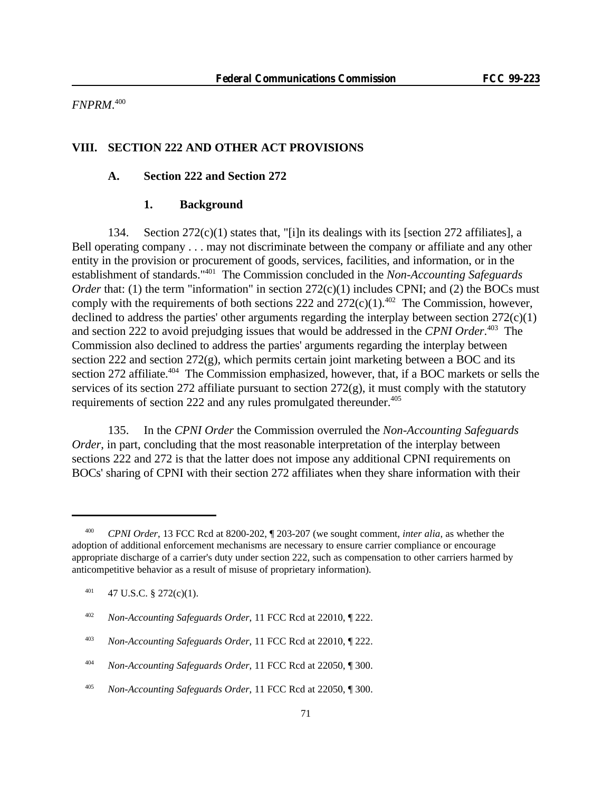*FNPRM*. 400

## **VIII. SECTION 222 AND OTHER ACT PROVISIONS**

## **A. Section 222 and Section 272**

## **1. Background**

134. Section 272(c)(1) states that, "[i]n its dealings with its [section 272 affiliates], a Bell operating company . . . may not discriminate between the company or affiliate and any other entity in the provision or procurement of goods, services, facilities, and information, or in the establishment of standards."<sup>401</sup> The Commission concluded in the *Non-Accounting Safeguards Order* that: (1) the term "information" in section  $272(c)(1)$  includes CPNI; and (2) the BOCs must comply with the requirements of both sections 222 and  $272(c)(1)$ .<sup>402</sup> The Commission, however, declined to address the parties' other arguments regarding the interplay between section  $272(c)(1)$ and section 222 to avoid prejudging issues that would be addressed in the *CPNI Order*. <sup>403</sup> The Commission also declined to address the parties' arguments regarding the interplay between section 222 and section 272(g), which permits certain joint marketing between a BOC and its section 272 affiliate.<sup>404</sup> The Commission emphasized, however, that, if a BOC markets or sells the services of its section 272 affiliate pursuant to section  $272(g)$ , it must comply with the statutory requirements of section 222 and any rules promulgated thereunder.<sup>405</sup>

135. In the *CPNI Order* the Commission overruled the *Non-Accounting Safeguards Order*, in part, concluding that the most reasonable interpretation of the interplay between sections 222 and 272 is that the latter does not impose any additional CPNI requirements on BOCs' sharing of CPNI with their section 272 affiliates when they share information with their

<sup>400</sup> *CPNI Order*, 13 FCC Rcd at 8200-202, ¶ 203-207 (we sought comment, *inter alia*, as whether the adoption of additional enforcement mechanisms are necessary to ensure carrier compliance or encourage appropriate discharge of a carrier's duty under section 222, such as compensation to other carriers harmed by anticompetitive behavior as a result of misuse of proprietary information).

 $401$  47 U.S.C. § 272(c)(1).

<sup>402</sup> *Non-Accounting Safeguards Order*, 11 FCC Rcd at 22010, ¶ 222.

<sup>403</sup> *Non-Accounting Safeguards Order*, 11 FCC Rcd at 22010, ¶ 222.

<sup>404</sup> *Non-Accounting Safeguards Order*, 11 FCC Rcd at 22050, ¶ 300.

<sup>405</sup> *Non-Accounting Safeguards Order*, 11 FCC Rcd at 22050, ¶ 300.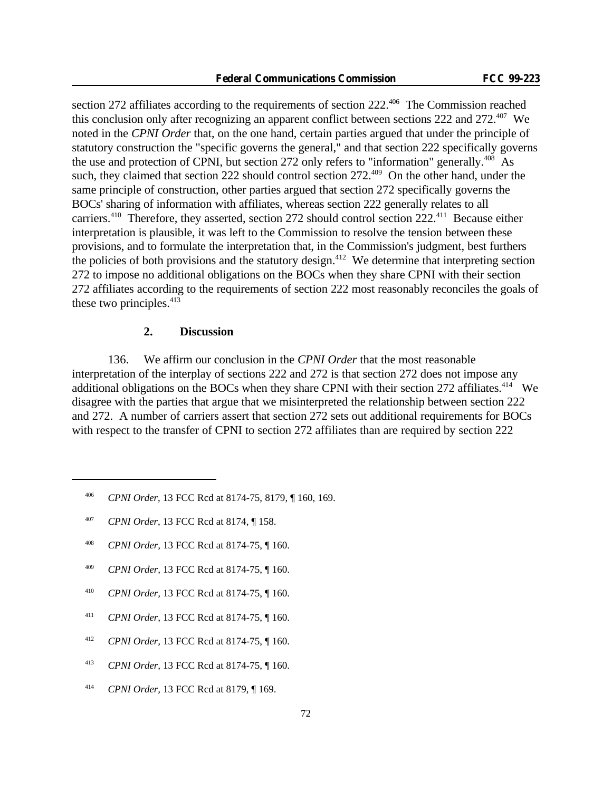section 272 affiliates according to the requirements of section 222.<sup>406</sup> The Commission reached this conclusion only after recognizing an apparent conflict between sections 222 and 272.<sup>407</sup> We noted in the *CPNI Order* that, on the one hand, certain parties argued that under the principle of statutory construction the "specific governs the general," and that section 222 specifically governs the use and protection of CPNI, but section 272 only refers to "information" generally.<sup>408</sup> As such, they claimed that section 222 should control section 272.<sup>409</sup> On the other hand, under the same principle of construction, other parties argued that section 272 specifically governs the BOCs' sharing of information with affiliates, whereas section 222 generally relates to all carriers.<sup>410</sup> Therefore, they asserted, section 272 should control section 222.<sup>411</sup> Because either interpretation is plausible, it was left to the Commission to resolve the tension between these provisions, and to formulate the interpretation that, in the Commission's judgment, best furthers the policies of both provisions and the statutory design.<sup>412</sup> We determine that interpreting section 272 to impose no additional obligations on the BOCs when they share CPNI with their section 272 affiliates according to the requirements of section 222 most reasonably reconciles the goals of these two principles. $413$ 

## **2. Discussion**

136. We affirm our conclusion in the *CPNI Order* that the most reasonable interpretation of the interplay of sections 222 and 272 is that section 272 does not impose any additional obligations on the BOCs when they share CPNI with their section  $272$  affiliates.<sup>414</sup> We disagree with the parties that argue that we misinterpreted the relationship between section 222 and 272. A number of carriers assert that section 272 sets out additional requirements for BOCs with respect to the transfer of CPNI to section 272 affiliates than are required by section 222

- <sup>408</sup> *CPNI Order,* 13 FCC Rcd at 8174-75, ¶ 160.
- <sup>409</sup> *CPNI Order,* 13 FCC Rcd at 8174-75, ¶ 160.
- <sup>410</sup> *CPNI Order,* 13 FCC Rcd at 8174-75, ¶ 160.
- <sup>411</sup> *CPNI Order,* 13 FCC Rcd at 8174-75, ¶ 160.
- <sup>412</sup> *CPNI Order,* 13 FCC Rcd at 8174-75, ¶ 160.
- <sup>413</sup> *CPNI Order,* 13 FCC Rcd at 8174-75, ¶ 160.
- <sup>414</sup> *CPNI Order,* 13 FCC Rcd at 8179, ¶ 169.

<sup>406</sup> *CPNI Order*, 13 FCC Rcd at 8174-75, 8179, ¶ 160, 169.

<sup>407</sup> *CPNI Order*, 13 FCC Rcd at 8174, ¶ 158.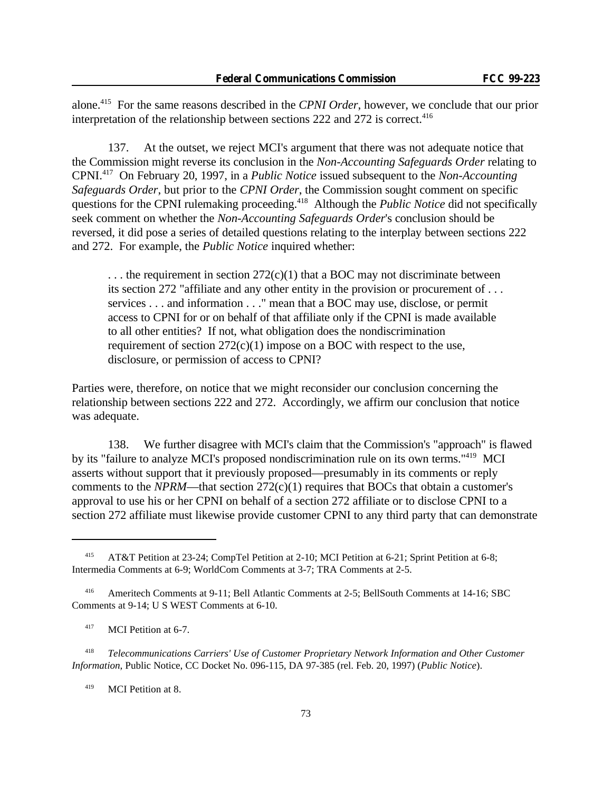alone.<sup>415</sup> For the same reasons described in the *CPNI Order*, however, we conclude that our prior interpretation of the relationship between sections 222 and 272 is correct.<sup>416</sup>

137. At the outset, we reject MCI's argument that there was not adequate notice that the Commission might reverse its conclusion in the *Non-Accounting Safeguards Order* relating to CPNI.<sup>417</sup> On February 20, 1997, in a *Public Notice* issued subsequent to the *Non-Accounting Safeguards Order*, but prior to the *CPNI Order*, the Commission sought comment on specific questions for the CPNI rulemaking proceeding.<sup>418</sup> Although the *Public Notice* did not specifically seek comment on whether the *Non-Accounting Safeguards Order*'s conclusion should be reversed, it did pose a series of detailed questions relating to the interplay between sections 222 and 272. For example, the *Public Notice* inquired whether:

 $\dots$  the requirement in section 272(c)(1) that a BOC may not discriminate between its section 272 "affiliate and any other entity in the provision or procurement of . . . services . . . and information . . ." mean that a BOC may use, disclose, or permit access to CPNI for or on behalf of that affiliate only if the CPNI is made available to all other entities? If not, what obligation does the nondiscrimination requirement of section  $272(c)(1)$  impose on a BOC with respect to the use, disclosure, or permission of access to CPNI?

Parties were, therefore, on notice that we might reconsider our conclusion concerning the relationship between sections 222 and 272. Accordingly, we affirm our conclusion that notice was adequate.

138. We further disagree with MCI's claim that the Commission's "approach" is flawed by its "failure to analyze MCI's proposed nondiscrimination rule on its own terms."<sup>419</sup> MCI asserts without support that it previously proposed—presumably in its comments or reply comments to the *NPRM*—that section  $272(c)(1)$  requires that BOCs that obtain a customer's approval to use his or her CPNI on behalf of a section 272 affiliate or to disclose CPNI to a section 272 affiliate must likewise provide customer CPNI to any third party that can demonstrate

<sup>418</sup> *Telecommunications Carriers' Use of Customer Proprietary Network Information and Other Customer Information*, Public Notice, CC Docket No. 096-115, DA 97-385 (rel. Feb. 20, 1997) (*Public Notice*).

<sup>419</sup> MCI Petition at 8.

<sup>415</sup> AT&T Petition at 23-24; CompTel Petition at 2-10; MCI Petition at 6-21; Sprint Petition at 6-8; Intermedia Comments at 6-9; WorldCom Comments at 3-7; TRA Comments at 2-5.

<sup>416</sup> Ameritech Comments at 9-11; Bell Atlantic Comments at 2-5; BellSouth Comments at 14-16; SBC Comments at 9-14; U S WEST Comments at 6-10.

<sup>&</sup>lt;sup>417</sup> MCI Petition at 6-7.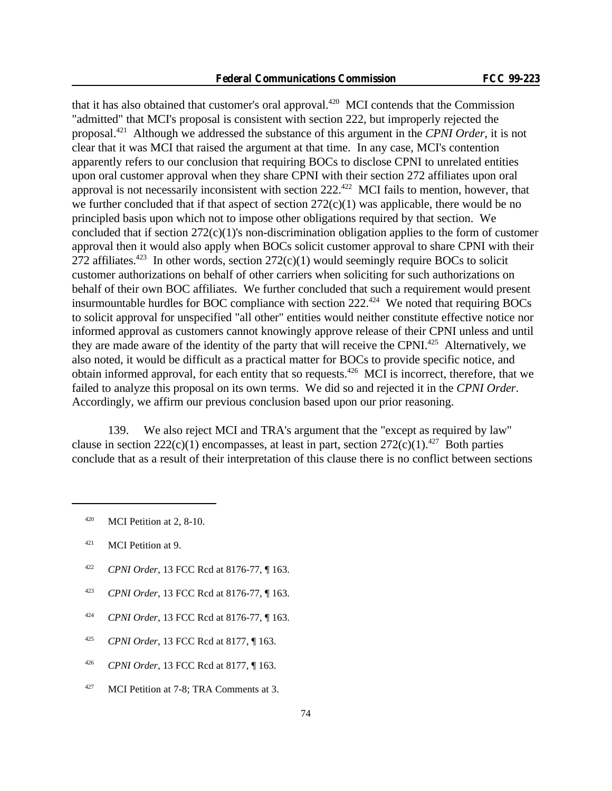that it has also obtained that customer's oral approval. $420$  MCI contends that the Commission "admitted" that MCI's proposal is consistent with section 222, but improperly rejected the proposal.<sup>421</sup> Although we addressed the substance of this argument in the *CPNI Order*, it is not clear that it was MCI that raised the argument at that time. In any case, MCI's contention apparently refers to our conclusion that requiring BOCs to disclose CPNI to unrelated entities upon oral customer approval when they share CPNI with their section 272 affiliates upon oral approval is not necessarily inconsistent with section  $222.^{422}$  MCI fails to mention, however, that we further concluded that if that aspect of section  $272(c)(1)$  was applicable, there would be no principled basis upon which not to impose other obligations required by that section. We concluded that if section 272(c)(1)'s non-discrimination obligation applies to the form of customer approval then it would also apply when BOCs solicit customer approval to share CPNI with their 272 affiliates.<sup>423</sup> In other words, section  $272(c)(1)$  would seemingly require BOCs to solicit customer authorizations on behalf of other carriers when soliciting for such authorizations on behalf of their own BOC affiliates. We further concluded that such a requirement would present insurmountable hurdles for BOC compliance with section  $222^{424}$  We noted that requiring BOCs to solicit approval for unspecified "all other" entities would neither constitute effective notice nor informed approval as customers cannot knowingly approve release of their CPNI unless and until they are made aware of the identity of the party that will receive the CPNI.<sup>425</sup> Alternatively, we also noted, it would be difficult as a practical matter for BOCs to provide specific notice, and obtain informed approval, for each entity that so requests.<sup>426</sup> MCI is incorrect, therefore, that we failed to analyze this proposal on its own terms. We did so and rejected it in the *CPNI Order*. Accordingly, we affirm our previous conclusion based upon our prior reasoning.

139. We also reject MCI and TRA's argument that the "except as required by law" clause in section  $222(c)(1)$  encompasses, at least in part, section  $272(c)(1).^{427}$  Both parties conclude that as a result of their interpretation of this clause there is no conflict between sections

- <sup>422</sup> *CPNI Order*, 13 FCC Rcd at 8176-77, ¶ 163.
- <sup>423</sup> *CPNI Order*, 13 FCC Rcd at 8176-77, ¶ 163.
- <sup>424</sup> *CPNI Order*, 13 FCC Rcd at 8176-77, ¶ 163.
- <sup>425</sup> *CPNI Order*, 13 FCC Rcd at 8177, ¶ 163.
- <sup>426</sup> *CPNI Order*, 13 FCC Rcd at 8177, ¶ 163.
- $427$  MCI Petition at 7-8; TRA Comments at 3.

 $420$  MCI Petition at 2, 8-10.

<sup>421</sup> MCI Petition at 9.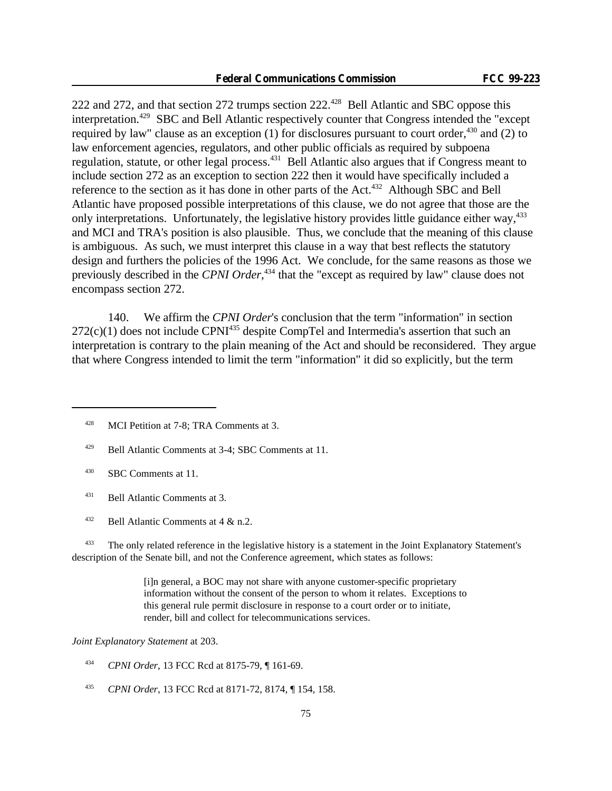222 and 272, and that section 272 trumps section 222.<sup>428</sup> Bell Atlantic and SBC oppose this interpretation.<sup>429</sup> SBC and Bell Atlantic respectively counter that Congress intended the "except required by law" clause as an exception (1) for disclosures pursuant to court order,  $430$  and (2) to law enforcement agencies, regulators, and other public officials as required by subpoena regulation, statute, or other legal process.<sup>431</sup> Bell Atlantic also argues that if Congress meant to include section 272 as an exception to section 222 then it would have specifically included a reference to the section as it has done in other parts of the Act.<sup>432</sup> Although SBC and Bell Atlantic have proposed possible interpretations of this clause, we do not agree that those are the only interpretations. Unfortunately, the legislative history provides little guidance either way,<sup>433</sup> and MCI and TRA's position is also plausible. Thus, we conclude that the meaning of this clause is ambiguous. As such, we must interpret this clause in a way that best reflects the statutory design and furthers the policies of the 1996 Act. We conclude, for the same reasons as those we previously described in the *CPNI Order*, <sup>434</sup> that the "except as required by law" clause does not encompass section 272.

140. We affirm the *CPNI Order*'s conclusion that the term "information" in section  $272(c)(1)$  does not include CPNI<sup>435</sup> despite CompTel and Intermedia's assertion that such an interpretation is contrary to the plain meaning of the Act and should be reconsidered. They argue that where Congress intended to limit the term "information" it did so explicitly, but the term

- <sup>430</sup> SBC Comments at 11.
- <sup>431</sup> Bell Atlantic Comments at 3.
- <sup>432</sup> Bell Atlantic Comments at  $4 \& n.2$ .

<sup>433</sup> The only related reference in the legislative history is a statement in the Joint Explanatory Statement's description of the Senate bill, and not the Conference agreement, which states as follows:

> [i]n general, a BOC may not share with anyone customer-specific proprietary information without the consent of the person to whom it relates. Exceptions to this general rule permit disclosure in response to a court order or to initiate, render, bill and collect for telecommunications services.

*Joint Explanatory Statement* at 203.

- <sup>434</sup> *CPNI Order*, 13 FCC Rcd at 8175-79, ¶ 161-69.
- <sup>435</sup> *CPNI Order*, 13 FCC Rcd at 8171-72, 8174, ¶ 154, 158.

<sup>&</sup>lt;sup>428</sup> MCI Petition at 7-8; TRA Comments at 3.

<sup>429</sup> Bell Atlantic Comments at 3-4; SBC Comments at 11.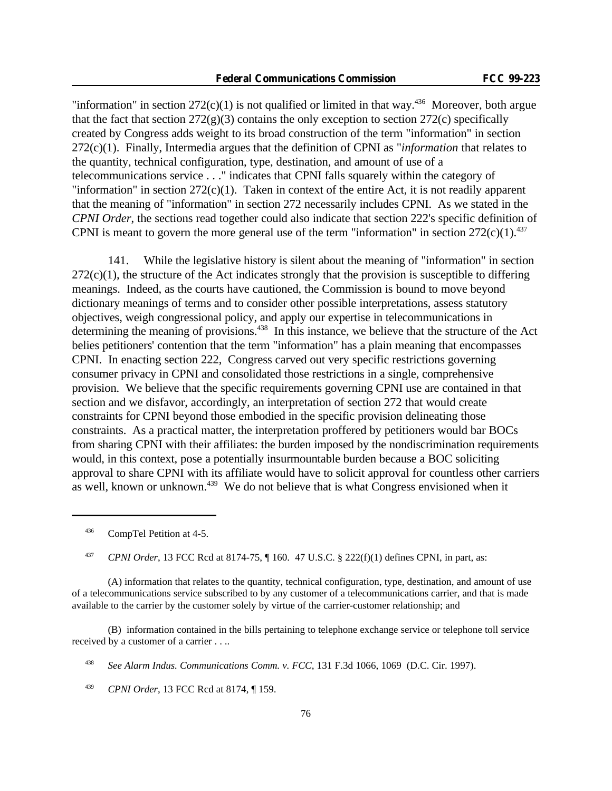"information" in section  $272(c)(1)$  is not qualified or limited in that way.<sup>436</sup> Moreover, both argue that the fact that section  $272(g)(3)$  contains the only exception to section  $272(c)$  specifically created by Congress adds weight to its broad construction of the term "information" in section 272(c)(1). Finally, Intermedia argues that the definition of CPNI as "*information* that relates to the quantity, technical configuration, type, destination, and amount of use of a telecommunications service . . ." indicates that CPNI falls squarely within the category of "information" in section  $272(c)(1)$ . Taken in context of the entire Act, it is not readily apparent that the meaning of "information" in section 272 necessarily includes CPNI. As we stated in the *CPNI Order*, the sections read together could also indicate that section 222's specific definition of CPNI is meant to govern the more general use of the term "information" in section  $272(c)(1).^{437}$ 

141. While the legislative history is silent about the meaning of "information" in section  $272(c)(1)$ , the structure of the Act indicates strongly that the provision is susceptible to differing meanings. Indeed, as the courts have cautioned, the Commission is bound to move beyond dictionary meanings of terms and to consider other possible interpretations, assess statutory objectives, weigh congressional policy, and apply our expertise in telecommunications in determining the meaning of provisions.<sup>438</sup> In this instance, we believe that the structure of the Act belies petitioners' contention that the term "information" has a plain meaning that encompasses CPNI. In enacting section 222, Congress carved out very specific restrictions governing consumer privacy in CPNI and consolidated those restrictions in a single, comprehensive provision. We believe that the specific requirements governing CPNI use are contained in that section and we disfavor, accordingly, an interpretation of section 272 that would create constraints for CPNI beyond those embodied in the specific provision delineating those constraints. As a practical matter, the interpretation proffered by petitioners would bar BOCs from sharing CPNI with their affiliates: the burden imposed by the nondiscrimination requirements would, in this context, pose a potentially insurmountable burden because a BOC soliciting approval to share CPNI with its affiliate would have to solicit approval for countless other carriers as well, known or unknown.439 We do not believe that is what Congress envisioned when it

<sup>436</sup> CompTel Petition at 4-5.

(A) information that relates to the quantity, technical configuration, type, destination, and amount of use of a telecommunications service subscribed to by any customer of a telecommunications carrier, and that is made available to the carrier by the customer solely by virtue of the carrier-customer relationship; and

(B) information contained in the bills pertaining to telephone exchange service or telephone toll service received by a customer of a carrier . . ..

<sup>439</sup> *CPNI Order*, 13 FCC Rcd at 8174, ¶ 159.

<sup>437</sup> *CPNI Order*, 13 FCC Rcd at 8174-75, ¶ 160. 47 U.S.C. § 222(f)(1) defines CPNI, in part, as:

<sup>438</sup> *See Alarm Indus. Communications Comm. v. FCC*, 131 F.3d 1066, 1069 (D.C. Cir. 1997).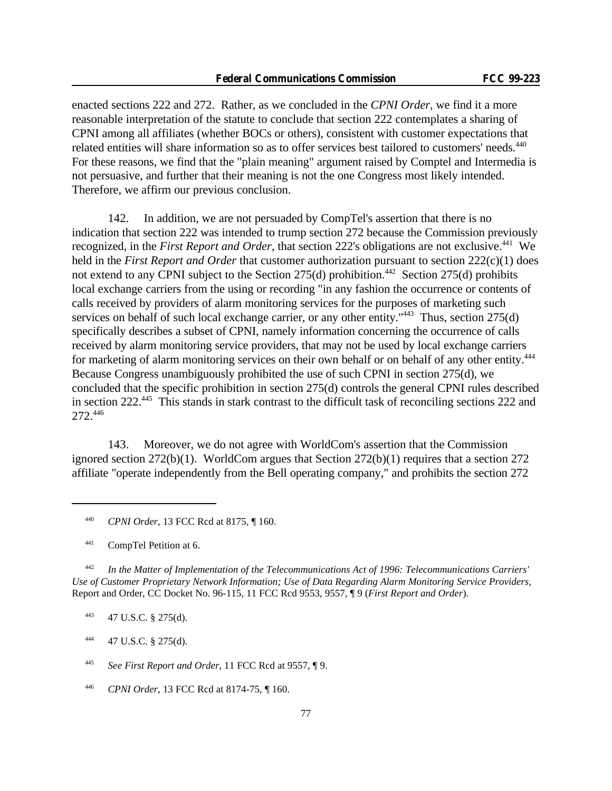enacted sections 222 and 272. Rather, as we concluded in the *CPNI Order*, we find it a more reasonable interpretation of the statute to conclude that section 222 contemplates a sharing of CPNI among all affiliates (whether BOCs or others), consistent with customer expectations that related entities will share information so as to offer services best tailored to customers' needs.<sup>440</sup> For these reasons, we find that the "plain meaning" argument raised by Comptel and Intermedia is not persuasive, and further that their meaning is not the one Congress most likely intended. Therefore, we affirm our previous conclusion.

142. In addition, we are not persuaded by CompTel's assertion that there is no indication that section 222 was intended to trump section 272 because the Commission previously recognized, in the *First Report and Order*, that section 222's obligations are not exclusive.<sup>441</sup> We held in the *First Report and Order* that customer authorization pursuant to section 222(c)(1) does not extend to any CPNI subject to the Section  $275(d)$  prohibition.<sup>442</sup> Section  $275(d)$  prohibits local exchange carriers from the using or recording "in any fashion the occurrence or contents of calls received by providers of alarm monitoring services for the purposes of marketing such services on behalf of such local exchange carrier, or any other entity."<sup>443</sup> Thus, section 275(d) specifically describes a subset of CPNI, namely information concerning the occurrence of calls received by alarm monitoring service providers, that may not be used by local exchange carriers for marketing of alarm monitoring services on their own behalf or on behalf of any other entity.<sup>444</sup> Because Congress unambiguously prohibited the use of such CPNI in section 275(d), we concluded that the specific prohibition in section 275(d) controls the general CPNI rules described in section 222.<sup>445</sup> This stands in stark contrast to the difficult task of reconciling sections 222 and 272.<sup>446</sup>

143. Moreover, we do not agree with WorldCom's assertion that the Commission ignored section 272(b)(1). WorldCom argues that Section 272(b)(1) requires that a section 272 affiliate "operate independently from the Bell operating company," and prohibits the section 272

<sup>442</sup> *In the Matter of Implementation of the Telecommunications Act of 1996: Telecommunications Carriers' Use of Customer Proprietary Network Information; Use of Data Regarding Alarm Monitoring Service Providers*, Report and Order, CC Docket No. 96-115, 11 FCC Rcd 9553, 9557, ¶ 9 (*First Report and Order*).

<sup>443</sup> 47 U.S.C. § 275(d).

 $444$  47 U.S.C. § 275(d).

<sup>445</sup> *See First Report and Order*, 11 FCC Rcd at 9557, ¶ 9.

<sup>446</sup> *CPNI Order*, 13 FCC Rcd at 8174-75, ¶ 160.

<sup>440</sup> *CPNI Order*, 13 FCC Rcd at 8175, ¶ 160.

<sup>441</sup> CompTel Petition at 6.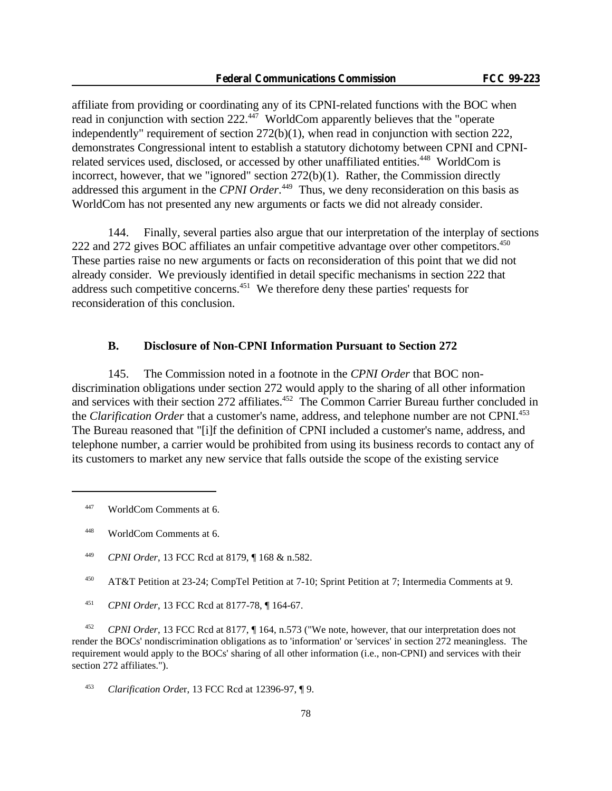affiliate from providing or coordinating any of its CPNI-related functions with the BOC when read in conjunction with section 222.<sup>447</sup> WorldCom apparently believes that the "operate" independently" requirement of section 272(b)(1), when read in conjunction with section 222, demonstrates Congressional intent to establish a statutory dichotomy between CPNI and CPNIrelated services used, disclosed, or accessed by other unaffiliated entities.<sup>448</sup> WorldCom is incorrect, however, that we "ignored" section 272(b)(1). Rather, the Commission directly addressed this argument in the *CPNI Order*.<sup>449</sup> Thus, we deny reconsideration on this basis as WorldCom has not presented any new arguments or facts we did not already consider.

144. Finally, several parties also argue that our interpretation of the interplay of sections 222 and 272 gives BOC affiliates an unfair competitive advantage over other competitors.<sup>450</sup> These parties raise no new arguments or facts on reconsideration of this point that we did not already consider. We previously identified in detail specific mechanisms in section 222 that address such competitive concerns.<sup>451</sup> We therefore deny these parties' requests for reconsideration of this conclusion.

### **B. Disclosure of Non-CPNI Information Pursuant to Section 272**

145. The Commission noted in a footnote in the *CPNI Order* that BOC nondiscrimination obligations under section 272 would apply to the sharing of all other information and services with their section 272 affiliates.<sup>452</sup> The Common Carrier Bureau further concluded in the *Clarification Order* that a customer's name, address, and telephone number are not CPNI.<sup>453</sup> The Bureau reasoned that "[i]f the definition of CPNI included a customer's name, address, and telephone number, a carrier would be prohibited from using its business records to contact any of its customers to market any new service that falls outside the scope of the existing service

<sup>452</sup> *CPNI Order*, 13 FCC Rcd at 8177, ¶ 164, n.573 ("We note, however, that our interpretation does not render the BOCs' nondiscrimination obligations as to 'information' or 'services' in section 272 meaningless. The requirement would apply to the BOCs' sharing of all other information (i.e., non-CPNI) and services with their section 272 affiliates.").

<sup>447</sup> WorldCom Comments at 6.

<sup>448</sup> WorldCom Comments at 6.

<sup>449</sup> *CPNI Order*, 13 FCC Rcd at 8179, ¶ 168 & n.582.

<sup>450</sup> AT&T Petition at 23-24; CompTel Petition at 7-10; Sprint Petition at 7; Intermedia Comments at 9.

<sup>451</sup> *CPNI Order*, 13 FCC Rcd at 8177-78, ¶ 164-67.

<sup>453</sup> *Clarification Orde*r, 13 FCC Rcd at 12396-97, ¶ 9.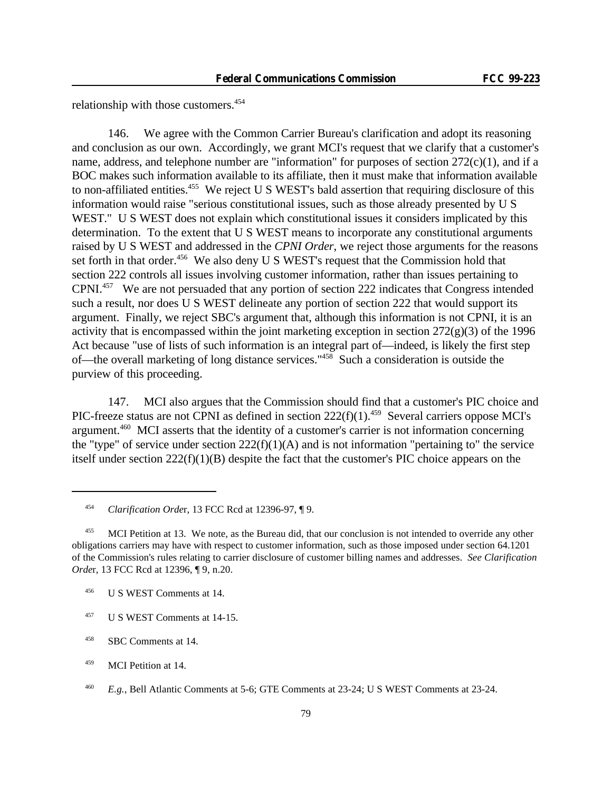relationship with those customers.<sup>454</sup>

146. We agree with the Common Carrier Bureau's clarification and adopt its reasoning and conclusion as our own. Accordingly, we grant MCI's request that we clarify that a customer's name, address, and telephone number are "information" for purposes of section  $272(c)(1)$ , and if a BOC makes such information available to its affiliate, then it must make that information available to non-affiliated entities.<sup>455</sup> We reject U S WEST's bald assertion that requiring disclosure of this information would raise "serious constitutional issues, such as those already presented by U S WEST." U S WEST does not explain which constitutional issues it considers implicated by this determination. To the extent that U S WEST means to incorporate any constitutional arguments raised by U S WEST and addressed in the *CPNI Order*, we reject those arguments for the reasons set forth in that order.<sup>456</sup> We also deny U S WEST's request that the Commission hold that section 222 controls all issues involving customer information, rather than issues pertaining to CPNI.<sup>457</sup> We are not persuaded that any portion of section 222 indicates that Congress intended such a result, nor does U S WEST delineate any portion of section 222 that would support its argument. Finally, we reject SBC's argument that, although this information is not CPNI, it is an activity that is encompassed within the joint marketing exception in section  $272(g)(3)$  of the 1996 Act because "use of lists of such information is an integral part of—indeed, is likely the first step of—the overall marketing of long distance services."<sup>458</sup> Such a consideration is outside the purview of this proceeding.

147. MCI also argues that the Commission should find that a customer's PIC choice and PIC-freeze status are not CPNI as defined in section  $222(f)(1)$ .<sup>459</sup> Several carriers oppose MCI's argument.<sup>460</sup> MCI asserts that the identity of a customer's carrier is not information concerning the "type" of service under section  $222(f)(1)(A)$  and is not information "pertaining to" the service itself under section 222(f)(1)(B) despite the fact that the customer's PIC choice appears on the

<sup>454</sup> *Clarification Orde*r, 13 FCC Rcd at 12396-97, ¶ 9.

<sup>&</sup>lt;sup>455</sup> MCI Petition at 13. We note, as the Bureau did, that our conclusion is not intended to override any other obligations carriers may have with respect to customer information, such as those imposed under section 64.1201 of the Commission's rules relating to carrier disclosure of customer billing names and addresses. *See Clarification Orde*r, 13 FCC Rcd at 12396, ¶ 9, n.20.

<sup>456</sup> U S WEST Comments at 14.

<sup>457</sup> U S WEST Comments at 14-15.

<sup>458</sup> SBC Comments at 14.

<sup>459</sup> MCI Petition at 14.

<sup>460</sup> *E.g.*, Bell Atlantic Comments at 5-6; GTE Comments at 23-24; U S WEST Comments at 23-24.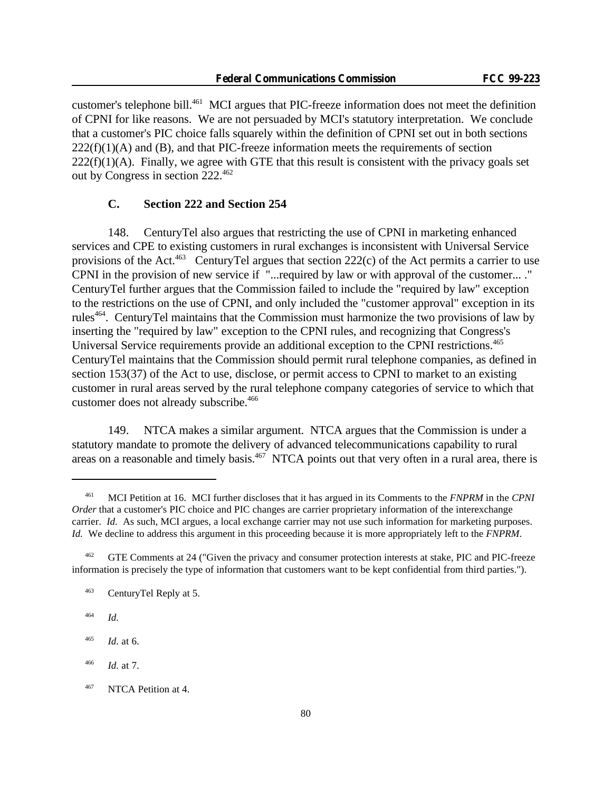customer's telephone bill.<sup>461</sup> MCI argues that PIC-freeze information does not meet the definition of CPNI for like reasons. We are not persuaded by MCI's statutory interpretation. We conclude that a customer's PIC choice falls squarely within the definition of CPNI set out in both sections  $222(f)(1)(A)$  and (B), and that PIC-freeze information meets the requirements of section  $222(f)(1)(A)$ . Finally, we agree with GTE that this result is consistent with the privacy goals set out by Congress in section 222.<sup>462</sup>

#### **C. Section 222 and Section 254**

148. CenturyTel also argues that restricting the use of CPNI in marketing enhanced services and CPE to existing customers in rural exchanges is inconsistent with Universal Service provisions of the Act.<sup>463</sup> CenturyTel argues that section 222(c) of the Act permits a carrier to use CPNI in the provision of new service if "...required by law or with approval of the customer... ." CenturyTel further argues that the Commission failed to include the "required by law" exception to the restrictions on the use of CPNI, and only included the "customer approval" exception in its rules<sup>464</sup>. CenturyTel maintains that the Commission must harmonize the two provisions of law by inserting the "required by law" exception to the CPNI rules, and recognizing that Congress's Universal Service requirements provide an additional exception to the CPNI restrictions.<sup>465</sup> CenturyTel maintains that the Commission should permit rural telephone companies, as defined in section 153(37) of the Act to use, disclose, or permit access to CPNI to market to an existing customer in rural areas served by the rural telephone company categories of service to which that customer does not already subscribe.<sup>466</sup>

149. NTCA makes a similar argument. NTCA argues that the Commission is under a statutory mandate to promote the delivery of advanced telecommunications capability to rural areas on a reasonable and timely basis.467 NTCA points out that very often in a rural area, there is

<sup>461</sup> MCI Petition at 16. MCI further discloses that it has argued in its Comments to the *FNPRM* in the *CPNI Order* that a customer's PIC choice and PIC changes are carrier proprietary information of the interexchange carrier. *Id.* As such, MCI argues, a local exchange carrier may not use such information for marketing purposes. *Id.* We decline to address this argument in this proceeding because it is more appropriately left to the *FNPRM*.

<sup>&</sup>lt;sup>462</sup> GTE Comments at 24 ("Given the privacy and consumer protection interests at stake, PIC and PIC-freeze information is precisely the type of information that customers want to be kept confidential from third parties.").

<sup>463</sup> CenturyTel Reply at 5.

<sup>464</sup> *Id.*

<sup>465</sup> *Id.* at 6.

<sup>466</sup> *Id.* at 7.

<sup>&</sup>lt;sup>467</sup> NTCA Petition at 4.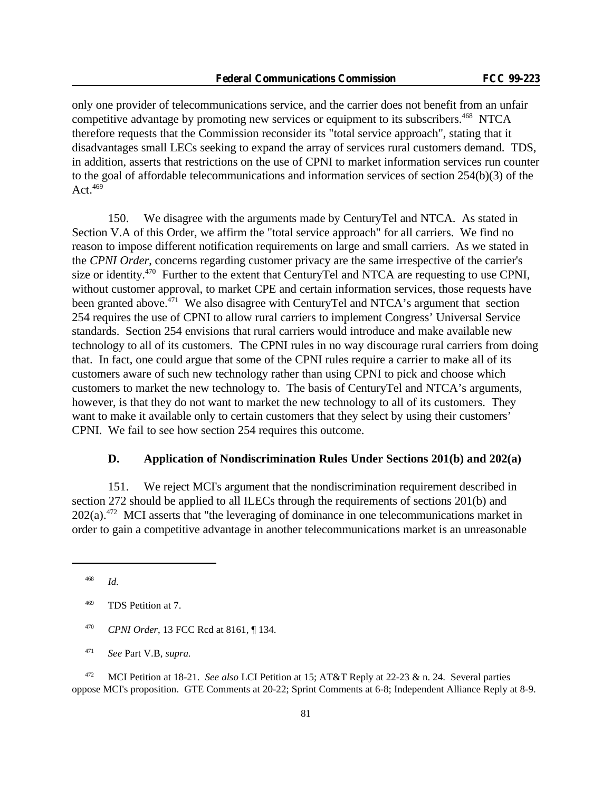only one provider of telecommunications service, and the carrier does not benefit from an unfair competitive advantage by promoting new services or equipment to its subscribers.<sup>468</sup> NTCA therefore requests that the Commission reconsider its "total service approach", stating that it disadvantages small LECs seeking to expand the array of services rural customers demand. TDS, in addition, asserts that restrictions on the use of CPNI to market information services run counter to the goal of affordable telecommunications and information services of section 254(b)(3) of the Act. $469$ 

150. We disagree with the arguments made by CenturyTel and NTCA. As stated in Section V.A of this Order, we affirm the "total service approach" for all carriers. We find no reason to impose different notification requirements on large and small carriers. As we stated in the *CPNI Order*, concerns regarding customer privacy are the same irrespective of the carrier's size or identity.<sup>470</sup> Further to the extent that CenturyTel and NTCA are requesting to use CPNI, without customer approval, to market CPE and certain information services, those requests have been granted above.<sup>471</sup> We also disagree with CenturyTel and NTCA's argument that section 254 requires the use of CPNI to allow rural carriers to implement Congress' Universal Service standards. Section 254 envisions that rural carriers would introduce and make available new technology to all of its customers. The CPNI rules in no way discourage rural carriers from doing that. In fact, one could argue that some of the CPNI rules require a carrier to make all of its customers aware of such new technology rather than using CPNI to pick and choose which customers to market the new technology to. The basis of CenturyTel and NTCA's arguments, however, is that they do not want to market the new technology to all of its customers. They want to make it available only to certain customers that they select by using their customers' CPNI. We fail to see how section 254 requires this outcome.

### **D. Application of Nondiscrimination Rules Under Sections 201(b) and 202(a)**

151. We reject MCI's argument that the nondiscrimination requirement described in section 272 should be applied to all ILECs through the requirements of sections 201(b) and  $202(a)$ <sup>472</sup> MCI asserts that "the leveraging of dominance in one telecommunications market in order to gain a competitive advantage in another telecommunications market is an unreasonable

<sup>470</sup> *CPNI Order*, 13 FCC Rcd at 8161, ¶ 134.

<sup>472</sup> MCI Petition at 18-21. *See also* LCI Petition at 15; AT&T Reply at 22-23 & n. 24. Several parties oppose MCI's proposition. GTE Comments at 20-22; Sprint Comments at 6-8; Independent Alliance Reply at 8-9.

<sup>468</sup> *Id.*

<sup>469</sup> TDS Petition at 7.

<sup>471</sup> *See* Part V.B, *supra.*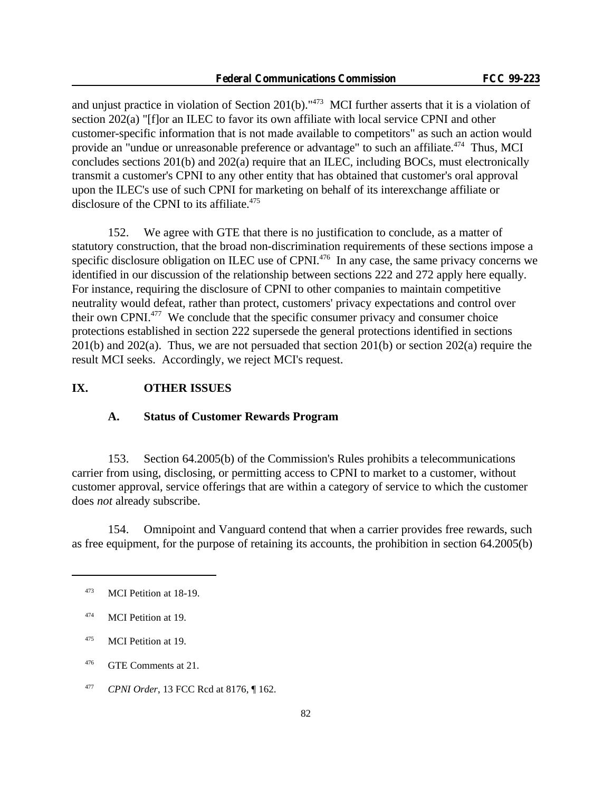and unjust practice in violation of Section 201(b)."<sup>473</sup> MCI further asserts that it is a violation of section 202(a) "[f]or an ILEC to favor its own affiliate with local service CPNI and other customer-specific information that is not made available to competitors" as such an action would provide an "undue or unreasonable preference or advantage" to such an affiliate.<sup>474</sup> Thus, MCI concludes sections 201(b) and 202(a) require that an ILEC, including BOCs, must electronically transmit a customer's CPNI to any other entity that has obtained that customer's oral approval upon the ILEC's use of such CPNI for marketing on behalf of its interexchange affiliate or disclosure of the CPNI to its affiliate.<sup>475</sup>

152. We agree with GTE that there is no justification to conclude, as a matter of statutory construction, that the broad non-discrimination requirements of these sections impose a specific disclosure obligation on ILEC use of CPNI.<sup>476</sup> In any case, the same privacy concerns we identified in our discussion of the relationship between sections 222 and 272 apply here equally. For instance, requiring the disclosure of CPNI to other companies to maintain competitive neutrality would defeat, rather than protect, customers' privacy expectations and control over their own CPNI.<sup>477</sup> We conclude that the specific consumer privacy and consumer choice protections established in section 222 supersede the general protections identified in sections 201(b) and 202(a). Thus, we are not persuaded that section 201(b) or section 202(a) require the result MCI seeks. Accordingly, we reject MCI's request.

#### **IX. OTHER ISSUES**

#### **A. Status of Customer Rewards Program**

153. Section 64.2005(b) of the Commission's Rules prohibits a telecommunications carrier from using, disclosing, or permitting access to CPNI to market to a customer, without customer approval, service offerings that are within a category of service to which the customer does *not* already subscribe.

154. Omnipoint and Vanguard contend that when a carrier provides free rewards, such as free equipment, for the purpose of retaining its accounts, the prohibition in section 64.2005(b)

<sup>473</sup> MCI Petition at 18-19.

<sup>474</sup> MCI Petition at 19.

<sup>&</sup>lt;sup>475</sup> MCI Petition at 19.

<sup>476</sup> GTE Comments at 21.

<sup>477</sup> *CPNI Order*, 13 FCC Rcd at 8176, ¶ 162.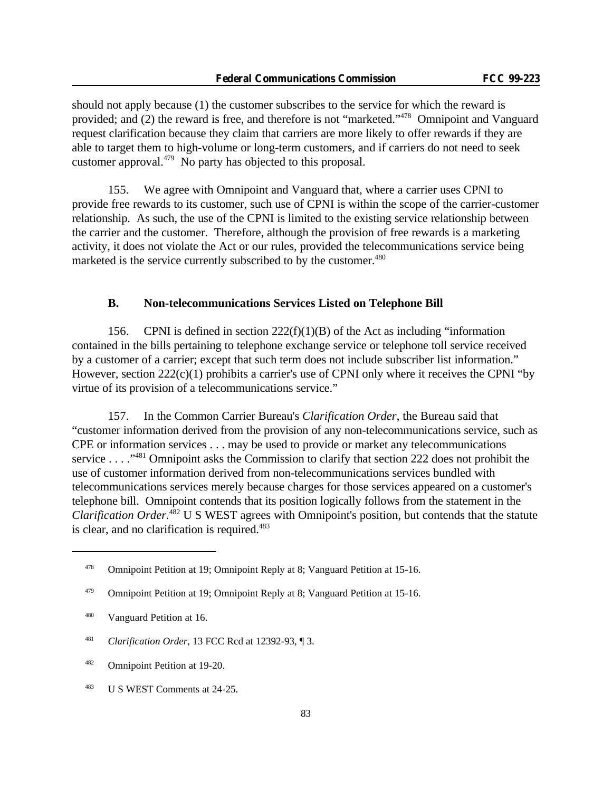should not apply because (1) the customer subscribes to the service for which the reward is provided; and (2) the reward is free, and therefore is not "marketed."<sup>478</sup> Omnipoint and Vanguard request clarification because they claim that carriers are more likely to offer rewards if they are able to target them to high-volume or long-term customers, and if carriers do not need to seek customer approval.<sup>479</sup> No party has objected to this proposal.

155. We agree with Omnipoint and Vanguard that, where a carrier uses CPNI to provide free rewards to its customer, such use of CPNI is within the scope of the carrier-customer relationship. As such, the use of the CPNI is limited to the existing service relationship between the carrier and the customer. Therefore, although the provision of free rewards is a marketing activity, it does not violate the Act or our rules, provided the telecommunications service being marketed is the service currently subscribed to by the customer.<sup>480</sup>

## **B. Non-telecommunications Services Listed on Telephone Bill**

156. CPNI is defined in section  $222(f)(1)(B)$  of the Act as including "information" contained in the bills pertaining to telephone exchange service or telephone toll service received by a customer of a carrier; except that such term does not include subscriber list information." However, section 222(c)(1) prohibits a carrier's use of CPNI only where it receives the CPNI "by virtue of its provision of a telecommunications service."

157. In the Common Carrier Bureau's *Clarification Order*, the Bureau said that "customer information derived from the provision of any non-telecommunications service, such as CPE or information services . . . may be used to provide or market any telecommunications service . . . . "<sup>481</sup> Omnipoint asks the Commission to clarify that section 222 does not prohibit the use of customer information derived from non-telecommunications services bundled with telecommunications services merely because charges for those services appeared on a customer's telephone bill. Omnipoint contends that its position logically follows from the statement in the *Clarification Order.*<sup>482</sup> U S WEST agrees with Omnipoint's position, but contends that the statute is clear, and no clarification is required.<sup>483</sup>

<sup>478</sup> Omnipoint Petition at 19; Omnipoint Reply at 8; Vanguard Petition at 15-16.

<sup>&</sup>lt;sup>479</sup> Omnipoint Petition at 19; Omnipoint Reply at 8; Vanguard Petition at 15-16.

<sup>480</sup> Vanguard Petition at 16.

<sup>481</sup> *Clarification Order*, 13 FCC Rcd at 12392-93, ¶ 3.

<sup>482</sup> Omnipoint Petition at 19-20.

<sup>483</sup> U S WEST Comments at 24-25.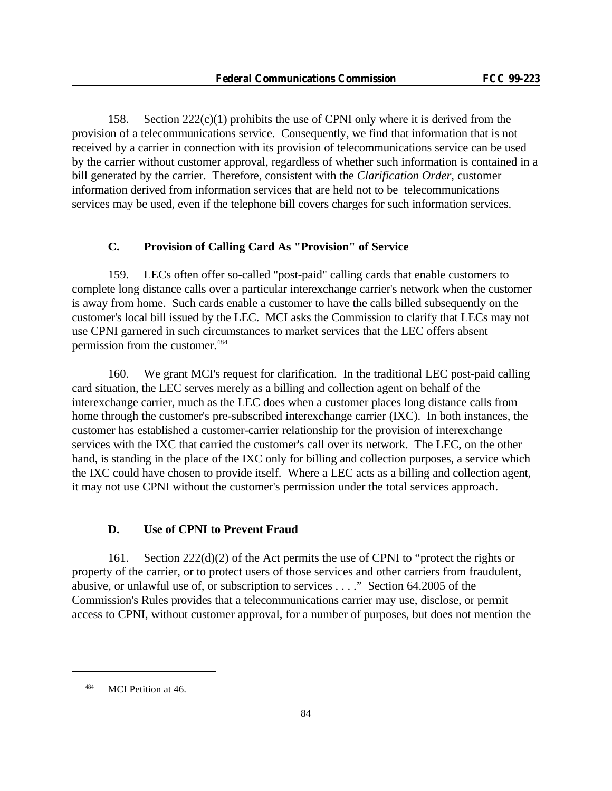158. Section  $222(c)(1)$  prohibits the use of CPNI only where it is derived from the provision of a telecommunications service. Consequently, we find that information that is not received by a carrier in connection with its provision of telecommunications service can be used by the carrier without customer approval, regardless of whether such information is contained in a bill generated by the carrier. Therefore, consistent with the *Clarification Order*, customer information derived from information services that are held not to be telecommunications services may be used, even if the telephone bill covers charges for such information services.

## **C. Provision of Calling Card As "Provision" of Service**

159. LECs often offer so-called "post-paid" calling cards that enable customers to complete long distance calls over a particular interexchange carrier's network when the customer is away from home. Such cards enable a customer to have the calls billed subsequently on the customer's local bill issued by the LEC. MCI asks the Commission to clarify that LECs may not use CPNI garnered in such circumstances to market services that the LEC offers absent permission from the customer.<sup>484</sup>

160. We grant MCI's request for clarification. In the traditional LEC post-paid calling card situation, the LEC serves merely as a billing and collection agent on behalf of the interexchange carrier, much as the LEC does when a customer places long distance calls from home through the customer's pre-subscribed interexchange carrier (IXC). In both instances, the customer has established a customer-carrier relationship for the provision of interexchange services with the IXC that carried the customer's call over its network. The LEC, on the other hand, is standing in the place of the IXC only for billing and collection purposes, a service which the IXC could have chosen to provide itself. Where a LEC acts as a billing and collection agent, it may not use CPNI without the customer's permission under the total services approach.

### **D. Use of CPNI to Prevent Fraud**

161. Section 222(d)(2) of the Act permits the use of CPNI to "protect the rights or property of the carrier, or to protect users of those services and other carriers from fraudulent, abusive, or unlawful use of, or subscription to services . . . ." Section 64.2005 of the Commission's Rules provides that a telecommunications carrier may use, disclose, or permit access to CPNI, without customer approval, for a number of purposes, but does not mention the

<sup>484</sup> MCI Petition at 46.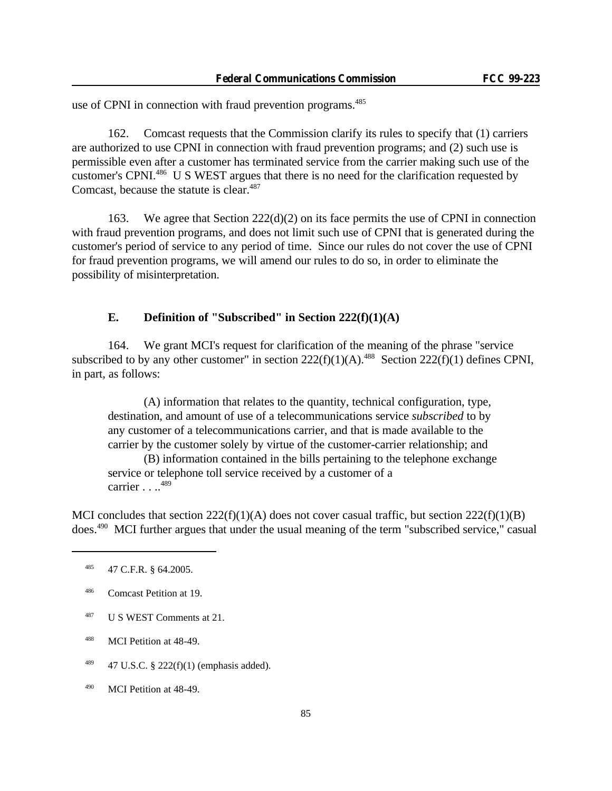use of CPNI in connection with fraud prevention programs.<sup>485</sup>

162. Comcast requests that the Commission clarify its rules to specify that (1) carriers are authorized to use CPNI in connection with fraud prevention programs; and (2) such use is permissible even after a customer has terminated service from the carrier making such use of the customer's CPNI.<sup>486</sup> U S WEST argues that there is no need for the clarification requested by Comcast, because the statute is clear.<sup>487</sup>

163. We agree that Section 222(d)(2) on its face permits the use of CPNI in connection with fraud prevention programs, and does not limit such use of CPNI that is generated during the customer's period of service to any period of time. Since our rules do not cover the use of CPNI for fraud prevention programs, we will amend our rules to do so, in order to eliminate the possibility of misinterpretation.

### **E. Definition of "Subscribed" in Section 222(f)(1)(A)**

164. We grant MCI's request for clarification of the meaning of the phrase "service subscribed to by any other customer" in section  $222(f)(1)(A)$ .<sup>488</sup> Section  $222(f)(1)$  defines CPNI, in part, as follows:

(A) information that relates to the quantity, technical configuration, type, destination, and amount of use of a telecommunications service *subscribed* to by any customer of a telecommunications carrier, and that is made available to the carrier by the customer solely by virtue of the customer-carrier relationship; and

(B) information contained in the bills pertaining to the telephone exchange service or telephone toll service received by a customer of a carrier  $\ldots$ <sup>489</sup>

MCI concludes that section  $222(f)(1)(A)$  does not cover casual traffic, but section  $222(f)(1)(B)$ does.490 MCI further argues that under the usual meaning of the term "subscribed service," casual

- <sup>487</sup> U S WEST Comments at 21.
- <sup>488</sup> MCI Petition at 48-49.
- $489$  47 U.S.C. § 222(f)(1) (emphasis added).
- <sup>490</sup> MCI Petition at 48-49.

<sup>485</sup> 47 C.F.R. § 64.2005.

<sup>486</sup> Comcast Petition at 19.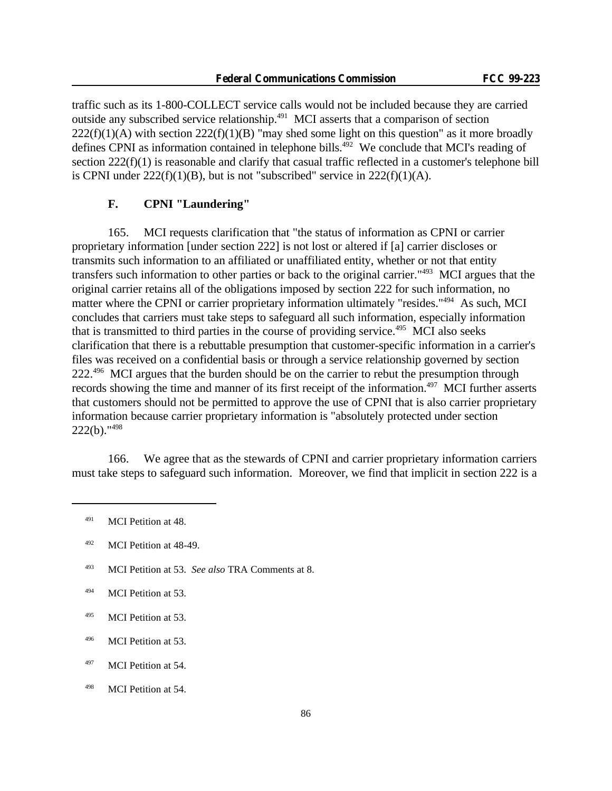traffic such as its 1-800-COLLECT service calls would not be included because they are carried outside any subscribed service relationship.<sup>491</sup> MCI asserts that a comparison of section  $222(f)(1)(A)$  with section  $222(f)(1)(B)$  "may shed some light on this question" as it more broadly defines CPNI as information contained in telephone bills.<sup>492</sup> We conclude that MCI's reading of section 222(f)(1) is reasonable and clarify that casual traffic reflected in a customer's telephone bill is CPNI under  $222(f)(1)(B)$ , but is not "subscribed" service in  $222(f)(1)(A)$ .

## **F. CPNI "Laundering"**

165. MCI requests clarification that "the status of information as CPNI or carrier proprietary information [under section 222] is not lost or altered if [a] carrier discloses or transmits such information to an affiliated or unaffiliated entity, whether or not that entity transfers such information to other parties or back to the original carrier."<sup>493</sup> MCI argues that the original carrier retains all of the obligations imposed by section 222 for such information, no matter where the CPNI or carrier proprietary information ultimately "resides."<sup>494</sup> As such, MCI concludes that carriers must take steps to safeguard all such information, especially information that is transmitted to third parties in the course of providing service.<sup>495</sup> MCI also seeks clarification that there is a rebuttable presumption that customer-specific information in a carrier's files was received on a confidential basis or through a service relationship governed by section 222.<sup>496</sup> MCI argues that the burden should be on the carrier to rebut the presumption through records showing the time and manner of its first receipt of the information.<sup>497</sup> MCI further asserts that customers should not be permitted to approve the use of CPNI that is also carrier proprietary information because carrier proprietary information is "absolutely protected under section  $222(b)$ ."<sup>498</sup>

166. We agree that as the stewards of CPNI and carrier proprietary information carriers must take steps to safeguard such information. Moreover, we find that implicit in section 222 is a

<sup>&</sup>lt;sup>491</sup> MCI Petition at 48.

<sup>492</sup> MCI Petition at 48-49.

<sup>493</sup> MCI Petition at 53. *See also* TRA Comments at 8.

<sup>&</sup>lt;sup>494</sup> MCI Petition at 53.

<sup>495</sup> MCI Petition at 53.

<sup>496</sup> MCI Petition at 53.

<sup>&</sup>lt;sup>497</sup> MCI Petition at 54.

<sup>498</sup> MCI Petition at 54.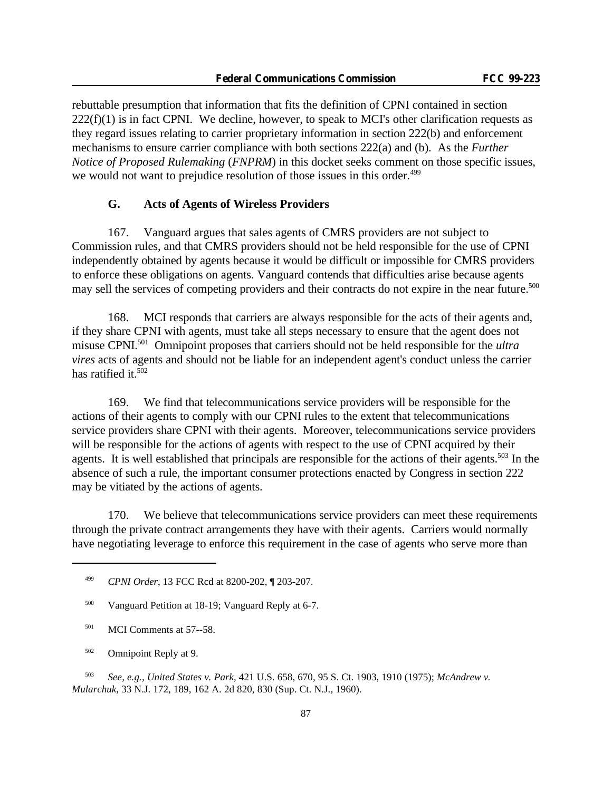rebuttable presumption that information that fits the definition of CPNI contained in section  $222(f)(1)$  is in fact CPNI. We decline, however, to speak to MCI's other clarification requests as they regard issues relating to carrier proprietary information in section 222(b) and enforcement mechanisms to ensure carrier compliance with both sections 222(a) and (b). As the *Further Notice of Proposed Rulemaking* (*FNPRM*) in this docket seeks comment on those specific issues, we would not want to prejudice resolution of those issues in this order.<sup>499</sup>

#### **G. Acts of Agents of Wireless Providers**

167. Vanguard argues that sales agents of CMRS providers are not subject to Commission rules, and that CMRS providers should not be held responsible for the use of CPNI independently obtained by agents because it would be difficult or impossible for CMRS providers to enforce these obligations on agents. Vanguard contends that difficulties arise because agents may sell the services of competing providers and their contracts do not expire in the near future.<sup>500</sup>

168. MCI responds that carriers are always responsible for the acts of their agents and, if they share CPNI with agents, must take all steps necessary to ensure that the agent does not misuse CPNI.<sup>501</sup> Omnipoint proposes that carriers should not be held responsible for the *ultra vires* acts of agents and should not be liable for an independent agent's conduct unless the carrier has ratified it.<sup>502</sup>

169. We find that telecommunications service providers will be responsible for the actions of their agents to comply with our CPNI rules to the extent that telecommunications service providers share CPNI with their agents. Moreover, telecommunications service providers will be responsible for the actions of agents with respect to the use of CPNI acquired by their agents. It is well established that principals are responsible for the actions of their agents.<sup>503</sup> In the absence of such a rule, the important consumer protections enacted by Congress in section 222 may be vitiated by the actions of agents.

170. We believe that telecommunications service providers can meet these requirements through the private contract arrangements they have with their agents. Carriers would normally have negotiating leverage to enforce this requirement in the case of agents who serve more than

- <sup>501</sup> MCI Comments at 57--58.
- <sup>502</sup> Omnipoint Reply at 9.

<sup>503</sup> *See, e.g., United States v. Park*, 421 U.S. 658, 670, 95 S. Ct. 1903, 1910 (1975); *McAndrew v. Mularchuk*, 33 N.J. 172, 189, 162 A. 2d 820, 830 (Sup. Ct. N.J., 1960).

<sup>499</sup> *CPNI Order*, 13 FCC Rcd at 8200-202, ¶ 203-207.

<sup>500</sup> Vanguard Petition at 18-19; Vanguard Reply at 6-7.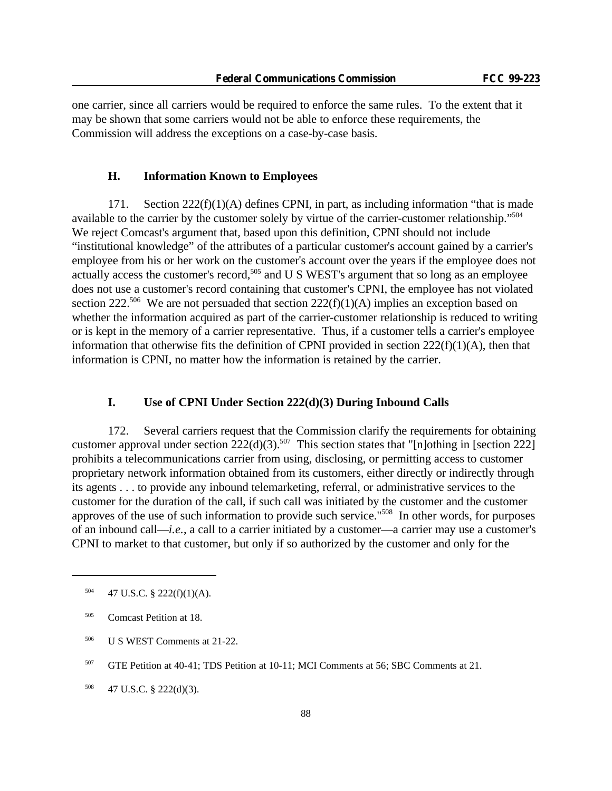one carrier, since all carriers would be required to enforce the same rules. To the extent that it may be shown that some carriers would not be able to enforce these requirements, the Commission will address the exceptions on a case-by-case basis.

### **H. Information Known to Employees**

171. Section  $222(f)(1)(A)$  defines CPNI, in part, as including information "that is made available to the carrier by the customer solely by virtue of the carrier-customer relationship."<sup>504</sup> We reject Comcast's argument that, based upon this definition, CPNI should not include "institutional knowledge" of the attributes of a particular customer's account gained by a carrier's employee from his or her work on the customer's account over the years if the employee does not actually access the customer's record,<sup>505</sup> and U S WEST's argument that so long as an employee does not use a customer's record containing that customer's CPNI, the employee has not violated section 222.<sup>506</sup> We are not persuaded that section 222(f)(1)(A) implies an exception based on whether the information acquired as part of the carrier-customer relationship is reduced to writing or is kept in the memory of a carrier representative. Thus, if a customer tells a carrier's employee information that otherwise fits the definition of CPNI provided in section 222(f)(1)(A), then that information is CPNI, no matter how the information is retained by the carrier.

### **I. Use of CPNI Under Section 222(d)(3) During Inbound Calls**

172. Several carriers request that the Commission clarify the requirements for obtaining customer approval under section  $222(d)(3)$ .<sup>507</sup> This section states that "[n]othing in [section 222] prohibits a telecommunications carrier from using, disclosing, or permitting access to customer proprietary network information obtained from its customers, either directly or indirectly through its agents . . . to provide any inbound telemarketing, referral, or administrative services to the customer for the duration of the call, if such call was initiated by the customer and the customer approves of the use of such information to provide such service."<sup>508</sup> In other words, for purposes of an inbound call—*i.e.*, a call to a carrier initiated by a customer—a carrier may use a customer's CPNI to market to that customer, but only if so authorized by the customer and only for the

 $504$  47 U.S.C. § 222(f)(1)(A).

<sup>505</sup> Comcast Petition at 18.

<sup>506</sup> U S WEST Comments at 21-22.

<sup>507</sup> GTE Petition at 40-41; TDS Petition at 10-11; MCI Comments at 56; SBC Comments at 21.

 $508$  47 U.S.C. § 222(d)(3).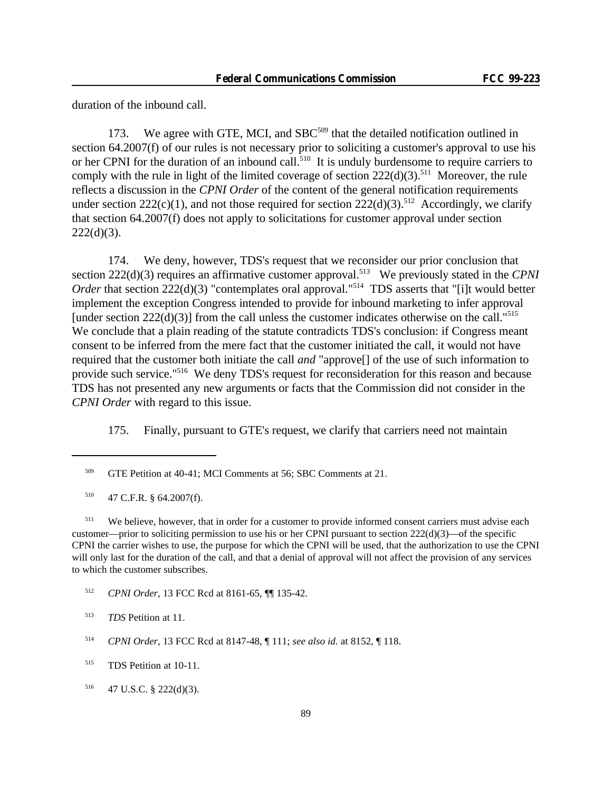duration of the inbound call.

173. We agree with GTE, MCI, and SBC<sup>509</sup> that the detailed notification outlined in section 64.2007(f) of our rules is not necessary prior to soliciting a customer's approval to use his or her CPNI for the duration of an inbound call.<sup>510</sup> It is unduly burdensome to require carriers to comply with the rule in light of the limited coverage of section  $222(d)(3)$ <sup>511</sup> Moreover, the rule reflects a discussion in the *CPNI Order* of the content of the general notification requirements under section 222(c)(1), and not those required for section 222(d)(3).<sup>512</sup> Accordingly, we clarify that section 64.2007(f) does not apply to solicitations for customer approval under section  $222(d)(3)$ .

174. We deny, however, TDS's request that we reconsider our prior conclusion that section 222(d)(3) requires an affirmative customer approval.<sup>513</sup> We previously stated in the *CPNI Order* that section 222(d)(3) "contemplates oral approval."<sup>514</sup> TDS asserts that "[i]t would better implement the exception Congress intended to provide for inbound marketing to infer approval [under section  $222(d)(3)$ ] from the call unless the customer indicates otherwise on the call."<sup>515</sup> We conclude that a plain reading of the statute contradicts TDS's conclusion: if Congress meant consent to be inferred from the mere fact that the customer initiated the call, it would not have required that the customer both initiate the call *and* "approve[] of the use of such information to provide such service."<sup>516</sup> We deny TDS's request for reconsideration for this reason and because TDS has not presented any new arguments or facts that the Commission did not consider in the *CPNI Order* with regard to this issue.

175. Finally, pursuant to GTE's request, we clarify that carriers need not maintain

<sup>511</sup> We believe, however, that in order for a customer to provide informed consent carriers must advise each customer—prior to soliciting permission to use his or her CPNI pursuant to section  $222(d)(3)$ —of the specific CPNI the carrier wishes to use, the purpose for which the CPNI will be used, that the authorization to use the CPNI will only last for the duration of the call, and that a denial of approval will not affect the provision of any services to which the customer subscribes.

<sup>512</sup> *CPNI Order*, 13 FCC Rcd at 8161-65, ¶¶ 135-42.

<sup>509</sup> GTE Petition at 40-41; MCI Comments at 56; SBC Comments at 21.

 $510$  47 C.F.R. § 64.2007(f).

<sup>513</sup> *TDS* Petition at 11.

<sup>514</sup> *CPNI Order*, 13 FCC Rcd at 8147-48, ¶ 111; *see also id.* at 8152, ¶ 118.

<sup>515</sup> TDS Petition at 10-11.

 $516$  47 U.S.C. § 222(d)(3).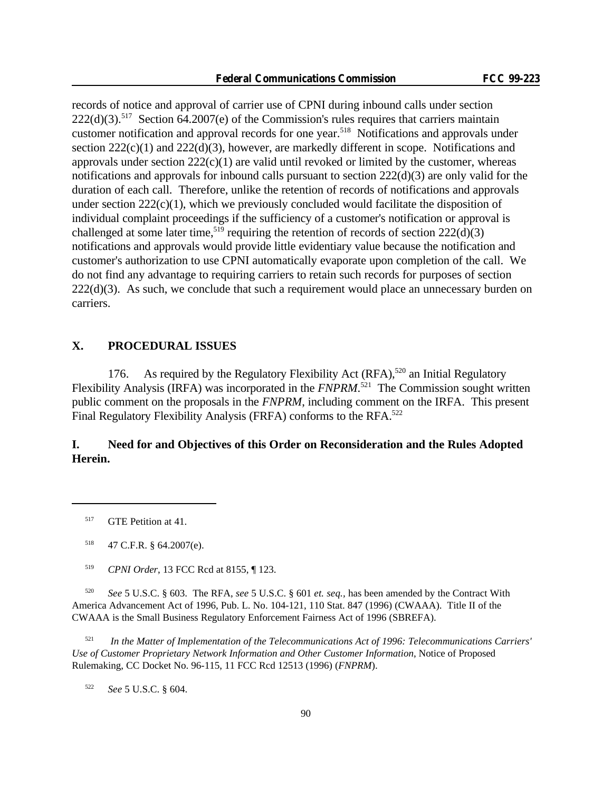records of notice and approval of carrier use of CPNI during inbound calls under section  $222(d)(3)$ .<sup>517</sup> Section 64.2007(e) of the Commission's rules requires that carriers maintain customer notification and approval records for one year.<sup>518</sup> Notifications and approvals under section  $222(c)(1)$  and  $222(d)(3)$ , however, are markedly different in scope. Notifications and approvals under section  $222(c)(1)$  are valid until revoked or limited by the customer, whereas notifications and approvals for inbound calls pursuant to section 222(d)(3) are only valid for the duration of each call. Therefore, unlike the retention of records of notifications and approvals under section  $222(c)(1)$ , which we previously concluded would facilitate the disposition of individual complaint proceedings if the sufficiency of a customer's notification or approval is challenged at some later time,<sup>519</sup> requiring the retention of records of section  $222(d)(3)$ notifications and approvals would provide little evidentiary value because the notification and customer's authorization to use CPNI automatically evaporate upon completion of the call. We do not find any advantage to requiring carriers to retain such records for purposes of section  $222(d)(3)$ . As such, we conclude that such a requirement would place an unnecessary burden on carriers.

# **X. PROCEDURAL ISSUES**

176. As required by the Regulatory Flexibility Act  $(RFA)$ ,<sup>520</sup> an Initial Regulatory Flexibility Analysis (IRFA) was incorporated in the *FNPRM*.<sup>521</sup> The Commission sought written public comment on the proposals in the *FNPRM*, including comment on the IRFA. This present Final Regulatory Flexibility Analysis (FRFA) conforms to the RFA.<sup>522</sup>

# **I. Need for and Objectives of this Order on Reconsideration and the Rules Adopted Herein.**

<sup>521</sup> *In the Matter of Implementation of the Telecommunications Act of 1996: Telecommunications Carriers' Use of Customer Proprietary Network Information and Other Customer Information*, Notice of Proposed Rulemaking, CC Docket No. 96-115, 11 FCC Rcd 12513 (1996) (*FNPRM*).

<sup>522</sup> *See* 5 U.S.C. § 604.

<sup>&</sup>lt;sup>517</sup> GTE Petition at 41.

 $518$  47 C.F.R. § 64.2007(e).

<sup>519</sup> *CPNI Order*, 13 FCC Rcd at 8155, ¶ 123.

<sup>520</sup> *See* 5 U.S.C. § 603. The RFA, *see* 5 U.S.C. § 601 *et. seq.,* has been amended by the Contract With America Advancement Act of 1996, Pub. L. No. 104-121, 110 Stat. 847 (1996) (CWAAA). Title II of the CWAAA is the Small Business Regulatory Enforcement Fairness Act of 1996 (SBREFA).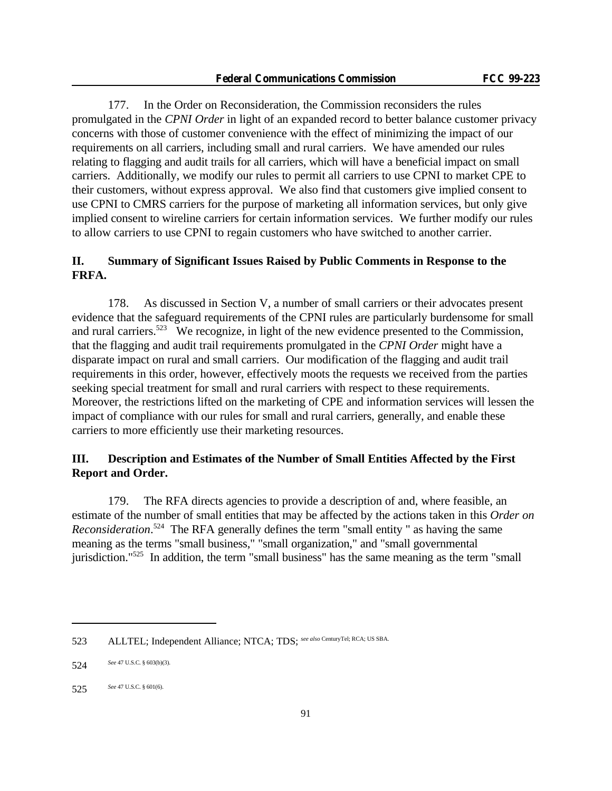177. In the Order on Reconsideration, the Commission reconsiders the rules promulgated in the *CPNI Order* in light of an expanded record to better balance customer privacy concerns with those of customer convenience with the effect of minimizing the impact of our requirements on all carriers, including small and rural carriers. We have amended our rules relating to flagging and audit trails for all carriers, which will have a beneficial impact on small carriers. Additionally, we modify our rules to permit all carriers to use CPNI to market CPE to their customers, without express approval. We also find that customers give implied consent to use CPNI to CMRS carriers for the purpose of marketing all information services, but only give implied consent to wireline carriers for certain information services. We further modify our rules to allow carriers to use CPNI to regain customers who have switched to another carrier.

# **II. Summary of Significant Issues Raised by Public Comments in Response to the FRFA.**

178. As discussed in Section V, a number of small carriers or their advocates present evidence that the safeguard requirements of the CPNI rules are particularly burdensome for small and rural carriers.<sup>523</sup> We recognize, in light of the new evidence presented to the Commission, that the flagging and audit trail requirements promulgated in the *CPNI Order* might have a disparate impact on rural and small carriers. Our modification of the flagging and audit trail requirements in this order, however, effectively moots the requests we received from the parties seeking special treatment for small and rural carriers with respect to these requirements. Moreover, the restrictions lifted on the marketing of CPE and information services will lessen the impact of compliance with our rules for small and rural carriers, generally, and enable these carriers to more efficiently use their marketing resources.

# **III. Description and Estimates of the Number of Small Entities Affected by the First Report and Order.**

179. The RFA directs agencies to provide a description of and, where feasible, an estimate of the number of small entities that may be affected by the actions taken in this *Order on Reconsideration*. <sup>524</sup> The RFA generally defines the term "small entity " as having the same meaning as the terms "small business," "small organization," and "small governmental jurisdiction."525 In addition, the term "small business" has the same meaning as the term "small

<sup>523</sup> ALLTEL; Independent Alliance; NTCA; TDS; *see also* CenturyTel; RCA; US SBA.

<sup>524</sup> *See* 47 U.S.C. § 603(b)(3).

<sup>525</sup> *See* 47 U.S.C. § 601(6).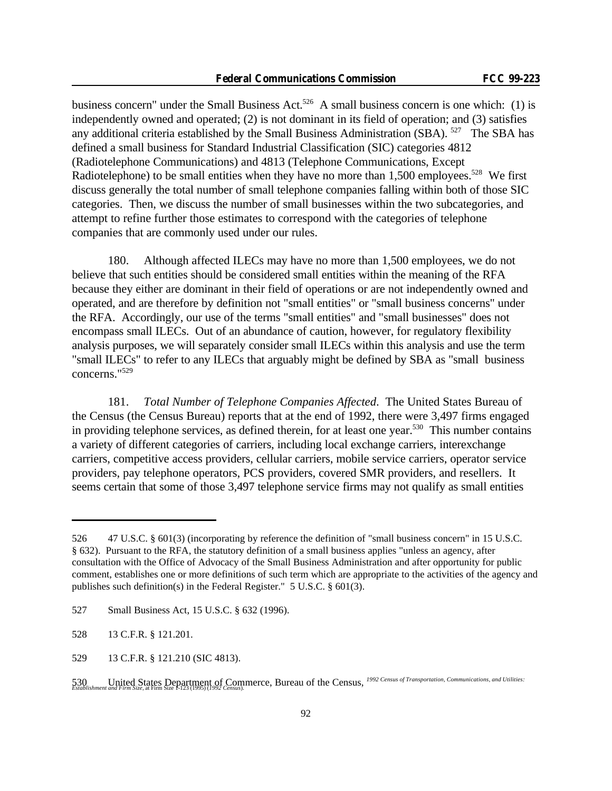business concern" under the Small Business Act.<sup>526</sup> A small business concern is one which: (1) is independently owned and operated; (2) is not dominant in its field of operation; and (3) satisfies any additional criteria established by the Small Business Administration (SBA). <sup>527</sup> The SBA has defined a small business for Standard Industrial Classification (SIC) categories 4812 (Radiotelephone Communications) and 4813 (Telephone Communications, Except Radiotelephone) to be small entities when they have no more than  $1,500$  employees.<sup>528</sup> We first discuss generally the total number of small telephone companies falling within both of those SIC categories. Then, we discuss the number of small businesses within the two subcategories, and attempt to refine further those estimates to correspond with the categories of telephone companies that are commonly used under our rules.

180. Although affected ILECs may have no more than 1,500 employees, we do not believe that such entities should be considered small entities within the meaning of the RFA because they either are dominant in their field of operations or are not independently owned and operated, and are therefore by definition not "small entities" or "small business concerns" under the RFA. Accordingly, our use of the terms "small entities" and "small businesses" does not encompass small ILECs. Out of an abundance of caution, however, for regulatory flexibility analysis purposes, we will separately consider small ILECs within this analysis and use the term "small ILECs" to refer to any ILECs that arguably might be defined by SBA as "small business concerns."<sup>529</sup>

181. *Total Number of Telephone Companies Affected*. The United States Bureau of the Census (the Census Bureau) reports that at the end of 1992, there were 3,497 firms engaged in providing telephone services, as defined therein, for at least one year.<sup>530</sup> This number contains a variety of different categories of carriers, including local exchange carriers, interexchange carriers, competitive access providers, cellular carriers, mobile service carriers, operator service providers, pay telephone operators, PCS providers, covered SMR providers, and resellers. It seems certain that some of those 3,497 telephone service firms may not qualify as small entities

<sup>526</sup> 47 U.S.C. § 601(3) (incorporating by reference the definition of "small business concern" in 15 U.S.C. § 632). Pursuant to the RFA, the statutory definition of a small business applies "unless an agency, after consultation with the Office of Advocacy of the Small Business Administration and after opportunity for public comment, establishes one or more definitions of such term which are appropriate to the activities of the agency and publishes such definition(s) in the Federal Register." 5 U.S.C. § 601(3).

<sup>527</sup> Small Business Act, 15 U.S.C. § 632 (1996).

<sup>528</sup> 13 C.F.R. § 121.201.

<sup>529</sup> 13 C.F.R. § 121.210 (SIC 4813).

<sup>530</sup> United States Department of Commerce, Bureau of the Census, *1992 Census of Transportation, Communications, and Utilities: Establishment and Firm Size*, at Firm Size 1-123 (1995) (*1992 Census*).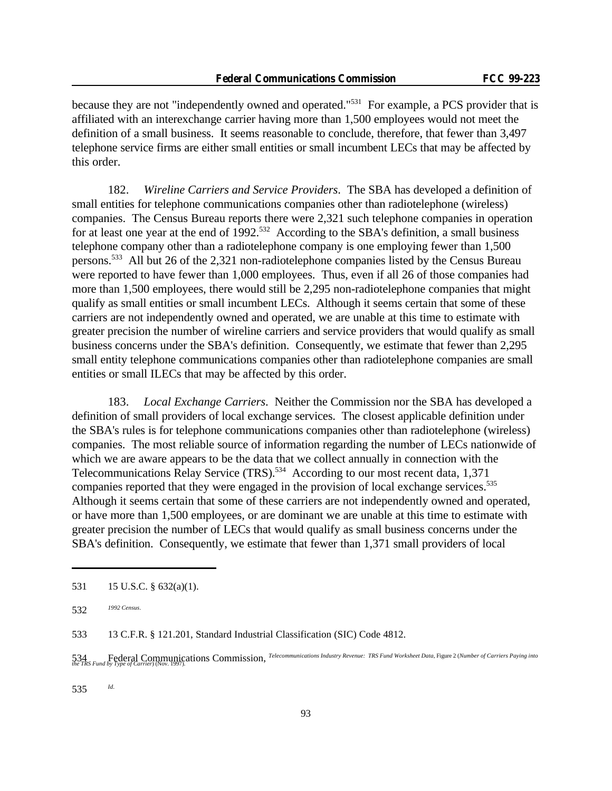because they are not "independently owned and operated."<sup>531</sup> For example, a PCS provider that is affiliated with an interexchange carrier having more than 1,500 employees would not meet the definition of a small business. It seems reasonable to conclude, therefore, that fewer than 3,497 telephone service firms are either small entities or small incumbent LECs that may be affected by this order.

182. *Wireline Carriers and Service Providers*. The SBA has developed a definition of small entities for telephone communications companies other than radiotelephone (wireless) companies. The Census Bureau reports there were 2,321 such telephone companies in operation for at least one year at the end of  $1992$ <sup>532</sup> According to the SBA's definition, a small business telephone company other than a radiotelephone company is one employing fewer than 1,500 persons.<sup>533</sup> All but 26 of the 2,321 non-radiotelephone companies listed by the Census Bureau were reported to have fewer than 1,000 employees. Thus, even if all 26 of those companies had more than 1,500 employees, there would still be 2,295 non-radiotelephone companies that might qualify as small entities or small incumbent LECs. Although it seems certain that some of these carriers are not independently owned and operated, we are unable at this time to estimate with greater precision the number of wireline carriers and service providers that would qualify as small business concerns under the SBA's definition. Consequently, we estimate that fewer than 2,295 small entity telephone communications companies other than radiotelephone companies are small entities or small ILECs that may be affected by this order.

183. *Local Exchange Carriers*. Neither the Commission nor the SBA has developed a definition of small providers of local exchange services. The closest applicable definition under the SBA's rules is for telephone communications companies other than radiotelephone (wireless) companies. The most reliable source of information regarding the number of LECs nationwide of which we are aware appears to be the data that we collect annually in connection with the Telecommunications Relay Service (TRS).<sup>534</sup> According to our most recent data, 1,371 companies reported that they were engaged in the provision of local exchange services.<sup>535</sup> Although it seems certain that some of these carriers are not independently owned and operated, or have more than 1,500 employees, or are dominant we are unable at this time to estimate with greater precision the number of LECs that would qualify as small business concerns under the SBA's definition. Consequently, we estimate that fewer than 1,371 small providers of local

535 *Id.*

<sup>531</sup> 15 U.S.C. § 632(a)(1).

<sup>532</sup> *1992 Census*.

<sup>533</sup> 13 C.F.R. § 121.201, Standard Industrial Classification (SIC) Code 4812.

<sup>534</sup> Federal Communications Commission, *Telecommunications Industry Revenue: TRS Fund Worksheet Data*, Figure 2 (*Number of Carriers Paying into the TRS Fund by Type of Carrier*) (Nov. 1997).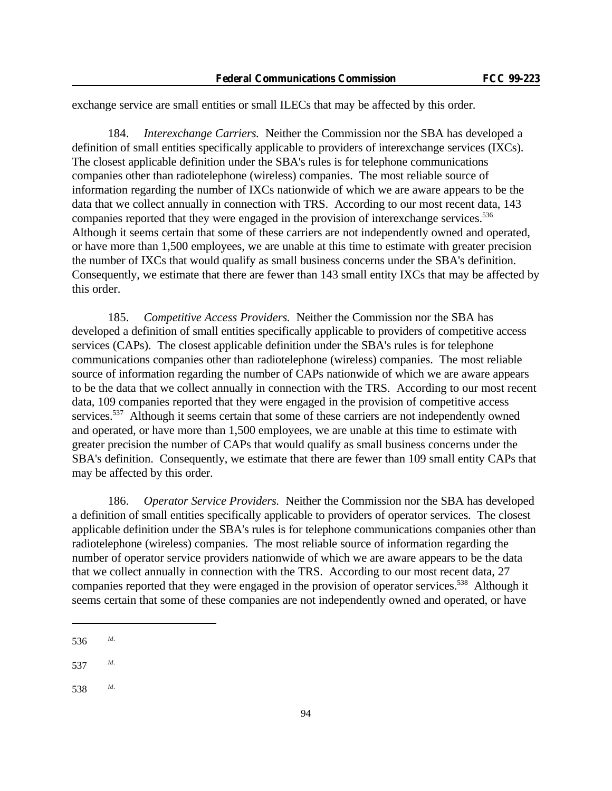exchange service are small entities or small ILECs that may be affected by this order.

184. *Interexchange Carriers.* Neither the Commission nor the SBA has developed a definition of small entities specifically applicable to providers of interexchange services (IXCs). The closest applicable definition under the SBA's rules is for telephone communications companies other than radiotelephone (wireless) companies. The most reliable source of information regarding the number of IXCs nationwide of which we are aware appears to be the data that we collect annually in connection with TRS. According to our most recent data, 143 companies reported that they were engaged in the provision of interexchange services.<sup>536</sup> Although it seems certain that some of these carriers are not independently owned and operated, or have more than 1,500 employees, we are unable at this time to estimate with greater precision the number of IXCs that would qualify as small business concerns under the SBA's definition. Consequently, we estimate that there are fewer than 143 small entity IXCs that may be affected by this order.

185. *Competitive Access Providers.* Neither the Commission nor the SBA has developed a definition of small entities specifically applicable to providers of competitive access services (CAPs). The closest applicable definition under the SBA's rules is for telephone communications companies other than radiotelephone (wireless) companies. The most reliable source of information regarding the number of CAPs nationwide of which we are aware appears to be the data that we collect annually in connection with the TRS. According to our most recent data, 109 companies reported that they were engaged in the provision of competitive access services.<sup>537</sup> Although it seems certain that some of these carriers are not independently owned and operated, or have more than 1,500 employees, we are unable at this time to estimate with greater precision the number of CAPs that would qualify as small business concerns under the SBA's definition. Consequently, we estimate that there are fewer than 109 small entity CAPs that may be affected by this order.

186. *Operator Service Providers.* Neither the Commission nor the SBA has developed a definition of small entities specifically applicable to providers of operator services. The closest applicable definition under the SBA's rules is for telephone communications companies other than radiotelephone (wireless) companies. The most reliable source of information regarding the number of operator service providers nationwide of which we are aware appears to be the data that we collect annually in connection with the TRS. According to our most recent data, 27 companies reported that they were engaged in the provision of operator services.<sup>538</sup> Although it seems certain that some of these companies are not independently owned and operated, or have

<sup>536</sup> *Id*.

<sup>537</sup> *Id*.

<sup>538</sup> *Id*.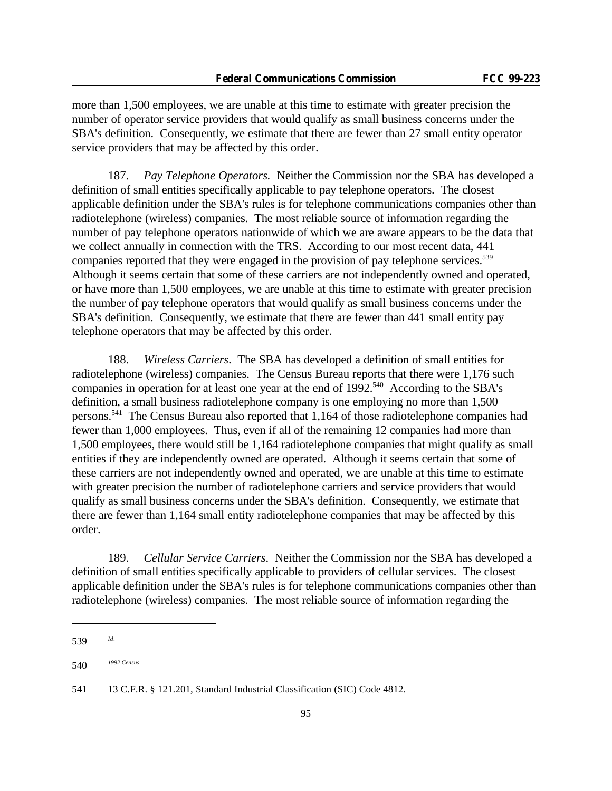more than 1,500 employees, we are unable at this time to estimate with greater precision the number of operator service providers that would qualify as small business concerns under the SBA's definition. Consequently, we estimate that there are fewer than 27 small entity operator service providers that may be affected by this order.

187. *Pay Telephone Operators.* Neither the Commission nor the SBA has developed a definition of small entities specifically applicable to pay telephone operators. The closest applicable definition under the SBA's rules is for telephone communications companies other than radiotelephone (wireless) companies. The most reliable source of information regarding the number of pay telephone operators nationwide of which we are aware appears to be the data that we collect annually in connection with the TRS. According to our most recent data, 441 companies reported that they were engaged in the provision of pay telephone services.<sup>539</sup> Although it seems certain that some of these carriers are not independently owned and operated, or have more than 1,500 employees, we are unable at this time to estimate with greater precision the number of pay telephone operators that would qualify as small business concerns under the SBA's definition. Consequently, we estimate that there are fewer than 441 small entity pay telephone operators that may be affected by this order.

188. *Wireless Carriers*. The SBA has developed a definition of small entities for radiotelephone (wireless) companies. The Census Bureau reports that there were 1,176 such companies in operation for at least one year at the end of 1992.<sup>540</sup> According to the SBA's definition, a small business radiotelephone company is one employing no more than 1,500 persons.<sup>541</sup> The Census Bureau also reported that 1,164 of those radiotelephone companies had fewer than 1,000 employees. Thus, even if all of the remaining 12 companies had more than 1,500 employees, there would still be 1,164 radiotelephone companies that might qualify as small entities if they are independently owned are operated. Although it seems certain that some of these carriers are not independently owned and operated, we are unable at this time to estimate with greater precision the number of radiotelephone carriers and service providers that would qualify as small business concerns under the SBA's definition. Consequently, we estimate that there are fewer than 1,164 small entity radiotelephone companies that may be affected by this order.

189. *Cellular Service Carriers*. Neither the Commission nor the SBA has developed a definition of small entities specifically applicable to providers of cellular services. The closest applicable definition under the SBA's rules is for telephone communications companies other than radiotelephone (wireless) companies. The most reliable source of information regarding the

<sup>539</sup> *Id*.

<sup>540</sup> *1992 Census.*

<sup>541</sup> 13 C.F.R. § 121.201, Standard Industrial Classification (SIC) Code 4812.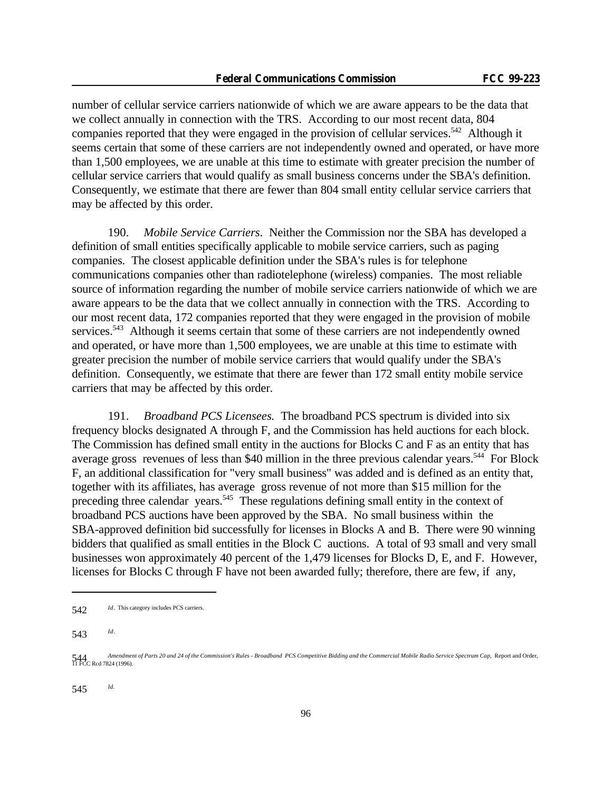number of cellular service carriers nationwide of which we are aware appears to be the data that we collect annually in connection with the TRS. According to our most recent data, 804 companies reported that they were engaged in the provision of cellular services.<sup>542</sup> Although it seems certain that some of these carriers are not independently owned and operated, or have more than 1,500 employees, we are unable at this time to estimate with greater precision the number of cellular service carriers that would qualify as small business concerns under the SBA's definition. Consequently, we estimate that there are fewer than 804 small entity cellular service carriers that may be affected by this order.

190. *Mobile Service Carriers*. Neither the Commission nor the SBA has developed a definition of small entities specifically applicable to mobile service carriers, such as paging companies. The closest applicable definition under the SBA's rules is for telephone communications companies other than radiotelephone (wireless) companies. The most reliable source of information regarding the number of mobile service carriers nationwide of which we are aware appears to be the data that we collect annually in connection with the TRS. According to our most recent data, 172 companies reported that they were engaged in the provision of mobile services.<sup>543</sup> Although it seems certain that some of these carriers are not independently owned and operated, or have more than 1,500 employees, we are unable at this time to estimate with greater precision the number of mobile service carriers that would qualify under the SBA's definition. Consequently, we estimate that there are fewer than 172 small entity mobile service carriers that may be affected by this order.

191. *Broadband PCS Licensees.* The broadband PCS spectrum is divided into six frequency blocks designated A through F, and the Commission has held auctions for each block. The Commission has defined small entity in the auctions for Blocks C and F as an entity that has average gross revenues of less than \$40 million in the three previous calendar years.<sup>544</sup> For Block F, an additional classification for "very small business" was added and is defined as an entity that, together with its affiliates, has average gross revenue of not more than \$15 million for the preceding three calendar years.<sup>545</sup> These regulations defining small entity in the context of broadband PCS auctions have been approved by the SBA. No small business within the SBA-approved definition bid successfully for licenses in Blocks A and B. There were 90 winning bidders that qualified as small entities in the Block C auctions. A total of 93 small and very small businesses won approximately 40 percent of the 1,479 licenses for Blocks D, E, and F. However, licenses for Blocks C through F have not been awarded fully; therefore, there are few, if any,

<sup>542</sup> *Id*. This category includes PCS carriers.

<sup>543</sup> *Id*.

<sup>544</sup> *Amendment of Parts 20 and 24 of the Commission's Rules - Broadband PCS Competitive Bidding and the Commercial Mobile Radio Service Spectrum Cap*, Report and Order, 544 CRed 7824 (1996).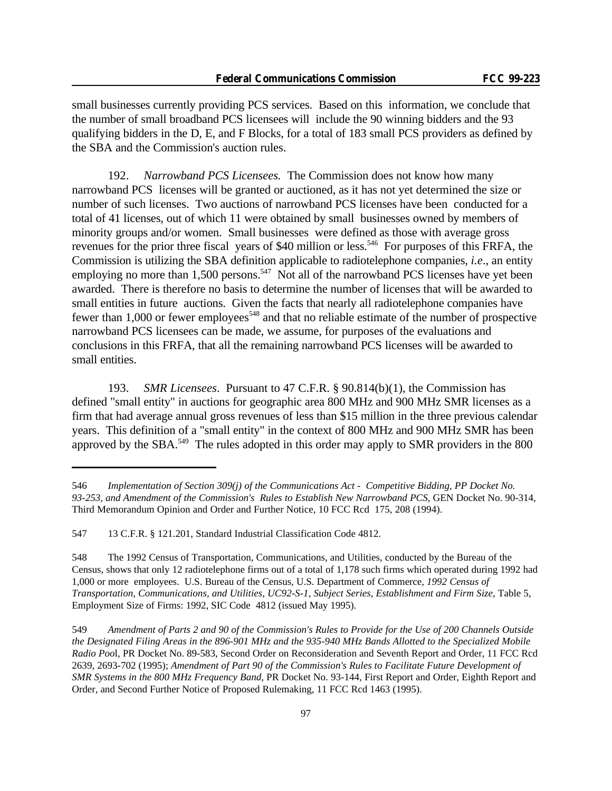small businesses currently providing PCS services. Based on this information, we conclude that the number of small broadband PCS licensees will include the 90 winning bidders and the 93 qualifying bidders in the D, E, and F Blocks, for a total of 183 small PCS providers as defined by the SBA and the Commission's auction rules.

192. *Narrowband PCS Licensees.* The Commission does not know how many narrowband PCS licenses will be granted or auctioned, as it has not yet determined the size or number of such licenses. Two auctions of narrowband PCS licenses have been conducted for a total of 41 licenses, out of which 11 were obtained by small businesses owned by members of minority groups and/or women. Small businesses were defined as those with average gross revenues for the prior three fiscal years of \$40 million or less.<sup>546</sup> For purposes of this FRFA, the Commission is utilizing the SBA definition applicable to radiotelephone companies, *i.e*., an entity employing no more than 1,500 persons.<sup>547</sup> Not all of the narrowband PCS licenses have yet been awarded. There is therefore no basis to determine the number of licenses that will be awarded to small entities in future auctions. Given the facts that nearly all radiotelephone companies have fewer than 1,000 or fewer employees<sup>548</sup> and that no reliable estimate of the number of prospective narrowband PCS licensees can be made, we assume, for purposes of the evaluations and conclusions in this FRFA, that all the remaining narrowband PCS licenses will be awarded to small entities.

193. *SMR Licensees*. Pursuant to 47 C.F.R. § 90.814(b)(1), the Commission has defined "small entity" in auctions for geographic area 800 MHz and 900 MHz SMR licenses as a firm that had average annual gross revenues of less than \$15 million in the three previous calendar years. This definition of a "small entity" in the context of 800 MHz and 900 MHz SMR has been approved by the SBA.<sup>549</sup> The rules adopted in this order may apply to SMR providers in the 800

<sup>546</sup> *Implementation of Section 309(j) of the Communications Act - Competitive Bidding, PP Docket No. 93-253, and Amendment of the Commission's Rules to Establish New Narrowband PCS*, GEN Docket No. 90-314, Third Memorandum Opinion and Order and Further Notice, 10 FCC Rcd 175, 208 (1994).

<sup>547</sup> 13 C.F.R. § 121.201, Standard Industrial Classification Code 4812.

<sup>548</sup> The 1992 Census of Transportation, Communications, and Utilities, conducted by the Bureau of the Census, shows that only 12 radiotelephone firms out of a total of 1,178 such firms which operated during 1992 had 1,000 or more employees. U.S. Bureau of the Census, U.S. Department of Commerce, *1992 Census of Transportation, Communications, and Utilities, UC92-S-1, Subject Series, Establishment and Firm Size*, Table 5, Employment Size of Firms: 1992, SIC Code 4812 (issued May 1995).

<sup>549</sup> *Amendment of Parts 2 and 90 of the Commission's Rules to Provide for the Use of 200 Channels Outside the Designated Filing Areas in the 896-901 MHz and the 935-940 MHz Bands Allotted to the Specialized Mobile Radio Poo*l, PR Docket No. 89-583, Second Order on Reconsideration and Seventh Report and Order, 11 FCC Rcd 2639, 2693-702 (1995); *Amendment of Part 90 of the Commission's Rules to Facilitate Future Development of SMR Systems in the 800 MHz Frequency Band*, PR Docket No. 93-144, First Report and Order, Eighth Report and Order, and Second Further Notice of Proposed Rulemaking, 11 FCC Rcd 1463 (1995).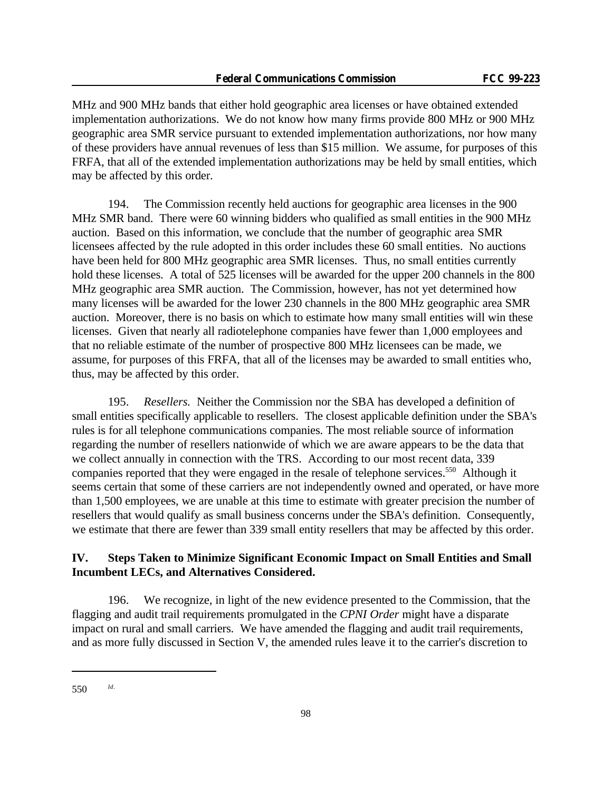MHz and 900 MHz bands that either hold geographic area licenses or have obtained extended implementation authorizations. We do not know how many firms provide 800 MHz or 900 MHz geographic area SMR service pursuant to extended implementation authorizations, nor how many of these providers have annual revenues of less than \$15 million. We assume, for purposes of this FRFA, that all of the extended implementation authorizations may be held by small entities, which may be affected by this order.

194. The Commission recently held auctions for geographic area licenses in the 900 MHz SMR band. There were 60 winning bidders who qualified as small entities in the 900 MHz auction. Based on this information, we conclude that the number of geographic area SMR licensees affected by the rule adopted in this order includes these 60 small entities. No auctions have been held for 800 MHz geographic area SMR licenses. Thus, no small entities currently hold these licenses. A total of 525 licenses will be awarded for the upper 200 channels in the 800 MHz geographic area SMR auction. The Commission, however, has not yet determined how many licenses will be awarded for the lower 230 channels in the 800 MHz geographic area SMR auction. Moreover, there is no basis on which to estimate how many small entities will win these licenses. Given that nearly all radiotelephone companies have fewer than 1,000 employees and that no reliable estimate of the number of prospective 800 MHz licensees can be made, we assume, for purposes of this FRFA, that all of the licenses may be awarded to small entities who, thus, may be affected by this order.

195. *Resellers.* Neither the Commission nor the SBA has developed a definition of small entities specifically applicable to resellers. The closest applicable definition under the SBA's rules is for all telephone communications companies. The most reliable source of information regarding the number of resellers nationwide of which we are aware appears to be the data that we collect annually in connection with the TRS. According to our most recent data, 339 companies reported that they were engaged in the resale of telephone services.<sup>550</sup> Although it seems certain that some of these carriers are not independently owned and operated, or have more than 1,500 employees, we are unable at this time to estimate with greater precision the number of resellers that would qualify as small business concerns under the SBA's definition. Consequently, we estimate that there are fewer than 339 small entity resellers that may be affected by this order.

## **IV. Steps Taken to Minimize Significant Economic Impact on Small Entities and Small Incumbent LECs, and Alternatives Considered.**

196. We recognize, in light of the new evidence presented to the Commission, that the flagging and audit trail requirements promulgated in the *CPNI Order* might have a disparate impact on rural and small carriers. We have amended the flagging and audit trail requirements, and as more fully discussed in Section V, the amended rules leave it to the carrier's discretion to

<sup>550</sup> *Id*.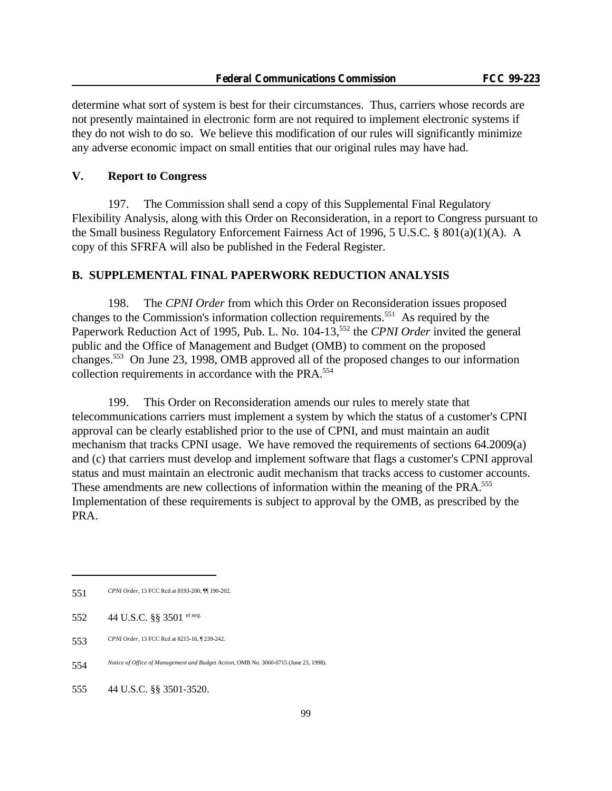determine what sort of system is best for their circumstances. Thus, carriers whose records are not presently maintained in electronic form are not required to implement electronic systems if they do not wish to do so. We believe this modification of our rules will significantly minimize any adverse economic impact on small entities that our original rules may have had.

## **V. Report to Congress**

197. The Commission shall send a copy of this Supplemental Final Regulatory Flexibility Analysis, along with this Order on Reconsideration, in a report to Congress pursuant to the Small business Regulatory Enforcement Fairness Act of 1996, 5 U.S.C. § 801(a)(1)(A). A copy of this SFRFA will also be published in the Federal Register.

## **B. SUPPLEMENTAL FINAL PAPERWORK REDUCTION ANALYSIS**

198. The *CPNI Order* from which this Order on Reconsideration issues proposed changes to the Commission's information collection requirements.<sup>551</sup> As required by the Paperwork Reduction Act of 1995, Pub. L. No. 104-13,<sup>552</sup> the *CPNI Order* invited the general public and the Office of Management and Budget (OMB) to comment on the proposed changes.<sup>553</sup> On June 23, 1998, OMB approved all of the proposed changes to our information collection requirements in accordance with the PRA.<sup>554</sup>

199. This Order on Reconsideration amends our rules to merely state that telecommunications carriers must implement a system by which the status of a customer's CPNI approval can be clearly established prior to the use of CPNI, and must maintain an audit mechanism that tracks CPNI usage. We have removed the requirements of sections 64.2009(a) and (c) that carriers must develop and implement software that flags a customer's CPNI approval status and must maintain an electronic audit mechanism that tracks access to customer accounts. These amendments are new collections of information within the meaning of the PRA.<sup>555</sup> Implementation of these requirements is subject to approval by the OMB, as prescribed by the PRA.

<sup>551</sup> *CPNI Order*, 13 FCC Rcd at 8193-200, ¶¶ 190-202.

<sup>552</sup> 44 U.S.C. §§ 3501 *et seq.*

<sup>553</sup> *CPNI Order*, 13 FCC Rcd at 8215-16, ¶ 239-242.

<sup>554</sup> *Notice of Office of Management and Budget Action*, OMB No. 3060-0715 (June 23, 1998).

<sup>555</sup> 44 U.S.C. §§ 3501-3520.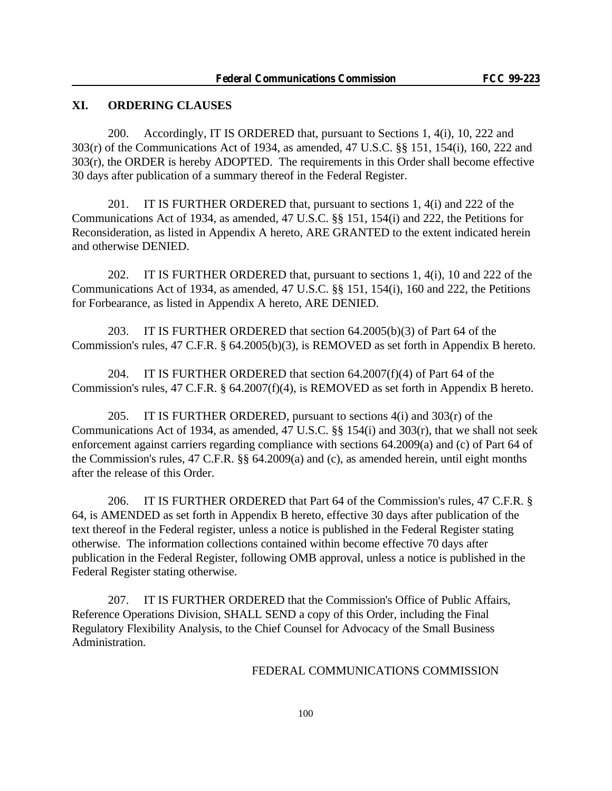### **XI. ORDERING CLAUSES**

200. Accordingly, IT IS ORDERED that, pursuant to Sections 1, 4(i), 10, 222 and 303(r) of the Communications Act of 1934, as amended, 47 U.S.C. §§ 151, 154(i), 160, 222 and 303(r), the ORDER is hereby ADOPTED. The requirements in this Order shall become effective 30 days after publication of a summary thereof in the Federal Register.

201. IT IS FURTHER ORDERED that, pursuant to sections 1, 4(i) and 222 of the Communications Act of 1934, as amended, 47 U.S.C. §§ 151, 154(i) and 222, the Petitions for Reconsideration, as listed in Appendix A hereto, ARE GRANTED to the extent indicated herein and otherwise DENIED.

202. IT IS FURTHER ORDERED that, pursuant to sections 1, 4(i), 10 and 222 of the Communications Act of 1934, as amended, 47 U.S.C. §§ 151, 154(i), 160 and 222, the Petitions for Forbearance, as listed in Appendix A hereto, ARE DENIED.

203. IT IS FURTHER ORDERED that section 64.2005(b)(3) of Part 64 of the Commission's rules, 47 C.F.R. § 64.2005(b)(3), is REMOVED as set forth in Appendix B hereto.

204. IT IS FURTHER ORDERED that section 64.2007(f)(4) of Part 64 of the Commission's rules, 47 C.F.R. § 64.2007(f)(4), is REMOVED as set forth in Appendix B hereto.

205. IT IS FURTHER ORDERED, pursuant to sections  $4(i)$  and  $303(r)$  of the Communications Act of 1934, as amended, 47 U.S.C. §§ 154(i) and 303(r), that we shall not seek enforcement against carriers regarding compliance with sections 64.2009(a) and (c) of Part 64 of the Commission's rules, 47 C.F.R. §§ 64.2009(a) and (c), as amended herein, until eight months after the release of this Order.

206. IT IS FURTHER ORDERED that Part 64 of the Commission's rules, 47 C.F.R. § 64, is AMENDED as set forth in Appendix B hereto, effective 30 days after publication of the text thereof in the Federal register, unless a notice is published in the Federal Register stating otherwise. The information collections contained within become effective 70 days after publication in the Federal Register, following OMB approval, unless a notice is published in the Federal Register stating otherwise.

207. IT IS FURTHER ORDERED that the Commission's Office of Public Affairs, Reference Operations Division, SHALL SEND a copy of this Order, including the Final Regulatory Flexibility Analysis, to the Chief Counsel for Advocacy of the Small Business Administration.

## FEDERAL COMMUNICATIONS COMMISSION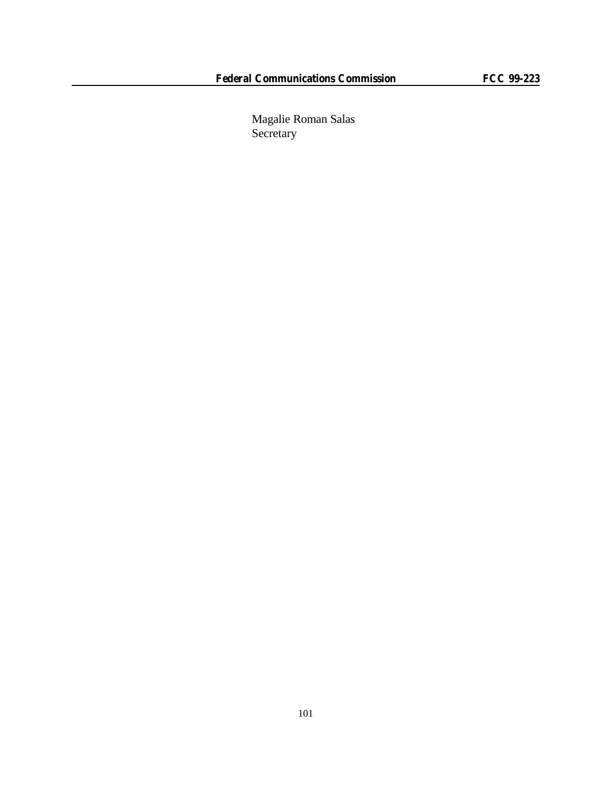Magalie Roman Salas Secretary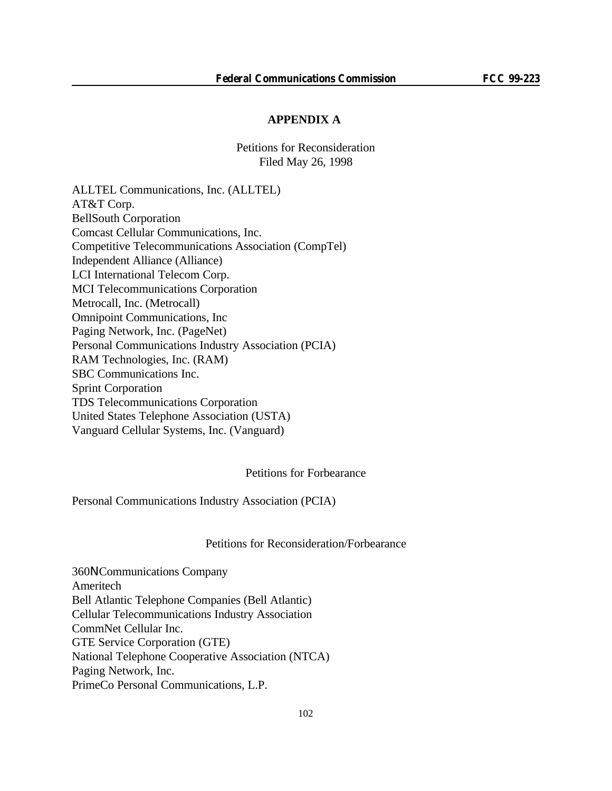#### **APPENDIX A**

Petitions for Reconsideration Filed May 26, 1998

ALLTEL Communications, Inc. (ALLTEL) AT&T Corp. BellSouth Corporation Comcast Cellular Communications, Inc. Competitive Telecommunications Association (CompTel) Independent Alliance (Alliance) LCI International Telecom Corp. MCI Telecommunications Corporation Metrocall, Inc. (Metrocall) Omnipoint Communications, Inc Paging Network, Inc. (PageNet) Personal Communications Industry Association (PCIA) RAM Technologies, Inc. (RAM) SBC Communications Inc. Sprint Corporation TDS Telecommunications Corporation United States Telephone Association (USTA) Vanguard Cellular Systems, Inc. (Vanguard)

Petitions for Forbearance

Personal Communications Industry Association (PCIA)

Petitions for Reconsideration/Forbearance

360N Communications Company Ameritech Bell Atlantic Telephone Companies (Bell Atlantic) Cellular Telecommunications Industry Association CommNet Cellular Inc. GTE Service Corporation (GTE) National Telephone Cooperative Association (NTCA) Paging Network, Inc. PrimeCo Personal Communications, L.P.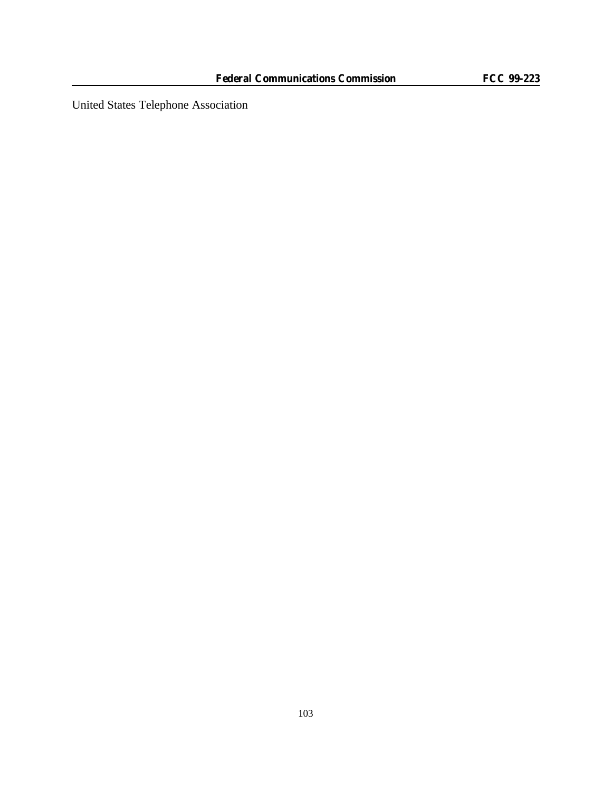United States Telephone Association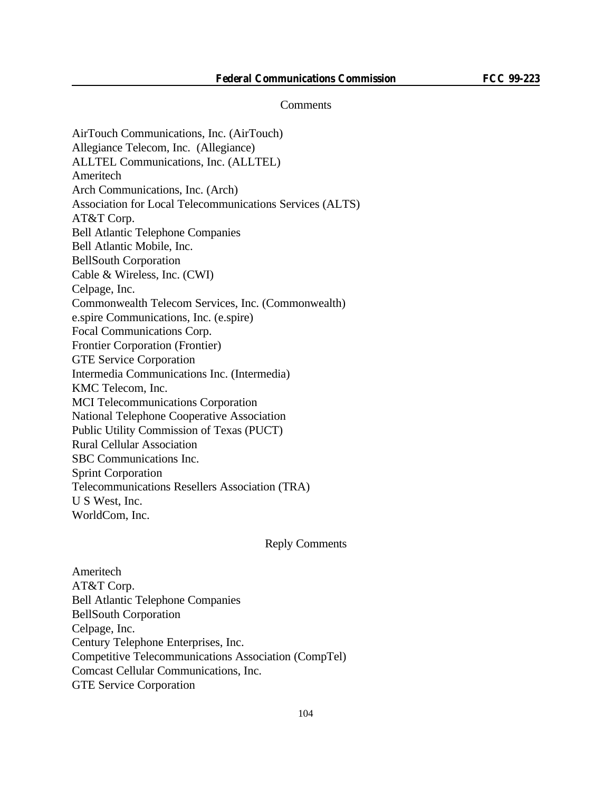#### **Comments**

AirTouch Communications, Inc. (AirTouch) Allegiance Telecom, Inc. (Allegiance) ALLTEL Communications, Inc. (ALLTEL) Ameritech Arch Communications, Inc. (Arch) Association for Local Telecommunications Services (ALTS) AT&T Corp. Bell Atlantic Telephone Companies Bell Atlantic Mobile, Inc. BellSouth Corporation Cable & Wireless, Inc. (CWI) Celpage, Inc. Commonwealth Telecom Services, Inc. (Commonwealth) e.spire Communications, Inc. (e.spire) Focal Communications Corp. Frontier Corporation (Frontier) GTE Service Corporation Intermedia Communications Inc. (Intermedia) KMC Telecom, Inc. MCI Telecommunications Corporation National Telephone Cooperative Association Public Utility Commission of Texas (PUCT) Rural Cellular Association SBC Communications Inc. Sprint Corporation Telecommunications Resellers Association (TRA) U S West, Inc. WorldCom, Inc.

#### Reply Comments

Ameritech AT&T Corp. Bell Atlantic Telephone Companies BellSouth Corporation Celpage, Inc. Century Telephone Enterprises, Inc. Competitive Telecommunications Association (CompTel) Comcast Cellular Communications, Inc. GTE Service Corporation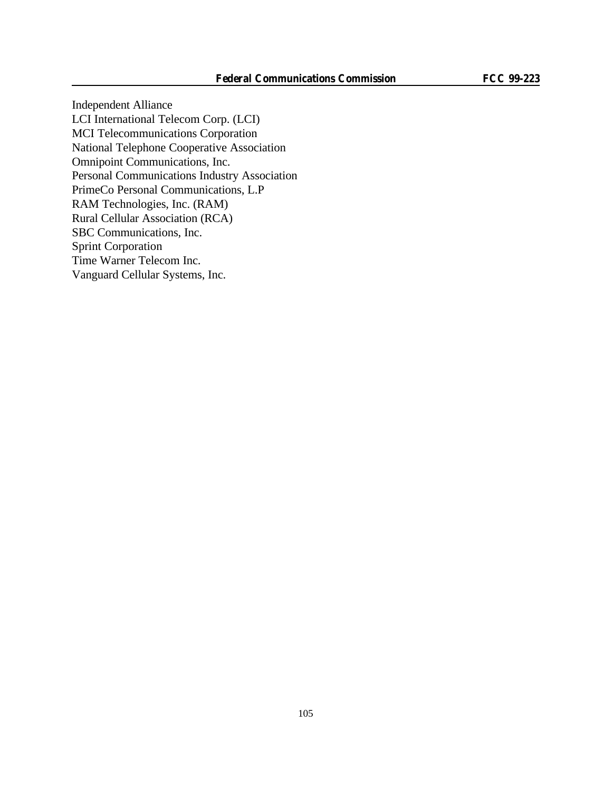Independent Alliance LCI International Telecom Corp. (LCI) MCI Telecommunications Corporation National Telephone Cooperative Association Omnipoint Communications, Inc. Personal Communications Industry Association PrimeCo Personal Communications, L.P RAM Technologies, Inc. (RAM) Rural Cellular Association (RCA) SBC Communications, Inc. Sprint Corporation Time Warner Telecom Inc. Vanguard Cellular Systems, Inc.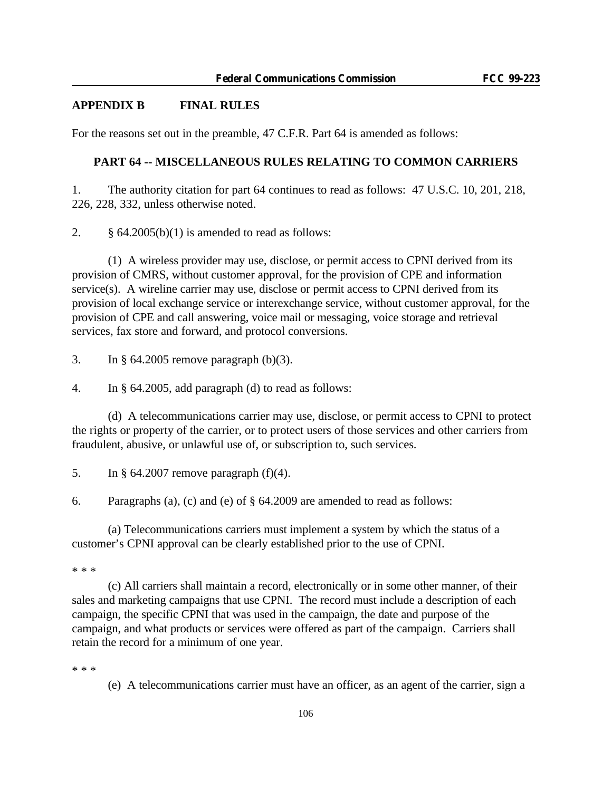## **APPENDIX B FINAL RULES**

For the reasons set out in the preamble, 47 C.F.R. Part 64 is amended as follows:

### **PART 64 -- MISCELLANEOUS RULES RELATING TO COMMON CARRIERS**

1. The authority citation for part 64 continues to read as follows: 47 U.S.C. 10, 201, 218, 226, 228, 332, unless otherwise noted.

2.  $\S$  64.2005(b)(1) is amended to read as follows:

(1) A wireless provider may use, disclose, or permit access to CPNI derived from its provision of CMRS, without customer approval, for the provision of CPE and information service(s). A wireline carrier may use, disclose or permit access to CPNI derived from its provision of local exchange service or interexchange service, without customer approval, for the provision of CPE and call answering, voice mail or messaging, voice storage and retrieval services, fax store and forward, and protocol conversions.

3. In § 64.2005 remove paragraph (b)(3).

4. In § 64.2005, add paragraph (d) to read as follows:

(d) A telecommunications carrier may use, disclose, or permit access to CPNI to protect the rights or property of the carrier, or to protect users of those services and other carriers from fraudulent, abusive, or unlawful use of, or subscription to, such services.

5. In § 64.2007 remove paragraph (f)(4).

6. Paragraphs (a), (c) and (e) of § 64.2009 are amended to read as follows:

(a) Telecommunications carriers must implement a system by which the status of a customer's CPNI approval can be clearly established prior to the use of CPNI.

\* \* \*

(c) All carriers shall maintain a record, electronically or in some other manner, of their sales and marketing campaigns that use CPNI. The record must include a description of each campaign, the specific CPNI that was used in the campaign, the date and purpose of the campaign, and what products or services were offered as part of the campaign. Carriers shall retain the record for a minimum of one year.

\* \* \*

(e) A telecommunications carrier must have an officer, as an agent of the carrier, sign a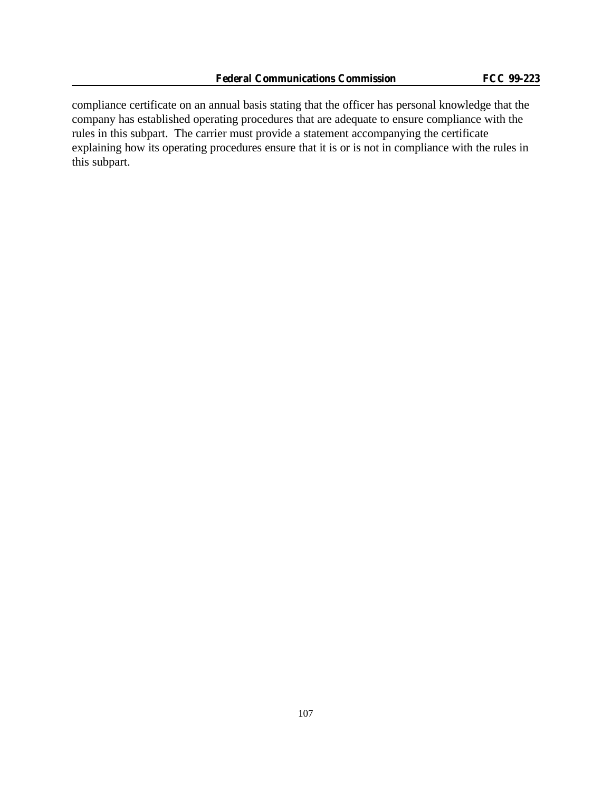compliance certificate on an annual basis stating that the officer has personal knowledge that the company has established operating procedures that are adequate to ensure compliance with the rules in this subpart. The carrier must provide a statement accompanying the certificate explaining how its operating procedures ensure that it is or is not in compliance with the rules in this subpart.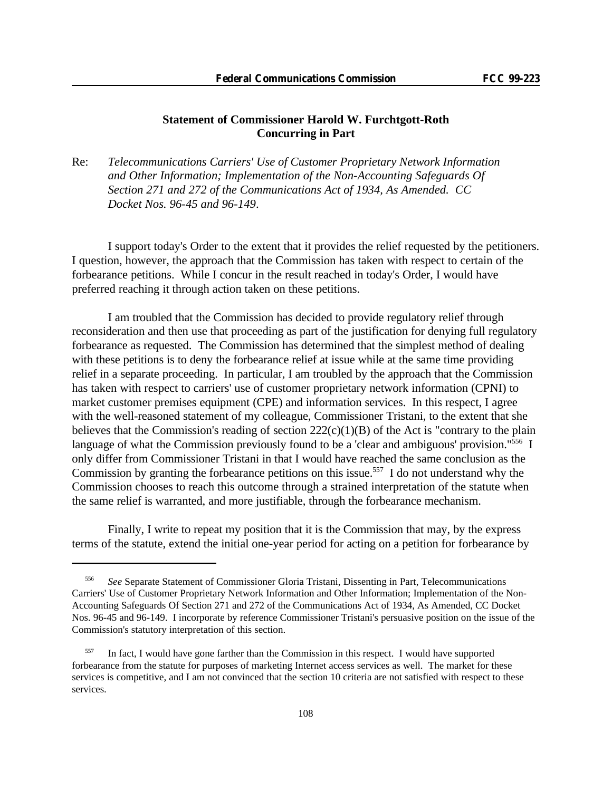## **Statement of Commissioner Harold W. Furchtgott-Roth Concurring in Part**

Re: *Telecommunications Carriers' Use of Customer Proprietary Network Information and Other Information; Implementation of the Non-Accounting Safeguards Of Section 271 and 272 of the Communications Act of 1934, As Amended. CC Docket Nos. 96-45 and 96-149*.

I support today's Order to the extent that it provides the relief requested by the petitioners. I question, however, the approach that the Commission has taken with respect to certain of the forbearance petitions. While I concur in the result reached in today's Order, I would have preferred reaching it through action taken on these petitions.

I am troubled that the Commission has decided to provide regulatory relief through reconsideration and then use that proceeding as part of the justification for denying full regulatory forbearance as requested. The Commission has determined that the simplest method of dealing with these petitions is to deny the forbearance relief at issue while at the same time providing relief in a separate proceeding. In particular, I am troubled by the approach that the Commission has taken with respect to carriers' use of customer proprietary network information (CPNI) to market customer premises equipment (CPE) and information services. In this respect, I agree with the well-reasoned statement of my colleague, Commissioner Tristani, to the extent that she believes that the Commission's reading of section  $222(c)(1)(B)$  of the Act is "contrary to the plain language of what the Commission previously found to be a 'clear and ambiguous' provision."<sup>556</sup> I only differ from Commissioner Tristani in that I would have reached the same conclusion as the Commission by granting the forbearance petitions on this issue.<sup>557</sup> I do not understand why the Commission chooses to reach this outcome through a strained interpretation of the statute when the same relief is warranted, and more justifiable, through the forbearance mechanism.

Finally, I write to repeat my position that it is the Commission that may, by the express terms of the statute, extend the initial one-year period for acting on a petition for forbearance by

<sup>556</sup> *See* Separate Statement of Commissioner Gloria Tristani, Dissenting in Part, Telecommunications Carriers' Use of Customer Proprietary Network Information and Other Information; Implementation of the Non-Accounting Safeguards Of Section 271 and 272 of the Communications Act of 1934, As Amended, CC Docket Nos. 96-45 and 96-149. I incorporate by reference Commissioner Tristani's persuasive position on the issue of the Commission's statutory interpretation of this section.

<sup>557</sup> In fact, I would have gone farther than the Commission in this respect. I would have supported forbearance from the statute for purposes of marketing Internet access services as well. The market for these services is competitive, and I am not convinced that the section 10 criteria are not satisfied with respect to these services.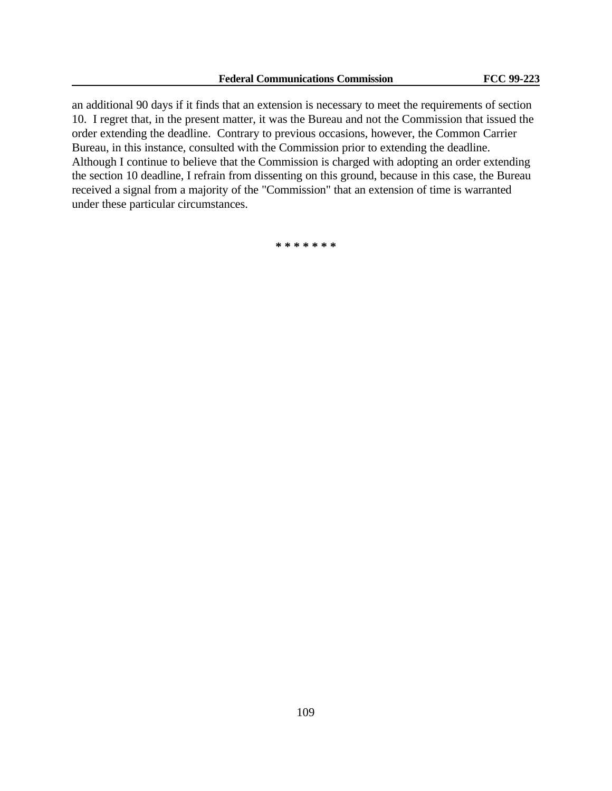an additional 90 days if it finds that an extension is necessary to meet the requirements of section 10. I regret that, in the present matter, it was the Bureau and not the Commission that issued the order extending the deadline. Contrary to previous occasions, however, the Common Carrier Bureau, in this instance, consulted with the Commission prior to extending the deadline. Although I continue to believe that the Commission is charged with adopting an order extending the section 10 deadline, I refrain from dissenting on this ground, because in this case, the Bureau received a signal from a majority of the "Commission" that an extension of time is warranted under these particular circumstances.

**\* \* \* \* \* \* \***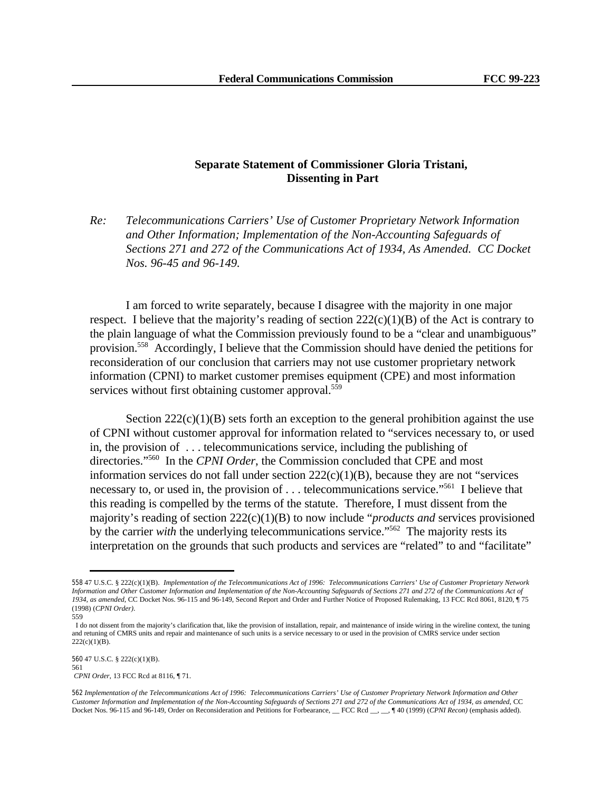## **Separate Statement of Commissioner Gloria Tristani, Dissenting in Part**

*Re: Telecommunications Carriers' Use of Customer Proprietary Network Information and Other Information; Implementation of the Non-Accounting Safeguards of Sections 271 and 272 of the Communications Act of 1934, As Amended. CC Docket Nos. 96-45 and 96-149.* 

I am forced to write separately, because I disagree with the majority in one major respect. I believe that the majority's reading of section  $222(c)(1)(B)$  of the Act is contrary to the plain language of what the Commission previously found to be a "clear and unambiguous" provision.<sup>558</sup> Accordingly, I believe that the Commission should have denied the petitions for reconsideration of our conclusion that carriers may not use customer proprietary network information (CPNI) to market customer premises equipment (CPE) and most information services without first obtaining customer approval.<sup>559</sup>

Section  $222(c)(1)(B)$  sets forth an exception to the general prohibition against the use of CPNI without customer approval for information related to "services necessary to, or used in, the provision of . . . telecommunications service, including the publishing of directories."<sup>560</sup> In the *CPNI Order*, the Commission concluded that CPE and most information services do not fall under section  $222(c)(1)(B)$ , because they are not "services" necessary to, or used in, the provision of . . . telecommunications service."<sup>561</sup> I believe that this reading is compelled by the terms of the statute. Therefore, I must dissent from the majority's reading of section 222(c)(1)(B) to now include "*products and* services provisioned by the carrier *with* the underlying telecommunications service."<sup>562</sup> The majority rests its interpretation on the grounds that such products and services are "related" to and "facilitate"

<sup>558</sup> 47 U.S.C. § 222(c)(1)(B). *Implementation of the Telecommunications Act of 1996: Telecommunications Carriers' Use of Customer Proprietary Network Information and Other Customer Information and Implementation of the Non-Accounting Safeguards of Sections 271 and 272 of the Communications Act of 1934, as amended*, CC Docket Nos. 96-115 and 96-149, Second Report and Order and Further Notice of Proposed Rulemaking, 13 FCC Rcd 8061, 8120, ¶ 75 (1998) (*CPNI Order)*.

<sup>559</sup>

I do not dissent from the majority's clarification that, like the provision of installation, repair, and maintenance of inside wiring in the wireline context, the tuning and retuning of CMRS units and repair and maintenance of such units is a service necessary to or used in the provision of CMRS service under section  $222(c)(1)(B)$ .

<sup>560</sup> 47 U.S.C. § 222(c)(1)(B). 561 *CPNI Order*, 13 FCC Rcd at 8116, ¶ 71.

<sup>562</sup> *Implementation of the Telecommunications Act of 1996: Telecommunications Carriers' Use of Customer Proprietary Network Information and Other Customer Information and Implementation of the Non-Accounting Safeguards of Sections 271 and 272 of the Communications Act of 1934, as amended*, CC Docket Nos. 96-115 and 96-149, Order on Reconsideration and Petitions for Forbearance, \_\_ FCC Rcd \_\_, \_\_, ¶ 40 (1999) (*CPNI Recon)* (emphasis added).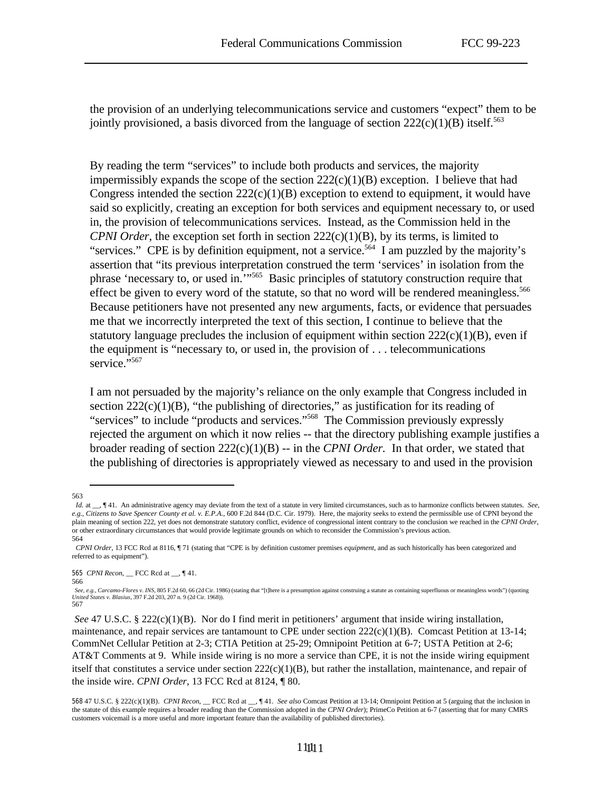the provision of an underlying telecommunications service and customers "expect" them to be jointly provisioned, a basis divorced from the language of section  $222(c)(1)(B)$  itself.<sup>563</sup>

By reading the term "services" to include both products and services, the majority impermissibly expands the scope of the section  $222(c)(1)(B)$  exception. I believe that had Congress intended the section  $222(c)(1)(B)$  exception to extend to equipment, it would have said so explicitly, creating an exception for both services and equipment necessary to, or used in, the provision of telecommunications services. Instead, as the Commission held in the *CPNI Order*, the exception set forth in section 222(c)(1)(B), by its terms, is limited to "services." CPE is by definition equipment, not a service.<sup>564</sup> I am puzzled by the majority's assertion that "its previous interpretation construed the term 'services' in isolation from the phrase 'necessary to, or used in.'"<sup>565</sup> Basic principles of statutory construction require that effect be given to every word of the statute, so that no word will be rendered meaningless.<sup>566</sup> Because petitioners have not presented any new arguments, facts, or evidence that persuades me that we incorrectly interpreted the text of this section, I continue to believe that the statutory language precludes the inclusion of equipment within section  $222(c)(1)(B)$ , even if the equipment is "necessary to, or used in, the provision of . . . telecommunications service."<sup>567</sup>

I am not persuaded by the majority's reliance on the only example that Congress included in section 222(c)(1)(B), "the publishing of directories," as justification for its reading of "services" to include "products and services."<sup>568</sup> The Commission previously expressly rejected the argument on which it now relies -- that the directory publishing example justifies a broader reading of section 222(c)(1)(B) -- in the *CPNI Order.* In that order, we stated that the publishing of directories is appropriately viewed as necessary to and used in the provision

itself that constitutes a service under section  $222(c)(1)(B)$ , but rather the installation, maintenance, and repair of the inside wire. *CPNI Order*, 13 FCC Rcd at 8124, ¶ 80.

<sup>563</sup>

*Id.* at \_, ¶ 41. An administrative agency may deviate from the text of a statute in very limited circumstances, such as to harmonize conflicts between statutes. *See*, *e.g., Citizens to Save Spencer County et al. v. E.P.A.*, 600 F.2d 844 (D.C. Cir. 1979). Here, the majority seeks to extend the permissible use of CPNI beyond the plain meaning of section 222, yet does not demonstrate statutory conflict, evidence of congressional intent contrary to the conclusion we reached in the *CPNI Order*, or other extraordinary circumstances that would provide legitimate grounds on which to reconsider the Commission's previous action. 564

*CPNI Order*, 13 FCC Rcd at 8116, ¶ 71 (stating that "CPE is by definition customer premises *equipment*, and as such historically has been categorized and referred to as equipment").

<sup>565</sup> *CPNI Recon*, \_\_ FCC Rcd at \_\_, ¶ 41. 566

*See, e.g., Carcamo-Flores v. INS*, 805 F.2d 60, 66 (2d Cir. 1986) (stating that "[t]here is a presumption against construing a statute as containing superfluous or meaningless words") (quoting *United States v. Blasius*, 397 F.2d 203, 207 n. 9 (2d Cir. 1968)). 567

*See* 47 U.S.C. § 222(c)(1)(B). Nor do I find merit in petitioners' argument that inside wiring installation, maintenance, and repair services are tantamount to CPE under section  $222(c)(1)(B)$ . Comcast Petition at 13-14; CommNet Cellular Petition at 2-3; CTIA Petition at 25-29; Omnipoint Petition at 6-7; USTA Petition at 2-6; AT&T Comments at 9. While inside wiring is no more a service than CPE, it is not the inside wiring equipment

<sup>568</sup> 47 U.S.C. § 222(c)(1)(B). *CPNI Recon*, \_\_ FCC Rcd at \_\_, ¶ 41. *See also* Comcast Petition at 13-14; Omnipoint Petition at 5 (arguing that the inclusion in the statute of this example requires a broader reading than the Commission adopted in the *CPNI Order*); PrimeCo Petition at 6-7 (asserting that for many CMRS customers voicemail is a more useful and more important feature than the availability of published directories).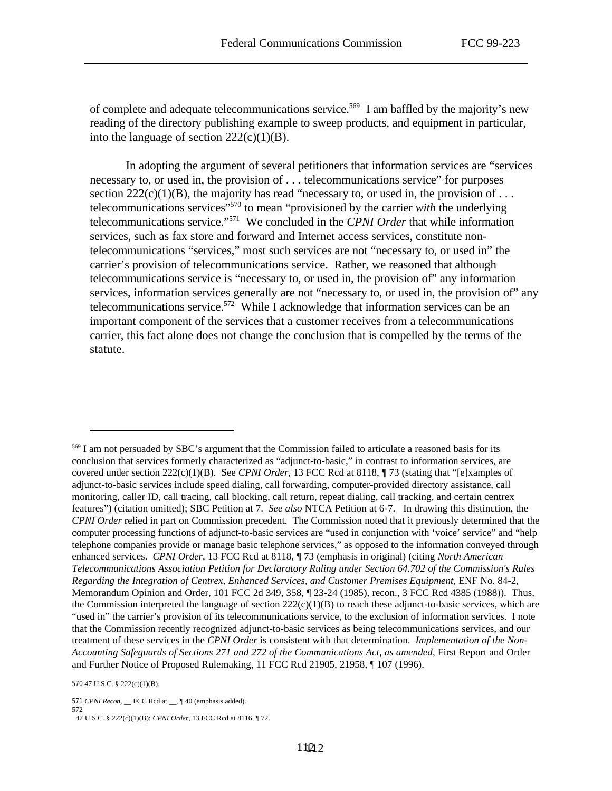of complete and adequate telecommunications service.<sup>569</sup> I am baffled by the majority's new reading of the directory publishing example to sweep products, and equipment in particular, into the language of section  $222(c)(1)(B)$ .

In adopting the argument of several petitioners that information services are "services necessary to, or used in, the provision of . . . telecommunications service" for purposes section  $222(c)(1)(B)$ , the majority has read "necessary to, or used in, the provision of ... telecommunications services"<sup>570</sup> to mean "provisioned by the carrier *with* the underlying telecommunications service."<sup>571</sup> We concluded in the *CPNI Order* that while information services, such as fax store and forward and Internet access services, constitute nontelecommunications "services," most such services are not "necessary to, or used in" the carrier's provision of telecommunications service. Rather, we reasoned that although telecommunications service is "necessary to, or used in, the provision of" any information services, information services generally are not "necessary to, or used in, the provision of" any telecommunications service.<sup>572</sup> While I acknowledge that information services can be an important component of the services that a customer receives from a telecommunications carrier, this fact alone does not change the conclusion that is compelled by the terms of the statute.

571 *CPNI Recon*, \_\_ FCC Rcd at \_\_, ¶ 40 (emphasis added).

<sup>569</sup> I am not persuaded by SBC's argument that the Commission failed to articulate a reasoned basis for its conclusion that services formerly characterized as "adjunct-to-basic," in contrast to information services, are covered under section 222(c)(1)(B). See *CPNI Order*, 13 FCC Rcd at 8118, ¶ 73 (stating that "[e]xamples of adjunct-to-basic services include speed dialing, call forwarding, computer-provided directory assistance, call monitoring, caller ID, call tracing, call blocking, call return, repeat dialing, call tracking, and certain centrex features") (citation omitted); SBC Petition at 7. *See also* NTCA Petition at 6-7. In drawing this distinction, the *CPNI Order* relied in part on Commission precedent. The Commission noted that it previously determined that the computer processing functions of adjunct-to-basic services are "used in conjunction with 'voice' service" and "help telephone companies provide or manage basic telephone services," as opposed to the information conveyed through enhanced services. *CPNI Order*, 13 FCC Rcd at 8118, ¶ 73 (emphasis in original) (citing *North American Telecommunications Association Petition for Declaratory Ruling under Section 64.702 of the Commission's Rules Regarding the Integration of Centrex, Enhanced Services, and Customer Premises Equipment*, ENF No. 84-2, Memorandum Opinion and Order, 101 FCC 2d 349, 358, ¶ 23-24 (1985), recon., 3 FCC Rcd 4385 (1988)). Thus, the Commission interpreted the language of section  $222(c)(1)(B)$  to reach these adjunct-to-basic services, which are "used in" the carrier's provision of its telecommunications service, to the exclusion of information services. I note that the Commission recently recognized adjunct-to-basic services as being telecommunications services, and our treatment of these services in the *CPNI Order* is consistent with that determination. *Implementation of the Non-Accounting Safeguards of Sections 271 and 272 of the Communications Act, as amended*, First Report and Order and Further Notice of Proposed Rulemaking, 11 FCC Rcd 21905, 21958, ¶ 107 (1996).

<sup>570</sup> 47 U.S.C. § 222(c)(1)(B).

<sup>572</sup> 47 U.S.C. § 222(c)(1)(B); *CPNI Order*, 13 FCC Rcd at 8116, ¶ 72.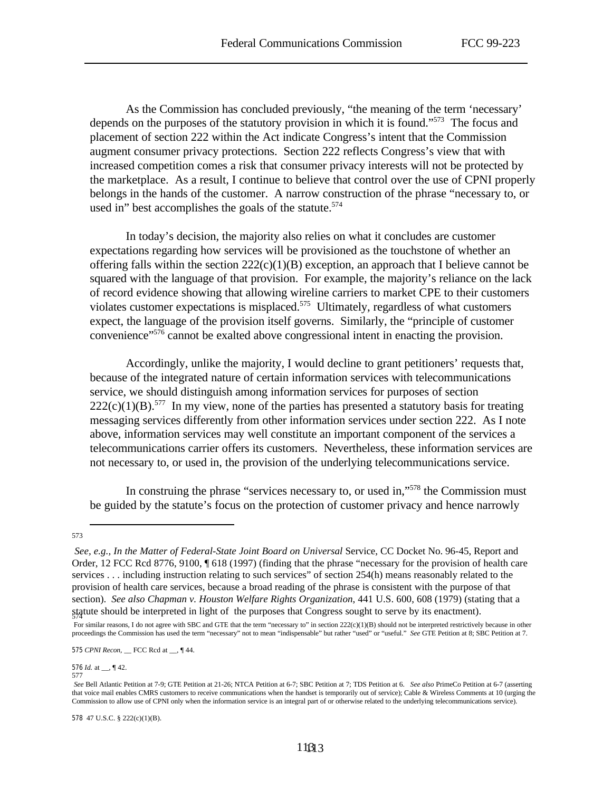As the Commission has concluded previously, "the meaning of the term 'necessary' depends on the purposes of the statutory provision in which it is found."<sup>573</sup> The focus and placement of section 222 within the Act indicate Congress's intent that the Commission augment consumer privacy protections. Section 222 reflects Congress's view that with increased competition comes a risk that consumer privacy interests will not be protected by the marketplace. As a result, I continue to believe that control over the use of CPNI properly belongs in the hands of the customer. A narrow construction of the phrase "necessary to, or used in" best accomplishes the goals of the statute.<sup>574</sup>

In today's decision, the majority also relies on what it concludes are customer expectations regarding how services will be provisioned as the touchstone of whether an offering falls within the section  $222(c)(1)(B)$  exception, an approach that I believe cannot be squared with the language of that provision. For example, the majority's reliance on the lack of record evidence showing that allowing wireline carriers to market CPE to their customers violates customer expectations is misplaced.<sup>575</sup> Ultimately, regardless of what customers expect, the language of the provision itself governs. Similarly, the "principle of customer convenience" $576$  cannot be exalted above congressional intent in enacting the provision.

Accordingly, unlike the majority, I would decline to grant petitioners' requests that, because of the integrated nature of certain information services with telecommunications service, we should distinguish among information services for purposes of section  $222(c)(1)(B)$ .<sup>577</sup> In my view, none of the parties has presented a statutory basis for treating messaging services differently from other information services under section 222. As I note above, information services may well constitute an important component of the services a telecommunications carrier offers its customers. Nevertheless, these information services are not necessary to, or used in, the provision of the underlying telecommunications service.

In construing the phrase "services necessary to, or used in,"<sup>578</sup> the Commission must be guided by the statute's focus on the protection of customer privacy and hence narrowly

575 *CPNI Recon*, \_\_ FCC Rcd at \_\_, ¶ 44.

576 *Id.* at \_\_, ¶ 42. 577

<sup>573</sup>

*See, e.g., In the Matter of Federal-State Joint Board on Universal* Service, CC Docket No. 96-45, Report and Order, 12 FCC Rcd 8776, 9100, ¶ 618 (1997) (finding that the phrase "necessary for the provision of health care services . . . including instruction relating to such services" of section 254(h) means reasonably related to the provision of health care services, because a broad reading of the phrase is consistent with the purpose of that section). *See also Chapman v. Houston Welfare Rights Organization*, 441 U.S. 600, 608 (1979) (stating that a statute should be interpreted in light of the purposes that Congress sought to serve by its enactment).

For similar reasons, I do not agree with SBC and GTE that the term "necessary to" in section  $222(c)(1)(B)$  should not be interpreted restrictively because in other proceedings the Commission has used the term "necessary" not to mean "indispensable" but rather "used" or "useful." *See* GTE Petition at 8; SBC Petition at 7.

*See* Bell Atlantic Petition at 7-9; GTE Petition at 21-26; NTCA Petition at 6-7; SBC Petition at 7; TDS Petition at 6. *See also* PrimeCo Petition at 6-7 (asserting that voice mail enables CMRS customers to receive communications when the handset is temporarily out of service); Cable & Wireless Comments at 10 (urging the Commission to allow use of CPNI only when the information service is an integral part of or otherwise related to the underlying telecommunications service).